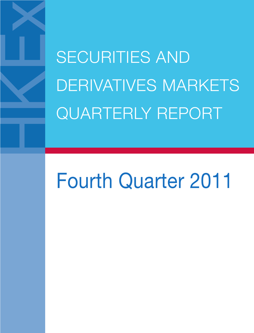SECURITIES AND DERIVATIVES MARKETS QUARTERLY REPORT

# Fourth Quarter 2011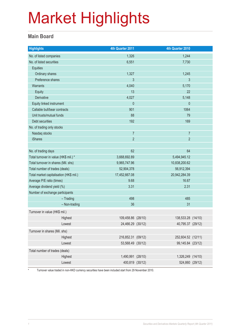#### **Main Board**

| <b>Highlights</b>                              | 4th Quarter 2011   | 4th Quarter 2010   |  |
|------------------------------------------------|--------------------|--------------------|--|
| No. of listed companies                        | 1,326              | 1,244              |  |
| No. of listed securities                       | 6,551              | 7,730              |  |
| <b>Equities</b>                                |                    |                    |  |
| Ordinary shares                                | 1,327              | 1,245              |  |
| Preference shares                              | 3                  | 3                  |  |
| <b>Warrants</b>                                | 4,040              | 5,170              |  |
| Equity                                         | 13                 | 22                 |  |
| Derivative                                     | 4,027              | 5,148              |  |
| Equity linked instrument                       | $\pmb{0}$          | $\mathbf{0}$       |  |
| Callable bull/bear contracts                   | 901                | 1064               |  |
| Unit trusts/mutual funds                       | 88                 | 79                 |  |
| Debt securities                                | 192                | 169                |  |
| No. of trading only stocks                     |                    |                    |  |
| Nasdaq stocks                                  | $\overline{7}$     | $\overline{7}$     |  |
| <b>iShares</b>                                 | $\overline{2}$     | $\overline{2}$     |  |
|                                                |                    |                    |  |
| No. of trading days                            | 62                 | 64                 |  |
| Total turnover in value (HK\$ mil.) *          | 3,668,692.89       | 5,494,945.12       |  |
| Total turnover in shares (Mil. shs)            | 9,965,747.96       | 10,838,200.62      |  |
| Total number of trades (deals)                 | 52,904,378         | 56,912,394         |  |
| Total market capitalisation (HK\$ mil.)        | 17,452,667.08      | 20,942,284.39      |  |
| Average P/E ratio (times)                      | 9.68               | 16.67              |  |
| Average dividend yield (%)                     | 3.31               | 2.31               |  |
| Number of exchange participants<br>$-$ Trading | 498                | 485                |  |
| - Non-trading                                  | 36                 | 31                 |  |
|                                                |                    |                    |  |
| Turnover in value (HK\$ mil.)                  |                    |                    |  |
| Highest                                        | 109,458.86 (28/10) | 138,533.28 (14/10) |  |
| Lowest                                         | 24,466.29 (30/12)  | 40,795.37 (29/12)  |  |
| Turnover in shares (Mil. shs)                  |                    |                    |  |
| Highest                                        | 216,852.31 (09/12) | 252,604.52 (12/11) |  |
| Lowest                                         | 53,568.49 (30/12)  | 99,145.84 (23/12)  |  |
| Total number of trades (deals)                 |                    |                    |  |
| Highest                                        | 1,490,991 (28/10)  | 1,326,249 (14/10)  |  |
| Lowest                                         | 400,819 (30/12)    | 524,860 (29/12)    |  |

\* Turnover value traded in non-HKD currency securities have been included start from 29 November 2010.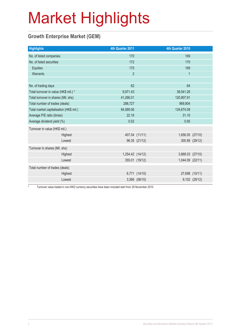#### **Growth Enterprise Market (GEM)**

| <b>Highlights</b>                       |  | 4th Quarter 2011 |                | 4th Quarter 2010 |                |
|-----------------------------------------|--|------------------|----------------|------------------|----------------|
| No. of listed companies                 |  | 170              |                | 169              |                |
| No. of listed securities                |  | 172              |                | 170              |                |
| Equities                                |  | 170              |                | 169              |                |
| Warrants                                |  | $\overline{2}$   |                | $\mathbf{1}$     |                |
|                                         |  |                  |                |                  |                |
| No. of trading days                     |  | 62               |                | 64               |                |
| Total turnover in value (HK\$ mil.) *   |  | 9,971.43         |                | 38,541.26        |                |
| Total turnover in shares (Mil. shs)     |  | 41,266.01        |                | 120,907.91       |                |
| Total number of trades (deals)          |  | 288,727          |                | 969,904          |                |
| Total market capitalisation (HK\$ mil.) |  | 84,589.06        |                | 134,674.08       |                |
| Average P/E ratio (times)               |  | 22.16            |                | 31.10            |                |
| Average dividend yield (%)              |  | 0.52             |                | 0.95             |                |
| Turnover in value (HK\$ mil.)           |  |                  |                |                  |                |
| Highest                                 |  |                  | 407.04 (11/11) | 1,656.05 (27/10) |                |
| Lowest                                  |  |                  | 96.35 (21/12)  |                  | 300.89 (29/12) |
| Turnover in shares (Mil. shs)           |  |                  |                |                  |                |
| Highest                                 |  | 1,254.42 (14/12) |                | 3,868.03 (27/10) |                |
| Lowest                                  |  |                  | 355.01 (19/12) | 1,044.09 (22/11) |                |
| Total number of trades (deals)          |  |                  |                |                  |                |
| Highest                                 |  |                  | 6,771 (14/10)  |                  | 27,698 (10/11) |
| Lowest                                  |  |                  | 3,366 (06/10)  |                  | 9,102 (29/12)  |

\* Turnover value traded in non-HKD currency securities have been included start from 29 November 2010.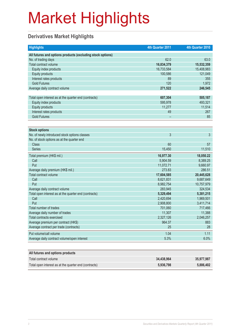#### **Derivatives Market Highlights**

| <b>Highlights</b>                                          | 4th Quarter 2011 | 4th Quarter 2010 |
|------------------------------------------------------------|------------------|------------------|
| All futures and options products (excluding stock options) |                  |                  |
| No. of trading days                                        | 62.0             | 63.0             |
| Total contract volume                                      | 16,834,379       | 15,532,359       |
| Equity index products                                      | 16,733,584       | 15,408,983       |
| <b>Equity products</b>                                     | 100,586          | 121,049          |
| Interest rates products                                    | 89               | 355              |
| <b>Gold Futures</b>                                        | 120              | 1,972            |
| Average daily contract volume                              | 271,522          | 246,545          |
|                                                            |                  |                  |
| Total open interest as at the quarter end (contracts)      | 607,304          | 505,187          |
| Equity index products                                      | 595,978          | 493,321          |
| <b>Equity products</b>                                     | 11,277           | 11,514           |
| Interest rates products                                    | 49               | 267              |
| <b>Gold Futures</b>                                        |                  | 85               |
|                                                            |                  |                  |
| <b>Stock options</b>                                       |                  |                  |
| No. of newly introduced stock options classes              | $\overline{3}$   | 3                |
| No. of stock options as at the quarter end                 |                  |                  |
| <b>Class</b>                                               | 60               | 57               |
| <b>Series</b>                                              | 15,450           | 11,510           |
| Total premium (HK\$ mil.)                                  | 16,977.30        | 18,050.22        |
| Call                                                       | 5,904.59         | 8,389.25         |
| Put                                                        | 11,072.71        | 9,660.97         |
| Average daily premium (HK\$ mil.)                          | 273.83           | 286.51           |
| Total contract volume                                      | 17,604,585       | 20,445,628       |
| Call                                                       | 8,621,831        | 9,687,649        |
| Put                                                        | 8,982,754        | 10,757,979       |
| Average daily contract volume                              | 283,945          | 324,534          |
| Total open interest as at the quarter end (contracts)      | 5,329,494        | 5,381,215        |
| Call                                                       | 2,420,694        | 1,969,501        |
| Put                                                        | 2,908,800        | 3,411,714        |
| Total number of trades                                     | 701,060          | 717,466          |
| Average daily number of trades                             | 11,307           | 11,388           |
| Total contracts exercised                                  | 2,327,126        | 2,046,257        |
| Average premium per contract (HK\$)                        | 964.37           | 883              |
| Average contract per trade (contracts)                     | 25               | 28               |
| Put volume/call volume                                     | 1.04             | 1.11             |
| Average daily contract volume/open interest                | 5.3%             | 6.0%             |
|                                                            |                  |                  |

| All futures and options products                      |            |            |
|-------------------------------------------------------|------------|------------|
| Total contract volume                                 | 34.438.964 | 35,977,987 |
| Total open interest as at the quarter end (contracts) | 5.936.798  | 5.886.402  |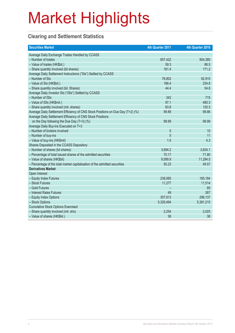#### **Clearing and Settlement Statistics**

| <b>Securities Market</b>                                                        | 4th Quarter 2011 | 4th Quarter 2010 |
|---------------------------------------------------------------------------------|------------------|------------------|
| Average Daily Exchange Trades Handled by CCASS                                  |                  |                  |
| - Number of trades                                                              | 857,422          | 904,380          |
| - Value of trades (HK\$bil.)                                                    | 59.3             | 86.5             |
| - Share quantity Involved (bil shares)                                          | 161.4            | 171.2            |
| Average Daily Settlement Instructions ("SIs") Settled by CCASS                  |                  |                  |
| - Number of SIs                                                                 | 76,802           | 92,915           |
| - Value of SIs (HK\$bil.)                                                       | 186.4            | 234.8            |
| - Share quantity involved (bil. Shares)                                         | 44.4             | 54.8             |
| Average Daily Investor SIs ("ISIs") Settled by CCASS                            |                  |                  |
| - Number of ISIs                                                                | 342              | 715              |
| - Value of ISIs (HK\$mil.)                                                      | 97.1             | 480.3            |
| - Share quantity involved (mil. shares)                                         | 83.8             | 120.3            |
| Average Daily Settlement Efficiency of CNS Stock Positions on Due Day (T+2) (%) | 99.89            | 99.86            |
| Average Daily Settlement Efficiency of CNS Stock Positions                      |                  |                  |
| on the Day following the Due Day (T+3) (%)                                      | 99.99            | 99.99            |
| Average Daily Buy-ins Executed on T+3                                           |                  |                  |
| - Number of brokers involved                                                    | 5                | 10               |
| - Number of buy-ins                                                             | 5                | 11               |
| - Value of buy-ins (HK\$mil)                                                    | 1.5              | 4.3              |
| Shares Deposited in the CCASS Depository                                        |                  |                  |
| - Number of shares (bil shares)                                                 | 3,694.2          | 3,834.1          |
| - Percentage of total issued shares of the admitted securities                  | 70.17            | 71.80            |
| - Value of shares (HK\$bil)                                                     | 9,599.9          | 11,294.5         |
| - Percentage of the total market capitalisation of the admitted securities      | 50.23            | 49.57            |
| <b>Derivatives Market</b>                                                       |                  |                  |
| Open Interest                                                                   |                  |                  |
| - Equity Index Futures                                                          | 238,065          | 195,184          |
| - Stock Futures                                                                 | 11,277           | 11,514           |
| - Gold Futures                                                                  |                  | 85               |
| - Interest Rates Futures                                                        | 49               | 267              |
| - Equity Index Options                                                          | 357,913          | 298,137          |
| - Stock Options                                                                 | 5,329,494        | 5,381,215        |
| <b>Cumulative Stock Options Exercised</b>                                       |                  |                  |
| - Share quantity involved (mil. shs)                                            | 2,254            | 2,025            |
| - Value of shares (HK\$bil.)                                                    | 36               | 38               |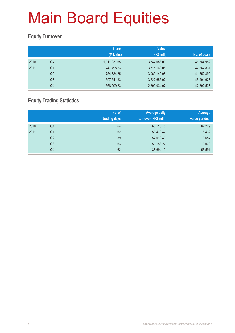#### **Equity Turnover**

|      |                | <b>Share</b> | <b>Value</b> |              |
|------|----------------|--------------|--------------|--------------|
|      |                | (Mil. shs)   | (HK\$ mil.)  | No. of deals |
| 2010 | Q4             | 1,011,031.65 | 3,847,088.03 | 46,784,952   |
| 2011 | Q <sub>1</sub> | 747,798.73   | 3,315,169.08 | 42,267,831   |
|      | Q <sub>2</sub> | 754,334.25   | 3,069,149.98 | 41,652,899   |
|      | Q <sub>3</sub> | 597,541.33   | 3,222,655.92 | 45,991,628   |
|      | Q4             | 568,209.23   | 2,399,034.07 | 42,392,538   |

#### **Equity Trading Statistics**

|      |                | No. of<br>trading days | <b>Average daily</b><br>turnover (HK\$ mil.) | Average<br>value per deal |
|------|----------------|------------------------|----------------------------------------------|---------------------------|
| 2010 | Q4             | 64                     | 60,110.75                                    | 82,229                    |
| 2011 | Q <sub>1</sub> | 62                     | 53,470.47                                    | 78,432                    |
|      | Q <sub>2</sub> | 59                     | 52,019.49                                    | 73,684                    |
|      | Q3             | 63                     | 51,153.27                                    | 70,070                    |
|      | Q4             | 62                     | 38,694.10                                    | 56,591                    |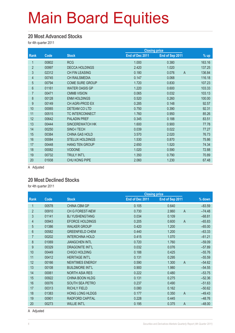#### **20 Most Advanced Stocks**

for 4th quarter 2011

|       |                        |                 | <b>Closing price</b> |                          |  |
|-------|------------------------|-----------------|----------------------|--------------------------|--|
| Code  | <b>Stock</b>           | End of Dec 2011 | End of Sep 2011      | $%$ up                   |  |
| 00802 | <b>RCG</b>             | 1.000           | 0.380                | 163.16                   |  |
| 00997 | <b>DECCA HOLDINGS</b>  | 2.420           | 1.020                | 137.25                   |  |
| 02312 | <b>CH FIN LEASING</b>  | 0.180           | 0.076                | $\overline{A}$<br>136.84 |  |
| 00745 | <b>CH RAILSMEDIA</b>   | 0.147           | 0.068                | 116.18                   |  |
| 00794 | <b>COME SURE GROUP</b> | 1.720           | 0.830                | 107.23                   |  |
| 01161 | <b>WATER OASIS GP</b>  | 1.220           | 0.600                | 103.33                   |  |
| 00471 | <b>CMMB VISION</b>     | 0.065           | 0.032                | 103.13                   |  |
| 00128 | <b>ENM HOLDINGS</b>    | 0.520           | 0.260                | 100.00                   |  |
| 00149 | CH AGRI-PROD EX        | 0.285           | 0.148                | 92.57                    |  |
| 00065 | DETEAM CO LTD          | 0.750           | 0.390                | 92.31                    |  |
| 00515 | <b>TC INTERCONNECT</b> | 1.760           | 0.950                | 85.26                    |  |
| 00642 | <b>PALADIN PREF</b>    | 0.345           | 0.188                | 83.51                    |  |
| 00444 | SINCEREWATCH HK        | 1.600           | 0.900                | 77.78                    |  |
| 00250 | SINO-I TECH            | 0.039           | 0.022                | 77.27                    |  |
| 00384 | <b>CHINA GAS HOLD</b>  | 3.570           | 2.020                | 76.73                    |  |
| 00084 | <b>STELUX HOLDINGS</b> | 1.530           | 0.870                | 75.86                    |  |
| 00448 | <b>HANG TEN GROUP</b>  | 2.650           | 1.520                | 74.34                    |  |
| 00082 | <b>VODONE</b>          | 1.020           | 0.590                | 72.88                    |  |
| 00732 | <b>TRULY INT'L</b>     | 1.350           | 0.790                | 70.89                    |  |
| 01938 | CHU KONG PIPE          | 2.060           | 1.230                | 67.48                    |  |
|       |                        |                 |                      |                          |  |

A Adjusted

#### **20 Most Declined Stocks**

for 4th quarter 2011

|                |       |                        | <b>Closing price</b> |                         |          |
|----------------|-------|------------------------|----------------------|-------------------------|----------|
| Rank           | Code  | <b>Stock</b>           | End of Dec 2011      | End of Sep 2011         | % down   |
|                | 00578 | <b>CHINA CBM GP</b>    | 0.105                | 0.640                   | $-83.59$ |
| $\overline{2}$ | 00910 | <b>CH G FOREST-NEW</b> | 0.730                | 2.860<br>$\overline{A}$ | $-74.48$ |
| 3              | 01141 | <b>BJ YUSHENGTANG</b>  | 0.034                | 0.109                   | $-68.81$ |
| $\overline{4}$ | 00943 | EFORCE HOLDINGS        | 0.205                | $\overline{A}$<br>0.600 | $-65.83$ |
| $\overline{5}$ | 01386 | <b>WALKER GROUP</b>    | 0.420                | 1.200                   | $-65.00$ |
| $6\phantom{1}$ | 00582 | <b>GREENFIELD CHEM</b> | 0.440                | 1.200                   | $-63.33$ |
| 7              | 00202 | <b>INTERCHINA HOLD</b> | 0.415                | 1.070                   | $-61.21$ |
| 8              | 01069 | <b>JIANGCHEN INTL</b>  | 0.720                | 1.760                   | $-59.09$ |
| 9              | 00329 | <b>DRAGONITE INT'L</b> | 0.032                | 0.076                   | $-57.89$ |
| 10             | 00449 | <b>CHIGO HOLDING</b>   | 0.188                | 0.425                   | $-55.76$ |
| 11             | 00412 | <b>HERITAGE INT'L</b>  | 0.131                | 0.295                   | $-55.59$ |
| 12             | 00166 | <b>NEWTIMES ENERGY</b> | 0.590                | 1.300<br>$\overline{A}$ | $-54.62$ |
| 13             | 00108 | <b>BUILDMORE INT'L</b> | 0.900                | 1.980                   | $-54.55$ |
| 14             | 00061 | <b>NORTH ASIA RES</b>  | 0.222                | 0.480                   | $-53.75$ |
| 15             | 00922 | CHINA BOON HLDG        | 0.131                | 0.275                   | $-52.36$ |
| 16             | 00076 | <b>SOUTH SEA PETRO</b> | 0.237                | 0.490                   | $-51.63$ |
| 17             | 00313 | <b>RICHLY FIELD</b>    | 0.080                | 0.162                   | $-50.62$ |
| 18             | 01383 | HONG LONG HLDGS        | 0.177                | 0.350<br>$\overline{A}$ | $-49.43$ |
| 19             | 00901 | RADFORD CAPITAL        | 0.228                | 0.445                   | $-48.76$ |
| 20             | 00273 | <b>WILLIE INT'L</b>    | 0.195                | $\overline{A}$<br>0.375 | $-48.00$ |
|                |       |                        |                      |                         |          |

A Adjusted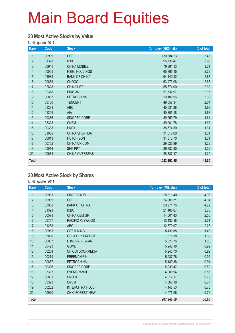#### **20 Most Active Stocks by Value**

for 4th quarter 2011

| Rank           | Code  | <b>Stock</b>         | Turnover (HK\$ mil.) | % of total |
|----------------|-------|----------------------|----------------------|------------|
| 1              | 00939 | <b>CCB</b>           | 130,384.23           | 5.43       |
| $\overline{2}$ | 01398 | <b>ICBC</b>          | 95,735.47            | 3.99       |
| 3              | 00941 | <b>CHINA MOBILE</b>  | 79,361.13            | 3.31       |
| $\overline{4}$ | 00005 | <b>HSBC HOLDINGS</b> | 65,365.15            | 2.72       |
| $\overline{5}$ | 03988 | <b>BANK OF CHINA</b> | 64,140.82            | 2.67       |
| $6\,$          | 00883 | <b>CNOOC</b>         | 63,473.08            | 2.65       |
| $\overline{7}$ | 02628 | <b>CHINA LIFE</b>    | 55,674.00            | 2.32       |
| 8              | 02318 | <b>PING AN</b>       | 51,532.97            | 2.15       |
| 9              | 00857 | <b>PETROCHINA</b>    | 50,106.96            | 2.09       |
| 10             | 00700 | <b>TENCENT</b>       | 49,057.34            | 2.04       |
| 11             | 01288 | <b>ABC</b>           | 40,631.28            | 1.69       |
| 12             | 01299 | AIA                  | 40,305.18            | 1.68       |
| 13             | 00386 | SINOPEC CORP         | 39,259.79            | 1.64       |
| 14             | 03323 | <b>CNBM</b>          | 39,061.78            | 1.63       |
| 15             | 00388 | <b>HKEX</b>          | 38,574.50            | 1.61       |
| 16             | 01088 | <b>CHINA SHENHUA</b> | 31,518.00            | 1.31       |
| 17             | 00013 | <b>HUTCHISON</b>     | 31,313.70            | 1.31       |
| 18             | 00762 | <b>CHINA UNICOM</b>  | 29,526.99            | 1.23       |
| 19             | 00016 | <b>SHK PPT</b>       | 29,332.90            | 1.22       |
| 20             | 00688 | CHINA OVERSEAS       | 28,837.17            | 1.20       |
| <b>Total</b>   |       |                      | 1,053,192.45         | 43.90      |

#### **20 Most Active Stock by Shares**

| Rank           | Code  | <b>Stock</b>           | <b>Turnover (Mil. shs)</b> | % of total |
|----------------|-------|------------------------|----------------------------|------------|
| 1              | 00993 | SIMSEN INT'L           | 28,311.40                  | 4.98       |
| $\overline{2}$ | 00939 | <b>CCB</b>             | 24,680.71                  | 4.34       |
| 3              | 03988 | <b>BANK OF CHINA</b>   | 23,971.76                  | 4.22       |
| $\overline{4}$ | 01398 | <b>ICBC</b>            | 21,185.67                  | 3.73       |
| $\overline{5}$ | 00578 | CHINA CBM GP           | 14,501.43                  | 2.55       |
| $6\phantom{1}$ | 00767 | PACIFIC PLYWOOD        | 13,130.18                  | 2.31       |
| $\overline{7}$ | 01288 | <b>ABC</b>             | 12,670.07                  | 2.23       |
| 8              | 00985 | <b>CST MINING</b>      | 8,139.88                   | 1.43       |
| 9              | 03800 | <b>GCL-POLY ENERGY</b> | 7,376.38                   | 1.30       |
| 10             | 00067 | <b>LUMENA NEWMAT</b>   | 6,023.76                   | 1.06       |
| 11             | 00493 | <b>GOME</b>            | 5,248.18                   | 0.92       |
| 12             | 00254 | CH OUTDOORMEDIA        | 5,245.70                   | 0.92       |
| 13             | 00279 | <b>FREEMAN FIN</b>     | 5,237.76                   | 0.92       |
| 14             | 00857 | <b>PETROCHINA</b>      | 5,189.38                   | 0.91       |
| 15             | 00386 | SINOPEC CORP           | 5,039.47                   | 0.89       |
| 16             | 03333 | <b>EVERGRANDE</b>      | 4,900.94                   | 0.86       |
| 17             | 00883 | <b>CNOOC</b>           | 4,517.17                   | 0.79       |
| 18             | 03323 | <b>CNBM</b>            | 4,360.18                   | 0.77       |
| 19             | 00202 | <b>INTERCHINA HOLD</b> | 4,143.53                   | 0.73       |
| 20             | 00910 | <b>CH G FOREST-NEW</b> | 4,075.06                   | 0.72       |
| <b>Total</b>   |       |                        | 207,948.59                 | 36.60      |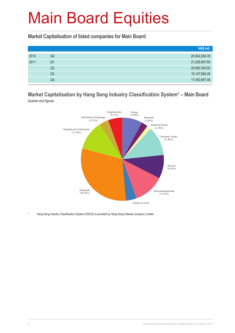**Market Capitalisation of listed companies for Main Board**

|      |    | HK\$ mil.     |
|------|----|---------------|
| 2010 | Q4 | 20,942,284.39 |
| 2011 | Q1 | 21,259,067.69 |
|      | Q2 | 20,992,345.92 |
|      | Q3 | 16,147,694.26 |
|      | Q4 | 17,452,667.08 |

#### **Market Capitalisation by Hang Seng Industry Classification System\* – Main Board** Quarter-end figures



Hang Seng Industry Classification System (HSICS) is provided by Hang Seng Indexes Company Limited.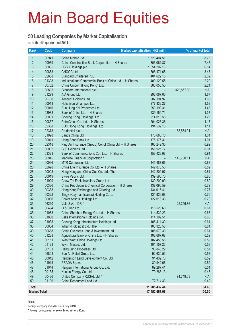#### **50 Leading Companies by Market Capitalisation**

as at the 4th quarter end 2011

| Rank                | Code           | <b>Company</b>                                                                             | Market capitalisation (HK\$ mil.) |            | % of market total |
|---------------------|----------------|--------------------------------------------------------------------------------------------|-----------------------------------|------------|-------------------|
| $\mathbf{1}$        | 00941          | China Mobile Ltd.                                                                          | 1,523,404.51                      |            | 8.73              |
| $\overline{2}$      | 00939          | China Construction Bank Corporation - H Shares                                             | 1,303,061.87                      |            | 7.47              |
| 3                   | 00005          | <b>HSBC Holdings plc</b>                                                                   | 1,054,202.13                      |            | 6.04              |
| 4                   | 00883          | CNOOC Ltd.                                                                                 | 606,471.68                        |            | 3.47              |
| 5                   | 02888          | <b>Standard Chartered PLC</b>                                                              | 404,622.15                        |            | 2.32              |
| $6\phantom{a}$      | 01398          | Industrial and Commercial Bank of China Ltd. - H Shares                                    | 400,120.55                        |            | 2.29              |
| $\overline{7}$      | 00762          | China Unicom (Hong Kong) Ltd.                                                              | 385,050.50                        |            | 2.21              |
| 8                   | 00805          | Glencore International plc *                                                               |                                   | 329,867.30 | N.A.              |
| 9                   | 01299          | AIA Group Ltd.                                                                             | 292,067.00                        |            | 1.67              |
| 10                  | 00700          | Tencent Holdings Ltd.                                                                      | 287, 194. 97                      |            | 1.65              |
| 11                  | 00013          | Hutchison Whampoa Ltd.                                                                     | 277,332.27                        |            | 1.59              |
| 12                  | 00016          | Sun Hung Kai Properties Ltd.                                                               | 250,193.31                        |            | 1.43              |
| 13                  | 03988          | Bank of China Ltd. - H Shares                                                              | 239,159.71                        |            | 1.37              |
| 14                  | 00001          | Cheung Kong (Holdings) Ltd.                                                                | 214,013.58                        |            | 1.23              |
| 15                  | 00857          | PetroChina Co. Ltd. - H Shares                                                             | 204,026.36                        |            | 1.17              |
| 16                  | 02388          | BOC Hong Kong (Holdings) Ltd.                                                              | 194,539.16                        |            | 1.11              |
| 17                  | 02378          | Prudential plc *                                                                           |                                   | 188,554.91 | N.A.              |
| 18                  | 01928          | Sands China Ltd.                                                                           | 176,680.70                        |            | 1.01              |
| 19                  | 00011          | Hang Seng Bank Ltd.                                                                        | 176,176.31                        |            | 1.01              |
| 20                  | 02318          | Ping An Insurance (Group) Co. of China Ltd. - H Shares                                     | 160,242.30                        |            | 0.92              |
| 21                  | 00002          | CLP Holdings Ltd.                                                                          | 158,925.77                        |            | 0.91              |
| 22                  | 03328          | Bank of Communications Co., Ltd. - H Shares                                                | 158,428.68                        |            | 0.91              |
| 23                  | 00945          | Manulife Financial Corporation *                                                           |                                   | 145,700.11 | N.A.              |
| 24                  | 00066          | MTR Corporation Ltd.                                                                       | 145,487.66                        |            | 0.83              |
| 25                  | 02628          | China Life Insurance Co. Ltd. - H Shares                                                   | 142,870.56                        |            | 0.82              |
| 26                  | 00003          | Hong Kong and China Gas Co. Ltd., The                                                      | 142,209.97                        |            | 0.81              |
| 27                  | 00019          | Swire Pacific Ltd.                                                                         | 139,590.70                        |            | 0.80              |
| 28<br>29            | 01929          | Chow Tai Fook Jewellery Group Ltd.                                                         | 139,200.00                        |            | 0.80              |
| 30                  | 00386<br>00388 | China Petroleum & Chemical Corporation - H Shares<br>Hong Kong Exchanges and Clearing Ltd. | 137,096.59<br>134,016.41          |            | 0.79<br>0.77      |
| 31                  | 00322          | Tingyi (Cayman Islands) Holding Corp.                                                      | 131,926.68                        |            | 0.76              |
| 32                  | 00006          | Power Assets Holdings Ltd.                                                                 | 122,613.33                        |            | 0.70              |
| 33                  | 06210          | Vale $S.A. - DR *$                                                                         | $\qquad \qquad -$                 | 122,246.86 | N.A.              |
| 34                  | 00494          | Li & Fung Ltd.                                                                             | 116,528.60                        |            | 0.67              |
| 35                  | 01088          | China Shenhua Energy Co. Ltd. - H Shares                                                   | 114,532.23                        |            | 0.66              |
| 36                  | 01880          | Belle International Holdings Ltd.                                                          | 114,199.51                        |            | 0.65              |
| 37                  | 01038          | Cheung Kong Infrastructure Holdings Ltd.                                                   | 106,411.30                        |            | 0.61              |
| 38                  | 00004          | Wharf (Holdings) Ltd., The                                                                 | 106,326.58                        |            | 0.61              |
| 39                  | 00688          | China Overseas Land & Investment Ltd.                                                      | 106,079.30                        |            | 0.61              |
| 40                  | 01288          | Agricultural Bank of China Ltd. - H Shares                                                 | 102,667.67                        |            | 0.59              |
| 41                  | 00151          | Want Want China Holdings Ltd.                                                              | 102,453.58                        |            | 0.59              |
| 42                  | 01128          | Wynn Macau, Ltd.                                                                           | 101,157.23                        |            | 0.58              |
| 43                  | 00101          | Hang Lung Properties Ltd.                                                                  | 98,848.22                         |            | 0.57              |
| 44                  | 06808          | Sun Art Retail Group Ltd.                                                                  | 92,630.53                         |            | 0.53              |
| 45                  | 00012          | Henderson Land Development Co. Ltd.                                                        | 91,439.73                         |            | 0.52              |
| 46                  | 01913          | PRADA S.p.A.                                                                               | 89,942.66                         |            | 0.52              |
| 47                  | 01044          | Hengan International Group Co. Ltd.                                                        | 89,287.41                         |            | 0.51              |
| 48                  | 00135          | Kunlun Energy Co. Ltd.                                                                     | 79,288.13                         |            | 0.45              |
| 49                  | 00486          | United Company RUSAL Ltd. *                                                                |                                   | 74,749.63  | N.A.              |
| 50                  | 01109          | China Resources Land Ltd.                                                                  | 72,714.33                         |            | 0.42              |
| <b>Total</b>        |                |                                                                                            | 11,285,432.44                     |            | 64.66             |
| <b>Market Total</b> |                |                                                                                            | 17,452,667.08                     |            | 100.00            |

Notes:

Foreign company included since July 2010

\* Foreign companies not solely listed in Hong Kong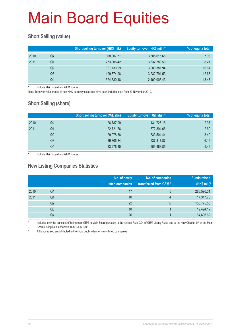#### **Short Selling (value)**

|      |    | Short selling turnover (HK\$ mil.) | Equity turnover (HK\$ mil.) * | % of equity total |
|------|----|------------------------------------|-------------------------------|-------------------|
| 2010 | Q4 | 308,007.77                         | 3,885,615.68                  | 7.93              |
| 2011 | Q1 | 273,905.42                         | 3,337,783.59                  | 8.21              |
|      | Q2 | 327,730.09                         | 3,089,381.94                  | 10.61             |
|      | Q3 | 409.874.98                         | 3,232,791.53                  | 12.68             |
|      | Q4 | 324,530.48                         | 2,409,005.43                  | 13.47             |

Include Main Board and GEM figures

Note: Turnover value traded in non-HKD currency securities have been included start from 29 November 2010.

#### **Short Selling (share)**

|      |    | <b>Short selling turnover (Mil. shs)</b> | Equity turnover (Mil. shs) * | % of equity total |
|------|----|------------------------------------------|------------------------------|-------------------|
| 2010 | Q4 | 26,787.09                                | 1,131,725.16                 | 2.37              |
| 2011 | Q1 | 22,721.76                                | 872,394.66                   | 2.60              |
|      | Q2 | 29,078.38                                | 833,504.44                   | 3.49              |
|      | Q3 | 39,305.84                                | 637,817.87                   | 6.16              |
|      | Q4 | 33,276.30                                | 609,468.85                   | 5.46              |

Include Main Board and GEM figures

#### **New Listing Companies Statistics**

|      |                | No. of newly<br>listed companies | No. of companies<br>transferred from GEM* | <b>Funds raised</b><br>$H$ (HK\$ mil.)# |
|------|----------------|----------------------------------|-------------------------------------------|-----------------------------------------|
| 2010 | Q4             | 47                               | 5                                         | 288,596.31                              |
| 2011 | Q1             | 10                               | 4                                         | 17,317.76                               |
|      | Q <sub>2</sub> | 22                               | 6                                         | 156,775.55                              |
|      | Q <sub>3</sub> | 18                               |                                           | 19,494.12                               |
|      | Q4             | 26                               |                                           | 64,606.62                               |

Included only the transfers of listing from GEM to Main Board pursuant to the revised Rule 9.24 of GEM Listing Rules and to the new Chapter 9A of the Main Board Listing Rules effective from 1 July 2008

# All funds raised are attributed to the initial public offers of newly listed companies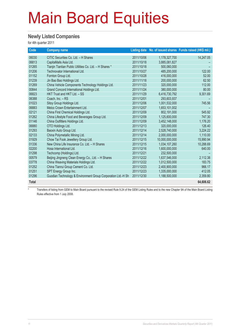#### **Newly Listed Companies**

for 4th quarter 2011

| Code         | <b>Company name</b>                                          |            |                | Listing date No. of issued shares Funds raised (HK\$ mil.) |
|--------------|--------------------------------------------------------------|------------|----------------|------------------------------------------------------------|
| 06030        | CITIC Securities Co. Ltd. - H Shares                         | 2011/10/06 | 1,178,327,700  | 14,247.05                                                  |
| 06813        | CapitaMalls Asia Ltd.                                        | 2011/10/18 | 3,885,081,827  |                                                            |
| 01265        | Tianjin Tianlian Public Utilities Co. Ltd. - H Shares *      | 2011/10/18 | 500,060,000    |                                                            |
| 01206        | Technovator International Ltd.                               | 2011/10/27 | 485.200.000    | 122.00                                                     |
| 01152        | Fornton Group Ltd.                                           | 2011/10/28 | 416,000,000    | 52.00                                                      |
| 01239        | Jin Bao Bao Holdings Ltd.                                    | 2011/11/18 | 200,000,000    | 62.50                                                      |
| 01269        | China Vehicle Components Technology Holdings Ltd.            | 2011/11/23 | 320,000,000    | 112.00                                                     |
| 00844        | Grand Concord International Holdings Ltd.                    | 2011/11/24 | 380,000,000    | 80.00                                                      |
| 06823        | HKT Trust and HKT Ltd. - SS                                  | 2011/11/29 | 6,416,730,792  | 9,301.69                                                   |
| 06388        | Coach, Inc. - RS                                             | 2011/12/01 | 293,603,937    |                                                            |
| 01023        | Sitoy Group Holdings Ltd.                                    | 2011/12/06 | 1,001,532,000  | 745.56                                                     |
| 06883        | Melco Crown Entertainment Ltd.                               | 2011/12/07 | 1,653,101,002  |                                                            |
| 02121        | China First Chemical Holdings Ltd.                           | 2011/12/09 | 802,191,000    | 545.92                                                     |
| 01262        | China Lifestyle Food and Beverages Group Ltd.                | 2011/12/09 | 1,125,600,000  | 747.30                                                     |
| 01146        | China Outfitters Holdings Ltd.                               | 2011/12/09 | 3,452,148,000  | 1,176.20                                                   |
| 06880        | OTO Holdings Ltd.                                            | 2011/12/13 | 320,000,000    | 126.40                                                     |
| 01293        | Baoxin Auto Group Ltd.                                       | 2011/12/14 | 2,528,740,000  | 3,224.22                                                   |
| 02133        | China Polymetallic Mining Ltd.                               | 2011/12/14 | 2,000,000,000  | 1,110.00                                                   |
| 01929        | Chow Tai Fook Jewellery Group Ltd.                           | 2011/12/15 | 10,000,000,000 | 15,990.94                                                  |
| 01336        | New China Life Insurance Co. Ltd. - H Shares                 | 2011/12/15 | 1,034,107,260  | 10,288.69                                                  |
| 02200        | Hosa International Ltd.                                      | 2011/12/16 | 1,600,000,000  | 640.00                                                     |
| 01298        | Techcomp (Holdings) Ltd.                                     | 2011/12/21 | 232,500,000    |                                                            |
| 00579        | Beijing Jingneng Clean Energy Co., Ltd. - H Shares           | 2011/12/22 | 1,637,546,000  | 2,112.38                                                   |
| 03778        | China Weaving Materials Holdings Ltd.                        | 2011/12/22 | 1,012,500,000  | 183.75                                                     |
| 01252        | China Tianrui Group Cement Co. Ltd.                          | 2011/12/23 | 2.400.900.000  | 966.17                                                     |
| 01251        | SPT Energy Group Inc.                                        | 2011/12/23 | 1,335,000,000  | 412.05                                                     |
| 01296        | Guodian Technology & Environment Group Corporation Ltd.-H Sh | 2011/12/30 | 1,188,500,000  | 2,359.80                                                   |
| <b>Total</b> |                                                              |            |                | 64,606.62                                                  |

\* Transfers of listing from GEM to Main Board pursuant to the revised Rule 9.24 of the GEM Listing Rules and to the new Chapter 9A of the Main Board Listing Rules effective from 1 July 2008.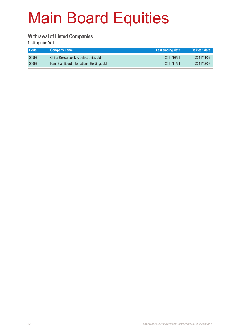#### **Withrawal of Listed Companies**

| <b>Code</b> | Company name                               | Last trading date | Delisted date |
|-------------|--------------------------------------------|-------------------|---------------|
| 00597       | China Resources Microelectronics Ltd.      | 2011/10/21        | 2011/11/02    |
| 00667       | HannStar Board International Holdings Ltd. | 2011/11/24        | 2011/12/09    |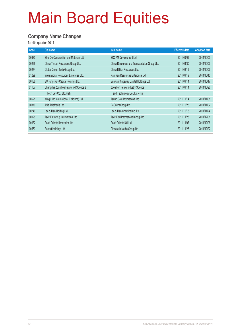#### **Company Name Changes**

| Code  | Old name                                | New name                                      | <b>Effective date</b> | <b>Adoption date</b> |
|-------|-----------------------------------------|-----------------------------------------------|-----------------------|----------------------|
| 00983 | Shui On Construction and Materials Ltd. | SOCAM Development Ltd.                        | 2011/09/09            | 2011/10/03           |
| 00269 | China Timber Resources Group Ltd.       | China Resources and Transportation Group Ltd. | 2011/08/30            | 2011/10/07           |
| 00274 | Global Green Tech Group Ltd.            | China Billion Resources Ltd.                  | 2011/08/19            | 2011/10/07           |
| 01229 | International Resources Enterprise Ltd. | Nan Nan Resources Enterprise Ltd.             | 2011/09/19            | 2011/10/10           |
| 00188 | SW Kingsway Capital Holdings Ltd.       | Sunwah Kingsway Capital Holdings Ltd.         | 2011/09/14            | 2011/10/17           |
| 01157 | Changsha Zoomlion Heavy Ind Science &   | Zoomlion Heavy Industry Science               | 2011/09/14            | 2011/10/26           |
|       | Tech Dev Co., Ltd.-Hsh                  | and Technology Co., Ltd.-Hsh                  |                       |                      |
| 00621 | Wing Hing International (Holdings) Ltd. | Taung Gold International Ltd.                 | 2011/10/14            | 2011/11/01           |
| 00376 | Asia TeleMedia Ltd.                     | ReOrient Group Ltd.                           | 2011/10/25            | 2011/11/02           |
| 00746 | Lee & Man Holding Ltd.                  | Lee & Man Chemical Co. Ltd.                   | 2011/10/18            | 2011/11/24           |
| 00928 | Tack Fat Group International Ltd.       | Tack Fiori International Group Ltd.           | 2011/11/23            | 2011/12/01           |
| 00632 | Pearl Oriental Innovation Ltd.          | Pearl Oriental Oil Ltd.                       | 2011/11/07            | 2011/12/06           |
| 00550 | Recruit Holdings Ltd.                   | Cinderella Media Group Ltd.                   | 2011/11/28            | 2011/12/22           |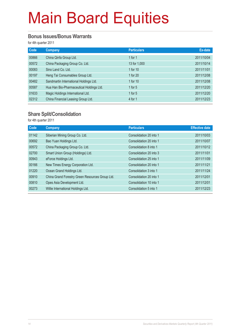#### **Bonus Issues/Bonus Warrants**

for 4th quarter 2011

| <b>Code</b> | Company                                  | <b>Particulars</b> | Ex-date    |
|-------------|------------------------------------------|--------------------|------------|
| 00866       | China Qinfa Group Ltd.                   | 1 for $1$          | 2011/10/04 |
| 00572       | China Packaging Group Co. Ltd.           | 13 for 1,000       | 2011/10/14 |
| 00083       | Sino Land Co. Ltd.                       | 1 for 10           | 2011/11/01 |
| 00197       | Heng Tai Consumables Group Ltd.          | 1 for 20           | 2011/12/08 |
| 00482       | Sandmartin International Holdings Ltd.   | 1 for 10           | 2011/12/08 |
| 00587       | Hua Han Bio-Pharmaceutical Holdings Ltd. | 1 for $5$          | 2011/12/20 |
| 01633       | Magic Holdings International Ltd.        | 1 for $5$          | 2011/12/20 |
| 02312       | China Financial Leasing Group Ltd.       | 4 for 1            | 2011/12/23 |

#### **Share Split/Consolidation**

| Company                                         | <b>Particulars</b>      | <b>Effective date</b> |
|-------------------------------------------------|-------------------------|-----------------------|
| Siberian Mining Group Co. Ltd.                  | Consolidation 20 into 1 | 2011/10/03            |
| Bao Yuan Holdings Ltd.                          | Consolidation 20 into 1 | 2011/10/07            |
| China Packaging Group Co. Ltd.                  | Consolidation 8 into 1  | 2011/10/12            |
| Smart Union Group (Holdings) Ltd.               | Consolidation 20 into 3 | 2011/11/01            |
| eForce Holdings Ltd.                            | Consolidation 25 into 1 | 2011/11/09            |
| New Times Energy Corporation Ltd.               | Consolidation 20 into 1 | 2011/11/21            |
| Ocean Grand Holdings Ltd.                       | Consolidation 3 into 1  | 2011/11/24            |
| China Grand Forestry Green Resources Group Ltd. | Consolidation 20 into 1 | 2011/12/01            |
| Opes Asia Development Ltd.                      | Consolidation 10 into 1 | 2011/12/01            |
| Willie International Holdings Ltd.              | Consolidation 5 into 1  | 2011/12/23            |
|                                                 |                         |                       |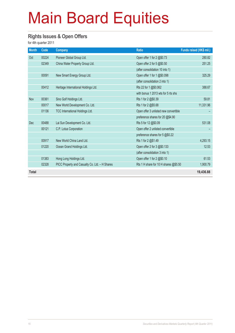#### **Rights Issues & Open Offers**

| <b>Month</b> | Code  | <b>Company</b>                                 | <b>Ratio</b>                          | Funds raised (HK\$ mil.) |
|--------------|-------|------------------------------------------------|---------------------------------------|--------------------------|
| Oct          | 00224 | Pioneer Global Group Ltd.                      | Open offer 1 for 2 @\$0.73            | 280.82                   |
|              | 02349 | China Water Property Group Ltd.                | Open offer 2 for 5 @\$0.50            | 251.25                   |
|              |       |                                                | (after consolidation 10 into 1)       |                          |
|              | 00091 | New Smart Energy Group Ltd.                    | Open offer 1 for 1 @\$0.098           | 325.29                   |
|              |       |                                                | (after consolidation 2 into 1)        |                          |
|              | 00412 | Heritage International Holdings Ltd.           | Rts 22 for 1 @\$0.062                 | 388.67                   |
|              |       |                                                | with bonus 1 2013 wts for 5 rts shs   |                          |
| Nov          | 00361 | Sino Golf Holdings Ltd.                        | Rts 1 for 2 @\$0.39                   | 59.81                    |
|              | 00017 | New World Development Co. Ltd.                 | Rts 1 for 2 @\$5.68                   | 11,331.96                |
|              | 01136 | TCC International Holdings Ltd.                | Open offer 3 unlisted new convertible |                          |
|              |       |                                                | preference shares for 20 @\$4.90      |                          |
| <b>Dec</b>   | 00488 | Lai Sun Development Co. Ltd.                   | Rts 5 for 12 @\$0.09                  | 531.08                   |
|              | 00121 | C.P. Lotus Corporation                         | Open offer 2 unlisted convertible     |                          |
|              |       |                                                | preference shares for 5 @\$0.22       |                          |
|              | 00917 | New World China Land Ltd.                      | Rts 1 for 2 @\$1.49                   | 4,293.15                 |
|              | 01220 | Ocean Grand Holdings Ltd.                      | Open offer 2 for 3 @\$0.133           | 12.53                    |
|              |       |                                                | (after consolidation 3 into 1)        |                          |
|              | 01383 | Hong Long Holdings Ltd.                        | Open offer 1 for 2 @\$0.10            | 61.53                    |
|              | 02328 | PICC Property and Casualty Co. Ltd. - H Shares | Rts 1 H share for 10 H shares @\$5.50 | 1,900.79                 |
| <b>Total</b> |       |                                                |                                       | 19,436.88                |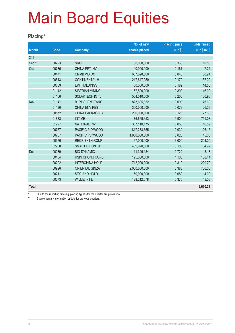#### **Placing\***

|                   |       |                        | No. of new    | <b>Placing price</b> | <b>Funds raised</b> |
|-------------------|-------|------------------------|---------------|----------------------|---------------------|
| <b>Month</b>      | Code  | <b>Company</b>         | shares placed | (HK\$)               | (HK\$ mil.)         |
| 2011              |       |                        |               |                      |                     |
| Sep <sup>**</sup> | 00223 | <b>SRGL</b>            | 30,000,000    | 0.360                | 10.80               |
| Oct               | 00736 | <b>CHINA PPT INV</b>   | 40,000,000    | 0.181                | 7.24                |
|                   | 00471 | <b>CMMB VISION</b>     | 687,628,000   | 0.045                | 30.94               |
|                   | 00513 | <b>CONTINENTAL H</b>   | 217,647,050   | 0.170                | 37.00               |
|                   | 00689 | EPI (HOLDINGS)         | 80,000,000    | 0.182                | 14.56               |
|                   | 01142 | <b>SIBERIAN MINING</b> | 57,500,000    | 0.800                | 46.00               |
|                   | 01166 | <b>SOLARTECH INT'L</b> | 504,510,000   | 0.200                | 100.90              |
| Nov               | 01141 | <b>BJ YUSHENGTANG</b>  | 823,695,952   | 0.093                | 76.60               |
|                   | 01130 | <b>CHINA ENV RES</b>   | 360,000,000   | 0.073                | 26.28               |
|                   | 00572 | <b>CHINA PACKAGING</b> | 230,000,000   | 0.120                | 27.60               |
|                   | 01833 | <b>INTIME</b>          | 76,669,653    | 9.900                | 759.03              |
|                   | 01227 | <b>NATIONAL INV</b>    | 307,110,175   | 0.055                | 16.89               |
|                   | 00767 | PACIFIC PLYWOOD        | 817,233,655   | 0.032                | 26.15               |
|                   | 00767 | PACIFIC PLYWOOD        | 1,800,000,000 | 0.025                | 45.00               |
|                   | 00376 | <b>REORIENT GROUP</b>  | 67,000,000    | 3.000                | 201.00              |
|                   | 02700 | <b>SMART UNION GP</b>  | 459,020,000   | 0.185                | 84.92               |
| Dec               | 00039 | <b>BIO-DYNAMIC</b>     | 11,326,134    | 0.722                | 8.18                |
|                   | 00404 | <b>HSIN CHONG CONS</b> | 125,850,000   | 1.100                | 138.44              |
|                   | 00202 | <b>INTERCHINA HOLD</b> | 712,000,000   | 0.310                | 220.72              |
|                   | 00996 | <b>ORIENTAL GINZA</b>  | 2,000,000,000 | 0.380                | 760.00              |
|                   | 00211 | <b>STYLAND HOLD</b>    | 50,000,000    | 0.080                | 4.00                |
|                   | 00273 | <b>WILLIE INT'L</b>    | 128,212,678   | 0.375                | 48.08               |
| <b>Total</b>      |       |                        |               |                      | 2,690.33            |

\* Due to the reporting time-lag, placing figures for the quarter are provisional.<br>Number of the provision and the formation and the provisional currence.

Supplementary information update for previous quarters.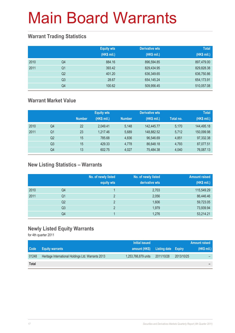#### **Warrant Trading Statistics**

|      |                | <b>Equity wts</b><br>(HK\$ mil.) | <b>Derivative wts</b><br>(HK\$ mil.) | <b>Total</b><br>(HK\$ mil.) |
|------|----------------|----------------------------------|--------------------------------------|-----------------------------|
| 2010 | Q4             | 884.16                           | 896,594.85                           | 897,479.00                  |
| 2011 | Q <sub>1</sub> | 393.42                           | 829,434.95                           | 829,828.38                  |
|      | Q <sub>2</sub> | 401.20                           | 636,349.65                           | 636,750.86                  |
|      | Q <sub>3</sub> | 28.67                            | 654,145.24                           | 654,173.91                  |
|      | Q4             | 100.62                           | 509,956.45                           | 510,057.08                  |

#### **Warrant Market Value**

|      |                |               | <b>Equity wts</b> |               | <b>Derivative wts</b> |           | <b>Total</b> |
|------|----------------|---------------|-------------------|---------------|-----------------------|-----------|--------------|
|      |                | <b>Number</b> | (HK\$ mil.)       | <b>Number</b> | (HK\$ mil.)           | Total no. | (HK\$ mil.)  |
| 2010 | Q4             | 22            | 2.049.41          | 5.148         | 142,445.77            | 5,170     | 144,495.18   |
| 2011 | Q1             | 23            | 1.217.46          | 5.689         | 148.882.52            | 5.712     | 150,099.98   |
|      | Q <sub>2</sub> | 15            | 785.68            | 4.836         | 96,546.69             | 4.851     | 97,332.38    |
|      | Q <sub>3</sub> | 15            | 429.33            | 4,778         | 86,648.18             | 4,793     | 87,077.51    |
|      | Q4             | 13            | 602.75            | 4.027         | 75,484.38             | 4,040     | 76,087.13    |

#### **New Listing Statistics – Warrants**

|      |                | No. of newly listed<br>equity wts | No. of newly listed<br>derivative wts | <b>Amount raised</b><br>(HK\$ mil.) |
|------|----------------|-----------------------------------|---------------------------------------|-------------------------------------|
| 2010 | Q4             |                                   | 2,703                                 | 115,549.29                          |
| 2011 | Q1             | っ                                 | 2,056                                 | 86,446.46                           |
|      | Q <sub>2</sub> | $\mathcal{D}$                     | 1,606                                 | 59,723.05                           |
|      | Q <sub>3</sub> | っ                                 | 1,979                                 | 73,939.94                           |
|      | Q4             |                                   | 1,276                                 | 53,214.21                           |

#### **Newly Listed Equity Warrants**

|              |                                                    | Initial issued                    |            |            | Amount raised |
|--------------|----------------------------------------------------|-----------------------------------|------------|------------|---------------|
| Code         | <b>Equity warrants</b>                             | amount (HK\$) Listing date Expiry |            |            | (HK\$ mil.)   |
| 01248        | Heritage International Holdings Ltd. Warrants 2013 | 1,253,766,879 units               | 2011/10/28 | 2013/10/25 |               |
| <b>Total</b> |                                                    |                                   |            |            | -             |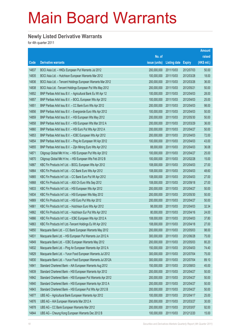#### **Newly Listed Derivative Warrants**

|       |                                                              |               |                     |               | <b>Amount</b> |
|-------|--------------------------------------------------------------|---------------|---------------------|---------------|---------------|
|       |                                                              | No. of        |                     |               | raised        |
| Code  | <b>Derivative warrants</b>                                   | issue (units) | <b>Listing date</b> | <b>Expiry</b> | (HK\$ mil.)   |
| 14837 | BOCI Asia Ltd. - HKEx European Put Warrants Jul 2012         | 200,000,000   | 2011/10/03          | 2012/07/03    | 50.00         |
| 14835 | BOCI Asia Ltd. - Hutchison European Warrants Mar 2012        | 100,000,000   | 2011/10/03          | 2012/03/28    | 18.00         |
| 14836 | BOCI Asia Ltd. - Tencent Holdings European Warrants Mar 2012 | 200,000,000   | 2011/10/03          | 2012/03/26    | 36.00         |
| 14838 | BOCI Asia Ltd. - Tencent Holdings European Put Wts May 2012  | 200,000,000   | 2011/10/03          | 2012/05/21    | 50.00         |
| 14852 | BNP Paribas Arbit Issu B.V. - Agricultural Bank Eu Wt Apr 12 | 100,000,000   | 2011/10/03          | 2012/04/03    | 28.00         |
| 14857 | BNP Paribas Arbit Issu B.V. - BOCL European Wts Apr 2012     | 100,000,000   | 2011/10/03          | 2012/04/03    | 25.00         |
| 14851 | BNP Paribas Arbit Issu B.V. - CC Bank Euro Wts Apr 2012      | 200,000,000   | 2011/10/03          | 2012/04/03    | 98.00         |
| 14856 | BNP Paribas Arbit Issu B.V. - Evergrande Euro Wts Apr 2012   | 100,000,000   | 2011/10/03          | 2012/04/03    | 50.00         |
| 14859 | BNP Paribas Arbit Issu B.V. - HSI European Wts May 2012      | 200,000,000   | 2011/10/03          | 2012/05/30    | 50.00         |
| 14858 | BNP Paribas Arbit Issu B.V. - HSI European Wts Mar 2012 A    | 200,000,000   | 2011/10/03          | 2012/03/29    | 36.00         |
| 14860 | BNP Paribas Arbit Issu B.V. - HSI Euro Put Wts Apr 2012 A    | 200,000,000   | 2011/10/03          | 2012/04/27    | 50.00         |
| 14853 | BNP Paribas Arbit Issu B.V. - ICBC European Wts Apr 2012     | 200,000,000   | 2011/10/03          | 2012/04/03    | 72.00         |
| 14854 | BNP Paribas Arbit Issu B.V. - Ping An European Wt Apr 2012   | 100,000,000   | 2011/10/03          | 2012/04/03    | 43.00         |
| 14855 | BNP Paribas Arbit Issu B.V. - Zijin Mining Euro Wts Apr 2012 | 88,000,000    | 2011/10/03          | 2012/04/03    | 36.08         |
| 14871 | Citigroup Global Mkt H Inc. - HSI European Put Wts Apr 2012  | 100,000,000   | 2011/10/03          | 2012/04/27    | 25.00         |
| 14870 | Citigroup Global Mkt H Inc. - HSI European Wts Feb 2012 B    | 100,000,000   | 2011/10/03          | 2012/02/28    | 15.00         |
| 14867 | KBC Fin Products Int'l Ltd. - BOCL European Wts Apr 2012     | 108,000,000   | 2011/10/03          | 2012/04/03    | 27.00         |
| 14864 | KBC Fin Products Int'l Ltd. - CC Bank Euro Wts Apr 2012      | 108,000,000   | 2011/10/03          | 2012/04/03    | 48.60         |
| 14865 | KBC Fin Products Int'l Ltd. - CC Bank Euro Put Wt Apr 2012   | 108,000,000   | 2011/10/03          | 2012/04/03    | 27.00         |
| 14868 | KBC Fin Products Int'l Ltd. - A50 Ch Euro Wts Sep 2012       | 108,000,000   | 2011/10/03          | 2012/09/18    | 27.00         |
| 14833 | KBC Fin Products Int'l Ltd. - HSI European Wts Apr 2012      | 200,000,000   | 2011/10/03          | 2012/04/27    | 50.00         |
| 14834 | KBC Fin Products Int'l Ltd. - HSI European Wts May 2012      | 200,000,000   | 2011/10/03          | 2012/05/30    | 50.00         |
| 14869 | KBC Fin Products Int'l Ltd. - HSI Euro Put Wts Apr 2012      | 200,000,000   | 2011/10/03          | 2012/04/27    | 50.00         |
| 14861 | KBC Fin Products Int'l Ltd. - Hutchison Euro Wts Apr 2012    | 98,000,000    | 2011/10/03          | 2012/04/03    | 32.34         |
| 14862 | KBC Fin Products Int'l Ltd. - Hutchison Eur Put Wts Apr 2012 | 80,000,000    | 2011/10/03          | 2012/04/16    | 24.00         |
| 14866 | KBC Fin Products Int'l Ltd. - ICBC European Wts Apr 2012 A   | 108,000,000   | 2011/10/03          | 2012/04/03    | 37.80         |
| 14863 | KBC Fin Products Int'l Ltd.-Tencent Holdings Eu Wt Apr 2012  | 108,000,000   | 2011/10/03          | 2012/04/18    | 27.00         |
| 14850 | Macquarie Bank Ltd. - CC Bank European Warrants May 2012     | 200,000,000   | 2011/10/03          | 2012/05/03    | 98.00         |
| 14831 | Macquarie Bank Ltd. - HSI European Put Warrants Jun 2012 A   | 300,000,000   | 2011/10/03          | 2012/06/28    | 75.00         |
| 14849 | Macquarie Bank Ltd. - ICBC European Warrants May 2012        | 200,000,000   | 2011/10/03          | 2012/05/03    | 80.20         |
| 14832 | Macquarie Bank Ltd. - Ping An European Warrants Apr 2012 A   | 150,000,000   | 2011/10/03          | 2012/04/03    | 74.40         |
| 14829 | Macquarie Bank Ltd. - Yurun Food European Warrants Jul 2012  | 300,000,000   | 2011/10/03          | 2012/07/04    | 75.00         |
| 14830 | Macquarie Bank Ltd. - Yurun Food European Warrants Jul 2012A | 300,000,000   | 2011/10/03          | 2012/07/04    | 89.10         |
| 14841 | Standard Chartered Bank - AIA European Warrants Aug 2012     | 150,000,000   | 2011/10/03          | 2012/08/03    | 45.00         |
| 14839 | Standard Chartered Bank - HSI European Warrants Apr 2012     | 200,000,000   | 2011/10/03          | 2012/04/27    | 50.00         |
| 14842 | Standard Chartered Bank - HSI European Put Warrants Apr 2012 | 200,000,000   | 2011/10/03          | 2012/04/27    | 50.00         |
| 14840 | Standard Chartered Bank - HSI European Warrants Apr 2012 A   | 200,000,000   | 2011/10/03          | 2012/04/27    | 50.00         |
| 14843 | Standard Chartered Bank - HSI European Put Wts Apr 2012 B    | 200,000,000   | 2011/10/03          | 2012/04/27    | 50.00         |
| 14877 | UBS AG - Agricultural Bank European Warrants Apr 2012        | 100,000,000   | 2011/10/03          | 2012/04/17    | 25.00         |
| 14876 | UBS AG - AIA European Warrants Mar 2012 A                    | 200,000,000   | 2011/10/03          | 2012/03/27    | 30.00         |
| 14878 | UBS AG - CC Bank European Warrants Mar 2012                  | 200,000,000   | 2011/10/03          | 2012/03/07    | 92.00         |
| 14844 | UBS AG - Cheung Kong European Warrants Dec 2012 B            | 100,000,000   | 2011/10/03          | 2012/12/20    | 15.00         |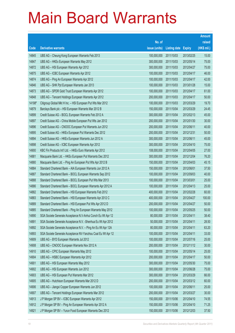|        |                                                               |               |                     |               | <b>Amount</b> |
|--------|---------------------------------------------------------------|---------------|---------------------|---------------|---------------|
|        |                                                               | No. of        |                     |               | raised        |
| Code   | <b>Derivative warrants</b>                                    | issue (units) | <b>Listing date</b> | <b>Expiry</b> | $(HK$$ mil.)  |
| 14845  | UBS AG - Cheung Kong European Warrants Feb 2013               | 100,000,000   | 2011/10/03          | 2013/02/25    | 15.00         |
| 14847  | UBS AG - HKEx European Warrants May 2012                      | 300,000,000   | 2011/10/03          | 2012/05/14    | 75.00         |
| 14872  | UBS AG - HSI European Warrants Apr 2012                       | 300,000,000   | 2011/10/03          | 2012/04/27    | 75.00         |
| 14875  | UBS AG - ICBC European Warrants Apr 2012                      | 100,000,000   | 2011/10/03          | 2012/04/17    | 46.00         |
| 14874  | UBS AG - Ping An European Warrants Apr 2012                   | 100,000,000   | 2011/10/03          | 2012/04/17    | 42.00         |
| 14846  | UBS AG - SHK Ppt European Warrants Jan 2013                   | 100,000,000   | 2011/10/03          | 2013/01/28    | 15.00         |
| 14873  | UBS AG - SPDR Gold Trust European Warrants Apr 2012           | 100,000,000   | 2011/10/03          | 2012/04/17    | 61.00         |
| 14848  | UBS AG - Tencent Holdings European Warrants Apr 2012          | 200,000,000   | 2011/10/03          | 2012/04/17    | 50.00         |
| 14198# | Citigroup Global Mkt H Inc. - HSI European Put Wts Mar 2012   | 100,000,000   | 2011/10/03          | 2012/03/29    | 19.70         |
| 14879  | Barclays Bank plc - HSI European Warrants Mar 2012 B          | 150,000,000   | 2011/10/04          | 2012/03/29    | 24.45         |
| 14899  | Credit Suisse AG - BOCL European Warrants Feb 2012 A          | 300,000,000   | 2011/10/04          | 2012/02/13    | 45.00         |
| 14897  | Credit Suisse AG - China Mobile European Put Wts Jan 2012     | 200,000,000   | 2011/10/04          | 2012/01/30    | 30.00         |
| 14896  | Credit Suisse AG - CNOOC European Put Warrants Jun 2012       | 200,000,000   | 2011/10/04          | 2012/06/11    | 40.00         |
| 14895  | Credit Suisse AG - HKEx European Put Warrants Dec 2012        | 200,000,000   | 2011/10/04          | 2012/12/31    | 50.00         |
| 14894  | Credit Suisse AG - HKEx European Warrants Jun 2012 A          | 300,000,000   | 2011/10/04          | 2012/06/11    | 45.00         |
| 14898  | Credit Suisse AG - ICBC European Warrants Apr 2012            | 300,000,000   | 2011/10/04          | 2012/04/10    | 75.00         |
| 14900  | KBC Fin Products Int'l Ltd. - HKEx Euro Warrants Apr 2012     | 108,000,000   | 2011/10/04          | 2012/04/05    | 27.00         |
| 14881  | Macquarie Bank Ltd. - HKEx European Put Warrants Dec 2012     | 300,000,000   | 2011/10/04          | 2012/12/04    | 76.20         |
| 14880  | Macquarie Bank Ltd. - Ping An European Put Wts Apr 2012 B     | 150,000,000   | 2011/10/04          | 2012/04/03    | 45.15         |
| 14884  | Standard Chartered Bank - AIA European Warrants Jun 2012 A    | 150,000,000   | 2011/10/04          | 2012/06/01    | 37.50         |
| 14887  | Standard Chartered Bank - BOCL European Warrants Sep 2012     | 100,000,000   | 2011/10/04          | 2012/09/03    | 40.00         |
| 14888  | Standard Chartered Bank - BOCL European Put Wts Mar 2013      | 100,000,000   | 2011/10/04          | 2013/03/01    | 25.00         |
| 14886  | Standard Chartered Bank – BOCL European Warrants Apr 2012 A   | 100,000,000   | 2011/10/04          | 2012/04/13    | 25.00         |
| 14882  | Standard Chartered Bank - HSI European Warrants Feb 2012      | 400,000,000   | 2011/10/04          | 2012/02/28    | 60.00         |
| 14883  | Standard Chartered Bank - HSI European Warrants Apr 2012 C    | 400,000,000   | 2011/10/04          | 2012/04/27    | 100.00        |
| 14889  | Standard Chartered Bank - HSI European Put Wts Apr 2012 D     | 200,000,000   | 2011/10/04          | 2012/04/27    | 50.00         |
| 14885  | Standard Chartered Bank - Ping An European Warrants May 2012  | 100,000,000   | 2011/10/04          | 2012/05/25    | 50.00         |
| 14890  | SGA Societe Generale Acceptance N.V-Anhui Conch Eu Wt Apr 12  | 80,000,000    | 2011/10/04          | 2012/04/11    | 38.40         |
| 14891  | SGA Societe Generale Acceptance N.V. - Shenhua Eu Wt Apr 2012 | 50,000,000    | 2011/10/04          | 2012/04/11    | 28.50         |
| 14892  | SGA Societe Generale Acceptance N.V. - Ping An Eu Wt Apr 12A  | 80,000,000    | 2011/10/04          | 2012/04/11    | 63.20         |
| 14893  | SGA Societe Generale Acceptance NV-Yanzhou Coal Eu Wt Apr 12  | 100,000,000   | 2011/10/04          | 2012/04/11    | 33.00         |
| 14909  | UBS AG - BYD European Warrants Jul 2012                       | 100,000,000   | 2011/10/04          | 2012/07/16    | 25.00         |
| 14908  | UBS AG - CNOOC European Warrants Nov 2012 A                   | 200,000,000   | 2011/10/04          | 2012/11/12    | 30.00         |
| 14910  | UBS AG - CPIC European Warrants May 2012                      | 100,000,000   | 2011/10/04          | 2012/05/14    | 25.00         |
| 14904  | UBS AG - HSBC European Warrants Apr 2012                      | 200,000,000   | 2011/10/04          | 2012/04/17    | 50.00         |
| 14901  | UBS AG - HSI European Warrants May 2012                       | 300,000,000   | 2011/10/04          | 2012/05/30    | 75.00         |
| 14902  | UBS AG - HSI European Warrants Jun 2012                       | 300,000,000   | 2011/10/04          | 2012/06/28    | 75.00         |
| 14903  | UBS AG - HSI European Put Warrants Mar 2012                   | 300,000,000   | 2011/10/04          | 2012/03/29    | 66.00         |
| 14905  | UBS AG - Hutchison European Warrants Mar 2012 D               | 200,000,000   | 2011/10/04          | 2012/03/12    | 60.00         |
| 14906  | UBS AG - Jiangxi Copper European Warrants Jun 2012            | 100,000,000   | 2011/10/04          | 2012/06/11    | 25.00         |
| 14907  | UBS AG - Tencent Holdings European Warrants Mar 2012          | 200,000,000   | 2011/10/04          | 2012/03/27    | 30.00         |
| 14913  | J P Morgan SP BV - ICBC European Warrants Apr 2012            | 150,000,000   | 2011/10/06          | 2012/04/10    | 74.55         |
| 14912  | J P Morgan SP BV - Ping An European Warrants Apr 2012 A       | 150,000,000   | 2011/10/06          | 2012/04/10    | 71.25         |
| 14921  | J P Morgan SP BV - Yurun Food European Warrants Dec 2012      | 150,000,000   | 2011/10/06          | 2012/12/03    | 37.50         |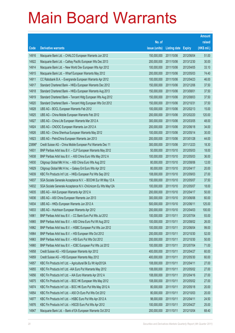|                |                                                                                                              |                            |                          |                          | <b>Amount</b>   |
|----------------|--------------------------------------------------------------------------------------------------------------|----------------------------|--------------------------|--------------------------|-----------------|
|                |                                                                                                              | No. of                     |                          |                          | raised          |
| Code           | <b>Derivative warrants</b>                                                                                   | issue (units)              | <b>Listing date</b>      | <b>Expiry</b>            | (HK\$ mil.)     |
| 14916          | Macquarie Bank Ltd. - CHALCO European Warrants Jun 2012                                                      | 150,000,000                | 2011/10/06               | 2012/06/04               | 51.00           |
| 14922          | Macquarie Bank Ltd. - Cathay Pacific European Wts Dec 2013                                                   | 200,000,000                | 2011/10/06               | 2013/12/30               | 30.00           |
| 14914          | Macquarie Bank Ltd. - New World Dev European Wts Apr 2012                                                    | 100,000,000                | 2011/10/06               | 2012/04/05               | 33.10           |
| 14915          | Macquarie Bank Ltd. - Wharf European Warrants May 2012                                                       | 200,000,000                | 2011/10/06               | 2012/05/03               | 74.40           |
| 14911          | CC Rabobank B.A. - Evergrande European Warrants Apr 2012                                                     | 100,000,000                | 2011/10/06               | 2012/04/23               | 46.00           |
| 14917          | Standard Chartered Bank - HKEx European Warrants Dec 2012                                                    | 150,000,000                | 2011/10/06               | 2012/12/06               | 37.50           |
| 14918          | Standard Chartered Bank - HKEx European Warrants Aug 2013                                                    | 150,000,000                | 2011/10/06               | 2013/08/01               | 37.50           |
| 14919          | Standard Chartered Bank - Tencent HIdg European Wts Aug 2012                                                 | 150,000,000                | 2011/10/06               | 2012/08/03               | 37.50           |
| 14920          | Standard Chartered Bank - Tencent HIdg European Wts Oct 2012                                                 | 150,000,000                | 2011/10/06               | 2012/10/31               | 37.50           |
| 14928          | UBS AG - BOCL European Warrants Feb 2012                                                                     | 100,000,000                | 2011/10/06               | 2012/02/13               | 15.00           |
| 14925          | UBS AG - China Mobile European Warrants Feb 2012                                                             | 200,000,000                | 2011/10/06               | 2012/02/20               | 120.00          |
| 14927          | UBS AG - China Life European Warrants Mar 2012 A                                                             | 300,000,000                | 2011/10/06               | 2012/03/05               | 48.00           |
| 14924          | UBS AG - CNOOC European Warrants Jun 2012 A                                                                  | 200,000,000                | 2011/10/06               | 2012/06/18               | 34.00           |
| 14926          | UBS AG - China Shenhua European Warrants May 2012                                                            | 100,000,000                | 2011/10/06               | 2012/05/14               | 30.00           |
| 14923          | UBS AG - PetroChina European Warrants Jan 2013                                                               | 200,000,000                | 2011/10/06               | 2013/01/28               | 44.00           |
| 23896#         | Credit Suisse AG - China Mobile European Put Warrants Dec 11                                                 | 300,000,000                | 2011/10/06               | 2011/12/23               | 18.30           |
| 14931          | BNP Paribas Arbit Issu B.V. - CLP European Warrants May 2012                                                 | 50,000,000                 | 2011/10/10               | 2012/05/03               | 18.00           |
| 14938          | BNP Paribas Arbit Issu B.V. - A50 China Euro Wts May 2012 A                                                  | 100,000,000                | 2011/10/10               | 2012/05/03               | 36.00           |
| 14930          | Citigroup Global Mkt H Inc. - A50 China Euro Wts Aug 2012                                                    | 80,000,000                 | 2011/10/10               | 2012/08/06               | 12.00           |
| 14929          | Citigroup Global Mkt H Inc. - Galaxy Ent Euro Wts Apr 2012                                                   | 80,000,000                 | 2011/10/10               | 2012/04/17               | 20.00           |
| 14939          | KBC Fin Products Int'l Ltd. - HKEx European Put Wts Sep 2012                                                 | 108,000,000                | 2011/10/10               | 2012/09/03               | 27.00           |
| 14937          | SGA Societe Generale Acceptance N.V. - BOCHK Eur Wt May 12 A                                                 | 150,000,000                | 2011/10/10               | 2012/05/07               | 37.50           |
| 14932          | SGA Societe Generale Acceptance N.V.-ChiUnicom Eu Wts May12A                                                 | 100,000,000                | 2011/10/10               | 2012/05/07               | 18.00           |
| 14935          | UBS AG - AIA European Warrants Apr 2012 A                                                                    | 200,000,000                | 2011/10/10               | 2012/04/17               | 50.00           |
| 14936          | UBS AG - A50 China European Warrants Jun 2013                                                                | 300,000,000                | 2011/10/10               | 2013/06/06               | 60.00           |
| 14934          | UBS AG - HKEx European Warrants Jun 2012 A                                                                   | 500,000,000                | 2011/10/10               | 2012/06/11               | 125.00          |
| 14933          | UBS AG - Hutchison European Warrants Apr 2012<br>BNP Paribas Arbit Issu B.V. - CC Bank Euro Put Wts Jul 2012 | 200,000,000                | 2011/10/10<br>2011/10/11 | 2012/04/03<br>2012/07/04 | 100.00<br>93.00 |
| 14961<br>14965 | BNP Paribas Arbit Issu B.V. - A50 China Euro Put Wt Aug 2012                                                 | 100,000,000<br>100,000,000 | 2011/10/11               |                          | 26.00           |
| 14962          | BNP Paribas Arbit Issu B.V. - HSBC European Put Wts Jun 2012                                                 | 100,000,000                | 2011/10/11               | 2012/08/02<br>2012/06/04 | 99.00           |
| 14964          | BNP Paribas Arbit Issu B.V. - HSI European Wts Oct 2012                                                      | 200,000,000                | 2011/10/11               | 2012/10/30               | 52.00           |
| 14963          | BNP Paribas Arbit Issu B.V. - HSI Euro Put Wts Oct 2012                                                      | 200,000,000                | 2011/10/11               | 2012/10/30               | 50.00           |
| 14960          | BNP Paribas Arbit Issu B.V. - ICBC European Put Wts Jul 2012                                                 | 100,000,000                | 2011/10/11               | 2012/07/04               | 71.00           |
| 14958          | Credit Suisse AG - HSI European Warrants Apr 2012                                                            | 400,000,000                | 2011/10/11               | 2012/04/27               | 60.00           |
| 14959          | Credit Suisse AG - HSI European Warrants May 2012                                                            | 400,000,000                | 2011/10/11               | 2012/05/30               | 60.00           |
| 14957          | KBC Fin Products Int'l Ltd. - Agricultural Bk Eu Wt Apr2012A                                                 | 108,000,000                | 2011/10/11               | 2012/04/11               | 27.00           |
| 14955          | KBC Fin Products Int'l Ltd. - AIA Euro Put Warrants May 2012                                                 | 108,000,000                | 2011/10/11               | 2012/05/02               | 27.00           |
| 14956          | KBC Fin Products Int'l Ltd. - AIA Euro Warrants Apr 2012 A                                                   | 108,000,000                | 2011/10/11               | 2012/04/16               | 27.00           |
| 14975          | KBC Fin Products Int'l Ltd. - BOC HK European Wts May 2012                                                   | 108,000,000                | 2011/10/11               | 2012/05/02               | 27.00           |
| 14974          | KBC Fin Products Int'l Ltd. - BOC HK Euro Put Wts May 2012 A                                                 | 80,000,000                 | 2011/10/11               | 2012/05/18               | 20.00           |
| 14954          | KBC Fin Products Int'l Ltd. - A50 Ch Euro Put Wts Oct 2012                                                   | 80,000,000                 | 2011/10/11               | 2012/10/03               | 20.00           |
| 14977          | KBC Fin Products Int'l Ltd. - HSBC Euro Put Wts Apr 2012 A                                                   | 98,000,000                 | 2011/10/11               | 2012/04/11               | 24.50           |
| 14976          | KBC Fin Products Int'l Ltd. - HSCEI Euro Put Wts Apr 2012                                                    | 100,000,000                | 2011/10/11               | 2012/04/27               | 25.00           |
| 14947          | Macquarie Bank Ltd. - Bank of EA European Warrants Oct 2012                                                  | 200,000,000                | 2011/10/11               | 2012/10/04               | 68.40           |
|                |                                                                                                              |                            |                          |                          |                 |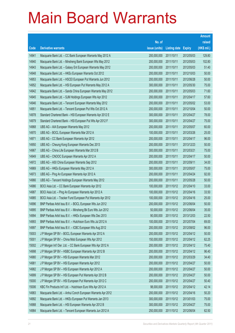|       |                                                              |               |                     |               | <b>Amount</b> |
|-------|--------------------------------------------------------------|---------------|---------------------|---------------|---------------|
|       |                                                              | No. of        |                     |               | raised        |
| Code  | <b>Derivative warrants</b>                                   | issue (units) | <b>Listing date</b> | <b>Expiry</b> | (HK\$ mil.)   |
| 14941 | Macquarie Bank Ltd. - CC Bank European Warrants May 2012 A   | 200,000,000   | 2011/10/11          | 2012/05/03    | 129.80        |
| 14940 | Macquarie Bank Ltd. - Minsheng Bank European Wts May 2012    | 200,000,000   | 2011/10/11          | 2012/05/03    | 102.80        |
| 14943 | Macquarie Bank Ltd. - Galaxy Ent European Warrants May 2012  | 200,000,000   | 2011/10/11          | 2012/05/03    | 51.40         |
| 14948 | Macquarie Bank Ltd. - HKEx European Warrants Oct 2012        | 200,000,000   | 2011/10/11          | 2012/10/03    | 50.00         |
| 14953 | Macquarie Bank Ltd. - HSCEI European Put Warrants Jun 2012   | 200,000,000   | 2011/10/11          | 2012/06/28    | 50.00         |
| 14952 | Macquarie Bank Ltd. - HSI European Put Warrants May 2012 A   | 300,000,000   | 2011/10/11          | 2012/05/30    | 75.00         |
| 14942 | Macquarie Bank Ltd. - Sands China European Warrants May 2012 | 200,000,000   | 2011/10/11          | 2012/05/03    | 71.60         |
| 14945 | Macquarie Bank Ltd. - SJM Holdings European Wts Apr 2012     | 200,000,000   | 2011/10/11          | 2012/04/17    | 57.60         |
| 14946 | Macquarie Bank Ltd. - Tencent European Warrants May 2012     | 200,000,000   | 2011/10/11          | 2012/05/02    | 53.00         |
| 14951 | Macquarie Bank Ltd. - Tencent European Put Wts Oct 2012 A    | 200,000,000   | 2011/10/11          | 2012/10/04    | 50.00         |
| 14978 | Standard Chartered Bank - HSI European Warrants Apr 2012 E   | 300,000,000   | 2011/10/11          | 2012/04/27    | 78.00         |
| 14979 | Standard Chartered Bank - HSI European Put Wts Apr 2012 F    | 300,000,000   | 2011/10/11          | 2012/04/27    | 75.00         |
| 14968 | UBS AG - AIA European Warrants May 2012                      | 200,000,000   | 2011/10/11          | 2012/05/07    | 60.00         |
| 14970 | UBS AG - BOCL European Warrants Mar 2012 A                   | 100,000,000   | 2011/10/11          | 2012/03/26    | 25.00         |
| 14971 | UBS AG - CC Bank European Warrants Apr 2012                  | 200,000,000   | 2011/10/11          | 2012/04/17    | 96.00         |
| 14950 | UBS AG - Cheung Kong European Warrants Dec 2013              | 200,000,000   | 2011/10/11          | 2013/12/23    | 50.00         |
| 14967 | UBS AG - China Life European Warrants Mar 2012 B             | 300,000,000   | 2011/10/11          | 2012/03/21    | 75.00         |
| 14949 | UBS AG - CNOOC European Warrants Apr 2012 A                  | 200,000,000   | 2011/10/11          | 2012/04/17    | 50.00         |
| 14972 | UBS AG - A50 China European Warrants Sep 2012                | 200,000,000   | 2011/10/11          | 2012/09/11    | 34.00         |
| 14969 | UBS AG - HKEx European Warrants May 2012 A                   | 300,000,000   | 2011/10/11          | 2012/05/07    | 75.00         |
| 14973 | UBS AG - Ping An European Warrants Apr 2012 A                | 200,000,000   | 2011/10/11          | 2012/04/24    | 92.00         |
| 14966 | UBS AG - Tencent Holdings European Warrants May 2012         | 200,000,000   | 2011/10/11          | 2012/05/28    | 50.00         |
| 14986 | BOCI Asia Ltd. - CC Bank European Warrants Apr 2012          | 100,000,000   | 2011/10/12          | 2012/04/10    | 33.00         |
| 14987 | BOCI Asia Ltd. - Ping An European Warrants Apr 2012 A        | 100,000,000   | 2011/10/12          | 2012/04/16    | 33.50         |
| 14985 | BOCI Asia Ltd. - Tracker Fund European Put Warrants Apr 2012 | 100,000,000   | 2011/10/12          | 2012/04/16    | 25.00         |
| 14996 | BNP Paribas Arbit Issu B.V. - BOCL European Wts Jun 2012     | 200,000,000   | 2011/10/12          | 2012/06/04    | 50.00         |
| 14995 | BNP Paribas Arbit Issu B.V. - Minsheng Bk Euro Wts Jun 2012  | 50,000,000    | 2011/10/12          | 2012/06/04    | 35.00         |
| 14994 | BNP Paribas Arbit Issu B.V. - HKEx European Wts Dec 2013     | 90,000,000    | 2011/10/12          | 2013/12/03    | 22.50         |
| 14993 | BNP Paribas Arbit Issu B.V. - Hutchison Euro Wts Jul 2012 A  | 100,000,000   | 2011/10/12          | 2012/07/04    | 69.00         |
| 14997 | BNP Paribas Arbit Issu B.V. - ICBC European Wts Aug 2012     | 200,000,000   | 2011/10/12          | 2012/08/02    | 96.00         |
| 15003 | J P Morgan SP BV - BOCL European Warrants Apr 2012 A         | 200,000,000   | 2011/10/12          | 2012/04/12    | 50.00         |
| 15001 | J P Morgan SP BV - China Mob European Wts Apr 2012           | 150,000,000   | 2011/10/12          | 2012/04/12    | 62.25         |
| 15002 | J P Morgan Int'l Der. Ltd. - CC Bank European Wts Apr 2012 A | 200,000,000   | 2011/10/12          | 2012/04/12    | 75.40         |
| 14998 | J P Morgan SP BV - HSBC European Warrants Apr 2012 B         | 200,000,000   | 2011/10/12          | 2012/04/12    | 96.40         |
| 14980 | J P Morgan SP BV - HSI European Warrants Mar 2012            | 200,000,000   | 2011/10/12          | 2012/03/29    | 34.40         |
| 14981 | J P Morgan SP BV - HSI European Warrants Apr 2012            | 200,000,000   | 2011/10/12          | 2012/04/27    | 50.00         |
| 14982 | J P Morgan SP BV - HSI European Warrants Apr 2012 A          | 200,000,000   | 2011/10/12          | 2012/04/27    | 50.00         |
| 14999 | J P Morgan SP BV - HSI European Put Warrants Apr 2012 B      | 200,000,000   | 2011/10/12          | 2012/04/27    | 50.00         |
| 15000 | J P Morgan SP BV - HSI European Put Warrants Apr 2012 C      | 200,000,000   | 2011/10/12          | 2012/04/27    | 50.40         |
| 15006 | KBC Fin Products Int'l Ltd. - Hutchison Euro Wts Apr 2012 A  | 98,000,000    | 2011/10/12          | 2012/04/12    | 42.14         |
| 14983 | Macquarie Bank Ltd. - Anhui Conch European Warrants Apr 2012 | 200,000,000   | 2011/10/12          | 2012/04/16    | 50.20         |
| 14992 | Macquarie Bank Ltd. - HKEx European Put Warrants Jan 2013    | 300,000,000   | 2011/10/12          | 2013/01/03    | 75.00         |
| 14988 | Macquarie Bank Ltd. - HSI European Warrants Apr 2012 B       | 300,000,000   | 2011/10/12          | 2012/04/27    | 75.00         |
| 14984 | Macquarie Bank Ltd. - Tencent European Warrants Jun 2012 A   | 250,000,000   | 2011/10/12          | 2012/06/04    | 62.50         |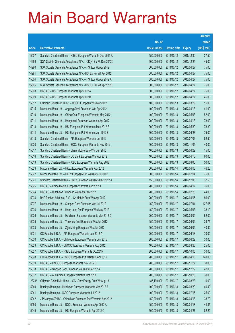|        |                                                               |               |                     |               | <b>Amount</b> |
|--------|---------------------------------------------------------------|---------------|---------------------|---------------|---------------|
|        |                                                               | No. of        |                     |               | raised        |
| Code   | <b>Derivative warrants</b>                                    | issue (units) | <b>Listing date</b> | <b>Expiry</b> | (HK\$ mil.)   |
| 15007  | Standard Chartered Bank - HSBC European Warrants Dec 2015 A   | 150,000,000   | 2011/10/12          | 2015/12/30    | 37.50         |
| 14989  | SGA Societe Generale Acceptance N.V. - CK(H) Eu Wt Dec 2012C  | 300,000,000   | 2011/10/12          | 2012/12/24    | 45.00         |
| 14990  | SGA Societe Generale Acceptance N.V. - HSI Eur Wt Apr 2012    | 300,000,000   | 2011/10/12          | 2012/04/27    | 75.00         |
| 14991  | SGA Societe Generale Acceptance N.V. - HSI Eu Put Wt Apr 2012 | 300,000,000   | 2011/10/12          | 2012/04/27    | 75.00         |
| 15004  | SGA Societe Generale Acceptance N.V. - HSI Eur Wt Apr 2012 A  | 300,000,000   | 2011/10/12          | 2012/04/27    | 75.00         |
| 15005  | SGA Societe Generale Acceptance N.V. - HSI Eu Put Wt Apr2012B | 300,000,000   | 2011/10/12          | 2012/04/27    | 75.00         |
| 15008  | UBS AG - HSI European Warrants Apr 2012 A                     | 300,000,000   | 2011/10/12          | 2012/04/27    | 75.00         |
| 15009  | UBS AG - HSI European Warrants Apr 2012 B                     | 300,000,000   | 2011/10/12          | 2012/04/27    | 45.00         |
| 15012  | Citigroup Global Mkt H Inc. - HSCEI European Wts Mar 2012     | 100,000,000   | 2011/10/13          | 2012/03/29    | 15.00         |
| 15015  | Macquarie Bank Ltd. - Angang Steel European Wts Apr 2012      | 100,000,000   | 2011/10/13          | 2012/04/13    | 41.90         |
| 15010  | Macquarie Bank Ltd. - China Coal European Warrants May 2012   | 100,000,000   | 2011/10/13          | 2012/05/03    | 52.00         |
| 15011  | Macquarie Bank Ltd. - Henganintl European Warrants Apr 2012   | 200,000,000   | 2011/10/13          | 2012/04/13    | 73.00         |
| 15013  | Macquarie Bank Ltd. - HSI European Put Warrants May 2012 B    | 300,000,000   | 2011/10/13          | 2012/05/30    | 78.30         |
| 15014  | Macquarie Bank Ltd. - HSI European Put Warrants Jun 2012 B    | 300,000,000   | 2011/10/13          | 2012/06/28    | 75.00         |
| 15018  | Standard Chartered Bank - AIA European Warrants Jul 2012      | 150,000,000   | 2011/10/13          | 2012/07/06    | 52.50         |
| 15020  | Standard Chartered Bank - BOCL European Warrants Nov 2012     | 100,000,000   | 2011/10/13          | 2012/11/05    | 40.00         |
| 15017  | Standard Chartered Bank - China Mobile Euro Wts Jun 2015      | 100,000,000   | 2011/10/13          | 2015/06/22    | 15.00         |
| 15016  | Standard Chartered Bank - CC Bank European Wts Apr 2012       | 100,000,000   | 2011/10/13          | 2012/04/16    | 60.00         |
| 15019  | Standard Chartered Bank - ICBC European Warrants Aug 2012     | 100,000,000   | 2011/10/13          | 2012/08/06    | 50.00         |
| 15023  | Macquarie Bank Ltd. - HKEx European Warrants Apr 2012         | 300,000,000   | 2011/10/14          | 2012/04/03    | 46.20         |
| 15022  | Macquarie Bank Ltd. - HKEx European Put Warrants Jul 2012     | 300,000,000   | 2011/10/14          | 2012/07/04    | 75.00         |
| 15021  | Standard Chartered Bank - HKEx European Warrants Dec 2012 A   | 150,000,000   | 2011/10/14          | 2012/12/05    | 37.50         |
| 15025  | UBS AG - China Mobile European Warrants Apr 2012 A            | 200,000,000   | 2011/10/14          | 2012/04/17    | 76.00         |
| 15024  | UBS AG - Hutchison European Warrants Feb 2012                 | 200,000,000   | 2011/10/14          | 2012/02/23    | 44.00         |
| 15034  | BNP Paribas Arbit Issu B.V. - Ch Mobile Euro Wts Apr 2012     | 200,000,000   | 2011/10/17          | 2012/04/05    | 86.00         |
| 15037  | Macquarie Bank Ltd. - Sinopec Corp European Wts Jul 2012      | 150,000,000   | 2011/10/17          | 2012/07/04    | 127.65        |
| 15036  | Macquarie Bank Ltd. - Hang Lung Ppt European Wts May 2012     | 150,000,000   | 2011/10/17          | 2012/05/03    | 38.10         |
| 15026  | Macquarie Bank Ltd. - Hutchison European Warrants Mar 2012 D  | 200,000,000   | 2011/10/17          | 2012/03/09    | 62.00         |
| 15035  | Macquarie Bank Ltd. - Yanzhou Coal European Wts Jun 2012      | 150,000,000   | 2011/10/17          | 2012/06/04    | 39.75         |
| 15033  | Macquarie Bank Ltd. - Zijin Mining European Wts Jun 2012      | 100,000,000   | 2011/10/17          | 2012/06/04    | 40.30         |
| 15031  | CC Rabobank B.A. - AIA European Warrants Jun 2012 A           | 200,000,000   | 2011/10/17          | 2012/06/18    | 70.00         |
| 15030  | CC Rabobank B.A. - Ch Mobile European Warrants Jun 2015       | 200,000,000   | 2011/10/17          | 2015/06/22    | 30.00         |
| 15029  | CC Rabobank B.A. - CNOOC European Warrants Aug 2012           | 100,000,000   | 2011/10/17          | 2012/08/20    | 25.00         |
| 15027  | CC Rabobank B.A. - HSBC European Warrants Oct 2015            | 200,000,000   | 2011/10/17          | 2015/10/05    | 30.00         |
| 15028  | CC Rabobank B.A. - HSBC European Put Warrants Apr 2012        | 200,000,000   | 2011/10/17          | 2012/04/10    | 140.00        |
| 15039  | UBS AG - CNOOC European Warrants Nov 2012 B                   | 200,000,000   | 2011/10/17          | 2012/11/27    | 30.00         |
| 15038  | UBS AG - Sinopec Corp European Warrants Dec 2014              | 200,000,000   | 2011/10/17          | 2014/12/29    | 42.00         |
| 15032  | UBS AG - A50 China European Warrants Oct 2013                 | 200,000,000   | 2011/10/17          | 2013/10/28    | 30.00         |
| 12323# | Citigroup Global Mkt H Inc. - GCL-Poly Energy Euro Wt Aug 13  | 185,190,000   | 2011/10/17          | 2013/08/23    | 10.00         |
| 15040  | Barclays Bank plc - Hutchison European Warrants Mar 2012 A    | 100,000,000   | 2011/10/18          | 2012/03/20    | 40.40         |
| 15041  | Barclays Bank plc - ICBC European Warrants Jul 2012           | 100,000,000   | 2011/10/18          | 2012/07/16    | 25.00         |
| 15042  | J P Morgan SP BV - China Mob European Put Warrants Apr 2012   | 150,000,000   | 2011/10/18          | 2012/04/18    | 38.70         |
| 15050  | Macquarie Bank Ltd. - BOCL European Warrants Apr 2012 A       | 150,000,000   | 2011/10/18          | 2012/04/18    | 44.85         |
| 15049  | Macquarie Bank Ltd. - HSI European Warrants Apr 2012 C        | 300,000,000   | 2011/10/18          | 2012/04/27    | 82.20         |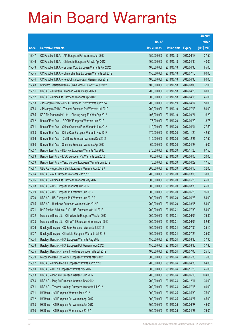|       |                                                             |               |                     |               | <b>Amount</b> |
|-------|-------------------------------------------------------------|---------------|---------------------|---------------|---------------|
|       |                                                             | No. of        |                     |               | raised        |
| Code  | <b>Derivative warrants</b>                                  | issue (units) | <b>Listing date</b> | <b>Expiry</b> | (HK\$ mil.)   |
| 15047 | CC Rabobank B.A. - AIA European Put Warrants Jun 2012       | 150,000,000   | 2011/10/18          | 2012/06/18    | 37.50         |
| 15046 | CC Rabobank B.A. - Ch Mobile European Put Wts Apr 2012      | 100,000,000   | 2011/10/18          | 2012/04/30    | 40.00         |
| 15043 | CC Rabobank B.A. - Sinopec Corp European Warrants Apr 2012  | 100,000,000   | 2011/10/18          | 2012/04/30    | 85.00         |
| 15045 | CC Rabobank B.A. - China Shenhua European Warrants Jul 2012 | 150,000,000   | 2011/10/18          | 2012/07/16    | 60.00         |
| 15044 | CC Rabobank B.A. - PetroChina European Warrants Apr 2012    | 100,000,000   | 2011/10/18          | 2012/04/30    | 80.00         |
| 15048 | Standard Chartered Bank - China Mobile Euro Wts Aug 2012    | 100,000,000   | 2011/10/18          | 2012/08/03    | 32.00         |
| 15051 | UBS AG - CC Bank European Warrants Apr 2012 A               | 200,000,000   | 2011/10/18          | 2012/04/23    | 60.00         |
| 15052 | UBS AG - China Life European Warrants Apr 2012              | 300,000,000   | 2011/10/18          | 2012/04/16    | 45.00         |
| 15053 | J P Morgan SP BV - HSBC European Put Warrants Apr 2014      | 200,000,000   | 2011/10/19          | 2014/04/07    | 50.00         |
| 15054 | J P Morgan SP BV - Tencent European Put Warrants Jul 2012   | 200,000,000   | 2011/10/19          | 2012/07/03    | 50.00         |
| 15055 | KBC Fin Products Int'l Ltd. - Cheung Kong Eur Wts Sep 2012  | 108,000,000   | 2011/10/19          | 2012/09/21    | 16.20         |
| 15062 | Bank of East Asia - BOCHK European Warrants Jun 2012        | 75,000,000    | 2011/10/20          | 2012/06/29    | 18.75         |
| 15061 | Bank of East Asia - China Overseas Euro Warrants Jun 2012   | 110,000,000   | 2011/10/20          | 2012/06/04    | 27.50         |
| 15058 | Bank of East Asia - China Coal European Warrants Nov 2013   | 170,000,000   | 2011/10/20          | 2013/11/20    | 42.50         |
| 15056 | Bank of East Asia - CM Bank European Warrants Dec 2012      | 110,000,000   | 2011/10/20          | 2012/12/21    | 27.50         |
| 15060 | Bank of East Asia - Shenhua European Warrants Apr 2012      | 60,000,000    | 2011/10/20          | 2012/04/23    | 15.00         |
| 15057 | Bank of East Asia - R&F Ppt European Warrants Nov 2013      | 270,000,000   | 2011/10/20          | 2013/11/20    | 67.50         |
| 15063 | Bank of East Asia - ICBC European Put Warrants Jun 2012     | 80,000,000    | 2011/10/20          | 2012/06/08    | 20.00         |
| 15059 | Bank of East Asia - Yanzhou Coal European Warrants Jun 2012 | 70,000,000    | 2011/10/20          | 2012/06/22    | 17.50         |
| 15067 | UBS AG - Agricultural Bank European Warrants Apr 2012 A     | 200,000,000   | 2011/10/20          | 2012/04/10    | 32.00         |
| 15064 | UBS AG - AIA European Warrants Mar 2012 B                   | 200,000,000   | 2011/10/20          | 2012/03/05    | 30.00         |
| 15066 | UBS AG - China Life European Warrants May 2012              | 300,000,000   | 2011/10/20          | 2012/05/28    | 45.00         |
| 15068 | UBS AG - HSI European Warrants Aug 2012                     | 300,000,000   | 2011/10/20          | 2012/08/30    | 45.00         |
| 15069 | UBS AG - HSI European Put Warrants Jun 2012                 | 300,000,000   | 2011/10/20          | 2012/06/28    | 96.00         |
| 15070 | UBS AG - HSI European Put Warrants Jun 2012 A               | 300,000,000   | 2011/10/20          | 2012/06/28    | 54.00         |
| 15065 | UBS AG - Hutchison European Warrants Mar 2012 E             | 200,000,000   | 2011/10/20          | 2012/03/05    | 54.00         |
| 15071 | BNP Paribas Arbit Issu B.V. - HSI European Wts Jul 2012     | 200,000,000   | 2011/10/21          | 2012/07/30    | 54.00         |
| 15072 | Macquarie Bank Ltd. - China Mobile European Wts Jun 2012    | 200,000,000   | 2011/10/21          | 2012/06/04    | 75.80         |
| 15073 | Macquarie Bank Ltd. - China Tel European Warrants Jun 2012  | 200,000,000   | 2011/10/21          | 2012/06/04    | 82.60         |
| 15076 | Barclays Bank plc - CC Bank European Warrants Jul 2012      | 100,000,000   | 2011/10/24          | 2012/07/30    | 25.10         |
| 15077 | Barclays Bank plc - China Life European Warrants Jul 2013   | 100,000,000   | 2011/10/24          | 2013/07/29    | 25.00         |
| 15074 | Barclays Bank plc - HSI European Warrants Aug 2012          | 150,000,000   | 2011/10/24          | 2012/08/30    | 37.95         |
| 15078 | Barclays Bank plc - HSI European Put Warrants Aug 2012      | 150,000,000   | 2011/10/24          | 2012/08/30    | 37.80         |
| 15075 | Barclays Bank plc - Tencent Holdings European Wts Jul 2012  | 100,000,000   | 2011/10/24          | 2012/07/03    | 25.10         |
| 15079 | Macquarie Bank Ltd. - HSI European Warrants May 2012        | 300,000,000   | 2011/10/24          | 2012/05/30    | 75.00         |
| 15082 | UBS AG - China Mobile European Warrants Apr 2012 B          | 200,000,000   | 2011/10/24          | 2012/04/30    | 84.00         |
| 15080 | UBS AG - HKEx European Warrants Nov 2012                    | 300,000,000   | 2011/10/24          | 2012/11/26    | 45.00         |
| 15083 | UBS AG - Ping An European Warrants Jun 2012                 | 200,000,000   | 2011/10/24          | 2012/06/18    | 124.00        |
| 15084 | UBS AG - Ping An European Warrants Dec 2012                 | 200,000,000   | 2011/10/24          | 2012/12/11    | 30.00         |
| 15081 | UBS AG - Tencent Holdings European Warrants Jul 2012        | 200,000,000   | 2011/10/24          | 2012/07/16    | 40.00         |
| 15091 | HK Bank - HSI European Warrants May 2012                    | 300,000,000   | 2011/10/25          | 2012/05/30    | 75.00         |
| 15092 | HK Bank - HSI European Put Warrants Apr 2012                | 300,000,000   | 2011/10/25          | 2012/04/27    | 45.00         |
| 15093 | HK Bank - HSI European Put Warrants Jun 2012                | 300,000,000   | 2011/10/25          | 2012/06/28    | 45.00         |
| 15090 | HK Bank - HSI European Warrants Apr 2012 A                  | 300,000,000   | 2011/10/25          | 2012/04/27    | 75.00         |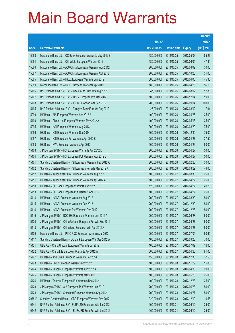|        |                                                              |               |                            |            | <b>Amount</b> |
|--------|--------------------------------------------------------------|---------------|----------------------------|------------|---------------|
|        |                                                              | No. of        |                            |            | raised        |
| Code   | <b>Derivative warrants</b>                                   | issue (units) | <b>Listing date Expiry</b> |            | (HK\$ mil.)   |
| 15088  | Macquarie Bank Ltd. - CC Bank European Warrants May 2012 B   | 180,000,000   | 2011/10/25                 | 2012/05/03 | 55.26         |
| 15094  | Macquarie Bank Ltd. - China Life European Wts Jun 2012       | 180,000,000   | 2011/10/25                 | 2012/06/04 | 47.34         |
| 15086  | Macquarie Bank Ltd. - A50 China European Warrants Aug 2012   | 200,000,000   | 2011/10/25                 | 2012/08/02 | 30.00         |
| 15087  | Macquarie Bank Ltd. - A50 China European Warrants Oct 2013   | 200,000,000   | 2011/10/25                 | 2013/10/28 | 31.00         |
| 15085  | Macquarie Bank Ltd. - HKEx European Warrants Jun 2012        | 300,000,000   | 2011/10/25                 | 2012/06/06 | 45.30         |
| 15089  | Macquarie Bank Ltd. - ICBC European Warrants Apr 2012        | 180,000,000   | 2011/10/25                 | 2012/04/25 | 56.16         |
| 15106  | BNP Paribas Arbit Issu B.V. - Geely Auto Euro Wts Aug 2012   | 47,000,000    | 2011/10/26                 | 2012/08/02 | 17.86         |
| 15107  | BNP Paribas Arbit Issu B.V. - HKEx European Wts Dec 2012     | 100,000,000   | 2011/10/26                 | 2012/12/04 | 19.00         |
| 15108  | BNP Paribas Arbit Issu B.V. - ICBC European Wts Sep 2012     | 200,000,000   | 2011/10/26                 | 2012/09/04 | 100.00        |
| 15105  | BNP Paribas Arbit Issu B.V. - Tsingtao Brew Euro Wt Aug 2012 | 26,000,000    | 2011/10/26                 | 2012/08/02 | 17.94         |
| 15099  | HK Bank - AIA European Warrants Apr 2012 A                   | 100,000,000   | 2011/10/26                 | 2012/04/26 | 25.00         |
| 15100  | HK Bank - China Life European Warrants May 2012 A            | 100,000,000   | 2011/10/26                 | 2012/05/18 | 25.00         |
| 15095  | HK Bank - HSI European Warrants Aug 2013                     | 300,000,000   | 2011/10/26                 | 2013/08/29 | 75.00         |
| 15096  | HK Bank - HSI European Warrants Dec 2014                     | 300,000,000   | 2011/10/26                 | 2014/12/30 | 75.00         |
| 15097  | HK Bank - HSI European Put Warrants Apr 2012 B               | 250,000,000   | 2011/10/26                 | 2012/04/27 | 37.50         |
| 15098  | HK Bank - HWL European Warrants Apr 2012                     | 100,000,000   | 2011/10/26                 | 2012/04/26 | 50.00         |
| 15103  | J P Morgan SP BV - HSI European Warrants Apr 2012 D          | 200,000,000   | 2011/10/26                 | 2012/04/27 | 50.00         |
| 15104  | J P Morgan SP BV - HSI European Put Warrants Apr 2012 E      | 200,000,000   | 2011/10/26                 | 2012/04/27 | 50.00         |
| 15101  | Standard Chartered Bank - HSI European Warrants Feb 2012 A   | 200,000,000   | 2011/10/26                 | 2012/02/28 | 30.00         |
| 15102  | Standard Chartered Bank - HSI European Put Wts Mar 2012 A    | 200,000,000   | 2011/10/26                 | 2012/03/29 | 44.00         |
| 15112  | HK Bank - Agricultural Bank European Warrants Aug 2012       | 100,000,000   | 2011/10/27                 | 2012/08/30 | 25.00         |
| 15111  | HK Bank - Agricultural Bank European Warrants Apr 2012 A     | 100,000,000   | 2011/10/27                 | 2012/04/27 | 25.00         |
| 15110  | HK Bank - CC Bank European Warrants Apr 2012                 | 120,000,000   | 2011/10/27                 | 2012/04/27 | 49.20         |
| 15113  | HK Bank - CC Bank European Put Warrants Apr 2012             | 100,000,000   | 2011/10/27                 | 2012/04/27 | 25.00         |
| 15114  | HK Bank - HSCEI European Warrants Aug 2012                   | 200,000,000   | 2011/10/27                 | 2012/08/30 | 50.00         |
| 15115  | HK Bank - HSCEI European Warrants Dec 2013                   | 200,000,000   | 2011/10/27                 | 2013/12/30 | 50.00         |
| 15116  | HK Bank - HSCEI European Put Warrants Dec 2012               | 200,000,000   | 2011/10/27                 | 2012/12/28 | 50.00         |
| 15119  | J P Morgan SP BV - BOC HK European Warrants Jun 2012 A       | 200,000,000   | 2011/10/27                 | 2012/06/28 | 50.00         |
| 15120  | J P Morgan SP BV - China Unicom European Put Wts Sep 2012    | 200,000,000   | 2011/10/27                 | 2012/09/27 | 50.00         |
| 15118  | J P Morgan SP BV - China Mob European Wts Apr 2012 A         | 200,000,000   | 2011/10/27                 | 2012/04/27 | 50.00         |
| 15109  | Macquarie Bank Ltd. - PICC P&C European Warrants Jul 2012    | 200,000,000   | 2011/10/27                 | 2012/07/04 | 50.60         |
| 15117  | Standard Chartered Bank - CC Bank European Wts Sep 2012 A    | 100,000,000   | 2011/10/27                 | 2012/09/28 | 70.00         |
| 15121  | UBS AG - China Unicom European Warrants Jul 2012             | 100,000,000   | 2011/10/27                 | 2012/07/09 | 16.00         |
| 15122  | UBS AG - China Life European Warrants Apr 2012 A             | 300,000,000   | 2011/10/27                 | 2012/04/20 | 81.00         |
| 15127  | HK Bank - A50 China European Warrants Dec 2014               | 150,000,000   | 2011/10/28                 | 2014/12/30 | 37.50         |
| 15123  | HK Bank - HKEx European Warrants Nov 2012                    | 100,000,000   | 2011/10/28                 | 2012/11/29 | 15.00         |
| 15124  | HK Bank - Tencent European Warrants Apr 2012 A               | 100,000,000   | 2011/10/28                 | 2012/04/30 | 29.00         |
| 15125  | HK Bank - Tencent European Warrants May 2012                 | 100,000,000   | 2011/10/28                 | 2012/05/28 | 25.00         |
| 15126  | HK Bank - Tencent European Put Warrants Dec 2012             | 100,000,000   | 2011/10/28                 | 2012/12/28 | 25.00         |
| 15129  | J P Morgan SP BV - AIA European Put Warrants Jun 2012        | 200,000,000   | 2011/10/28                 | 2012/06/28 | 50.00         |
| 15128  | J P Morgan SP BV - Stanchart European Warrants Sep 2012      | 200,000,000   | 2011/10/28                 | 2012/09/27 | 50.00         |
| 29781# | Standard Chartered Bank - ICBC European Warrants Dec 2012    | 320,000,000   | 2011/10/28                 | 2012/12/10 | 10.56         |
| 10141  | BNP Paribas Arbit Issu B.V. - EUR/USD European Wts Jun 2012  | 100,000,000   | 2011/10/31                 | 2012/06/12 | 25.00         |
| 10142  | BNP Paribas Arbit Issu B.V. - EUR/USD Euro Put Wts Jun 2012  | 100,000,000   | 2011/10/31                 | 2012/06/12 | 25.00         |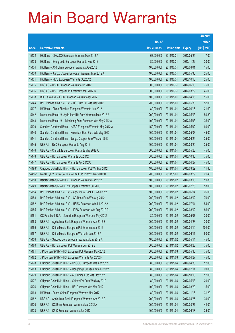|        |                                                              |               |                     |               | <b>Amount</b> |
|--------|--------------------------------------------------------------|---------------|---------------------|---------------|---------------|
|        |                                                              | No. of        |                     |               | raised        |
| Code   | <b>Derivative warrants</b>                                   | issue (units) | <b>Listing date</b> | <b>Expiry</b> | (HK\$ mil.)   |
| 15132  | HK Bank - CHALCO European Warrants May 2012 A                | 68,000,000    | 2011/10/31          | 2012/05/25    | 17.00         |
| 15133  | HK Bank - Evergrande European Warrants Nov 2012              | 80,000,000    | 2011/10/31          | 2012/11/22    | 20.00         |
| 15134  | HK Bank - A50 China European Warrants Aug 2012               | 100,000,000   | 2011/10/31          | 2012/08/01    | 15.00         |
| 15130  | HK Bank - Jiangxi Copper European Warrants May 2012 A        | 100,000,000   | 2011/10/31          | 2012/05/30    | 25.00         |
| 15131  | HK Bank - PICC European Warrants Oct 2012                    | 100,000,000   | 2011/10/31          | 2012/10/18    | 25.00         |
| 15135  | UBS AG - HSBC European Warrants Jun 2012                     | 300,000,000   | 2011/10/31          | 2012/06/18    | 75.00         |
| 15136  | UBS AG - HSI European Put Warrants Mar 2012 C                | 300,000,000   | 2011/10/31          | 2012/03/29    | 45.00         |
| 15138  | BOCI Asia Ltd. - ICBC European Warrants Apr 2012             | 100,000,000   | 2011/11/01          | 2012/04/16    | 15.00         |
| 15144  | BNP Paribas Arbit Issu B.V. - HSI Euro Put Wts May 2012      | 200,000,000   | 2011/11/01          | 2012/05/30    | 52.00         |
| 15137  | HK Bank - China Shenhua European Warrants Jun 2012           | 80,000,000    | 2011/11/01          | 2012/06/15    | 21.60         |
| 15142  | Macquarie Bank Ltd.-Agricultural Bk Euro Warrants May 2012 A | 200,000,000   | 2011/11/01          | 2012/05/03    | 50.80         |
| 15143  | Macquarie Bank Ltd. - Minsheng Bank European Wts May 2012 A  | 100,000,000   | 2011/11/01          | 2012/05/03    | 36.00         |
| 15139  | Standard Chartered Bank - HSBC European Warrants May 2012 A  | 150,000,000   | 2011/11/01          | 2012/05/02    | 60.00         |
| 15140  | Standard Chartered Bank - Hutchison Euro Euro Wts May 2012   | 100,000,000   | 2011/11/01          | 2012/05/03    | 45.00         |
| 15141  | Standard Chartered Bank - Jiangxi Copper Euro Wts Jun 2012   | 100,000,000   | 2011/11/01          | 2012/06/29    | 25.00         |
| 15145  | UBS AG - BYD European Warrants Aug 2012                      | 100,000,000   | 2011/11/01          | 2012/08/20    | 25.00         |
| 15146  | UBS AG - China Life European Warrants May 2012 A             | 300,000,000   | 2011/11/01          | 2012/05/28    | 45.00         |
| 15148  | UBS AG - HSI European Warrants Oct 2012                      | 300,000,000   | 2011/11/01          | 2012/10/30    | 75.00         |
| 15147  | UBS AG - HSI European Warrants Apr 2012 C                    | 300,000,000   | 2011/11/01          | 2012/04/27    | 45.00         |
| 14198# | Citigroup Global Mkt H Inc. - HSI European Put Wts Mar 2012  | 100,000,000   | 2011/11/01          | 2012/03/29    | 11.80         |
| 14456# | Merrill Lynch Int'l & Co. C.V. - HSI Euro Put Wts Mar 2012 D | 200,000,000   | 2011/01/01          | 2012/03/29    | 21.40         |
| 15150  | Barclays Bank plc - BOCL European Warrants Mar 2012          | 100,000,000   | 2011/11/02          | 2012/03/16    | 19.80         |
| 15149  | Barclays Bank plc - HKEx European Warrants Jul 2013          | 100,000,000   | 2011/11/02          | 2013/07/25    | 18.00         |
| 15154  | BNP Paribas Arbit Issu B.V. - Agricultural Bank Eu Wt Jun 12 | 100,000,000   | 2011/11/02          | 2012/06/04    | 26.00         |
| 15153  | BNP Paribas Arbit Issu B.V. - CC Bank Euro Wts Aug 2012      | 200,000,000   | 2011/11/02          | 2012/08/02    | 70.00         |
| 15152  | BNP Paribas Arbit Issu B.V. - HSBC European Wts Jul 2012 A   | 200,000,000   | 2011/11/02          | 2012/07/04    | 54.00         |
| 15155  | BNP Paribas Arbit Issu B.V. - ICBC European Wts Aug 2012 A   | 200,000,000   | 2011/11/02          | 2012/08/02    | 86.00         |
| 15151  | CC Rabobank B.A. - Zoomlion European Warrants May 2012       | 80,000,000    | 2011/11/02          | 2012/05/07    | 20.00         |
| 15158  | UBS AG - Agricultural Bank European Warrants Apr 2012 B      | 200,000,000   | 2011/11/02          | 2012/04/23    | 30.00         |
| 15159  | UBS AG - China Mobile European Put Warrants Apr 2012         | 200,000,000   | 2011/11/02          | 2012/04/10    | 104.00        |
| 15157  | UBS AG - China Mobile European Warrants Jun 2012 A           | 200,000,000   | 2011/11/02          | 2012/06/11    | 50.00         |
| 15156  | UBS AG - Sinopec Corp European Warrants May 2012 A           | 100,000,000   | 2011/11/02          | 2012/05/14    | 45.00         |
| 15160  | UBS AG - HSI European Put Warrants Jun 2012 B                | 300,000,000   | 2011/11/02          | 2012/06/28    | 75.00         |
| 15161  | J P Morgan SP BV - HSI European Put Warrants May 2012        | 300,000,000   | 2011/11/03          | 2012/05/30    | 75.00         |
| 15162  | J P Morgan SP BV - HSI European Warrants Apr 2012 F          | 300,000,000   | 2011/11/03          | 2012/04/27    | 45.00         |
| 15178  | Citigroup Global Mkt H Inc. - CNOOC European Wts Apr 2012 B  | 80,000,000    | 2011/11/04          | 2012/04/30    | 12.00         |
| 15183  | Citigroup Global Mkt H Inc. - Dongfeng European Wts Jul 2012 | 80,000,000    | 2011/11/04          | 2012/07/11    | 20.00         |
| 15179  | Citigroup Global Mkt H Inc. - A50 China Euro Wts Oct 2012    | 80,000,000    | 2011/11/04          | 2012/10/16    | 12.00         |
| 15177  | Citigroup Global Mkt H Inc. - Galaxy Ent Euro Wts May 2012   | 80,000,000    | 2011/11/04          | 2012/05/08    | 20.00         |
| 15176  | Citigroup Global Mkt H Inc. - HSI European Wts Mar 2012      | 100,000,000   | 2011/11/04          | 2012/03/29    | 15.00         |
| 15163  | HK Bank - Sands China European Warrants Nov 2012             | 80,000,000    | 2011/11/04          | 2012/11/16    | 31.20         |
| 15182  | UBS AG - Agricultural Bank European Warrants Apr 2012 C      | 200,000,000   | 2011/11/04          | 2012/04/25    | 30.00         |
| 15170  | UBS AG - CC Bank European Warrants Mar 2012 A                | 200,000,000   | 2011/11/04          | 2012/03/21    | 44.00         |
| 15173  | UBS AG - CPIC European Warrants Jun 2012                     | 100,000,000   | 2011/11/04          | 2012/06/18    | 25.00         |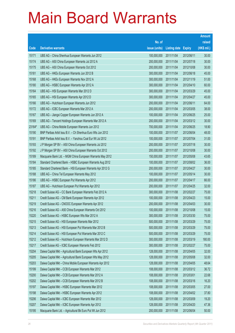|        |                                                             |               |                     |               | <b>Amount</b> |
|--------|-------------------------------------------------------------|---------------|---------------------|---------------|---------------|
|        |                                                             | No. of        |                     |               | raised        |
| Code   | <b>Derivative warrants</b>                                  | issue (units) | <b>Listing date</b> | <b>Expiry</b> | (HK\$ mil.)   |
| 15171  | UBS AG - China Shenhua European Warrants Jun 2012           | 100,000,000   | 2011/11/04          | 2012/06/11    | 30.00         |
| 15174  | UBS AG - A50 China European Warrants Jul 2012 A             | 200,000,000   | 2011/11/04          | 2012/07/18    | 30.00         |
| 15175  | UBS AG - A50 China European Warrants Oct 2012               | 200,000,000   | 2011/11/04          | 2012/10/08    | 30.00         |
| 15181  | UBS AG - HKEx European Warrants Jun 2012 B                  | 300,000,000   | 2011/11/04          | 2012/06/18    | 45.00         |
| 15168  | UBS AG - HKEx European Warrants Nov 2012 A                  | 300,000,000   | 2011/11/04          | 2012/11/19    | 51.00         |
| 15180  | UBS AG - HSBC European Warrants Apr 2012 A                  | 300,000,000   | 2011/11/04          | 2012/04/10    | 60.00         |
| 15164  | UBS AG - HSI European Warrants Mar 2012 D                   | 300,000,000   | 2011/11/04          | 2012/03/29    | 45.00         |
| 15165  | UBS AG - HSI European Warrants Apr 2012 D                   | 300,000,000   | 2011/11/04          | 2012/04/27    | 45.00         |
| 15166  | UBS AG - Hutchison European Warrants Jun 2012               | 200,000,000   | 2011/11/04          | 2012/06/11    | 64.00         |
| 15172  | UBS AG - ICBC European Warrants Mar 2012 A                  | 200,000,000   | 2011/11/04          | 2012/03/05    | 38.00         |
| 15167  | UBS AG - Jiangxi Copper European Warrants Jun 2012 A        | 100,000,000   | 2011/11/04          | 2012/06/25    | 25.00         |
| 15169  | UBS AG - Tencent Holdings European Warrants Mar 2012 A      | 200,000,000   | 2011/11/04          | 2012/03/12    | 30.00         |
| 23164# | UBS AG - China Mobile European Warrants Jun 2012            | 700,000,000   | 2011/11/04          | 2012/06/25    | 18.90         |
| 15190  | BNP Paribas Arbit Issu B.V. - Ch Shenhua Euro Wts Jun 2012  | 100,000,000   | 2011/11/07          | 2012/06/04    | 48.00         |
| 15191  | BNP Paribas Arbit Issu B.V. - Yanzhou Coal Eur Wt Jul 2012  | 100,000,000   | 2011/11/07          | 2012/07/04    | 31.00         |
| 15193  | J P Morgan SP BV - A50 China European Warrants Jul 2012     | 200,000,000   | 2011/11/07          | 2012/07/18    | 30.00         |
| 15192  | J P Morgan SP BV - A50 China European Warrants Oct 2012     | 200,000,000   | 2011/11/07          | 2012/10/08    | 30.00         |
| 15189  | Macquarie Bank Ltd. - MGM China European Warrants May 2012  | 150,000,000   | 2011/11/07          | 2012/05/08    | 43.65         |
| 15184  | Standard Chartered Bank - HSBC European Warrants Aug 2012   | 100,000,000   | 2011/11/07          | 2012/08/02    | 36.00         |
| 15185  | Standard Chartered Bank - HSI European Warrants Apr 2012 G  | 200,000,000   | 2011/11/07          | 2012/04/27    | 30.00         |
| 15188  | UBS AG - China Tel European Warrants May 2012               | 100,000,000   | 2011/11/07          | 2012/05/14    | 30.00         |
| 15186  | UBS AG - HSBC European Put Warrants Apr 2012                | 200,000,000   | 2011/11/07          | 2012/04/17    | 66.00         |
| 15187  | UBS AG - Hutchison European Put Warrants Apr 2012           | 200,000,000   | 2011/11/07          | 2012/04/25    | 32.00         |
| 15218  | Credit Suisse AG - CC Bank European Warrants Feb 2012 A     | 300,000,000   | 2011/11/08          | 2012/02/27    | 75.00         |
| 15211  | Credit Suisse AG - CM Bank European Warrants Apr 2012       | 100,000,000   | 2011/11/08          | 2012/04/23    | 15.00         |
| 15219  | Credit Suisse AG - CNOOC European Warrants Apr 2012         | 200,000,000   | 2011/11/08          | 2012/04/03    | 30.00         |
| 15216  | Credit Suisse AG - A50 China European Warrants Oct 2012     | 100,000,000   | 2011/11/08          | 2012/10/08    | 15.00         |
| 15220  | Credit Suisse AG - HSBC European Wts Mar 2012 A             | 300,000,000   | 2011/11/08          | 2012/03/30    | 75.00         |
| 15215  | Credit Suisse AG - HSI European Warrants Mar 2012           | 500,000,000   | 2011/11/08          | 2012/03/29    | 75.00         |
| 15213  | Credit Suisse AG - HSI European Put Warrants Mar 2012 B     | 500,000,000   | 2011/11/08          | 2012/03/29    | 75.00         |
| 15214  | Credit Suisse AG - HSI European Put Warrants Mar 2012 C     | 500,000,000   | 2011/11/08          | 2012/03/29    | 75.00         |
| 15212  | Credit Suisse AG - Hutchison European Warrants Mar 2012 D   | 300,000,000   | 2011/11/08          | 2012/03/19    | 180.00        |
| 15217  | Credit Suisse AG - ICBC European Warrants Feb 2012          | 300,000,000   | 2011/11/08          | 2012/02/27    | 75.00         |
| 15204  | Daiwa Capital Mkt - Agricultural Bank European Wts Apr 2012 | 128,000,000   | 2011/11/08          | 2012/04/05    | 32.00         |
| 15205  | Daiwa Capital Mkt - Agricultural Bank European Wts May 2012 | 128,000,000   | 2011/11/08          | 2012/05/08    | 32.00         |
| 15203  | Daiwa Capital Mkt - China Mobile European Warrants Apr 2012 | 128,000,000   | 2011/11/08          | 2012/04/05    | 48.64         |
| 15199  | Daiwa Capital Mkt - CCB European Warrants Mar 2012          | 108,000,000   | 2011/11/08          | 2012/03/12    | 36.72         |
| 15200  | Daiwa Capital Mkt - CCB European Warrants Mar 2012 A        | 108,000,000   | 2011/11/08          | 2012/03/01    | 22.68         |
| 15202  | Daiwa Capital Mkt - CCB European Warrants Mar 2012 B        | 108,000,000   | 2011/11/08          | 2012/03/16    | 16.20         |
| 15197  | Daiwa Capital Mkt - HSBC European Warrants Mar 2012         | 108,000,000   | 2011/11/08          | 2012/03/05    | 27.00         |
| 15198  | Daiwa Capital Mkt - HSBC European Warrants Apr 2012         | 108,000,000   | 2011/11/08          | 2012/04/02    | 37.80         |
| 15206  | Daiwa Capital Mkt - ICBC European Warrants Mar 2012         | 128,000,000   | 2011/11/08          | 2012/03/09    | 19.20         |
| 15207  | Daiwa Capital Mkt - ICBC European Warrants Apr 2012         | 128,000,000   | 2011/11/08          | 2012/04/20    | 47.36         |
| 15195  | Macquarie Bank Ltd. - Agricultural Bk Euro Put Wt Jun 2012  | 200,000,000   | 2011/11/08          | 2012/06/04    | 50.00         |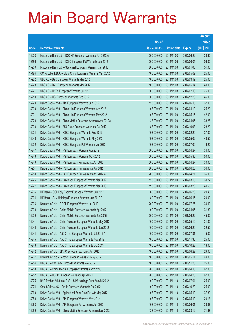|       |                                                              |               |                     |               | <b>Amount</b> |
|-------|--------------------------------------------------------------|---------------|---------------------|---------------|---------------|
|       |                                                              | No. of        |                     |               | raised        |
| Code  | <b>Derivative warrants</b>                                   | issue (units) | <b>Listing date</b> | <b>Expiry</b> | (HK\$ mil.)   |
| 15208 | Macquarie Bank Ltd. - BOCHK European Warrants Jun 2012 A     | 200,000,000   | 2011/11/08          | 2012/06/22    | 39.60         |
| 15196 | Macquarie Bank Ltd. - ICBC European Put Warrants Jun 2012    | 200,000,000   | 2011/11/08          | 2012/06/04    | 53.00         |
| 15209 | Macquarie Bank Ltd. - Stanchart European Warrants Jan 2013   | 200,000,000   | 2011/11/08          | 2013/01/03    | 51.00         |
| 15194 | CC Rabobank B.A. - MGM China European Warrants May 2012      | 100,000,000   | 2011/11/08          | 2012/05/09    | 25.00         |
| 15222 | UBS AG - BYD European Warrants Mar 2012                      | 100,000,000   | 2011/11/08          | 2012/03/12    | 25.00         |
| 15223 | UBS AG - BYD European Warrants May 2012                      | 100,000,000   | 2011/11/08          | 2012/05/14    | 40.00         |
| 15221 | UBS AG - HKEx European Warrants Jul 2012                     | 300,000,000   | 2011/11/08          | 2012/07/16    | 75.00         |
| 15210 | UBS AG - HSI European Warrants Dec 2012                      | 300,000,000   | 2011/11/08          | 2012/12/28    | 45.00         |
| 15229 | Daiwa Capital Mkt - AIA European Warrants Jun 2012           | 128,000,000   | 2011/11/09          | 2012/06/15    | 32.00         |
| 15230 | Daiwa Capital Mkt - China Life European Warrants Apr 2012    | 168,000,000   | 2011/11/09          | 2012/04/10    | 25.20         |
| 15231 | Daiwa Capital Mkt - China Life European Warrants May 2012    | 168,000,000   | 2011/11/09          | 2012/05/15    | 42.00         |
| 15228 | Daiwa Capital Mkt - China Mobile European Warrants Apr 2012A | 128,000,000   | 2011/11/09          | 2012/04/05    | 33.28         |
| 15233 | Daiwa Capital Mkt - A50 China European Warrants Oct 2012     | 188,000,000   | 2011/11/09          | 2012/10/08    | 28.20         |
| 15224 | Daiwa Capital Mkt - HSBC European Warrants Feb 2012          | 108,000,000   | 2011/11/09          | 2012/02/20    | 27.00         |
| 15246 | Daiwa Capital Mkt - HSBC European Warrants May 2013          | 198,000,000   | 2011/11/09          | 2013/05/02    | 49.50         |
| 15232 | Daiwa Capital Mkt - HSBC European Put Warrants Jul 2012      | 108,000,000   | 2011/11/09          | 2012/07/09    | 16.20         |
| 15247 | Daiwa Capital Mkt - HSI European Warrants Apr 2012           | 200,000,000   | 2011/11/09          | 2012/04/27    | 34.00         |
| 15248 | Daiwa Capital Mkt - HSI European Warrants May 2012           | 200,000,000   | 2011/11/09          | 2012/05/30    | 50.00         |
| 15249 | Daiwa Capital Mkt - HSI European Put Warrants Apr 2012       | 200,000,000   | 2011/11/09          | 2012/04/27    | 30.00         |
| 15251 | Daiwa Capital Mkt - HSI European Put Warrants Jun 2012       | 200,000,000   | 2011/11/09          | 2012/06/28    | 36.00         |
| 15250 | Daiwa Capital Mkt - HSI European Put Warrants Apr 2012 A     | 200,000,000   | 2011/11/09          | 2012/04/27    | 36.00         |
| 15226 | Daiwa Capital Mkt - Hutchison European Warrants Mar 2012     | 128,000,000   | 2011/11/09          | 2012/03/15    | 30.72         |
| 15227 | Daiwa Capital Mkt - Hutchison European Warrants Mar 2013     | 198,000,000   | 2011/11/09          | 2013/03/29    | 49.50         |
| 15235 | HK Bank - GCL-Poly Energy European Warrants Jun 2012         | 60,000,000    | 2011/11/09          | 2012/06/28    | 20.40         |
| 15234 | HK Bank - SJM Holdings European Warrants Jun 2012 A          | 80,000,000    | 2011/11/09          | 2012/06/15    | 20.00         |
| 15236 | Nomura Int'l plc - BOCL European Warrants Jul 2012           | 200,000,000   | 2011/11/09          | 2012/07/26    | 30.40         |
| 15238 | Nomura Int'l plc - China Mobile European Warrants Apr 2012   | 100,000,000   | 2011/11/09          | 2012/04/05    | 31.80         |
| 15239 | Nomura Int'l plc - China Mobile European Warrants Jun 2015   | 300,000,000   | 2011/11/09          | 2015/06/22    | 45.30         |
| 15241 | Nomura Int'l plc - China Telecom European Warrants May 2012  | 100,000,000   | 2011/11/09          | 2012/05/10    | 31.80         |
| 15240 | Nomura Int'l plc - China Telecom European Warrants Jun 2012  | 100,000,000   | 2011/11/09          | 2012/06/29    | 32.50         |
| 15244 | Nomura Int'l plc - A50 China European Warrants Jul 2012 A    | 100,000,000   | 2011/11/09          | 2012/07/31    | 15.00         |
| 15245 | Nomura Int'l plc - A50 China European Warrants Nov 2012      | 100,000,000   | 2011/11/09          | 2012/11/30    | 25.00         |
| 15243 | Nomura Int'l plc - A50 China European Warrants Oct 2013      | 100,000,000   | 2011/11/09          | 2013/10/28    | 18.00         |
| 15242 | Nomura Int'l plc - JIANC European Warrants Jun 2012          | 100,000,000   | 2011/11/09          | 2012/06/29    | 29.00         |
| 15237 | Nomura Int'l plc - Lenovo European Warrants May 2012         | 100,000,000   | 2011/11/09          | 2012/05/14    | 44.00         |
| 15254 | UBS AG - CM Bank European Warrants Nov 2012                  | 100,000,000   | 2011/11/09          | 2012/11/26    | 25.00         |
| 15253 | UBS AG - China Mobile European Warrants Apr 2012 C           | 200,000,000   | 2011/11/09          | 2012/04/16    | 62.00         |
| 15252 | UBS AG - HSBC European Warrants Apr 2012 B                   | 200,000,000   | 2011/11/09          | 2012/04/23    | 62.00         |
| 15275 | BNP Paribas Arbit Issu B.V. - SJM Holdings Euro Wts Jul 2012 | 100,000,000   | 2011/11/10          | 2012/07/04    | 25.00         |
| 15274 | Credit Suisse AG - Prada European Warrants Oct 2012          | 100,000,000   | 2011/11/10          | 2012/10/22    | 25.00         |
| 15269 | Daiwa Capital Mkt - Agricultural Bank Euro Put Wts May 2012  | 108,000,000   | 2011/11/10          | 2012/05/10    | 37.80         |
| 15258 | Daiwa Capital Mkt - AIA European Warrants May 2012           | 108,000,000   | 2011/11/10          | 2012/05/10    | 29.16         |
| 15268 | Daiwa Capital Mkt - AIA European Put Warrants Jun 2012       | 108,000,000   | 2011/11/10          | 2012/06/01    | 39.96         |
| 15259 | Daiwa Capital Mkt - China Mobile European Warrants Mar 2012  | 128,000,000   | 2011/11/10          | 2012/03/12    | 71.68         |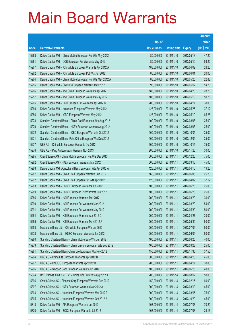|       |                                                               |               |                     |               | <b>Amount</b> |
|-------|---------------------------------------------------------------|---------------|---------------------|---------------|---------------|
|       |                                                               | No. of        |                     |               | raised        |
| Code  | <b>Derivative warrants</b>                                    | issue (units) | <b>Listing date</b> | <b>Expiry</b> | (HK\$ mil.)   |
| 15263 | Daiwa Capital Mkt - China Mobile European Put Wts May 2012    | 80,000,000    | 2011/11/10          | 2012/05/18    | 47.20         |
| 15261 | Daiwa Capital Mkt - CCB European Put Warrants May 2012        | 80,000,000    | 2011/11/10          | 2012/05/10    | 59.20         |
| 15267 | Daiwa Capital Mkt - China Life European Warrants Apr 2012 A   | 188,000,000   | 2011/11/10          | 2012/04/02    | 28.20         |
| 15262 | Daiwa Capital Mkt - China Life European Put Wts Jun 2012      | 80,000,000    | 2011/11/10          | 2012/06/01    | 20.00         |
| 15264 | Daiwa Capital Mkt - China Mobile European Put Wts May 2012 A  | 88,000,000    | 2011/11/10          | 2012/05/25    | 22.88         |
| 15255 | Daiwa Capital Mkt - CNOOC European Warrants May 2012          | 98,000,000    | 2011/11/10          | 2012/05/02    | 14.70         |
| 15266 | Daiwa Capital Mkt - A50 China European Warrants Apr 2012      | 188,000,000   | 2011/11/10          | 2012/04/20    | 28.20         |
| 15257 | Daiwa Capital Mkt - A50 China European Warrants May 2012      | 108,000,000   | 2011/11/10          | 2012/05/10    | 50.76         |
| 15265 | Daiwa Capital Mkt - HSI European Put Warrants Apr 2012 B      | 200,000,000   | 2011/11/10          | 2012/04/27    | 30.00         |
| 15260 | Daiwa Capital Mkt - Hutchison European Warrants May 2012      | 128,000,000   | 2011/11/10          | 2012/05/25    | 37.12         |
| 15256 | Daiwa Capital Mkt - ICBC European Warrants May 2012           | 128,000,000   | 2011/11/10          | 2012/05/10    | 65.28         |
| 15273 | Standard Chartered Bank - China Coal European Wts Aug 2012    | 100,000,000   | 2011/11/10          | 2012/08/08    | 25.00         |
| 15270 | Standard Chartered Bank - HKEx European Warrants Aug 2012     | 100,000,000   | 2011/11/10          | 2012/08/08    | 25.00         |
| 15272 | Standard Chartered Bank - ICBC European Warrants Oct 2012     | 100,000,000   | 2011/11/10          | 2012/10/05    | 25.00         |
| 15271 | Standard Chartered Bank - PetroChina European Wts Dec 2012    | 100,000,000   | 2011/11/10          | 2012/12/04    | 25.00         |
| 15277 | UBS AG - China Life European Warrants Oct 2012                | 300,000,000   | 2011/11/10          | 2012/10/15    | 75.00         |
| 15276 | UBS AG - Ping An European Warrants Nov 2013                   | 200,000,000   | 2011/11/10          | 2013/11/25    | 30.00         |
| 15295 | Credit Suisse AG - China Mobile European Put Wts Dec 2013     | 300,000,000   | 2011/11/11          | 2013/12/23    | 75.00         |
| 15282 | Credit Suisse AG - HKEx European Warrants Mar 2012            | 300,000,000   | 2011/11/11          | 2012/03/16    | 45.00         |
| 15288 | Daiwa Capital Mkt - Agricultural Bank European Wts Apr 2012 A | 128,000,000   | 2011/11/11          | 2012/04/16    | 19.20         |
| 15287 | Daiwa Capital Mkt - China Life European Warrants Jun 2012     | 168,000,000   | 2011/11/11          | 2012/06/05    | 25.20         |
| 15292 | Daiwa Capital Mkt - China Life European Put Wts Apr 2012      | 128,000,000   | 2011/11/11          | 2012/04/02    | 37.12         |
| 15283 | Daiwa Capital Mkt - HSCEI European Warrants Jun 2012          | 100,000,000   | 2011/11/11          | 2012/06/28    | 25.00         |
| 15289 | Daiwa Capital Mkt - HSCEI European Put Warrants Jun 2012      | 100,000,000   | 2011/11/11          | 2012/06/28    | 25.00         |
| 15286 | Daiwa Capital Mkt - HSI European Warrants Mar 2012            | 200,000,000   | 2011/11/11          | 2012/03/29    | 30.00         |
| 15290 | Daiwa Capital Mkt - HSI European Put Warrants Mar 2012        | 200,000,000   | 2011/11/11          | 2012/03/29    | 54.00         |
| 15291 | Daiwa Capital Mkt - HSI European Put Warrants May 2012        | 200,000,000   | 2011/11/11          | 2012/05/30    | 50.00         |
| 15284 | Daiwa Capital Mkt - HSI European Warrants Apr 2012 C          | 200,000,000   | 2011/11/11          | 2012/04/27    | 30.00         |
| 15285 | Daiwa Capital Mkt - HSI European Warrants May 2012 A          | 200,000,000   | 2011/11/11          | 2012/05/30    | 50.00         |
| 15293 | Macquarie Bank Ltd. - China Life European Wts Jul 2012        | 200,000,000   | 2011/11/11          | 2012/07/04    | 50.00         |
| 15278 | Macquarie Bank Ltd. - HSBC European Warrants Jun 2012         | 200,000,000   | 2011/11/11          | 2012/06/04    | 50.00         |
| 15280 | Standard Chartered Bank - China Mobile Euro Wts Jun 2012      | 100,000,000   | 2011/11/11          | 2012/06/25    | 40.00         |
| 15279 | Standard Chartered Bank - China Unicom European Wts Sep 2012  | 100,000,000   | 2011/11/11          | 2012/09/28    | 25.00         |
| 15281 | Standard Chartered Bank-China Life European Wts Nov 2012      | 150,000,000   | 2011/11/11          | 2012/11/30    | 37.50         |
| 15294 | UBS AG - China Life European Warrants Apr 2012 B              | 300,000,000   | 2011/11/11          | 2012/04/23    | 45.00         |
| 15297 | UBS AG - CNOOC European Warrants Apr 2012 B                   | 200,000,000   | 2011/11/11          | 2012/04/27    | 30.00         |
| 15296 | UBS AG - Sinopec Corp European Warrants Jun 2012              | 100,000,000   | 2011/11/11          | 2012/06/25    | 40.00         |
| 15324 | BNP Paribas Arbit Issu B.V. - China Life Euro Wts Aug 2012 A  | 200,000,000   | 2011/11/14          | 2012/08/02    | 50.00         |
| 15306 | Credit Suisse AG - Sinopec Corp European Warrants Feb 2012    | 150,000,000   | 2011/11/14          | 2012/02/15    | 60.00         |
| 15307 | Credit Suisse AG - HKEx European Warrants Mar 2012 A          | 300,000,000   | 2011/11/14          | 2012/03/19    | 45.00         |
| 15304 | Credit Suisse AG - Hutchison European Warrants Mar 2012 E     | 300,000,000   | 2011/11/14          | 2012/03/05    | 75.00         |
| 15305 | Credit Suisse AG - Hutchison European Warrants Oct 2012 A     | 300,000,000   | 2011/11/14          | 2012/10/29    | 45.00         |
| 15318 | Daiwa Capital Mkt - AIA European Warrants Jul 2012            | 108,000,000   | 2011/11/14          | 2012/07/03    | 70.20         |
| 15320 | Daiwa Capital Mkt - BOCL European Warrants Jul 2012           | 108,000,000   | 2011/11/14          | 2012/07/03    | 29.16         |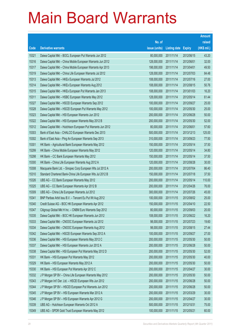|       |                                                              |               |                     |               | <b>Amount</b> |
|-------|--------------------------------------------------------------|---------------|---------------------|---------------|---------------|
|       |                                                              | No. of        |                     |               | raised        |
| Code  | <b>Derivative warrants</b>                                   | issue (units) | <b>Listing date</b> | <b>Expiry</b> | $(HK$$ mil.)  |
| 15321 | Daiwa Capital Mkt - BOCL European Put Warrants Jun 2012      | 80,000,000    | 2011/11/14          | 2012/06/15    | 43.20         |
| 15316 | Daiwa Capital Mkt - China Mobile European Warrants Jun 2012  | 128,000,000   | 2011/11/14          | 2012/06/01    | 32.00         |
| 15317 | Daiwa Capital Mkt - China Mobile European Warrants Apr 2013  | 198,000,000   | 2011/11/14          | 2013/04/01    | 49.50         |
| 15319 | Daiwa Capital Mkt - China Life European Warrants Jul 2012    | 128,000,000   | 2011/11/14          | 2012/07/03    | 84.48         |
| 15313 | Daiwa Capital Mkt - HKEx European Warrants Jul 2012          | 108,000,000   | 2011/11/14          | 2012/07/16    | 27.00         |
| 15314 | Daiwa Capital Mkt - HKEx European Warrants Aug 2012          | 108,000,000   | 2011/11/14          | 2012/08/15    | 50.76         |
| 15315 | Daiwa Capital Mkt - HKEx European Put Warrants Jan 2013      | 108,000,000   | 2011/11/14          | 2013/01/03    | 16.20         |
| 15311 | Daiwa Capital Mkt - HSBC European Warrants May 2012          | 128,000,000   | 2011/11/14          | 2012/05/14    | 61.44         |
| 15327 | Daiwa Capital Mkt - HSCEI European Warrants Sep 2012         | 100,000,000   | 2011/11/14          | 2012/09/27    | 25.00         |
| 15328 | Daiwa Capital Mkt - HSCEI European Put Warrants May 2012     | 100,000,000   | 2011/11/14          | 2012/05/30    | 25.00         |
| 15323 | Daiwa Capital Mkt - HSI European Warrants Jun 2012           | 200,000,000   | 2011/11/14          | 2012/06/28    | 50.00         |
| 15322 | Daiwa Capital Mkt - HSI European Warrants May 2012 B         | 200,000,000   | 2011/11/14          | 2012/05/30    | 52.00         |
| 15312 | Daiwa Capital Mkt - Hutchison European Put Warrants Jun 2012 | 80,000,000    | 2011/11/14          | 2012/06/01    | 57.60         |
| 15303 | Bank of East Asia - CHALCO European Warrants Dec 2013        | 500,000,000   | 2011/11/14          | 2013/12/13    | 125.00        |
| 15302 | Bank of East Asia - Ping An European Warrants Sep 2013       | 310,000,000   | 2011/11/14          | 2013/09/23    | 77.50         |
| 15301 | HK Bank - Agricultural Bank European Warrants May 2012       | 150,000,000   | 2011/11/14          | 2012/05/14    | 37.50         |
| 15299 | HK Bank - China Mobile European Warrants May 2012            | 120,000,000   | 2011/11/14          | 2012/05/14    | 34.80         |
| 15298 | HK Bank - CC Bank European Warrants May 2012                 | 150,000,000   | 2011/11/14          | 2012/05/14    | 37.50         |
| 15300 | HK Bank - China Life European Warrants Aug 2012 A            | 120,000,000   | 2011/11/14          | 2012/08/28    | 30.00         |
| 15308 | Macquarie Bank Ltd. - Sinopec Corp European Wts Jul 2012 A   | 200,000,000   | 2011/11/14          | 2012/07/04    | 86.40         |
| 15310 | Standard Chartered Bank-China Life European Wts Jul 2012 B   | 150,000,000   | 2011/11/14          | 2012/07/18    | 37.50         |
| 15326 | UBS AG - CC Bank European Warrants May 2012                  | 200,000,000   | 2011/11/14          | 2012/05/14    | 110.00        |
| 15325 | UBS AG - CC Bank European Warrants Apr 2012 B                | 200,000,000   | 2011/11/14          | 2012/04/26    | 76.00         |
| 15309 | UBS AG - China Life European Warrants Jul 2012               | 300,000,000   | 2011/11/14          | 2012/07/26    | 45.00         |
| 15341 | BNP Paribas Arbit Issu B.V. - Tencent Eu Put Wt Aug 2012     | 100,000,000   | 2011/11/15          | 2012/08/02    | 25.00         |
| 15340 | Credit Suisse AG - BOC HK European Warrants Apr 2012         | 150,000,000   | 2011/11/15          | 2012/04/10    | 22.50         |
| 15347 | Citigroup Global Mkt H Inc. - CNBM Euro Warrants Sep 2012    | 80,000,000    | 2011/11/15          | 2012/09/03    | 20.00         |
| 15335 | Daiwa Capital Mkt - BOC HK European Warrants Jun 2012        | 108,000,000   | 2011/11/15          | 2012/06/22    | 16.20         |
| 15333 | Daiwa Capital Mkt - CNOOC European Warrants Jul 2012         | 98,000,000    | 2011/11/15          | 2012/07/23    | 19.60         |
| 15334 | Daiwa Capital Mkt - CNOOC European Warrants Aug 2012         | 98,000,000    | 2011/11/15          | 2012/08/15    | 27.44         |
| 15342 | Daiwa Capital Mkt - HSCEI European Warrants Sep 2012 A       | 100,000,000   | 2011/11/15          | 2012/09/27    | 27.00         |
| 15336 | Daiwa Capital Mkt - HSI European Warrants May 2012 C         | 200,000,000   | 2011/11/15          | 2012/05/30    | 50.00         |
| 15337 | Daiwa Capital Mkt - HSI European Warrants Jun 2012 A         | 200,000,000   | 2011/11/15          | 2012/06/28    | 50.00         |
| 15338 | Daiwa Capital Mkt - HSI European Put Warrants May 2012 D     | 200,000,000   | 2011/11/15          | 2012/05/30    | 52.00         |
| 15331 | HK Bank - HSI European Put Warrants May 2012                 | 200,000,000   | 2011/11/15          | 2012/05/30    | 40.00         |
| 15329 | HK Bank - HSI European Warrants May 2012 A                   | 200,000,000   | 2011/11/15          | 2012/05/30    | 50.00         |
| 15330 | HK Bank - HSI European Put Warrants Apr 2012 C               | 200,000,000   | 2011/11/15          | 2012/04/27    | 30.00         |
| 15332 | J P Morgan SP BV - China Life European Warrants May 2012     | 200,000,000   | 2011/11/15          | 2012/05/30    | 50.00         |
| 15343 | J P Morgan Int'l Der. Ltd. - HSCEI European Wts Jun 2012     | 200,000,000   | 2011/11/15          | 2012/06/28    | 50.00         |
| 15344 | J P Morgan SP BV - HSCEI European Put Warrants Jun 2012      | 200,000,000   | 2011/11/15          | 2012/06/28    | 50.00         |
| 15345 | J P Morgan SP BV - HSI European Warrants Mar 2012 A          | 200,000,000   | 2011/11/15          | 2012/03/29    | 30.00         |
| 15346 | J P Morgan SP BV - HSI European Warrants Apr 2012 G          | 200,000,000   | 2011/11/15          | 2012/04/27    | 30.00         |
| 15339 | UBS AG - Hutchison European Warrants Oct 2012 A              | 500,000,000   | 2011/11/15          | 2012/10/31    | 75.00         |
| 15349 | UBS AG - SPDR Gold Trust European Warrants May 2012          | 100,000,000   | 2011/11/15          | 2012/05/21    | 60.00         |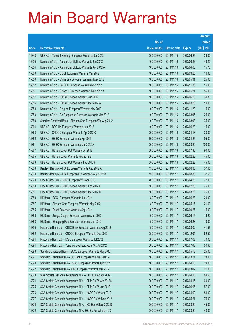|       |                                                               |               |                     |               | <b>Amount</b> |
|-------|---------------------------------------------------------------|---------------|---------------------|---------------|---------------|
|       |                                                               | No. of        |                     |               | raised        |
| Code  | <b>Derivative warrants</b>                                    | issue (units) | <b>Listing date</b> | <b>Expiry</b> | (HK\$ mil.)   |
| 15348 | UBS AG - Tencent Holdings European Warrants Jun 2012          | 200,000,000   | 2011/11/15          | 2012/06/25    | 36.00         |
| 15355 | Nomura Int'l plc - Agricultural Bk Euro Warrants Jun 2012     | 100,000,000   | 2011/11/16          | 2012/06/29    | 49.20         |
| 15354 | Nomura Int'l plc - Agricultural Bk Euro Warrants Apr 2012 A   | 100,000,000   | 2011/11/16          | 2012/04/05    | 15.70         |
| 15360 | Nomura Int'l plc - BOCL European Warrants Mar 2012            | 100,000,000   | 2011/11/16          | 2012/03/26    | 16.30         |
| 15359 | Nomura Int'l plc - China Life European Warrants May 2012      | 100,000,000   | 2011/11/16          | 2012/05/31    | 25.00         |
| 15352 | Nomura Int'l plc - CNOOC European Warrants Nov 2012           | 100,000,000   | 2011/11/16          | 2012/11/30    | 16.00         |
| 15351 | Nomura Int'l plc - Sinopec European Warrants May 2012 A       | 100,000,000   | 2011/11/16          | 2012/05/21    | 56.00         |
| 15357 | Nomura Int'l plc - ICBC European Warrants Jun 2012            | 100,000,000   | 2011/11/16          | 2012/06/29    | 39.30         |
| 15356 | Nomura Int'l plc - ICBC European Warrants Mar 2012 A          | 100,000,000   | 2011/11/16          | 2012/03/26    | 19.00         |
| 15358 | Nomura Int'l plc - Ping An European Warrants Nov 2013         | 100,000,000   | 2011/11/16          | 2013/11/29    | 15.00         |
| 15353 | Nomura Int'l plc - Ch Rongsheng European Warrants Mar 2012    | 100,000,000   | 2011/11/16          | 2012/03/05    | 25.00         |
| 15350 | Standard Chartered Bank - Sinopec Corp European Wts Aug 2012  | 100,000,000   | 2011/11/16          | 2012/08/08    | 35.00         |
| 15364 | UBS AG - BOC HK European Warrants Jun 2012                    | 100,000,000   | 2011/11/16          | 2012/06/22    | 15.00         |
| 15363 | UBS AG - CNOOC European Warrants Apr 2012 C                   | 200,000,000   | 2011/11/16          | 2012/04/13    | 30.00         |
| 15362 | UBS AG - HSBC European Warrants Apr 2013                      | 500,000,000   | 2011/11/16          | 2013/04/25    | 95.00         |
| 15361 | UBS AG - HSBC European Warrants Mar 2012 A                    | 200,000,000   | 2011/11/16          | 2012/03/29    | 100.00        |
| 15367 | UBS AG - HSI European Put Warrants Jul 2012                   | 300,000,000   | 2011/11/16          | 2012/07/30    | 90.00         |
| 15365 | UBS AG - HSI European Warrants Feb 2012 E                     | 300,000,000   | 2011/11/16          | 2012/02/28    | 45.00         |
| 15366 | UBS AG - HSI European Put Warrants Feb 2012 F                 | 300,000,000   | 2011/11/16          | 2012/02/28    | 45.00         |
| 15368 | Barclays Bank plc - HSI European Warrants Aug 2012 A          | 150,000,000   | 2011/11/17          | 2012/08/30    | 37.65         |
| 15369 | Barclays Bank plc - HSI European Put Warrants Aug 2012 B      | 150,000,000   | 2011/11/17          | 2012/08/30    | 37.65         |
| 15379 | Credit Suisse AG - HSBC European Wts Apr 2013                 | 400,000,000   | 2011/11/17          | 2013/04/25    | 72.00         |
| 15380 | Credit Suisse AG - HSI European Warrants Feb 2012 O           | 500,000,000   | 2011/11/17          | 2012/02/28    | 75.00         |
| 15381 | Credit Suisse AG - HSI European Warrants Mar 2012 D           | 500,000,000   | 2011/11/17          | 2012/03/29    | 75.00         |
| 15389 | HK Bank - BOCL European Warrants Jun 2012                     | 80,000,000    | 2011/11/17          | 2012/06/28    | 20.00         |
| 15387 | HK Bank - Sinopec Corp European Warrants May 2012             | 80,000,000    | 2011/11/17          | 2012/05/17    | 21.60         |
| 15385 | HK Bank - Esprit European Warrants Sep 2012                   | 60,000,000    | 2011/11/17          | 2012/09/27    | 15.00         |
| 15386 | HK Bank - Jiangxi Copper European Warrants Jun 2012           | 60,000,000    | 2011/11/17          | 2012/06/15    | 16.20         |
| 15388 | HK Bank - Shougang Res European Warrants Jun 2012             | 50,000,000    | 2011/11/17          | 2012/06/28    | 13.00         |
| 15395 | Macquarie Bank Ltd. - CITIC Bank European Warrants Aug 2012   | 150,000,000   | 2011/11/17          | 2012/08/02    | 41.55         |
| 15382 | Macquarie Bank Ltd. - CNOOC European Warrants Dec 2012        | 250,000,000   | 2011/11/17          | 2012/12/04    | 62.50         |
| 15384 | Macquarie Bank Ltd. - ICBC European Warrants Jul 2012         | 200,000,000   | 2011/11/17          | 2012/07/03    | 70.00         |
| 15394 | Macquarie Bank Ltd. - Yanzhou Coal European Wts Jul 2012      | 200,000,000   | 2011/11/17          | 2012/07/03    | 50.60         |
| 15393 | Standard Chartered Bank - BOCL European Warrants May 2012     | 100,000,000   | 2011/11/17          | 2012/05/18    | 25.00         |
| 15391 | Standard Chartered Bank - CC Bank European Wts Mar 2012 A     | 100,000,000   | 2011/11/17          | 2012/03/21    | 23.00         |
| 15390 | Standard Chartered Bank - HSBC European Warrants Apr 2012     | 100,000,000   | 2011/11/17          | 2012/04/10    | 24.00         |
| 15392 | Standard Chartered Bank - ICBC European Warrants Mar 2012     | 100,000,000   | 2011/11/17          | 2012/03/02    | 21.00         |
| 15373 | SGA Societe Generale Acceptance N.V. - CCB Eur Wt Apr 2012    | 180,000,000   | 2011/11/17          | 2012/04/16    | 84.60         |
| 15374 | SGA Societe Generale Acceptance N.V. - CLife Eu Wt Apr 2012A  | 300,000,000   | 2011/11/17          | 2012/04/16    | 69.00         |
| 15375 | SGA Societe Generale Acceptance N.V. - CLife Eu Wt Jun 2012   | 300,000,000   | 2011/11/17          | 2012/06/06    | 57.00         |
| 15376 | SGA Societe Generale Acceptance N.V. - HSBC Eu Wt Apr 2012    | 300,000,000   | 2011/11/17          | 2012/04/02    | 84.00         |
| 15377 | SGA Societe Generale Acceptance N.V. - HSBC Eu Wt May 2012    | 300,000,000   | 2011/11/17          | 2012/05/21    | 75.00         |
| 15370 | SGA Societe Generale Acceptance N.V. - HSI Eur Wt Mar 2012 B  | 300,000,000   | 2011/11/17          | 2012/03/29    | 45.00         |
| 15372 | SGA Societe Generale Acceptance N.V. - HSI Eu Put Wt Mar 12 C | 300,000,000   | 2011/11/17          | 2012/03/29    | 48.00         |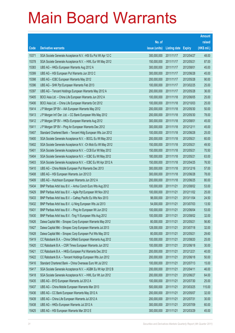|       |                                                               |               |                     |               | <b>Amount</b> |
|-------|---------------------------------------------------------------|---------------|---------------------|---------------|---------------|
|       |                                                               | No. of        |                     |               | raised        |
| Code  | <b>Derivative warrants</b>                                    | issue (units) | <b>Listing date</b> | <b>Expiry</b> | (HK\$ mil.)   |
| 15371 | SGA Societe Generale Acceptance N.V. - HSI Eu Put Wt Apr 12 C | 300,000,000   | 2011/11/17          | 2012/04/27    | 48.00         |
| 15378 | SGA Societe Generale Acceptance N.V. - HWL Eur Wt May 2012    | 150,000,000   | 2011/11/17          | 2012/05/21    | 87.00         |
| 15383 | UBS AG - HKEx European Warrants Aug 2012 A                    | 300,000,000   | 2011/11/17          | 2012/08/01    | 45.00         |
| 15399 | UBS AG - HSI European Put Warrants Jun 2012 C                 | 300,000,000   | 2011/11/17          | 2012/06/28    | 45.00         |
| 15398 | UBS AG - ICBC European Warrants May 2012                      | 200,000,000   | 2011/11/17          | 2012/05/28    | 90.00         |
| 15396 | UBS AG - SHK Ppt European Warrants Feb 2013                   | 100,000,000   | 2011/11/17          | 2013/02/25    | 25.00         |
| 15397 | UBS AG - Tencent Holdings European Warrants May 2012 A        | 200,000,000   | 2011/11/17          | 2012/05/28    | 36.00         |
| 15405 | BOCI Asia Ltd. - China Life European Warrants Jun 2012 A      | 100,000,000   | 2011/11/18          | 2012/06/05    | 25.00         |
| 15406 | BOCI Asia Ltd. - China Life European Warrants Oct 2012        | 100,000,000   | 2011/11/18          | 2012/10/03    | 25.00         |
| 15414 | J P Morgan SP BV - AIA European Warrants May 2012             | 200,000,000   | 2011/11/18          | 2012/05/30    | 50.00         |
| 15413 | J P Morgan Int'l Der. Ltd. - CC Bank European Wts May 2012    | 200,000,000   | 2011/11/18          | 2012/05/30    | 78.00         |
| 15412 | J P Morgan SP BV - HKEx European Warrants Aug 2012            | 300,000,000   | 2011/11/18          | 2012/08/01    | 45.00         |
| 15411 | J P Morgan SP BV - Ping An European Warrants Dec 2012         | 300,000,000   | 2011/11/18          | 2012/12/11    | 45.00         |
| 15407 | Standard Chartered Bank - Tencent HIdg European Wts Jun 2012  | 100,000,000   | 2011/11/18          | 2012/06/28    | 25.00         |
| 15400 | SGA Societe Generale Acceptance N.V. - BOCL Eu Wt May 2012    | 200,000,000   | 2011/11/18          | 2012/05/21    | 60.00         |
| 15402 | SGA Societe Generale Acceptance N.V. - Ch Mob Eu Wt May 2012  | 150,000,000   | 2011/11/18          | 2012/05/21    | 49.50         |
| 15401 | SGA Societe Generale Acceptance N.V. - CCB Eur Wt May 2012    | 150,000,000   | 2011/11/18          | 2012/05/21    | 70.50         |
| 15404 | SGA Societe Generale Acceptance N.V. - ICBC Eu Wt May 2012    | 180,000,000   | 2011/11/18          | 2012/05/21    | 63.00         |
| 15403 | SGA Societe Generale Acceptance N.V. - ICBC Eu Wt Apr 2012 A  | 150,000,000   | 2011/11/18          | 2012/04/25    | 76.50         |
| 15410 | UBS AG - China Mobile European Put Warrants Dec 2013          | 300,000,000   | 2011/11/18          | 2013/12/16    | 57.00         |
| 15408 | UBS AG - HSI European Warrants Jun 2012 D                     | 300,000,000   | 2011/11/18          | 2012/06/28    | 78.00         |
| 15409 | UBS AG - Hutchison European Warrants Jun 2012 A               | 200,000,000   | 2011/11/18          | 2012/06/25    | 80.00         |
| 15434 | BNP Paribas Arbit Issu B.V. - Anhui Conch Euro Wts Aug 2012   | 100,000,000   | 2011/11/21          | 2012/08/02    | 53.00         |
| 15429 | BNP Paribas Arbit Issu B.V. - Agile Ppt European Wt Nov 2012  | 100,000,000   | 2011/11/21          | 2012/11/02    | 25.00         |
| 15433 | BNP Paribas Arbit Issu B.V. - Cathay Pacific Eu Wts Nov 2013  | 98,000,000    | 2011/11/21          | 2013/11/04    | 24.50         |
| 15432 | BNP Paribas Arbit Issu B.V. - Li Ning European Wts Jul 2013   | 54,000,000    | 2011/11/21          | 2013/07/03    | 13.50         |
| 15431 | BNP Paribas Arbit Issu B.V. - Ping An European Wt Jun 2012    | 100,000,000   | 2011/11/21          | 2012/06/04    | 53.00         |
| 15430 | BNP Paribas Arbit Issu B.V. - Ting Yi European Wts Aug 2012   | 100,000,000   | 2011/11/21          | 2012/08/02    | 32.00         |
| 15426 | Daiwa Capital Mkt - Sinopec Corp European Warrants May 2012   | 80,000,000    | 2011/11/21          | 2012/05/21    | 56.80         |
| 15427 | Daiwa Capital Mkt - Sinopec Corp European Warrants Jul 2013   | 128,000,000   | 2011/11/21          | 2013/07/18    | 32.00         |
| 15428 | Daiwa Capital Mkt - Sinopec Corp European Put Wts May 2012    | 80,000,000    | 2011/11/21          | 2012/05/21    | 29.60         |
| 15419 | CC Rabobank B.A. - China Oilfield European Warrants Aug 2012  | 100,000,000   | 2011/11/21          | 2012/08/20    | 25.00         |
| 15420 | CC Rabobank B.A. - CSR Times European Warrants Jun 2012       | 100,000,000   | 2011/11/21          | 2012/06/18    | 30.00         |
| 15421 | CC Rabobank B.A. - HKEx European Put Warrants Dec 2012        | 200,000,000   | 2011/11/21          | 2012/12/21    | 40.00         |
| 15422 | CC Rabobank B.A. - Tencent Holdings European Wts Jun 2012     | 200,000,000   | 2011/11/21          | 2012/06/18    | 50.00         |
| 15416 | Standard Chartered Bank - China Overseas Euro Wt Jul 2012     | 100,000,000   | 2011/11/21          | 2012/07/13    | 15.00         |
| 15417 | SGA Societe Generale Acceptance N.V. - AGBK Eu Wt Apr 2012 B  | 200,000,000   | 2011/11/21          | 2012/04/11    | 46.00         |
| 15418 | SGA Societe Generale Acceptance N.V. - HWL Eur Wt Jun 2012    | 200,000,000   | 2011/11/21          | 2012/06/27    | 64.00         |
| 15435 | UBS AG - BYD European Warrants Jul 2012 A                     | 100,000,000   | 2011/11/21          | 2012/07/30    | 25.00         |
| 15437 | UBS AG - China Mobile European Warrants Mar 2013              | 500,000,000   | 2011/11/21          | 2013/03/25    | 115.00        |
| 15436 | UBS AG - CC Bank European Warrants May 2012 A                 | 200,000,000   | 2011/11/21          | 2012/05/07    | 32.00         |
| 15439 | UBS AG - China Life European Warrants Jul 2012 A              | 200,000,000   | 2011/11/21          | 2012/07/31    | 30.00         |
| 15438 | UBS AG - HKEx European Warrants Jul 2012 A                    | 300,000,000   | 2011/11/21          | 2012/07/09    | 60.00         |
| 15425 | UBS AG - HSI European Warrants Mar 2012 E                     | 300,000,000   | 2011/11/21          | 2012/03/29    | 45.00         |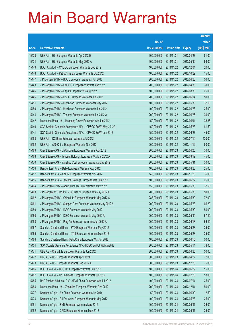|                |                                                                                                                    |                            |                          |                          | <b>Amount</b>  |
|----------------|--------------------------------------------------------------------------------------------------------------------|----------------------------|--------------------------|--------------------------|----------------|
|                |                                                                                                                    | No. of                     |                          |                          | raised         |
| Code           | <b>Derivative warrants</b>                                                                                         | issue (units)              | <b>Listing date</b>      | <b>Expiry</b>            | (HK\$ mil.)    |
| 15423          | UBS AG - HSI European Warrants Apr 2012 E                                                                          | 300,000,000                | 2011/11/21               | 2012/04/27               | 81.00          |
| 15424          | UBS AG - HSI European Warrants May 2012 A                                                                          | 300,000,000                | 2011/11/21               | 2012/05/30               | 66.00          |
| 15449          | BOCI Asia Ltd. - CNOOC European Warrants Dec 2012                                                                  | 100,000,000                | 2011/11/22               | 2012/12/04               | 20.00          |
| 15448          | BOCI Asia Ltd. - PetroChina European Warrants Oct 2012                                                             | 100,000,000                | 2011/11/22               | 2012/10/29               | 15.00          |
| 15447          | J P Morgan SP BV - BOCL European Warrants Jun 2012                                                                 | 200,000,000                | 2011/11/22               | 2012/06/28               | 50.00          |
| 15443          | J P Morgan SP BV - CNOOC European Warrants Apr 2012                                                                | 200,000,000                | 2011/11/22               | 2012/04/30               | 30.00          |
| 15446          | J P Morgan SP BV - Esprit European Wts Aug 2012                                                                    | 100,000,000                | 2011/11/22               | 2012/08/30               | 25.00          |
| 15445          | J P Morgan SP BV - HSBC European Warrants Jun 2012                                                                 | 200,000,000                | 2011/11/22               | 2012/06/04               | 50.00          |
| 15451          | J P Morgan SP BV - Hutchison European Warrants May 2012                                                            | 100,000,000                | 2011/11/22               | 2012/05/30               | 37.10          |
| 15450          | J P Morgan SP BV - Hutchison European Warrants Jun 2012                                                            | 100,000,000                | 2011/11/22               | 2012/06/28               | 25.00          |
| 15444          | J P Morgan SP BV - Tencent European Warrants Jun 2012 A                                                            | 200,000,000                | 2011/11/22               | 2012/06/25               | 30.00          |
| 15442          | Macquarie Bank Ltd. - Huaneng Power European Wts Jun 2012                                                          | 150,000,000                | 2011/11/22               | 2012/06/04               | 38.85          |
| 15440          | SGA Societe Generale Acceptance N.V. - CP&CC Eu Wt May 2012A                                                       | 150,000,000                | 2011/11/22               | 2012/05/23               | 61.50          |
| 15441          | SGA Societe Generale Acceptance N.V. - CP&CC Eu Wt Jun 2012                                                        | 150,000,000                | 2011/11/22               | 2012/06/27               | 45.00          |
| 15453          | UBS AG - CC Bank European Warrants Jul 2012                                                                        | 200,000,000                | 2011/11/22               | 2012/07/10               | 120.00         |
| 15452          | UBS AG - A50 China European Warrants Nov 2012                                                                      | 200,000,000                | 2011/11/22               | 2012/11/12               | 50.00          |
| 15469          | Credit Suisse AG - ChiUnicom European Warrants Apr 2012                                                            | 200,000,000                | 2011/11/23               | 2012/04/25               | 30.00          |
| 15468          | Credit Suisse AG - Tencent Holdings European Wts Mar 2012 A                                                        | 300,000,000                | 2011/11/23               | 2012/03/19               | 45.00          |
| 15470          | Credit Suisse AG - Yanzhou Coal European Warrants May 2012                                                         | 200,000,000                | 2011/11/23               | 2012/05/31               | 30.00          |
| 15456          | Bank of East Asia - Belle European Warrants Aug 2012                                                               | 100,000,000                | 2011/11/23               | 2012/08/23               | 25.00          |
| 15457          | Bank of East Asia - CNBM European Warrants Nov 2012                                                                | 140,000,000                | 2011/11/23               | 2012/11/23               | 35.00          |
| 15455          | Bank of East Asia - Tencent Holdings European Wts Jun 2012                                                         | 100,000,000                | 2011/11/23               | 2012/06/22               | 25.00          |
| 15464          | J P Morgan SP BV - Agricultural Bk Euro Warrants May 2012                                                          | 150,000,000                | 2011/11/23               | 2012/05/30               | 37.50          |
| 15463          | J P Morgan Int'l Der. Ltd. - CC Bank European Wts May 2012 A                                                       | 200,000,000                | 2011/11/23               | 2012/05/30               | 50.00          |
| 15462          | J P Morgan SP BV - China Life European Warrants May 2012 A                                                         | 288,000,000                | 2011/11/23               | 2012/05/30               | 72.00          |
| 15461          | J P Morgan SP BV - Sinopec Corp European Warrants May 2012 A<br>J P Morgan SP BV - ICBC European Warrants May 2012 | 200,000,000                | 2011/11/23               | 2012/05/23               | 66.20          |
| 15459          | J P Morgan SP BV - ICBC European Warrants May 2012 A                                                               | 200,000,000                | 2011/11/23               | 2012/05/30               | 50.00<br>67.40 |
| 15460<br>15458 | J P Morgan SP BV - Ping An European Warrants Jun 2012 A                                                            | 200,000,000<br>200,000,000 | 2011/11/23<br>2011/11/23 | 2012/05/30<br>2012/06/18 | 66.40          |
| 15467          | Standard Chartered Bank - BYD European Warrants May 2012                                                           | 100,000,000                | 2011/11/23               | 2012/05/28               | 25.00          |
| 15465          | Standard Chartered Bank - CTel European Warrants May 2012                                                          | 100,000,000                | 2011/11/23               | 2012/05/28               | 25.00          |
| 15466          | Standard Chartered Bank - PetroChina European Wts Jun 2012                                                         | 100,000,000                | 2011/11/23               | 2012/06/15               | 50.00          |
| 15454          | SGA Societe Generale Acceptance N.V. - HSBC Eu Put Wt May2012                                                      | 200,000,000                | 2011/11/23               | 2012/05/14               | 78.00          |
| 15471          | UBS AG - China Life European Warrants Jun 2012                                                                     | 200,000,000                | 2011/11/23               | 2012/06/25               | 50.00          |
| 15472          | UBS AG - HSI European Warrants Apr 2012 F                                                                          | 300,000,000                | 2011/11/23               | 2012/04/27               | 72.00          |
| 15473          | UBS AG - HSI European Warrants Dec 2012 A                                                                          | 300,000,000                | 2011/11/23               | 2012/12/28               | 75.00          |
| 15486          | BOCI Asia Ltd. - BOC HK European Warrants Jun 2012                                                                 | 100,000,000                | 2011/11/24               | 2012/06/29               | 15.00          |
| 15487          | BOCI Asia Ltd. - Ch Overseas European Warrants Jul 2012                                                            | 100,000,000                | 2011/11/24               | 2012/07/20               | 18.00          |
| 15485          | BNP Paribas Arbit Issu B.V. - MGM China European Wts Jul 2012                                                      | 100,000,000                | 2011/11/24               | 2012/07/04               | 25.00          |
| 15484          | Macquarie Bank Ltd. - Zoomlion European Warrants Dec 2012                                                          | 200,000,000                | 2011/11/24               | 2012/12/04               | 50.00          |
| 15477          | Nomura Int'l plc - Air China European Warrants Jun 2014                                                            | 50,000,000                 | 2011/11/24               | 2014/06/30               | 12.50          |
| 15474          | Nomura Int'l plc - BJ Ent Water European Warrants May 2012                                                         | 100,000,000                | 2011/11/24               | 2012/05/28               | 25.00          |
| 15481          | Nomura Int'l plc - BYD European Warrants May 2012                                                                  | 100,000,000                | 2011/11/24               | 2012/05/31               | 26.00          |
| 15482          | Nomura Int'l plc - CPIC European Warrants May 2012                                                                 | 100,000,000                | 2011/11/24               | 2012/05/31               | 25.00          |
|                |                                                                                                                    |                            |                          |                          |                |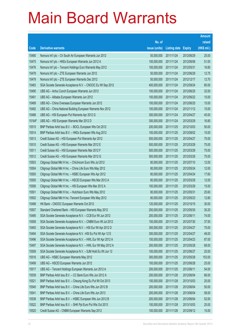|        |                                                               |               |              |               | <b>Amount</b> |
|--------|---------------------------------------------------------------|---------------|--------------|---------------|---------------|
|        |                                                               | No. of        |              |               | raised        |
| Code   | <b>Derivative warrants</b>                                    | issue (units) | Listing date | <b>Expiry</b> | (HK\$ mil.)   |
| 15480  | Nomura Int'l plc - Ch South Air European Warrants Jun 2012    | 50,000,000    | 2011/11/24   | 2012/06/29    | 25.00         |
| 15475  | Nomura Int'l plc - HKEx European Warrants Jun 2012 A          | 100,000,000   | 2011/11/24   | 2012/06/06    | 51.00         |
| 15476  | Nomura Int'l plc - Tencent Holdings Euro Warrants May 2012    | 100,000,000   | 2011/11/24   | 2012/05/31    | 16.80         |
| 15478  | Nomura Int'l plc - ZTE European Warrants Jun 2012             | 50,000,000    | 2011/11/24   | 2012/06/29    | 12.75         |
| 15479  | Nomura Int'l plc - ZTE European Warrants Dec 2012             | 50,000,000    | 2011/11/24   | 2012/12/17    | 12.70         |
| 15483  | SGA Societe Generale Acceptance N.V. - CNOOC Eu Wt Sep 2012   | 400,000,000   | 2011/11/24   | 2012/09/24    | 80.00         |
| 15490  | UBS AG - Anhui Conch European Warrants Jun 2012               | 100,000,000   | 2011/11/24   | 2012/06/25    | 32.00         |
| 15491  | UBS AG - Alibaba European Warrants Jun 2012                   | 100,000,000   | 2011/11/24   | 2012/06/22    | 15.00         |
| 15489  | UBS AG - China Overseas European Warrants Jun 2012            | 100,000,000   | 2011/11/24   | 2012/06/25    | 15.00         |
| 15492  | UBS AG - China National Building European Warrants Nov 2012   | 100,000,000   | 2011/11/24   | 2012/11/12    | 15.00         |
| 15488  | UBS AG - HSI European Put Warrants Apr 2012 G                 | 300,000,000   | 2011/11/24   | 2012/04/27    | 45.00         |
| 15164# | UBS AG - HSI European Warrants Mar 2012 D                     | 300,000,000   | 2011/11/24   | 2012/03/29    | 16.80         |
| 15515  | BNP Paribas Arbit Issu B.V. - BOCL European Wts Oct 2012      | 200,000,000   | 2011/11/25   | 2012/10/03    | 50.00         |
| 15514  | BNP Paribas Arbit Issu B.V. - HKEx European Wts Aug 2012      | 100,000,000   | 2011/11/25   | 2012/08/02    | 15.00         |
| 15513  | Credit Suisse AG - HSI European Put Warrants Apr 2012         | 500,000,000   | 2011/11/25   | 2012/04/27    | 75.00         |
| 15510  | Credit Suisse AG - HSI European Warrants Mar 2012 E           | 500,000,000   | 2011/11/25   | 2012/03/29    | 75.00         |
| 15511  | Credit Suisse AG - HSI European Warrants Mar 2012 F           | 500,000,000   | 2011/11/25   | 2012/03/29    | 75.00         |
| 15512  | Credit Suisse AG - HSI European Warrants Mar 2012 G           | 500,000,000   | 2011/11/25   | 2012/03/29    | 75.00         |
| 15503  | Citigroup Global Mkt H Inc. - ChiUnicom Euro Wts Jul 2012     | 80,000,000    | 2011/11/25   | 2012/07/10    | 12.00         |
| 15504  | Citigroup Global Mkt H Inc. - China Life Euro Wts May 2012    | 80,000,000    | 2011/11/25   | 2012/05/24    | 12.00         |
| 15500  | Citigroup Global Mkt H Inc. - HSBC European Wts Apr 2012      | 80,000,000    | 2011/11/25   | 2012/04/24    | 17.60         |
| 15505  | Citigroup Global Mkt H Inc. - HSCEI European Wts Mar 2012 A   | 80,000,000    | 2011/11/25   | 2012/03/29    | 12.00         |
| 15506  | Citigroup Global Mkt H Inc. - HSI European Wts Mar 2012 A     | 100,000,000   | 2011/11/25   | 2012/03/29    | 15.00         |
| 15501  | Citigroup Global Mkt H Inc. - Hutchison Euro Wts May 2012     | 80,000,000    | 2011/11/25   | 2012/05/31    | 25.60         |
| 15502  | Citigroup Global Mkt H Inc.-Tencent European Wts May 2012     | 80,000,000    | 2011/11/25   | 2012/05/23    | 12.80         |
| 15498  | HK Bank – CNOOC European Warrants Oct 2012                    | 120,000,000   | 2011/11/25   | 2012/10/15    | 30.00         |
| 15507  | Standard Chartered Bank - HSI European Warrants May 2012      | 200,000,000   | 2011/11/25   | 2012/05/30    | 30.20         |
| 15495  | SGA Societe Generale Acceptance N.V. - CCB Eur Wt Jun 2012    | 200,000,000   | 2011/11/25   | 2012/06/11    | 74.00         |
| 15508  | SGA Societe Generale Acceptance N.V. - CNBM Euro Wt Jul 2012  | 150,000,000   | 2011/11/25   | 2012/07/30    | 37.50         |
| 15493  | SGA Societe Generale Acceptance N.V. - HSI Eur Wt Apr 2012 D  | 300,000,000   | 2011/11/25   | 2012/04/27    | 75.00         |
| 15494  | SGA Societe Generale Acceptance N.V. - HSI Eu Put Wt Apr 12 E | 300,000,000   | 2011/11/25   | 2012/04/27    | 48.00         |
| 15496  | SGA Societe Generale Acceptance N.V. - HWL Eur Wt Apr 2012 A  | 150,000,000   | 2011/11/25   | 2012/04/23    | 87.00         |
| 15497  | SGA Societe Generale Acceptance N.V. - HWL Eur Wt May 2012 A  | 200,000,000   | 2011/11/25   | 2012/05/28    | 68.00         |
| 15509  | SGA Societe Generale Acceptance N.V. - SJM Hold Eu Wt Jun 12  | 100,000,000   | 2011/11/25   | 2012/06/27    | 25.00         |
| 15516  | UBS AG - HSBC European Warrants May 2012                      | 300,000,000   | 2011/11/25   | 2012/05/28    | 153.00        |
| 15499  | UBS AG - HSCEI European Warrants Jun 2012                     | 100,000,000   | 2011/11/25   | 2012/06/28    | 25.00         |
| 15517  | UBS AG - Tencent Holdings European Warrants Jun 2012 A        | 200,000,000   | 2011/11/25   | 2012/06/11    | 54.00         |
| 15539  | BNP Paribas Arbit Issu B.V. - CC Bank Euro Wts Jun 2012 A     | 200,000,000   | 2011/11/28   | 2012/06/04    | 66.00         |
| 15521  | BNP Paribas Arbit Issu B.V. - Cheung Kong Eu Put Wt Oct 2013  | 100,000,000   | 2011/11/28   | 2013/10/03    | 25.00         |
| 15540  | BNP Paribas Arbit Issu B.V. - China Life Euro Wts Jun 2012 B  | 200,000,000   | 2011/11/28   | 2012/06/04    | 50.00         |
| 15541  | BNP Paribas Arbit Issu B.V. - China Life Euro Wts Jun 2013    | 200,000,000   | 2011/11/28   | 2013/06/04    | 58.00         |
| 15538  | BNP Paribas Arbit Issu B.V. - HSBC European Wts Jun 2012 B    | 200,000,000   | 2011/11/28   | 2012/06/04    | 52.00         |
| 15522  | BNP Paribas Arbit Issu B.V. - SHK Ppt Euro Put Wts Oct 2013   | 100,000,000   | 2011/11/28   | 2013/10/03    | 25.00         |
| 15520  | Credit Suisse AG - CNBM European Warrants Sep 2012            | 100,000,000   | 2011/11/28   | 2012/09/12    | 15.00         |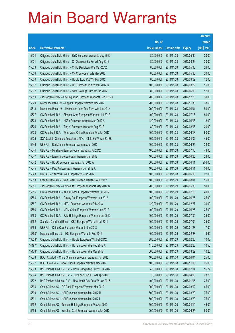|        |                                                              |               |                     |               | <b>Amount</b> |
|--------|--------------------------------------------------------------|---------------|---------------------|---------------|---------------|
|        |                                                              | No. of        |                     |               | raised        |
| Code   | <b>Derivative warrants</b>                                   | issue (units) | <b>Listing date</b> | <b>Expiry</b> | (HK\$ mil.)   |
| 15534  | Citigroup Global Mkt H Inc. - BYD European Warrants May 2012 | 80,000,000    | 2011/11/28          | 2012/05/30    | 20.00         |
| 15531  | Citigroup Global Mkt H Inc. - Ch Overseas Eu Put Wt Aug 2012 | 80,000,000    | 2011/11/28          | 2012/08/29    | 20.00         |
| 15533  | Citigroup Global Mkt H Inc. - CITIC Bank Euro Wts May 2012   | 80,000,000    | 2011/11/28          | 2012/05/30    | 24.00         |
| 15536  | Citigroup Global Mkt H Inc. - CPIC European Wts May 2012     | 80,000,000    | 2011/11/28          | 2012/05/30    | 20.00         |
| 15530  | Citigroup Global Mkt H Inc. - HSCEI Euro Put Wts Mar 2012    | 80,000,000    | 2011/11/28          | 2012/03/29    | 12.00         |
| 15537  | Citigroup Global Mkt H Inc. - HSI European Put Wt Mar 2012 B | 100,000,000   | 2011/11/28          | 2012/03/29    | 15.00         |
| 15532  | Citigroup Global Mkt H Inc. - SJM Holdings Euro Wt Jun 2012  | 80,000,000    | 2011/11/28          | 2012/06/08    | 12.00         |
| 15519  | J P Morgan SP BV - Cheung Kong European Warrants Dec 2012 A  | 200,000,000   | 2011/11/28          | 2012/12/20    | 30.00         |
| 15529  | Macquarie Bank Ltd. - Esprit European Warrants Nov 2012      | 200,000,000   | 2011/11/28          | 2012/11/30    | 33.60         |
| 15518  | Macquarie Bank Ltd. - Henderson Land Dev Euro Wts Jun 2012   | 200,000,000   | 2011/11/28          | 2012/06/04    | 50.00         |
| 15527  | CC Rabobank B.A. - Sinopec Corp European Warrants Jul 2012   | 100,000,000   | 2011/11/28          | 2012/07/16    | 80.00         |
| 15528  | CC Rabobank B.A. - HKEx European Warrants Jun 2012 A         | 120,000,000   | 2011/11/28          | 2012/06/06    | 18.00         |
| 15526  | CC Rabobank B.A. - Ting Yi European Warrants Aug 2012        | 80,000,000    | 2011/11/28          | 2012/08/06    | 20.00         |
| 15523  | CC Rabobank B.A. - Want Want China European Wts Jun 2012     | 100,000,000   | 2011/11/28          | 2012/06/18    | 60.00         |
| 15535  | SGA Societe Generale Acceptance N.V. - CLife Eu Wt Apr 2012B | 300,000,000   | 2011/11/28          | 2012/04/02    | 45.00         |
| 15546  | UBS AG - BankComm European Warrants Jun 2012                 | 100,000,000   | 2011/11/28          | 2012/06/25    | 33.00         |
| 15544  | UBS AG - Minsheng Bank European Warrants Jul 2012            | 100,000,000   | 2011/11/28          | 2012/07/16    | 48.00         |
| 15547  | UBS AG - Evergrande European Warrants Jun 2012               | 100,000,000   | 2011/11/28          | 2012/06/25    | 28.00         |
| 15542  | UBS AG - HSBC European Warrants Jun 2012 A                   | 300,000,000   | 2011/11/28          | 2012/06/11    | 204.00        |
| 15545  | UBS AG - Ping An European Warrants Jun 2012 A                | 100,000,000   | 2011/11/28          | 2012/06/11    | 54.00         |
| 15543  | UBS AG - Yanzhou Coal European Wts Jun 2012                  | 100,000,000   | 2011/11/28          | 2012/06/18    | 22.00         |
| 15553  | Credit Suisse AG - China Coal European Warrants Aug 2012     | 100,000,000   | 2011/11/29          | 2012/08/01    | 15.00         |
| 15551  | J P Morgan SP BV - China Life European Warrants May 2012 B   | 200,000,000   | 2011/11/29          | 2012/05/30    | 50.00         |
| 15555  | CC Rabobank B.A. - Anhui Conch European Warrants Jul 2012    | 100,000,000   | 2011/11/29          | 2012/07/16    | 40.00         |
| 15554  | CC Rabobank B.A. - Galaxy Ent European Warrants Jun 2012     | 100,000,000   | 2011/11/29          | 2012/06/25    | 25.00         |
| 15557  | CC Rabobank B.A. - KECL European Warrants Feb 2013           | 120,000,000   | 2011/11/29          | 2013/02/27    | 30.00         |
| 15556  | CC Rabobank B.A. - MGM China European Warrants Jun 2012      | 100,000,000   | 2011/11/29          | 2012/06/25    | 25.00         |
| 15558  | CC Rabobank B.A. - SJM Holdings European Warrants Jul 2012   | 100,000,000   | 2011/11/29          | 2012/07/30    | 25.00         |
| 15552  | Standard Chartered Bank - ICBC European Warrants Jul 2012    | 100,000,000   | 2011/11/29          | 2012/07/04    | 25.00         |
| 15559  | UBS AG - China Coal European Warrants Jan 2013               | 100,000,000   | 2011/11/29          | 2013/01/28    | 17.00         |
| 13898# | Macquarie Bank Ltd. - HSI European Warrants Feb 2012         | 400,000,000   | 2011/11/29          | 2012/02/28    | 13.60         |
| 13828# | Citigroup Global Mkt H Inc. - HSCEI European Wts Feb 2012    | 280,000,000   | 2011/11/29          | 2012/02/28    | 10.08         |
| 14197# | Citigroup Global Mkt H Inc. - HSI European Wts Feb 2012 A    | 110,000,000   | 2011/11/29          | 2012/02/28    | 10.56         |
| 15176# | Citigroup Global Mkt H Inc. - HSI European Wts Mar 2012      | 300,000,000   | 2011/11/29          | 2012/03/29    | 10.20         |
| 15578  | BOCI Asia Ltd. - China Shenhua European Warrants Jun 2012    | 100,000,000   | 2011/11/30          | 2012/06/04    | 25.00         |
| 15577  | BOCI Asia Ltd. - Tracker Fund European Warrants Nov 2012     | 100,000,000   | 2011/11/30          | 2012/11/05    | 25.00         |
| 15573  | BNP Paribas Arbit Issu B.V. - Chow Sang Sang Eu Wts Jul 2012 | 43,000,000    | 2011/11/30          | 2012/07/04    | 16.77         |
| 15574  | BNP Paribas Arbit Issu B.V. - Luk Fook Hold Eu Wts Apr 2012  | 75,000,000    | 2011/11/30          | 2012/04/03    | 23.25         |
| 15572  | BNP Paribas Arbit Issu B.V. - New World Dev Euro Wt Jan 2015 | 100,000,000   | 2011/11/30          | 2015/01/05    | 25.00         |
| 15594  | Credit Suisse AG - CC Bank European Warrants Mar 2012        | 300,000,000   | 2011/11/30          | 2012/03/02    | 45.00         |
| 15590  | Credit Suisse AG - HSI European Warrants Mar 2012 H          | 500,000,000   | 2011/11/30          | 2012/03/29    | 75.00         |
| 15591  | Credit Suisse AG - HSI European Warrants Mar 2012 I          | 500,000,000   | 2011/11/30          | 2012/03/29    | 75.00         |
| 15592  | Credit Suisse AG - Tencent Holdings European Wts Apr 2012    | 300,000,000   | 2011/11/30          | 2012/04/10    | 45.00         |
| 15595  | Credit Suisse AG - Yanzhou Coal European Warrants Jun 2012   | 200,000,000   | 2011/11/30          | 2012/06/25    | 50.00         |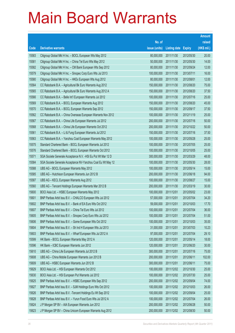|       |                                                               |               |                     |               | <b>Amount</b> |
|-------|---------------------------------------------------------------|---------------|---------------------|---------------|---------------|
|       |                                                               | No. of        |                     |               | raised        |
| Code  | <b>Derivative warrants</b>                                    | issue (units) | <b>Listing date</b> | <b>Expiry</b> | (HK\$ mil.)   |
| 15583 | Citigroup Global Mkt H Inc. - BOCL European Wts May 2012      | 80,000,000    | 2011/11/30          | 2012/05/30    | 20.00         |
| 15581 | Citigroup Global Mkt H Inc. - China Tel Euro Wts May 2012     | 50,000,000    | 2011/11/30          | 2012/05/30    | 14.00         |
| 15582 | Citigroup Global Mkt H Inc. - CM Bank European Wts Sep 2012   | 80,000,000    | 2011/11/30          | 2012/09/24    | 12.00         |
| 15579 | Citigroup Global Mkt H Inc. - Sinopec Corp Euro Wts Jul 2013  | 100,000,000   | 2011/11/30          | 2013/07/11    | 16.00         |
| 15580 | Citigroup Global Mkt H Inc. - HKEx European Wts Aug 2012      | 80,000,000    | 2011/11/30          | 2012/08/01    | 12.00         |
| 15564 | CC Rabobank B.A. - Agricultural Bk Euro Warrants Aug 2012     | 150,000,000   | 2011/11/30          | 2012/08/20    | 75.00         |
| 15565 | CC Rabobank B.A. - Agricultural Bk Euro Warrants Aug 2012 A   | 150,000,000   | 2011/11/30          | 2012/08/20    | 37.50         |
| 15566 | CC Rabobank B.A. - Belle Int'l European Warrants Jul 2012     | 100,000,000   | 2011/11/30          | 2012/07/16    | 25.00         |
| 15569 | CC Rabobank B.A. - BOCL European Warrants Aug 2012            | 150,000,000   | 2011/11/30          | 2012/08/20    | 45.00         |
| 15570 | CC Rabobank B.A. - BOCL European Warrants Sep 2012            | 150,000,000   | 2011/11/30          | 2012/09/17    | 37.50         |
| 15562 | CC Rabobank B.A. - China Overseas European Warrants Nov 2012  | 100,000,000   | 2011/11/30          | 2012/11/19    | 25.00         |
| 15567 | CC Rabobank B.A. - China Life European Warrants Jul 2012      | 200,000,000   | 2011/11/30          | 2012/07/16    | 50.00         |
| 15568 | CC Rabobank B.A. - China Life European Warrants Oct 2012      | 200,000,000   | 2011/11/30          | 2012/10/22    | 50.00         |
| 15561 | CC Rabobank B.A. - Li & Fung European Warrants Jul 2012       | 150,000,000   | 2011/11/30          | 2012/07/16    | 37.50         |
| 15563 | CC Rabobank B.A. - Yanzhou Coal European Warrants May 2012    | 100,000,000   | 2011/11/30          | 2012/05/28    | 25.00         |
| 15575 | Standard Chartered Bank - BOCL European Warrants Jul 2012     | 100,000,000   | 2011/11/30          | 2012/07/05    | 25.00         |
| 15576 | Standard Chartered Bank - BOCL European Warrants Oct 2012     | 100,000,000   | 2011/11/30          | 2012/10/05    | 25.00         |
| 15571 | SGA Societe Generale Acceptance N.V. - HSI Eu Put Wt Mar 12 D | 300,000,000   | 2011/11/30          | 2012/03/29    | 48.00         |
| 15584 | SGA Societe Generale Acceptance NV-Yanzhou Coal Eu Wt May 12  | 100,000,000   | 2011/11/30          | 2012/05/30    | 28.00         |
| 15588 | UBS AG - BOCL European Warrants May 2012                      | 100,000,000   | 2011/11/30          | 2012/05/14    | 15.00         |
| 15585 | UBS AG - Hutchison European Warrants Jun 2012 B               | 200,000,000   | 2011/11/30          | 2012/06/18    | 94.00         |
| 15587 | UBS AG - KECL European Warrants Aug 2012                      | 100,000,000   | 2011/11/30          | 2012/08/27    | 15.00         |
| 15560 | UBS AG - Tencent Holdings European Warrants Mar 2012 B        | 200,000,000   | 2011/11/30          | 2012/03/19    | 30.00         |
| 15600 | BOCI Asia Ltd. - HSBC European Warrants May 2012              | 100,000,000   | 2011/12/01          | 2012/05/02    | 23.00         |
| 15601 | BNP Paribas Arbit Issu B.V. - CHALCO European Wts Jul 2012    | 57,000,000    | 2011/12/01          | 2012/07/04    | 34.20         |
| 15602 | BNP Paribas Arbit Issu B.V. - Bank of EA Euro Wts Oct 2012    | 59,000,000    | 2011/12/01          | 2012/10/03    | 17.70         |
| 15607 | BNP Paribas Arbit Issu B.V. - China Tel Euro Wts Jul 2012     | 100,000,000   | 2011/12/01          | 2012/07/04    | 36.00         |
| 15605 | BNP Paribas Arbit Issu B.V. - Sinopec Corp Euro Wts Jul 2012  | 100,000,000   | 2011/12/01          | 2012/07/04    | 51.00         |
| 15606 | BNP Paribas Arbit Issu B.V. - Gome European Wts Oct 2012      | 100,000,000   | 2011/12/01          | 2012/10/03    | 35.00         |
| 15604 | BNP Paribas Arbit Issu B.V. - Sh Ind H European Wts Jul 2013  | 31,000,000    | 2011/12/01          | 2013/07/03    | 10.23         |
| 15603 | BNP Paribas Arbit Issu B.V. - Wharf European Wts Jul 2012 A   | 97,000,000    | 2011/12/01          | 2012/07/04    | 29.10         |
| 15599 | HK Bank - BOCL European Warrants May 2012 A                   | 120,000,000   | 2011/12/01          | 2012/05/14    | 18.00         |
| 15596 | HK Bank - ICBC European Warrants Jun 2012                     | 120,000,000   | 2011/12/01          | 2012/06/20    | 30.00         |
| 15610 | UBS AG - China Life European Warrants Jul 2012 B              | 300,000,000   | 2011/12/01          | 2012/07/16    | 75.00         |
| 15608 | UBS AG - China Mobile European Warrants Jun 2012 B            | 200,000,000   | 2011/12/01          | 2012/06/11    | 102.00        |
| 15609 | UBS AG - HSBC European Warrants Jun 2012 B                    | 300,000,000   | 2011/12/01          | 2012/06/11    | 75.00         |
| 15629 | BOCI Asia Ltd. - HSI European Warrants Oct 2012               | 100,000,000   | 2011/12/02          | 2012/10/30    | 25.00         |
| 15630 | BOCI Asia Ltd. - HSI European Put Warrants Jul 2012           | 100,000,000   | 2011/12/02          | 2012/07/30    | 25.00         |
| 15625 | BNP Paribas Arbit Issu B.V. - HSBC European Wts Sep 2012      | 200,000,000   | 2011/12/02          | 2012/09/04    | 74.00         |
| 15627 | BNP Paribas Arbit Issu B.V. - SJM Holdings Euro Wts Oct 2012  | 100,000,000   | 2011/12/02          | 2012/10/03    | 26.00         |
| 15626 | BNP Paribas Arbit Issu B.V. - Tencent Holdings Eu Wt Sep 2012 | 100,000,000   | 2011/12/02          | 2012/09/04    | 25.00         |
| 15628 | BNP Paribas Arbit Issu B.V. - Yurun Food Euro Wts Jul 2012 A  | 100,000,000   | 2011/12/02          | 2012/07/04    | 26.00         |
| 15624 | J P Morgan SP BV - AIA European Warrants Jun 2012             | 200,000,000   | 2011/12/02          | 2012/06/28    | 50.00         |
| 15623 | J P Morgan SP BV - China Unicom European Warrants Aug 2012    | 200,000,000   | 2011/12/02          | 2012/08/30    | 50.00         |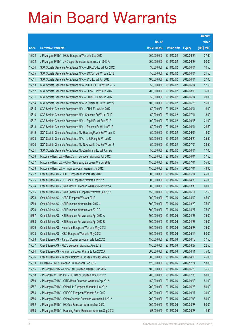|       |                                                               |               |                     |               | <b>Amount</b> |
|-------|---------------------------------------------------------------|---------------|---------------------|---------------|---------------|
|       |                                                               | No. of        |                     |               | raised        |
| Code  | <b>Derivative warrants</b>                                    | issue (units) | <b>Listing date</b> | <b>Expiry</b> | (HK\$ mil.)   |
| 15622 | J P Morgan SP BV - HKEx European Warrants Sep 2012            | 200,000,000   | 2011/12/02          | 2012/09/24    | 37.60         |
| 15632 | J P Morgan SP BV - JX Copper European Warrants Jun 2012 A     | 200,000,000   | 2011/12/02          | 2012/06/28    | 50.00         |
| 15634 | SGA Societe Generale Acceptance N.V. - CHALCO Eu Wt Jun 2012  | 30,000,000    | 2011/12/02          | 2012/06/04    | 10.50         |
| 15635 | SGA Societe Generale Acceptance N.V. - BOCom Eur Wt Jun 2012  | 50,000,000    | 2011/12/02          | 2012/06/04    | 21.50         |
| 15611 | SGA Societe Generale Acceptance N.V. - BYD Eu Wt Jun 2012     | 100,000,000   | 2011/12/02          | 2012/06/04    | 27.00         |
| 15613 | SGA Societe Generale Acceptance N.V-Chi COSCO Eu Wt Jun 2012  | 50,000,000    | 2011/12/02          | 2012/06/04    | 17.50         |
| 15612 | SGA Societe Generale Acceptance N.V. - CCoal Eur Wt Aug 2012  | 200,000,000   | 2011/12/02          | 2012/08/08    | 36.00         |
| 15631 | SGA Societe Generale Acceptance N.V. - CITBK Eu Wt Jun 2012   | 50,000,000    | 2011/12/02          | 2012/06/04    | 20.00         |
| 15614 | SGA Societe Generale Acceptance N.V-Ch Overseas Eu Wt Jun12A  | 100,000,000   | 2011/12/02          | 2012/06/25    | 16.00         |
| 15615 | SGA Societe Generale Acceptance N.V. - CRail Eu Wt Jun 2012   | 50,000,000    | 2011/12/02          | 2012/06/04    | 16.00         |
| 15616 | SGA Societe Generale Acceptance N.V. - Shenhua Eu Wt Jul 2012 | 50,000,000    | 2011/12/02          | 2012/07/04    | 18.00         |
| 15617 | SGA Societe Generale Acceptance N.V. - Esprit Eu Wt Sep 2012  | 100,000,000   | 2011/12/02          | 2012/09/05    | 21.00         |
| 15618 | SGA Societe Generale Acceptance N.V. - Foxconn Eu Wt Jun2012  | 50,000,000    | 2011/12/02          | 2012/06/04    | 26.50         |
| 15619 | SGA Societe Generale Acceptance NV-HuanengPower Eu Wt Jun 12  | 50,000,000    | 2011/12/02          | 2012/06/04    | 18.00         |
| 15633 | SGA Societe Generale Acceptance N.V. - Li & Fung Eu Wt Jun12  | 150,000,000   | 2011/12/02          | 2012/06/20    | 25.50         |
| 15620 | SGA Societe Generale Acceptance NV-New World Dev Eu Wt Jul12  | 50,000,000    | 2011/12/02          | 2012/07/04    | 28.50         |
| 15621 | SGA Societe Generale Acceptance NV-Zijin Mining Eu Wt Jun12A  | 50,000,000    | 2011/12/02          | 2012/06/04    | 17.00         |
| 15636 | Macquarie Bank Ltd. - BankComm European Warrants Jun 2012     | 150,000,000   | 2011/12/05          | 2012/06/04    | 37.50         |
| 15637 | Macquarie Bank Ltd. - Chow Sang Sang European Wts Jul 2012    | 150,000,000   | 2011/12/05          | 2012/07/04    | 55.65         |
| 15638 | Macquarie Bank Ltd. - Tingyi European Warrants Jul 2012       | 150,000,000   | 2011/12/05          | 2012/07/04    | 43.95         |
| 15672 | Credit Suisse AG - BOCL European Warrants May 2012            | 300,000,000   | 2011/12/06          | 2012/05/14    | 45.00         |
| 15675 | Credit Suisse AG - CC Bank European Warrants Apr 2012         | 300,000,000   | 2011/12/06          | 2012/04/30    | 45.00         |
| 15674 | Credit Suisse AG - China Mobile European Warrants Mar 2012 A  | 300,000,000   | 2011/12/06          | 2012/03/30    | 60.00         |
| 15665 | Credit Suisse AG - China Shenhua European Warrants Jun 2012   | 150,000,000   | 2011/12/06          | 2012/06/11    | 37.50         |
| 15678 | Credit Suisse AG - HSBC European Wts Apr 2012                 | 300,000,000   | 2011/12/06          | 2012/04/02    | 45.00         |
| 15669 | Credit Suisse AG - HSI European Warrants Mar 2012 J           | 500,000,000   | 2011/12/06          | 2012/03/29    | 75.00         |
| 15670 | Credit Suisse AG - HSI European Warrants Apr 2012 C           | 500,000,000   | 2011/12/06          | 2012/04/27    | 75.00         |
| 15667 | Credit Suisse AG - HSI European Put Warrants Apr 2012 A       | 500,000,000   | 2011/12/06          | 2012/04/27    | 75.00         |
| 15668 | Credit Suisse AG - HSI European Put Warrants Apr 2012 B       | 500,000,000   | 2011/12/06          | 2012/04/27    | 75.00         |
| 15679 | Credit Suisse AG - Hutchison European Warrants May 2012       | 300,000,000   | 2011/12/06          | 2012/05/28    | 75.00         |
| 15673 | Credit Suisse AG - ICBC European Warrants May 2012            | 300,000,000   | 2011/12/06          | 2012/05/14    | 60.00         |
| 15666 | Credit Suisse AG - Jiangxi Copper European Wts Jun 2012       | 150,000,000   | 2011/12/06          | 2012/06/18    | 37.50         |
| 15677 | Credit Suisse AG - KECL European Warrants Aug 2012            | 150,000,000   | 2011/12/06          | 2012/08/27    | 22.50         |
| 15664 | Credit Suisse AG - Ping An European Warrants Jun 2012 A       | 300,000,000   | 2011/12/06          | 2012/06/11    | 75.00         |
| 15676 | Credit Suisse AG - Tencent Holdings European Wts Apr 2012 A   | 300,000,000   | 2011/12/06          | 2012/04/16    | 45.00         |
| 15639 | HK Bank - HKEx European Put Warrants Dec 2012                 | 120,000,000   | 2011/12/06          | 2012/12/24    | 18.00         |
| 15655 | J P Morgan SP BV - China Tel European Warrants Jun 2012       | 100,000,000   | 2011/12/06          | 2012/06/28    | 35.50         |
| 15658 | J P Morgan Int'l Der. Ltd. - CC Bank European Wts Jul 2012    | 200,000,000   | 2011/12/06          | 2012/07/30    | 80.00         |
| 15659 | J P Morgan SP BV - CITIC Bank European Warrants Sep 2012      | 150,000,000   | 2011/12/06          | 2012/09/03    | 51.00         |
| 15657 | J P Morgan SP BV - China Life European Warrants Jun 2012      | 200,000,000   | 2011/12/06          | 2012/06/28    | 50.00         |
| 15654 | J P Morgan SP BV - CNOOC European Warrants Sep 2012           | 200,000,000   | 2011/12/06          | 2012/09/17    | 30.00         |
| 15656 | J P Morgan SP BV - China Shenhua European Warrants Jul 2012   | 200,000,000   | 2011/12/06          | 2012/07/03    | 50.00         |
| 15652 | J P Morgan SP BV - HK Gas European Warrants Mar 2013          | 200,000,000   | 2011/12/06          | 2013/03/28    | 50.00         |
| 15653 | J P Morgan SP BV - Huaneng Power European Warrants Sep 2012   | 58,000,000    | 2011/12/06          | 2012/09/28    | 14.50         |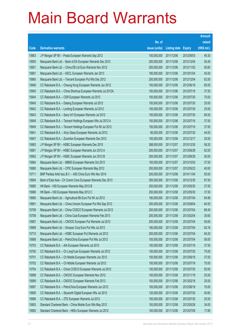|       |                                                              |               |              |               | <b>Amount</b> |
|-------|--------------------------------------------------------------|---------------|--------------|---------------|---------------|
|       |                                                              | No. of        |              |               | raised        |
| Code  | <b>Derivative warrants</b>                                   | issue (units) | Listing date | <b>Expiry</b> | (HK\$ mil.)   |
| 15663 | J P Morgan SP BV - Prada European Warrants Sep 2012          | 100,000,000   | 2011/12/06   | 2012/09/03    | 49.30         |
| 15650 | Macquarie Bank Ltd. - Bank of EA European Warrants Dec 2012  | 200,000,000   | 2011/12/06   | 2012/12/04    | 50.40         |
| 15651 | Macquarie Bank Ltd. - China EB Ltd Euro Warrants Nov 2012    | 200,000,000   | 2011/12/06   | 2012/11/02    | 50.60         |
| 15661 | Macquarie Bank Ltd. - KECL European Warrants Jan 2013        | 180,000,000   | 2011/12/06   | 2013/01/04    | 45.00         |
| 15660 | Macquarie Bank Ltd. - Tencent European Put Wts Dec 2012      | 250,000,000   | 2011/12/06   | 2012/12/04    | 62.50         |
| 15646 | CC Rabobank B.A. - Cheung Kong European Warrants Jun 2012    | 100,000,000   | 2011/12/06   | 2012/06/18    | 65.00         |
| 15645 | CC Rabobank B.A. - China Shenhua European Warrants Jul 2012A | 150,000,000   | 2011/12/06   | 2012/07/16    | 37.50         |
| 15644 | CC Rabobank B.A. - CSR European Warrants Jul 2012            | 100,000,000   | 2011/12/06   | 2012/07/30    | 70.00         |
| 15640 | CC Rabobank B.A. - Datang European Warrants Jul 2012         | 100,000,000   | 2011/12/06   | 2012/07/30    | 25.00         |
| 15642 | CC Rabobank B.A. - Lonking European Warrants Jul 2012        | 100,000,000   | 2011/12/06   | 2012/07/30    | 25.00         |
| 15643 | CC Rabobank B.A. - Sany Int'l European Warrants Jul 2012     | 100,000,000   | 2011/12/06   | 2012/07/30    | 80.00         |
| 15648 | CC Rabobank B.A. - Tencent Holdings European Wts Jul 2012 A  | 150,000,000   | 2011/12/06   | 2012/07/16    | 37.50         |
| 15649 | CC Rabobank B.A. - Tencent Holdings European Put Wt Jul 2012 | 150,000,000   | 2011/12/06   | 2012/07/16    | 37.50         |
| 15641 | CC Rabobank B.A. - Xinyi Glass European Warrants Jul 2012    | 80,000,000    | 2011/12/06   | 2012/07/30    | 44.00         |
| 15647 | CC Rabobank B.A. - Zoomlion European Warrants Dec 2012       | 100,000,000   | 2011/12/06   | 2012/12/17    | 25.00         |
| 15683 | J P Morgan SP BV - HSBC European Warrants Dec 2015           | 388,000,000   | 2011/12/07   | 2015/12/30    | 58.20         |
| 15681 | J P Morgan SP BV - HSBC European Warrants Jun 2012 A         | 200,000,000   | 2011/12/07   | 2012/06/28    | 62.00         |
| 15682 | J P Morgan SP BV - HSBC European Warrants Jun 2012 B         | 200,000,000   | 2011/12/07   | 2012/06/28    | 50.00         |
| 15684 | Macquarie Bank Ltd. - BBMG European Warrants Oct 2013        | 150,000,000   | 2011/12/07   | 2013/10/03    | 37.50         |
| 15680 | Macquarie Bank Ltd. - CPIC European Warrants May 2012        | 200,000,000   | 2011/12/07   | 2012/05/23    | 40.00         |
| 15711 | BNP Paribas Arbit Issu B.V. - A50 China Euro Wts Nov 2014    | 200,000,000   | 2011/12/08   | 2014/11/04    | 50.00         |
| 15694 | Bank of East Asia - Ch Comm Cons European Warrants Dec 2013  | 350,000,000   | 2011/12/08   | 2013/12/30    | 87.50         |
| 15685 | HK Bank - HSI European Warrants May 2012 B                   | 250,000,000   | 2011/12/08   | 2012/05/30    | 37.50         |
| 15686 | HK Bank - HSI European Warrants May 2012 C                   | 250,000,000   | 2011/12/08   | 2012/05/30    | 37.50         |
| 15690 | Macquarie Bank Ltd. - Agricultural Bk Euro Put Wt Jul 2012   | 180,000,000   | 2011/12/08   | 2012/07/04    | 64.98         |
| 15691 | Macquarie Bank Ltd. - China Unicom European Put Wts Sep 2012 | 250,000,000   | 2011/12/08   | 2012/09/04    | 64.50         |
| 15709 | Macquarie Bank Ltd. - China COSCO European Warrants Jul 2012 | 200,000,000   | 2011/12/08   | 2012/07/04    | 68.40         |
| 15708 | Macquarie Bank Ltd. - China Coal European Warrants Feb 2013  | 200,000,000   | 2011/12/08   | 2013/02/04    | 30.60         |
| 15687 | Macquarie Bank Ltd. - CNOOC European Put Warrants Jul 2012   | 200,000,000   | 2011/12/08   | 2012/07/04    | 50.60         |
| 15689 | Macquarie Bank Ltd. - Sinopec Corp Euro Put Wts Jul 2012     | 180,000,000   | 2011/12/08   | 2012/07/04    | 83.16         |
| 15710 | Macquarie Bank Ltd. - HSBC European Put Warrants Jul 2012    | 200,000,000   | 2011/12/08   | 2012/07/04    | 84.20         |
| 15688 | Macquarie Bank Ltd. - PetroChina European Put Wts Jul 2012   | 100,000,000   | 2011/12/08   | 2012/07/04    | 56.00         |
| 15703 | CC Rabobank B.A. - AIA European Warrants Jul 2012            | 150,000,000   | 2011/12/08   | 2012/07/16    | 37.50         |
| 15700 | CC Rabobank B.A. - Ch Long Yuan European Warrants Jul 2012   | 100,000,000   | 2011/12/08   | 2012/07/30    | 75.00         |
| 15701 | CC Rabobank B.A. - Ch Mobile European Warrants Jun 2012      | 150,000,000   | 2011/12/08   | 2012/06/18    | 37.50         |
| 15702 | CC Rabobank B.A. - Ch Mobile European Warrants Jul 2012      | 150,000,000   | 2011/12/08   | 2012/07/16    | 75.00         |
| 15704 | CC Rabobank B.A. - China COSCO European Warrants Jul 2012    | 100,000,000   | 2011/12/08   | 2012/07/30    | 50.00         |
| 15698 | CC Rabobank B.A. - CNOOC European Warrants Nov 2012          | 100,000,000   | 2011/12/08   | 2012/11/19    | 25.00         |
| 15699 | CC Rabobank B.A. - CNOOC European Warrants Feb 2013          | 100,000,000   | 2011/12/08   | 2013/02/18    | 25.00         |
| 15697 | CC Rabobank B.A. - PetroChina European Warrants Jun 2012     | 100,000,000   | 2011/12/08   | 2012/06/18    | 70.00         |
| 15695 | CC Rabobank B.A. - Skyworth Digital European Wts Jul 2012    | 120,000,000   | 2011/12/08   | 2012/07/30    | 45.60         |
| 15696 | CC Rabobank B.A. - ZTE European Warrants Jul 2012            | 100,000,000   | 2011/12/08   | 2012/07/30    | 25.00         |
| 15693 | Standard Chartered Bank - China Mobile Euro Wts May 2012     | 100,000,000   | 2011/12/08   | 2012/05/28    | 34.00         |
| 15692 | Standard Chartered Bank - HKEx European Warrants Jul 2012    | 100,000,000   | 2011/12/08   | 2012/07/09    | 17.80         |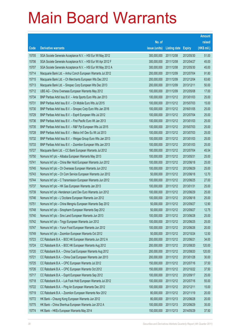|       |                                                              |               |                     |               | <b>Amount</b> |
|-------|--------------------------------------------------------------|---------------|---------------------|---------------|---------------|
|       |                                                              | No. of        |                     |               | raised        |
| Code  | <b>Derivative warrants</b>                                   | issue (units) | <b>Listing date</b> | <b>Expiry</b> | (HK\$ mil.)   |
| 15705 | SGA Societe Generale Acceptance N.V. - HSI Eur Wt May 2012   | 300,000,000   | 2011/12/08          | 2012/05/30    | 51.00         |
| 15706 | SGA Societe Generale Acceptance N.V. - HSI Eur Wt Apr 2012 F | 300,000,000   | 2011/12/08          | 2012/04/27    | 45.00         |
| 15707 | SGA Societe Generale Acceptance N.V. - HSI Eur Wt May 2012 A | 300,000,000   | 2011/12/08          | 2012/05/30    | 45.00         |
| 15714 | Macquarie Bank Ltd. - Anhui Conch European Warrants Jul 2012 | 200,000,000   | 2011/12/09          | 2012/07/04    | 91.80         |
| 15715 | Macquarie Bank Ltd. - Ch Merchants European Wts Dec 2012     | 200,000,000   | 2011/12/09          | 2012/12/04    | 63.60         |
| 15713 | Macquarie Bank Ltd. - Sinopec Corp European Wts Dec 2013     | 200,000,000   | 2011/12/09          | 2013/12/11    | 50.00         |
| 15712 | UBS AG - China Overseas European Warrants May 2012           | 100,000,000   | 2011/12/09          | 2012/05/08    | 17.00         |
| 15734 | BNP Paribas Arbit Issu B.V. - Anta Sports Euro Wts Jan 2013  | 100,000,000   | 2011/12/12          | 2013/01/03    | 25.00         |
| 15731 | BNP Paribas Arbit Issu B.V. - Ch Mobile Euro Wts Jul 2015    | 100,000,000   | 2011/12/12          | 2015/07/03    | 15.00         |
| 15730 | BNP Paribas Arbit Issu B.V. - Sinopec Corp Euro Wts Jan 2016 | 100,000,000   | 2011/12/12          | 2016/01/05    | 25.00         |
| 15729 | BNP Paribas Arbit Issu B.V. - Esprit European Wts Jul 2012   | 100,000,000   | 2011/12/12          | 2012/07/04    | 25.00         |
| 15736 | BNP Paribas Arbit Issu B.V. - First Pacific Euro Wt Jan 2013 | 100,000,000   | 2011/12/12          | 2013/01/03    | 25.00         |
| 15735 | BNP Paribas Arbit Issu B.V. - R&F Ppt European Wts Jul 2015  | 100,000,000   | 2011/12/12          | 2015/07/03    | 25.00         |
| 15728 | BNP Paribas Arbit Issu B.V. - Melco Int'l Dev Eu Wt Jul 2013 | 100,000,000   | 2011/12/12          | 2013/07/03    | 25.00         |
| 15732 | BNP Paribas Arbit Issu B.V. - Weigao Group Euro Wts Jan 2013 | 100,000,000   | 2011/12/12          | 2013/01/03    | 25.00         |
| 15733 | BNP Paribas Arbit Issu B.V. - Zoomlion European Wts Jan 2013 | 100,000,000   | 2011/12/12          | 2013/01/03    | 25.00         |
| 15727 | Macquarie Bank Ltd. - CC Bank European Warrants Jul 2012     | 180,000,000   | 2011/12/12          | 2012/07/04    | 45.54         |
| 15750 | Nomura Int'l plc - Alibaba European Warrants May 2013        | 100,000,000   | 2011/12/12          | 2013/05/31    | 25.00         |
| 15741 | Nomura Int'l plc - China Mer Hold European Warrants Jun 2012 | 100,000,000   | 2011/12/12          | 2012/06/18    | 25.00         |
| 15745 | Nomura Int'l plc - Ch Overseas European Warrants Jun 2012    | 100,000,000   | 2011/12/12          | 2012/06/29    | 25.00         |
| 15743 | Nomura Int'l plc - Ch Com Service European Warrants Jun 2012 | 50,000,000    | 2011/12/12          | 2012/06/18    | 12.70         |
| 15744 | Nomura Int'l plc - C Transmission European Warrants Jun 2012 | 100,000,000   | 2011/12/12          | 2012/06/25    | 27.00         |
| 15737 | Nomura Int'l plc - HK Gas European Warrants Jan 2013         | 100,000,000   | 2011/12/12          | 2013/01/31    | 25.00         |
| 15739 | Nomura Int'l plc -Henderson Land Dev Euro Warrants Jun 2012  | 100,000,000   | 2011/12/12          | 2012/06/29    | 25.00         |
| 15746 | Nomura Int'l plc - L'Occitane European Warrants Jun 2012     | 100,000,000   | 2011/12/12          | 2012/06/18    | 25.00         |
| 15751 | Nomura Int'l plc - China Mengniu European Warrants Sep 2012  | 50,000,000    | 2011/12/12          | 2012/09/27    | 12.90         |
| 15748 | Nomura Int'l plc - Sinopharm European Warrants Sep 2012      | 50,000,000    | 2011/12/12          | 2012/09/27    | 12.75         |
| 15740 | Nomura Int'l plc - Sino Land European Warrants Jun 2013      | 100,000,000   | 2011/12/12          | 2013/06/28    | 25.00         |
| 15742 | Nomura Int'l plc - Tingyi European Warrants Jun 2012         | 100,000,000   | 2011/12/12          | 2012/06/25    | 25.00         |
| 15747 | Nomura Int'l plc - Yurun Food European Warrants Jun 2012     | 100,000,000   | 2011/12/12          | 2012/06/26    | 20.00         |
| 15749 | Nomura Int'l plc - Zoomlion European Warrants Oct 2012       | 50,000,000    | 2011/12/12          | 2012/10/24    | 12.50         |
| 15723 | CC Rabobank B.A. - BOC HK European Warrants Jun 2012 A       | 200,000,000   | 2011/12/12          | 2012/06/21    | 34.00         |
| 15724 | CC Rabobank B.A. - BOC HK European Warrants Aug 2012         | 200,000,000   | 2011/12/12          | 2012/08/20    | 120.00        |
| 15720 | CC Rabobank B.A. - China Coal European Warrants Aug 2012     | 200,000,000   | 2011/12/12          | 2012/08/20    | 120.00        |
| 15721 | CC Rabobank B.A. - China Coal European Warrants Jan 2013     | 200,000,000   | 2011/12/12          | 2013/01/28    | 30.00         |
| 15725 | CC Rabobank B.A. - CPIC European Warrants Jul 2012           | 150,000,000   | 2011/12/12          | 2012/07/16    | 37.50         |
| 15726 | CC Rabobank B.A. - CPIC European Warrants Oct 2012           | 150,000,000   | 2011/12/12          | 2012/10/22    | 37.50         |
| 15717 | CC Rabobank B.A. - Esprit European Warrants Sep 2012         | 100,000,000   | 2011/12/12          | 2012/09/17    | 25.00         |
| 15718 | CC Rabobank B.A. - Luk Fook Hold European Warrants Jul 2012  | 100,000,000   | 2011/12/12          | 2012/07/16    | 55.00         |
| 15722 | CC Rabobank B.A. - Ping An European Warrants Dec 2012        | 100,000,000   | 2011/12/12          | 2012/12/11    | 15.00         |
| 15719 | CC Rabobank B.A. - Zoomlion European Warrants Nov 2012       | 80,000,000    | 2011/12/12          | 2012/11/19    | 20.00         |
| 15772 | HK Bank - Cheung Kong European Warrants Jun 2012             | 80,000,000    | 2011/12/13          | 2012/06/28    | 20.00         |
| 15775 | HK Bank - China Shenhua European Warrants Jun 2012 A         | 100,000,000   | 2011/12/13          | 2012/06/29    | 35.00         |
| 15774 | HK Bank - HKEx European Warrants May 2014                    | 150,000,000   | 2011/12/13          | 2014/05/29    | 37.50         |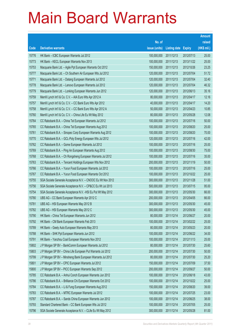|       |                                                               |               |                     |               | <b>Amount</b> |
|-------|---------------------------------------------------------------|---------------|---------------------|---------------|---------------|
|       |                                                               | No. of        |                     |               | raised        |
| Code  | <b>Derivative warrants</b>                                    | issue (units) | <b>Listing date</b> | <b>Expiry</b> | (HK\$ mil.)   |
| 15776 | HK Bank - ICBC European Warrants Jul 2012                     | 100,000,000   | 2011/12/13          | 2012/07/13    | 25.00         |
| 15773 | HK Bank - KECL European Warrants Nov 2013                     | 100,000,000   | 2011/12/13          | 2013/11/22    | 25.00         |
| 15753 | Macquarie Bank Ltd. - Agile Ppt European Warrants Oct 2012    | 150,000,000   | 2011/12/13          | 2012/10/26    | 23.25         |
| 15777 | Macquarie Bank Ltd. - Ch Southern Air European Wts Jul 2012   | 120,000,000   | 2011/12/13          | 2012/07/04    | 51.72         |
| 15771 | Macquarie Bank Ltd. - Datang European Warrants Jul 2012       | 120,000,000   | 2011/12/13          | 2012/07/04    | 32.40         |
| 15778 | Macquarie Bank Ltd. - Lenovo European Warrants Jul 2012       | 120,000,000   | 2011/12/13          | 2012/07/04    | 46.32         |
| 15779 | Macquarie Bank Ltd. - Lonking European Warrants Jun 2012      | 120,000,000   | 2011/12/13          | 2012/06/13    | 35.16         |
| 15759 | Merrill Lynch Int'l & Co. C.V. - AIA Euro Wts Apr 2012 A      | 80,000,000    | 2011/12/13          | 2012/04/17    | 12.16         |
| 15757 | Merrill Lynch Int'l & Co. C.V. - CC Bank Euro Wts Apr 2012    | 40,000,000    | 2011/12/13          | 2012/04/17    | 14.20         |
| 15758 | Merrill Lynch Int'l & Co. C.V. - CC Bank Euro Wts Apr 2012 A  | 50,000,000    | 2011/12/13          | 2012/04/23    | 10.85         |
| 15760 | Merrill Lynch Int'l & Co. C.V. - China Life Eu Wt May 2012    | 80,000,000    | 2011/12/13          | 2012/05/28    | 12.08         |
| 15764 | CC Rabobank B.A. - China Tel European Warrants Jul 2012       | 100,000,000   | 2011/12/13          | 2012/07/16    | 50.00         |
| 15765 | CC Rabobank B.A. - China Tel European Warrants Aug 2012       | 100,000,000   | 2011/12/13          | 2012/08/20    | 25.00         |
| 15761 | CC Rabobank B.A. - Sinopec Corp European Warrants Aug 2012    | 100,000,000   | 2011/12/13          | 2012/08/20    | 70.00         |
| 15770 | CC Rabobank B.A. - GCL-Poly Energy European Wts Jul 2012      | 120,000,000   | 2011/12/13          | 2012/07/16    | 42.00         |
| 15762 | CC Rabobank B.A. - Gome European Warrants Jul 2012            | 100,000,000   | 2011/12/13          | 2012/07/16    | 25.00         |
| 15769 | CC Rabobank B.A. - Ping An European Warrants Aug 2012         | 100,000,000   | 2011/12/13          | 2012/08/30    | 75.00         |
| 15768 | CC Rabobank B.A. - Ch Rongsheng European Warrants Jul 2012    | 100,000,000   | 2011/12/13          | 2012/07/16    | 35.00         |
| 15763 | CC Rabobank B.A. - Tencent Holdings European Wts Nov 2012     | 200,000,000   | 2011/12/13          | 2012/11/19    | 50.00         |
| 15766 | CC Rabobank B.A. - Yurun Food European Warrants Jul 2012      | 100,000,000   | 2011/12/13          | 2012/07/16    | 25.00         |
| 15767 | CC Rabobank B.A. - Yurun Food European Warrants Oct 2012      | 100,000,000   | 2011/12/13          | 2012/10/22    | 25.00         |
| 15755 | SGA Societe Generale Acceptance N.V. - CNOOC Eu Wt Nov 2012   | 300,000,000   | 2011/12/13          | 2012/11/28    | 51.00         |
| 15756 | SGA Societe Generale Acceptance N.V. - CP&CC Eu Wt Jul 2013   | 500,000,000   | 2011/12/13          | 2013/07/15    | 95.00         |
| 15754 | SGA Societe Generale Acceptance N.V. - HSI Eu Put Wt May 2012 | 300,000,000   | 2011/12/13          | 2012/05/30    | 66.00         |
| 15780 | UBS AG - CC Bank European Warrants Apr 2012 C                 | 200,000,000   | 2011/12/13          | 2012/04/05    | 66.00         |
| 15781 | UBS AG - HSI European Warrants May 2012 B                     | 300,000,000   | 2011/12/13          | 2012/05/30    | 45.00         |
| 15782 | UBS AG - HSI European Warrants May 2012 C                     | 300,000,000   | 2011/12/13          | 2012/05/30    | 45.00         |
| 15790 | HK Bank - China Tel European Warrants Jun 2012                | 80,000,000    | 2011/12/14          | 2012/06/27    | 20.00         |
| 15792 | HK Bank - CM Bank European Warrants Feb 2013                  | 100,000,000   | 2011/12/14          | 2013/02/22    | 25.00         |
| 15789 | HK Bank - Geely Auto European Warrants May 2013               | 80,000,000    | 2011/12/14          | 2013/05/23    | 20.00         |
| 15788 | HK Bank - SHK Ppt European Warrants Jun 2012                  | 100,000,000   | 2011/12/14          | 2012/06/22    | 34.00         |
| 15791 | HK Bank - Yanzhou Coal European Warrants Nov 2012             | 100,000,000   | 2011/12/14          | 2012/11/13    | 25.00         |
| 15802 | J P Morgan SP BV - BankComm European Warrants Jul 2012        | 80,000,000    | 2011/12/14          | 2012/07/30    | 25.60         |
| 15803 | J P Morgan SP BV - China Life European Put Warrants Jul 2012  | 200,000,000   | 2011/12/14          | 2012/07/30    | 50.00         |
| 15799 | J P Morgan SP BV - Minsheng Bank European Warrants Jul 2012   | 80,000,000    | 2011/12/14          | 2012/07/30    | 25.20         |
| 15801 | J P Morgan SP BV - CPIC European Warrants Jul 2012            | 150,000,000   | 2011/12/14          | 2012/07/09    | 37.50         |
| 15800 | J P Morgan SP BV - PICC European Warrants Sep 2012            | 200,000,000   | 2011/12/14          | 2012/09/27    | 50.00         |
| 15785 | CC Rabobank B.A. - Anhui Conch European Warrants Jun 2012     | 100,000,000   | 2011/12/14          | 2012/06/18    | 43.00         |
| 15786 | CC Rabobank B.A. - Brilliance Chi European Warrants Oct 2012  | 100,000,000   | 2011/12/14          | 2012/10/22    | 25.00         |
| 15784 | CC Rabobank B.A. - Li & Fung European Warrants Aug 2012       | 150,000,000   | 2011/12/14          | 2012/08/20    | 39.00         |
| 15783 | CC Rabobank B.A. - MTRC European Warrants Jul 2012            | 100,000,000   | 2011/12/14          | 2012/07/25    | 23.00         |
| 15787 | CC Rabobank B.A. - Sands China European Warrants Jun 2012     | 100,000,000   | 2011/12/14          | 2012/06/25    | 38.00         |
| 15793 | Standard Chartered Bank - CC Bank European Wts Jul 2012       | 100,000,000   | 2011/12/14          | 2012/07/05    | 25.00         |
| 15796 | SGA Societe Generale Acceptance N.V. - CLife Eu Wt May 2012   | 300,000,000   | 2011/12/14          | 2012/05/28    | 81.00         |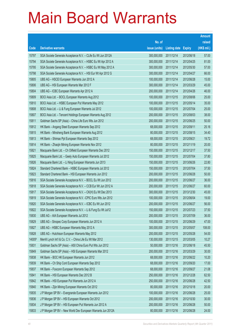|        |                                                               |               |                     |               | <b>Amount</b> |
|--------|---------------------------------------------------------------|---------------|---------------------|---------------|---------------|
|        |                                                               | No. of        |                     |               | raised        |
| Code   | <b>Derivative warrants</b>                                    | issue (units) | <b>Listing date</b> | <b>Expiry</b> | (HK\$ mil.)   |
| 15797  | SGA Societe Generale Acceptance N.V. - CLife Eu Wt Jun 2012A  | 300,000,000   | 2011/12/14          | 2012/06/18    | 57.00         |
| 15794  | SGA Societe Generale Acceptance N.V. - HSBC Eu Wt Apr 2012 A  | 300,000,000   | 2011/12/14          | 2012/04/25    | 81.00         |
| 15795  | SGA Societe Generale Acceptance N.V. - HSBC Eu Wt May 2012 A  | 300,000,000   | 2011/12/14          | 2012/05/30    | 57.00         |
| 15798  | SGA Societe Generale Acceptance N.V. - HSI Eur Wt Apr 2012 G  | 300,000,000   | 2011/12/14          | 2012/04/27    | 66.00         |
| 15805  | UBS AG - HSCEI European Warrants Jun 2012 A                   | 100,000,000   | 2011/12/14          | 2012/06/28    | 15.00         |
| 15806  | UBS AG - HSI European Warrants Mar 2012 F                     | 300,000,000   | 2011/12/14          | 2012/03/29    | 45.00         |
| 15804  | UBS AG - ICBC European Warrants Apr 2012 A                    | 200,000,000   | 2011/12/14          | 2012/04/26    | 46.00         |
| 15809  | BOCI Asia Ltd. - BOCL European Warrants Aug 2012              | 100,000,000   | 2011/12/15          | 2012/08/06    | 25.00         |
| 15810  | BOCI Asia Ltd. - HSBC European Put Warrants May 2012          | 100,000,000   | 2011/12/15          | 2012/05/14    | 35.00         |
| 15808  | BOCI Asia Ltd. - Li & Fung European Warrants Jul 2012         | 100,000,000   | 2011/12/15          | 2012/07/04    | 25.00         |
| 15807  | BOCI Asia Ltd. - Tencent Holdings European Warrants Aug 2012  | 200,000,000   | 2011/12/15          | 2012/08/03    | 38.00         |
| 15811  | Goldman Sachs SP (Asia) - China Life Euro Wts Jun 2012        | 200,000,000   | 2011/12/15          | 2012/06/25    | 50.00         |
| 15812  | HK Bank - Angang Steel European Warrants Sep 2012             | 68,000,000    | 2011/12/15          | 2012/09/11    | 25.16         |
| 15815  | HK Bank - Minsheng Bank European Warrants Aug 2012            | 80,000,000    | 2011/12/15          | 2012/08/15    | 34.40         |
| 15813  | HK Bank - Shimao Ppt European Warrants Sep 2012               | 68,000,000    | 2011/12/15          | 2012/09/21    | 19.72         |
| 15814  | HK Bank - Zhaojin Mining European Warrants Nov 2012           | 80,000,000    | 2011/12/15          | 2012/11/19    | 20.00         |
| 15821  | Macquarie Bank Ltd. - Ch Oilfield European Warrants Dec 2012  | 150,000,000   | 2011/12/15          | 2012/12/17    | 37.50         |
| 15825  | Macquarie Bank Ltd. - Geely Auto European Warrants Jul 2012   | 150,000,000   | 2011/12/15          | 2012/07/04    | 37.80         |
| 15826  | Macquarie Bank Ltd. - Li Ning European Warrants Jun 2013      | 150,000,000   | 2011/12/15          | 2013/06/26    | 22.80         |
| 15824  | Standard Chartered Bank - HSBC European Warrants Jul 2012     | 150,000,000   | 2011/12/15          | 2012/07/04    | 37.50         |
| 15823  | Standard Chartered Bank - HSI European Warrants Jun 2012      | 200,000,000   | 2011/12/15          | 2012/06/28    | 50.00         |
| 15816  | SGA Societe Generale Acceptance N.V. - BOCL Eu Wt Jun 2012    | 200,000,000   | 2011/12/15          | 2012/06/27    | 36.00         |
| 15818  | SGA Societe Generale Acceptance N.V. - CCB Eur Wt Jun 2012 A  | 200,000,000   | 2011/12/15          | 2012/06/27    | 60.00         |
| 15817  | SGA Societe Generale Acceptance N.V. - CK(H) Eu Wt Dec 2013   | 300,000,000   | 2011/12/15          | 2013/12/30    | 45.00         |
| 15819  | SGA Societe Generale Acceptance N.V. - CPIC Euro Wts Jun 2012 | 100,000,000   | 2011/12/15          | 2012/06/04    | 19.00         |
| 15820  | SGA Societe Generale Acceptance N.V. - ICBC Eu Wt Jun 2012    | 200,000,000   | 2011/12/15          | 2012/06/27    | 56.00         |
| 15822  | SGA Societe Generale Acceptance N.V. - Li & Fung Eu Wt Jul12  | 150,000,000   | 2011/12/15          | 2012/07/23    | 37.50         |
| 15830  | UBS AG - AIA European Warrants Jul 2012                       | 200,000,000   | 2011/12/15          | 2012/07/09    | 36.00         |
| 15829  | UBS AG - Sinopec Corp European Warrants Jun 2012 A            | 100,000,000   | 2011/12/15          | 2012/06/29    | 47.00         |
| 15827  | UBS AG - HSBC European Warrants May 2012 A                    | 300,000,000   | 2011/12/15          | 2012/05/07    | 108.00        |
| 15828  | UBS AG - Hutchison European Warrants May 2012                 | 200,000,000   | 2011/12/15          | 2012/05/28    | 54.00         |
| 14005# | Merrill Lynch Int'l & Co. C.V. - China Life Eu Wt Mar 2012    | 130,000,000   | 2011/12/15          | 2012/03/05    | 10.27         |
| 15831  | Goldman Sachs SP (Asia) - A50 China Euro Put Wts Jun 2012     | 50,000,000    | 2011/12/16          | 2012/06/18    | 45.50         |
| 15849  | Goldman Sachs SP (Asia) - HSI European Warrants Mar 2012      | 200,000,000   | 2011/12/16          | 2012/03/29    | 30.00         |
| 15838  | HK Bank - BOC HK European Warrants Jun 2012                   | 68,000,000    | 2011/12/16          | 2012/06/22    | 10.20         |
| 15839  | HK Bank - Ch Ship Cont European Warrants Sep 2012             | 68,000,000    | 2011/12/16          | 2012/09/20    | 17.00         |
| 15837  | HK Bank - Foxconn European Warrants Sep 2012                  | 68,000,000    | 2011/12/16          | 2012/09/27    | 21.08         |
| 15841  | HK Bank - HSI European Warrants Dec 2012 B                    | 250,000,000   | 2011/12/16          | 2012/12/28    | 62.50         |
| 15842  | HK Bank - HSI European Put Warrants Jun 2012 A                | 250,000,000   | 2011/12/16          | 2012/06/28    | 42.50         |
| 15840  | HK Bank - Zijin Mining European Warrants Oct 2012             | 80,000,000    | 2011/12/16          | 2012/10/18    | 20.00         |
| 15835  | J P Morgan SP BV - Evergrande European Warrants Jun 2012      | 100,000,000   | 2011/12/16          | 2012/06/28    | 25.00         |
| 15836  | J P Morgan SP BV - HSI European Warrants Oct 2012             | 200,000,000   | 2011/12/16          | 2012/10/30    | 30.00         |
| 15834  | J P Morgan SP BV - HSI European Put Warrants Jun 2012 A       | 200,000,000   | 2011/12/16          | 2012/06/28    | 50.00         |
| 15833  | J P Morgan SP BV - New World Dev European Warrants Jun 2012A  | 80,000,000    | 2011/12/16          | 2012/06/28    | 24.00         |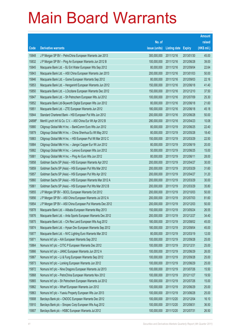|        |                                                              |               |                     |               | <b>Amount</b> |
|--------|--------------------------------------------------------------|---------------|---------------------|---------------|---------------|
|        |                                                              | No. of        |                     |               | raised        |
| Code   | <b>Derivative warrants</b>                                   | issue (units) | <b>Listing date</b> | <b>Expiry</b> | (HK\$ mil.)   |
| 15848  | J P Morgan SP BV - PetroChina European Warrants Jan 2013     | 300,000,000   | 2011/12/16          | 2013/01/30    | 45.00         |
| 15832  | J P Morgan SP BV - Ping An European Warrants Jun 2012 B      | 100,000,000   | 2011/12/16          | 2012/06/28    | 39.00         |
| 15845  | Macquarie Bank Ltd. - BJ Ent Water European Wts Sep 2012     | 80,000,000    | 2011/12/16          | 2012/09/04    | 22.64         |
| 15843  | Macquarie Bank Ltd. - A50 China European Warrants Jan 2013   | 200,000,000   | 2011/12/16          | 2013/01/03    | 50.00         |
| 15846  | Macquarie Bank Ltd. - Gome European Warrants Sep 2012        | 80,000,000    | 2011/12/16          | 2012/09/03    | 22.16         |
| 15853  | Macquarie Bank Ltd. - Henganintl European Warrants Jun 2012  | 150,000,000   | 2011/12/16          | 2012/06/18    | 41.40         |
| 15850  | Macquarie Bank Ltd. - LOccitane European Warrants Dec 2012   | 150,000,000   | 2011/12/16          | 2012/12/10    | 37.50         |
| 15847  | Macquarie Bank Ltd. - Sh Petrochem European Wts Jul 2012     | 100,000,000   | 2011/12/16          | 2012/07/09    | 25.30         |
| 15852  | Macquarie Bank Ltd-Skyworth Digital European Wts Jun 2012    | 80,000,000    | 2011/12/16          | 2012/06/18    | 21.60         |
| 15851  | Macquarie Bank Ltd. - ZTE European Warrants Jun 2012         | 180,000,000   | 2011/12/16          | 2012/06/18    | 45.18         |
| 15844  | Standard Chartered Bank - HSI European Put Wts Jun 2012      | 200,000,000   | 2011/12/16          | 2012/06/28    | 50.00         |
| 24898# | Merrill Lynch Int'l & Co. C.V. - A50 China Eur Wt Apr 2012 B | 280,000,000   | 2011/12/16          | 2012/04/23    | 10.08         |
| 15880  | Citigroup Global Mkt H Inc. - BankComm Euro Wts Jun 2012     | 80,000,000    | 2011/12/19          | 2012/06/25    | 22.40         |
| 15879  | Citigroup Global Mkt H Inc. - China Shenhua Eu Wt May 2012   | 80,000,000    | 2011/12/19          | 2012/05/28    | 18.40         |
| 15883  | Citigroup Global Mkt H Inc. - HSI European Put Wt Mar 2012 C | 150,000,000   | 2011/12/19          | 2012/03/29    | 22.50         |
| 15884  | Citigroup Global Mkt H Inc. - Jiangxi Copper Eur Wt Jun 2012 | 80,000,000    | 2011/12/19          | 2012/06/19    | 20.00         |
| 15882  | Citigroup Global Mkt H Inc. - Lenovo European Wts Jun 2012   | 50,000,000    | 2011/12/19          | 2012/06/25    | 15.00         |
| 15881  | Citigroup Global Mkt H Inc. - Ping An Euro Wts Jun 2012      | 80,000,000    | 2011/12/19          | 2012/06/11    | 28.00         |
| 15858  | Goldman Sachs SP (Asia) - HSI European Warrants Apr 2012     | 200,000,000   | 2011/12/19          | 2012/04/27    | 30.00         |
| 15859  | Goldman Sachs SP (Asia) - HSI European Put Wts Mar 2012      | 200,000,000   | 2011/12/19          | 2012/03/29    | 31.60         |
| 15857  | Goldman Sachs SP (Asia) - HSI European Put Wts Apr 2012      | 200,000,000   | 2011/12/19          | 2012/04/27    | 31.20         |
| 15860  | Goldman Sachs SP (Asia) - HSI European Warrants Mar 2012 A   | 200,000,000   | 2011/12/19          | 2012/03/29    | 30.00         |
| 15861  | Goldman Sachs SP (Asia) - HSI European Put Wts Mar 2012 B    | 200,000,000   | 2011/12/19          | 2012/03/29    | 35.80         |
| 15855  | J P Morgan SP BV - BOCL European Warrants Oct 2012           | 200,000,000   | 2011/12/19          | 2012/10/03    | 50.00         |
| 15856  | J P Morgan SP BV - A50 China European Warrants Jul 2012 A    | 200,000,000   | 2011/12/19          | 2012/07/03    | 81.60         |
| 15854  | J P Morgan SP BV - A50 China European Put Warrants Dec 2012  | 200,000,000   | 2011/12/19          | 2012/12/03    | 50.00         |
| 15878  | Macquarie Bank Ltd. - Alibaba European Warrants May 2013     | 150,000,000   | 2011/12/19          | 2013/05/24    | 26.55         |
| 15876  | Macquarie Bank Ltd. - Anta Sports European Warrants Dec 2012 | 200,000,000   | 2011/12/19          | 2012/12/27    | 34.40         |
| 15875  | Macquarie Bank Ltd. - Chi Res Land European Wts Aug 2012     | 180,000,000   | 2011/12/19          | 2012/08/02    | 45.00         |
| 15874  | Macquarie Bank Ltd. - Hysan Dev European Warrants Sep 2012   | 180,000,000   | 2011/12/19          | 2012/09/04    | 45.00         |
| 15877  | Macquarie Bank Ltd. - NVC Lighting Euro Warrants Mar 2012    | 80,000,000    | 2011/12/19          | 2012/03/19    | 12.00         |
| 15871  | Nomura Int'l plc - AIA European Warrants Sep 2012            | 100,000,000   | 2011/12/19          | 2012/09/28    | 25.00         |
| 15864  | Nomura Int'l plc - CITIC P European Warrants Dec 2012        | 100,000,000   | 2011/12/19          | 2012/12/31    | 25.00         |
| 15866  | Nomura Int'l plc - JIANC European Warrants Jun 2012 A        | 100,000,000   | 2011/12/19          | 2012/06/29    | 26.00         |
| 15867  | Nomura Int'l plc - Li & Fung European Warrants Sep 2012      | 100,000,000   | 2011/12/19          | 2012/09/28    | 25.00         |
| 15873  | Nomura Int'l plc - Lonking European Warrants Jun 2012        | 100,000,000   | 2011/12/19          | 2012/06/29    | 25.00         |
| 15872  | Nomura Int'l plc - Nine Dragons European Warrants Jul 2013   | 100,000,000   | 2011/12/19          | 2013/07/26    | 15.50         |
| 15868  | Nomura Int'l plc - PetroChina European Warrants Nov 2012     | 100,000,000   | 2011/12/19          | 2012/11/27    | 19.50         |
| 15865  | Nomura Int'l plc - Sh Petrochem European Warrants Jul 2012   | 100,000,000   | 2011/12/19          | 2012/07/26    | 15.00         |
| 15862  | Nomura Int'l plc - Wharf European Warrants Jun 2012          | 100,000,000   | 2011/12/19          | 2012/06/29    | 25.00         |
| 15863  | Nomura Int'l plc - Yuexiu Property European Wts Jun 2013     | 100,000,000   | 2011/12/19          | 2013/06/28    | 25.00         |
| 15908  | Barclays Bank plc - CNOOC European Warrants Dec 2012         | 100,000,000   | 2011/12/20          | 2012/12/04    | 16.10         |
| 15910  | Barclays Bank plc - Sinopec Corp European Wts Aug 2012       | 100,000,000   | 2011/12/20          | 2012/08/31    | 36.50         |
| 15907  | Barclays Bank plc - HSBC European Warrants Jul 2012          | 100,000,000   | 2011/12/20          | 2012/07/31    | 26.50         |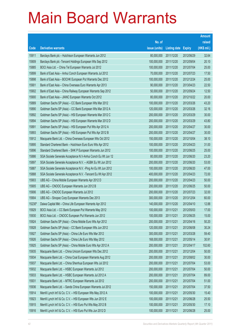|        |                                                               |               |                     |               | <b>Amount</b> |
|--------|---------------------------------------------------------------|---------------|---------------------|---------------|---------------|
|        |                                                               | No. of        |                     |               | raised        |
| Code   | <b>Derivative warrants</b>                                    | issue (units) | <b>Listing date</b> | <b>Expiry</b> | (HK\$ mil.)   |
| 15911  | Barclays Bank plc - Hutchison European Warrants Jun 2012      | 80,000,000    | 2011/12/20          | 2012/06/29    | 32.64         |
| 15909  | Barclays Bank plc - Tencent Holdings European Wts Sep 2012    | 100,000,000   | 2011/12/20          | 2012/09/04    | 20.10         |
| 15885  | BOCI Asia Ltd. - China Tel European Warrants Jul 2012         | 100,000,000   | 2011/12/20          | 2012/07/04    | 25.00         |
| 15899  | Bank of East Asia - Anhui Conch European Warrants Jul 2012    | 70,000,000    | 2011/12/20          | 2012/07/23    | 17.50         |
| 15898  | Bank of East Asia - BOCHK European Put Warrants Dec 2012      | 100,000,000   | 2011/12/20          | 2012/12/24    | 25.00         |
| 15901  | Bank of East Asia - China Overseas Euro Warrants Apr 2013     | 90,000,000    | 2011/12/20          | 2013/04/23    | 22.50         |
| 15902  | Bank of East Asia - China Railway European Warrants Sep 2012  | 50,000,000    | 2011/12/20          | 2012/09/24    | 12.50         |
| 15900  | Bank of East Asia - JIANC European Warrants Oct 2012          | 80,000,000    | 2011/12/20          | 2012/10/22    | 20.00         |
| 15889  | Goldman Sachs SP (Asia) - CC Bank European Wts Mar 2012       | 100,000,000   | 2011/12/20          | 2012/03/26    | 43.20         |
| 15890  | Goldman Sachs SP (Asia) - CC Bank European Wts Mar 2012 A     | 120,000,000   | 2011/12/20          | 2012/03/26    | 32.16         |
| 15892  | Goldman Sachs SP (Asia) - HSI European Warrants Mar 2012 C    | 200,000,000   | 2011/12/20          | 2012/03/29    | 30.00         |
| 15894  | Goldman Sachs SP (Asia) - HSI European Warrants Mar 2012 D    | 200,000,000   | 2011/12/20          | 2012/03/29    | 43.80         |
| 15891  | Goldman Sachs SP (Asia) - HSI European Put Wts Apr 2012 A     | 200,000,000   | 2011/12/20          | 2012/04/27    | 30.00         |
| 15893  | Goldman Sachs SP (Asia) - HSI European Put Wts Apr 2012 B     | 200,000,000   | 2011/12/20          | 2012/04/27    | 30.00         |
| 15912  | Macquarie Bank Ltd. - China Overseas European Wts Oct 2012    | 150,000,000   | 2011/12/20          | 2012/10/04    | 38.10         |
| 15895  | Standard Chartered Bank - Hutchison Euro Euro Wts Apr 2012    | 100,000,000   | 2011/12/20          | 2012/04/23    | 31.00         |
| 15896  | Standard Chartered Bank - SHK P European Warrants Jun 2012    | 100,000,000   | 2011/12/20          | 2012/06/25    | 25.00         |
| 15886  | SGA Societe Generale Acceptance N.V-Anhui Conch Eu Wt Jun 12  | 80,000,000    | 2011/12/20          | 2012/06/20    | 23.20         |
| 15897  | SGA Societe Generale Acceptance N.V. - AGBK Eu Wt Jun 2012    | 200,000,000   | 2011/12/20          | 2012/06/20    | 53.00         |
| 15887  | SGA Societe Generale Acceptance N.V. - Ping An Eu Wt Jun 2012 | 100,000,000   | 2011/12/20          | 2012/06/20    | 47.00         |
| 15888  | SGA Societe Generale Acceptance N.V. - Tencent Eu Wt Apr 2012 | 400,000,000   | 2011/12/20          | 2012/04/23    | 72.00         |
| 15903  | UBS AG - China Mobile European Warrants Apr 2012 D            | 200,000,000   | 2011/12/20          | 2012/04/23    | 50.00         |
| 15905  | UBS AG - CNOOC European Warrants Jun 2012 B                   | 200,000,000   | 2011/12/20          | 2012/06/25    | 50.00         |
| 15906  | UBS AG - CNOOC European Warrants Jul 2012                     | 200,000,000   | 2011/12/20          | 2012/07/23    | 32.00         |
| 15904  | UBS AG - Sinopec Corp European Warrants Dec 2013              | 300,000,000   | 2011/12/20          | 2013/12/04    | 60.00         |
| 15230# | Daiwa Capital Mkt - China Life European Warrants Apr 2012     | 140,000,000   | 2011/12/20          | 2012/04/10    | 12.88         |
| 15929  | BOCI Asia Ltd. - CC Bank European Put Warrants May 2012       | 100,000,000   | 2011/12/21          | 2012/05/03    | 17.00         |
| 15930  | BOCI Asia Ltd. - CNOOC European Put Warrants Jun 2012         | 100,000,000   | 2011/12/21          | 2012/06/25    | 15.00         |
| 15924  | Goldman Sachs SP (Asia) - China Mobile Euro Wts Apr 2012      | 200,000,000   | 2011/12/21          | 2012/04/16    | 50.20         |
| 15928  | Goldman Sachs SP (Asia) - CC Bank European Wts Jun 2012       | 120,000,000   | 2011/12/21          | 2012/06/08    | 30.24         |
| 15927  | Goldman Sachs SP (Asia) - China Life Euro Wts Mar 2012        | 300,000,000   | 2011/12/21          | 2012/03/28    | 59.40         |
| 15926  | Goldman Sachs SP (Asia) - China Life Euro Wts May 2012        | 168,000,000   | 2011/12/21          | 2012/05/14    | 30.91         |
| 15925  | Goldman Sachs SP (Asia) - China Mobile Euro Wts Apr 2012 A    | 200,000,000   | 2011/12/21          | 2012/04/17    | 102.60        |
| 15935  | Macquarie Bank Ltd. - China Unicom European Wts Dec 2012      | 200,000,000   | 2011/12/21          | 2012/12/04    | 50.00         |
| 15934  | Macquarie Bank Ltd. - China Coal European Warrants Aug 2012   | 200,000,000   | 2011/12/21          | 2012/08/02    | 30.00         |
| 15937  | Macquarie Bank Ltd. - China Shenhua European Wts Jul 2012     | 200,000,000   | 2011/12/21          | 2012/07/04    | 53.00         |
| 15932  | Macquarie Bank Ltd. - HSBC European Warrants Jul 2012         | 200,000,000   | 2011/12/21          | 2012/07/04    | 50.00         |
| 15933  | Macquarie Bank Ltd. - HSBC European Warrants Jul 2012 A       | 200,000,000   | 2011/12/21          | 2012/07/04    | 89.00         |
| 15931  | Macquarie Bank Ltd. - MTRC European Warrants Jul 2012         | 200,000,000   | 2011/12/21          | 2012/07/04    | 51.00         |
| 15936  | Macquarie Bank Ltd. - Sands China European Warrants Jul 2012  | 150,000,000   | 2011/12/21          | 2012/07/04    | 37.50         |
| 15914  | Merrill Lynch Int'l & Co. C.V. - HSI European Wts May 2012 A  | 100,000,000   | 2011/12/21          | 2012/05/30    | 15.40         |
| 15923  | Merrill Lynch Int'l & Co. C.V. - HSI European Wts Jun 2012 E  | 100,000,000   | 2011/12/21          | 2012/06/28    | 25.50         |
| 15915  | Merrill Lynch Int'l & Co. C.V. - HSI Euro Put Wts May 2012 B  | 100,000,000   | 2011/12/21          | 2012/05/30    | 17.10         |
| 15916  | Merrill Lynch Int'l & Co. C.V. - HSI Euro Put Wts Jun 2012 D  | 100,000,000   | 2011/12/21          | 2012/06/28    | 25.00         |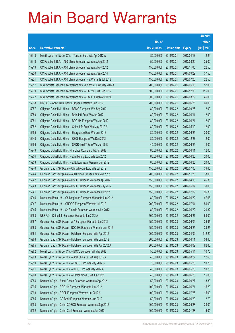|       |                                                               |               |                     |               | <b>Amount</b> |
|-------|---------------------------------------------------------------|---------------|---------------------|---------------|---------------|
|       |                                                               | No. of        |                     |               | raised        |
| Code  | <b>Derivative warrants</b>                                    | issue (units) | <b>Listing date</b> | <b>Expiry</b> | (HK\$ mil.)   |
| 15913 | Merrill Lynch Int'l & Co. C.V. - Tencent Euro Wts Apr 2012 A  | 80,000,000    | 2011/12/21          | 2012/04/17    | 12.24         |
| 15918 | CC Rabobank B.A. - A50 China European Warrants Aug 2012       | 50,000,000    | 2011/12/21          | 2012/08/20    | 25.00         |
| 15919 | CC Rabobank B.A. - A50 China European Warrants Nov 2012       | 150,000,000   | 2011/12/21          | 2012/11/05    | 22.50         |
| 15920 | CC Rabobank B.A. - A50 China European Warrants Sep 2014       | 150,000,000   | 2011/12/21          | 2014/09/22    | 37.50         |
| 15921 | CC Rabobank B.A. - A50 China European Put Warrants Jul 2012   | 150,000,000   | 2011/12/21          | 2012/07/26    | 22.50         |
| 15917 | SGA Societe Generale Acceptance N.V. - Ch Mob Eu Wt May 2012A | 200,000,000   | 2011/12/21          | 2012/05/16    | 52.00         |
| 15939 | SGA Societe Generale Acceptance N.V. - HKEx Eu Wt Dec 2012    | 500,000,000   | 2011/12/21          | 2012/12/03    | 115.00        |
| 15922 | SGA Societe Generale Acceptance N.V. - HSI Eur Wt Mar 2012 E  | 300,000,000   | 2011/12/21          | 2012/03/29    | 45.00         |
| 15938 | UBS AG - Agricultural Bank European Warrants Jun 2012         | 200,000,000   | 2011/12/21          | 2012/06/25    | 60.00         |
| 15957 | Citigroup Global Mkt H Inc. - BBMG European Wts Sep 2013      | 80,000,000    | 2011/12/22          | 2013/09/26    | 12.00         |
| 15950 | Citigroup Global Mkt H Inc. - Belle Int'l Euro Wts Jun 2012   | 80,000,000    | 2011/12/22          | 2012/06/11    | 12.00         |
| 15951 | Citigroup Global Mkt H Inc. - BOC HK European Wts Jun 2012    | 80,000,000    | 2011/12/22          | 2012/06/21    | 12.00         |
| 15952 | Citigroup Global Mkt H Inc. - China Life Euro Wts May 2012 A  | 80,000,000    | 2011/12/22          | 2012/05/10    | 12.00         |
| 15955 | Citigroup Global Mkt H Inc. - Evergrande Euro Wts Jun 2012    | 80,000,000    | 2011/12/22          | 2012/06/25    | 20.00         |
| 15948 | Citigroup Global Mkt H Inc. - KECL European Wts Dec 2012      | 80,000,000    | 2011/12/22          | 2012/12/27    | 12.00         |
| 15956 | Citigroup Global Mkt H Inc. - SPDR Gold T Euro Wts Jun 2012   | 40,000,000    | 2011/12/22          | 2012/06/25    | 14.00         |
| 15949 | Citigroup Global Mkt H Inc. - Yanzhou Coal Euro Wt Jun 2012   | 80,000,000    | 2011/12/22          | 2012/06/11    | 12.00         |
| 15954 | Citigroup Global Mkt H Inc. - Zijin Mining Euro Wts Jun 2012  | 80,000,000    | 2011/12/22          | 2012/06/25    | 20.00         |
| 15953 | Citigroup Global Mkt H Inc. - ZTE European Warrants Jun 2012  | 80,000,000    | 2011/12/22          | 2012/06/25    | 20.00         |
| 15940 | Goldman Sachs SP (Asia) - China Mobile Euro Wts Jul 2012      | 150,000,000   | 2011/12/22          | 2012/07/03    | 39.45         |
| 15944 | Goldman Sachs SP (Asia) - A50 China European Wts Nov 2012     | 200,000,000   | 2011/12/22          | 2012/11/26    | 33.00         |
| 15942 | Goldman Sachs SP (Asia) - HSBC European Warrants Apr 2012     | 150,000,000   | 2011/12/22          | 2012/04/16    | 46.35         |
| 15943 | Goldman Sachs SP (Asia) - HSBC European Warrants May 2012     | 150,000,000   | 2011/12/22          | 2012/05/07    | 30.00         |
| 15941 | Goldman Sachs SP (Asia) - HSBC European Warrants Jul 2012     | 150,000,000   | 2011/12/22          | 2012/07/09    | 96.30         |
| 15946 | Macquarie Bank Ltd. - Ch LongYuan European Warrants Jun 2012  | 80,000,000    | 2011/12/22          | 2012/06/22    | 47.68         |
| 15947 | Macquarie Bank Ltd. - CNOOC European Warrants Jul 2012        | 200,000,000   | 2011/12/22          | 2012/07/04    | 50.00         |
| 15945 | Macquarie Bank Ltd. - Sh Electric European Warrants Jun 2012  | 80,000,000    | 2011/12/22          | 2012/06/22    | 20.32         |
| 15958 | UBS AG - China Life European Warrants Jun 2012 A              | 300,000,000   | 2011/12/22          | 2012/06/21    | 63.00         |
| 15967 | Goldman Sachs SP (Asia) - AIA European Warrants Jun 2012      | 150,000,000   | 2011/12/23          | 2012/06/04    | 25.95         |
| 15968 | Goldman Sachs SP (Asia) - BOC HK European Warrants Jun 2012   | 150,000,000   | 2011/12/23          | 2012/06/25    | 23.25         |
| 15964 | Goldman Sachs SP (Asia) - Hutchison European Wts Apr 2012     | 200,000,000   | 2011/12/23          | 2012/04/02    | 112.20        |
| 15966 | Goldman Sachs SP (Asia) - Hutchison European Wts Jun 2012     | 200,000,000   | 2011/12/23          | 2012/06/11    | 58.40         |
| 15965 | Goldman Sachs SP (Asia) - Hutchison European Wts Apr 2012 A   | 200,000,000   | 2011/12/23          | 2012/04/02    | 62.60         |
| 15962 | Merrill Lynch Int'l & Co. C.V. - BOCL European Wt May 2012    | 50,000,000    | 2011/12/23          | 2012/05/14    | 10.75         |
| 15963 | Merrill Lynch Int'l & Co. C.V. - A50 China Eur Wt Aug 2012 A  | 40,000,000    | 2011/12/23          | 2012/08/27    | 12.60         |
| 15959 | Merrill Lynch Int'l & Co. C.V. - HSBC Euro Wts May 2012 B     | 70,000,000    | 2011/12/23          | 2012/05/28    | 10.78         |
| 15961 | Merrill Lynch Int'l & Co. C.V. - ICBC Euro Wts May 2012 A     | 40,000,000    | 2011/12/23          | 2012/05/28    | 10.20         |
| 15960 | Merrill Lynch Int'l & Co. C.V. - PetroChina Eu Wt Jun 2012    | 40,000,000    | 2011/12/23          | 2012/06/25    | 15.00         |
| 15984 | Nomura Int'l plc - Anhui Conch European Warrants Sep 2012     | 50,000,000    | 2011/12/23          | 2012/09/27    | 13.30         |
| 15995 | Nomura Int'l plc - BOC HK European Warrants Jun 2012          | 100,000,000   | 2011/12/23          | 2012/06/21    | 15.20         |
| 15998 | Nomura Int'l plc - BOCL European Warrants Jul 2012 A          | 100,000,000   | 2011/12/23          | 2012/07/26    | 15.00         |
| 15985 | Nomura Int'l plc - CC Bank European Warrants Jun 2012         | 50,000,000    | 2011/12/23          | 2012/06/29    | 12.70         |
| 15993 | Nomura Int'l plc - China COSCO European Warrants Sep 2012     | 100,000,000   | 2011/12/23          | 2012/09/28    | 28.00         |
| 15992 | Nomura Int'l plc - China Coal European Warrants Jan 2013      | 100,000,000   | 2011/12/23          | 2013/01/28    | 15.00         |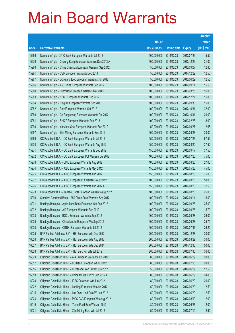|       |                                                              |               |                     |               | <b>Amount</b> |
|-------|--------------------------------------------------------------|---------------|---------------------|---------------|---------------|
|       |                                                              | No. of        |                     |               | raised        |
| Code  | <b>Derivative warrants</b>                                   | issue (units) | <b>Listing date</b> | <b>Expiry</b> | (HK\$ mil.)   |
| 15986 | Nomura Int'l plc - CITIC Bank European Warrants Jul 2012     | 100,000,000   | 2011/12/23          | 2012/07/26    | 15.50         |
| 15979 | Nomura Int'l plc - Cheung Kong European Warrants Dec 2013 A  | 100,000,000   | 2011/12/23          | 2013/12/23    | 21.00         |
| 15988 | Nomura Int'l plc - China Shenhua European Warrants Sep 2012  | 50,000,000    | 2011/12/23          | 2012/09/27    | 12.85         |
| 15991 | Nomura Int'l plc - CSR European Warrants Dec 2014            | 50,000,000    | 2011/12/23          | 2014/12/22    | 12.50         |
| 15987 | Nomura Int'l plc - Dongfang Elec European Warrants Jun 2012  | 50,000,000    | 2011/12/23          | 2012/06/29    | 12.55         |
| 15996 | Nomura Int'l plc - A50 China European Warrants Sep 2012      | 100,000,000   | 2011/12/23          | 2012/09/11    | 15.50         |
| 15980 | Nomura Int'l plc - Hutchison European Warrants Mar 2013      | 100,000,000   | 2011/12/23          | 2013/03/28    | 16.00         |
| 15983 | Nomura Int'l plc - KECL European Warrants Dec 2012           | 100,000,000   | 2011/12/23          | 2012/12/27    | 15.00         |
| 15994 | Nomura Int'l plc - Ping An European Warrants Sep 2013        | 100,000,000   | 2011/12/23          | 2013/09/30    | 15.00         |
| 15982 | Nomura Int'l plc - Poly European Warrants Oct 2012           | 100,000,000   | 2011/12/23          | 2012/10/31    | 32.00         |
| 15989 | Nomura Int'l plc - Ch Rongsheng European Warrants Oct 2012   | 100,000,000   | 2011/12/23          | 2012/10/31    | 29.00         |
| 15981 | Nomura Int'l plc - SHK P European Warrants Feb 2013          | 100,000,000   | 2011/12/23          | 2013/02/28    | 18.00         |
| 15990 | Nomura Int'l plc - Yanzhou Coal European Warrants Sep 2012   | 50,000,000    | 2011/12/23          | 2012/09/27    | 12.65         |
| 15997 | Nomura Int'l plc - Zijin Mining European Warrants Sep 2012   | 100,000,000   | 2011/12/23          | 2012/09/28    | 30.00         |
| 15969 | CC Rabobank B.A. - CC Bank European Warrants Jul 2012        | 150,000,000   | 2011/12/23          | 2012/07/23    | 67.50         |
| 15970 | CC Rabobank B.A. - CC Bank European Warrants Aug 2012        | 150,000,000   | 2011/12/23          | 2012/08/20    | 37.50         |
| 15971 | CC Rabobank B.A. - CC Bank European Warrants Sep 2012        | 150,000,000   | 2011/12/23          | 2012/09/17    | 37.50         |
| 15972 | CC Rabobank B.A. - CC Bank European Put Warrants Jul 2012    | 100,000,000   | 2011/12/23          | 2012/07/23    | 75.00         |
| 15978 | CC Rabobank B.A. - CPIC European Warrants Aug 2012           | 100,000,000   | 2011/12/23          | 2012/08/20    | 27.00         |
| 15974 | CC Rabobank B.A. - ICBC European Warrants May 2012           | 150,000,000   | 2011/12/23          | 2012/05/28    | 45.00         |
| 15975 | CC Rabobank B.A. - ICBC European Warrants Aug 2012           | 150,000,000   | 2011/12/23          | 2012/08/28    | 75.00         |
| 15977 | CC Rabobank B.A. - ICBC European Put Warrants Aug 2012       | 100,000,000   | 2011/12/23          | 2012/08/20    | 50.00         |
| 15976 | CC Rabobank B.A. - ICBC European Warrants Aug 2012 A         | 150,000,000   | 2011/12/23          | 2012/08/20    | 37.50         |
| 15973 | CC Rabobank B.A. - Yanzhou Coal European Warrants Aug 2012   | 100,000,000   | 2011/12/23          | 2012/08/20    | 25.00         |
| 15999 | Standard Chartered Bank - A50 China Euro Warrants Sep 2012   | 100,000,000   | 2011/12/23          | 2012/09/11    | 16.00         |
| 16031 | Barclays Bank plc - Agricultural Bank European Wts Sep 2012  | 100,000,000   | 2011/12/28          | 2012/09/28    | 25.00         |
| 16032 | Barclays Bank plc - AIA European Warrants Sep 2012           | 100,000,000   | 2011/12/28          | 2012/09/28    | 15.70         |
| 16033 | Barclays Bank plc - BOCL European Warrants Sep 2012          | 100,000,000   | 2011/12/28          | 2012/09/28    | 26.00         |
| 16029 | Barclays Bank plc - China Mobile European Wts Sep 2012       | 100,000,000   | 2011/12/28          | 2012/09/28    | 25.70         |
| 16030 | Barclays Bank plc - CITBK European Warrants Jul 2012         | 100,000,000   | 2011/12/28          | 2012/07/31    | 26.20         |
| 16025 | BNP Paribas Arbit Issu B.V. - HSI European Wts Dec 2012      | 200,000,000   | 2011/12/28          | 2012/12/28    | 30.00         |
| 16026 | BNP Paribas Arbit Issu B.V. - HSI European Wts Aug 2013      | 200,000,000   | 2011/12/28          | 2013/08/29    | 30.00         |
| 16027 | BNP Paribas Arbit Issu B.V. - HSI European Wts Dec 2014      | 200,000,000   | 2011/12/28          | 2014/12/30    | 50.00         |
| 16028 | BNP Paribas Arbit Issu B.V. - HSI Euro Put Wts Jul 2012      | 200,000,000   | 2011/12/28          | 2012/07/30    | 36.00         |
| 16023 | Citigroup Global Mkt H Inc. - AIA European Warrants Jun 2012 | 80,000,000    | 2011/12/28          | 2012/06/29    | 20.00         |
| 16017 | Citigroup Global Mkt H Inc. - CC Bank European Wt Jul 2012   | 80,000,000    | 2011/12/28          | 2012/07/16    | 20.00         |
| 16016 | Citigroup Global Mkt H Inc. - C Transmission Eur Wt Jun 2012 | 50,000,000    | 2011/12/28          | 2012/06/29    | 12.50         |
| 16018 | Citigroup Global Mkt H Inc. - China Mobile Eur Wt Jun 2012 A | 80,000,000    | 2011/12/28          | 2012/06/29    | 24.00         |
| 16020 | Citigroup Global Mkt H Inc. - ICBC European Wts Jun 2012     | 80,000,000    | 2011/12/28          | 2012/06/29    | 20.00         |
| 16022 | Citigroup Global Mkt H Inc. - Lonking European Wts Jun 2012  | 50,000,000    | 2011/12/28          | 2012/06/29    | 12.50         |
| 16015 | Citigroup Global Mkt H Inc. - Luk Fook Hold Euro Wt Jun 2012 | 50,000,000    | 2011/12/28          | 2012/06/29    | 12.50         |
| 16024 | Citigroup Global Mkt H Inc. - PICC P&C European Wts Aug 2012 | 80,000,000    | 2011/12/28          | 2012/08/09    | 12.00         |
| 16019 | Citigroup Global Mkt H Inc. - Yurun Food Euro Wts Jun 2012   | 80,000,000    | 2011/12/28          | 2012/06/26    | 12.00         |
| 16021 | Citigroup Global Mkt H Inc. - Zijin Mining Euro Wts Jul 2012 | 50,000,000    | 2011/12/28          | 2012/07/10    | 12.50         |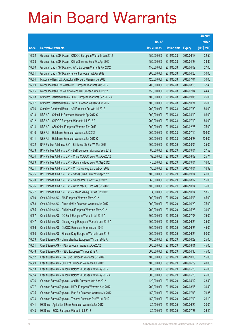|       |                                                              |               |                     |               | <b>Amount</b> |
|-------|--------------------------------------------------------------|---------------|---------------------|---------------|---------------|
|       |                                                              | No. of        |                     |               | raised        |
| Code  | <b>Derivative warrants</b>                                   | issue (units) | <b>Listing date</b> | <b>Expiry</b> | (HK\$ mil.)   |
| 16002 | Goldman Sachs SP (Asia) - CNOOC European Warrants Jun 2012   | 150,000,000   | 2011/12/28          | 2012/06/18    | 22.50         |
| 16003 | Goldman Sachs SP (Asia) - China Shenhua Euro Wts Apr 2012    | 150,000,000   | 2011/12/28          | 2012/04/23    | 33.30         |
| 16000 | Goldman Sachs SP (Asia) - JIANC European Warrants Apr 2012   | 150,000,000   | 2011/12/28          | 2012/04/02    | 27.00         |
| 16001 | Goldman Sachs SP (Asia) - Tencent European Wt Apr 2012       | 200,000,000   | 2011/12/28          | 2012/04/23    | 30.00         |
| 16004 | Macquarie Bank Ltd.-Agricultural Bk Euro Warrants Jul 2012   | 120,000,000   | 2011/12/28          | 2012/07/04    | 30.00         |
| 16009 | Macquarie Bank Ltd. - Belle Int'l European Warrants Aug 2012 | 200,000,000   | 2011/12/28          | 2012/08/16    | 37.40         |
| 16005 | Macquarie Bank Ltd. - China Mengniu European Wts Jul 2012    | 150,000,000   | 2011/12/28          | 2012/07/04    | 44.40         |
| 16008 | Standard Chartered Bank - BOCL European Warrants Sep 2012 A  | 100,000,000   | 2011/12/28          | 2012/09/05    | 25.00         |
| 16007 | Standard Chartered Bank - HKEx European Warrants Oct 2012    | 100,000,000   | 2011/12/28          | 2012/10/31    | 26.00         |
| 16006 | Standard Chartered Bank - HSI European Put Wts Jul 2012      | 200,000,000   | 2011/12/28          | 2012/07/30    | 50.00         |
| 16013 | UBS AG - China Life European Warrants Apr 2012 C             | 300,000,000   | 2011/12/28          | 2012/04/10    | 66.00         |
| 16012 | UBS AG - CNOOC European Warrants Jul 2012 A                  | 200,000,000   | 2011/12/28          | 2012/07/10    | 50.00         |
| 16014 | UBS AG - A50 China European Warrants Feb 2013                | 300,000,000   | 2011/12/28          | 2013/02/25    | 75.00         |
| 16010 | UBS AG - Hutchison European Warrants Jul 2012                | 200,000,000   | 2011/12/28          | 2012/07/10    | 108.00        |
| 16011 | UBS AG - Hutchison European Warrants Jun 2012 C              | 200,000,000   | 2011/12/28          | 2012/06/28    | 136.00        |
| 16072 | BNP Paribas Arbit Issu B.V. - Brilliance Chi Eur Wt Mar 2013 | 100,000,000   | 2011/12/29          | 2013/03/04    | 25.00         |
| 16073 | BNP Paribas Arbit Issu B.V. - BYD European Warrants Sep 2012 | 86,000,000    | 2011/12/29          | 2012/09/04    | 27.52         |
| 16074 | BNP Paribas Arbit Issu B.V. - China COSCO Euro Wts Aug 2012  | 39,000,000    | 2011/12/29          | 2012/08/02    | 25.74         |
| 16069 | BNP Paribas Arbit Issu B.V. - Dongfang Elec Euro Wt Sep 2012 | 40,000,000    | 2011/12/29          | 2012/09/04    | 16.00         |
| 16071 | BNP Paribas Arbit Issu B.V. - Ch Rongsheng Euro Wt Oct 2012  | 36,000,000    | 2011/12/29          | 2012/10/04    | 16.92         |
| 16075 | BNP Paribas Arbit Issu B.V. - Sands China Euro Wts Sep 2012  | 100,000,000   | 2011/12/29          | 2012/09/04    | 41.00         |
| 16070 | BNP Paribas Arbit Issu B.V. - Sinopharm Euro Wts Aug 2012    | 60,000,000    | 2011/12/29          | 2012/08/02    | 15.00         |
| 16076 | BNP Paribas Arbit Issu B.V. - Wynn Macau Euro Wts Oct 2012   | 100,000,000   | 2011/12/29          | 2012/10/04    | 35.00         |
| 16077 | BNP Paribas Arbit Issu B.V. - Zhaojin Mining Eur Wt Oct 2012 | 74,000,000    | 2011/12/29          | 2012/10/04    | 18.50         |
| 16060 | Credit Suisse AG - AIA European Warrants May 2012            | 300,000,000   | 2011/12/29          | 2012/05/03    | 45.00         |
| 16058 | Credit Suisse AG - China Mobile European Warrants Jun 2012   | 300,000,000   | 2011/12/29          | 2012/06/29    | 75.00         |
| 16055 | Credit Suisse AG - ChiUnicom European Warrants May 2012      | 200,000,000   | 2011/12/29          | 2012/05/28    | 30.00         |
| 16057 | Credit Suisse AG - CC Bank European Warrants Jul 2012 A      | 300,000,000   | 2011/12/29          | 2012/07/03    | 75.00         |
| 16047 | Credit Suisse AG - Cheung Kong European Warrants Jun 2012 A  | 100,000,000   | 2011/12/29          | 2012/06/29    | 25.00         |
| 16056 | Credit Suisse AG - CNOOC European Warrants Jun 2012          | 300,000,000   | 2011/12/29          | 2012/06/25    | 45.00         |
| 16050 | Credit Suisse AG - Sinopec Corp European Warrants Jun 2012   | 200,000,000   | 2011/12/29          | 2012/06/29    | 50.00         |
| 16059 | Credit Suisse AG - China Shenhua European Wts Jun 2012 A     | 100,000,000   | 2011/12/29          | 2012/06/29    | 25.00         |
| 16051 | Credit Suisse AG - HKEx European Warrants Aug 2012           | 300,000,000   | 2011/12/29          | 2012/08/01    | 45.00         |
| 16048 | Credit Suisse AG - HSBC European Wts Apr 2012 A              | 300,000,000   | 2011/12/29          | 2012/04/30    | 45.00         |
| 16052 | Credit Suisse AG - Li & Fung European Warrants Oct 2012      | 100,000,000   | 2011/12/29          | 2012/10/03    | 15.00         |
| 16049 | Credit Suisse AG - SHK Ppt European Warrants Jun 2012        | 100,000,000   | 2011/12/29          | 2012/06/29    | 40.00         |
| 16053 | Credit Suisse AG - Tencent Holdings European Wts May 2012    | 300,000,000   | 2011/12/29          | 2012/05/28    | 45.00         |
| 16054 | Credit Suisse AG - Tencent Holdings European Wts May 2012 A  | 300,000,000   | 2011/12/29          | 2012/05/28    | 45.00         |
| 16036 | Goldman Sachs SP (Asia) - Agri Bk European Wts Apr 2012      | 120,000,000   | 2011/12/29          | 2012/04/12    | 23.40         |
| 16037 | Goldman Sachs SP (Asia) - HKEx European Warrants Aug 2012    | 200,000,000   | 2011/12/29          | 2012/08/06    | 30.40         |
| 16035 | Goldman Sachs SP (Asia) - Ping An European Warrants Jul 2012 | 150,000,000   | 2011/12/29          | 2012/07/03    | 79.35         |
| 16034 | Goldman Sachs SP (Asia) - Tencent European Put Wt Jul 2012   | 150,000,000   | 2011/12/29          | 2012/07/09    | 26.10         |
| 16041 | HK Bank - Agricultural Bank European Warrants Jun 2012       | 80,000,000    | 2011/12/29          | 2012/06/22    | 20.00         |
| 16043 | HK Bank - BOCL European Warrants Jul 2012                    | 80,000,000    | 2011/12/29          | 2012/07/27    | 26.40         |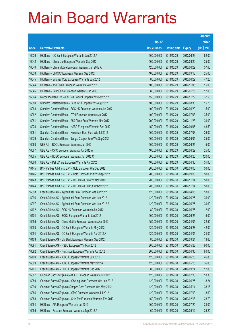|       |                                                              |               |                     |               | <b>Amount</b> |
|-------|--------------------------------------------------------------|---------------|---------------------|---------------|---------------|
|       |                                                              | No. of        |                     |               | raised        |
| Code  | <b>Derivative warrants</b>                                   | issue (units) | <b>Listing date</b> | <b>Expiry</b> | (HK\$ mil.)   |
| 16039 | HK Bank - CC Bank European Warrants Jun 2012 A               | 100,000,000   | 2011/12/29          | 2012/06/29    | 62.00         |
| 16042 | HK Bank - China Life European Warrants Sep 2012              | 100,000,000   | 2011/12/29          | 2012/09/20    | 25.00         |
| 16040 | HK Bank - China Mobile European Warrants Jun 2012 A          | 120,000,000   | 2011/12/29          | 2012/06/29    | 57.60         |
| 16038 | HK Bank - CNOOC European Warrants Sep 2012                   | 100,000,000   | 2011/12/29          | 2012/09/18    | 25.00         |
| 16045 | HK Bank - Sinopec Corp European Warrants Jun 2012            | 80,000,000    | 2011/12/29          | 2012/06/29    | 47.20         |
| 16044 | HK Bank - A50 China European Warrants Nov 2012               | 100,000,000   | 2011/12/29          | 2012/11/05    | 15.00         |
| 16046 | HK Bank - PetroChina European Warrants Jan 2013              | 80,000,000    | 2011/12/29          | 2013/01/28    | 12.00         |
| 16064 | Macquarie Bank Ltd. - Chi Res Power European Wts Nov 2012    | 150,000,000   | 2011/12/29          | 2012/11/29    | 37.50         |
| 16080 | Standard Chartered Bank - Belle Int'l European Wts Aug 2012  | 100,000,000   | 2011/12/29          | 2012/08/30    | 15.70         |
| 16063 | Standard Chartered Bank - BOC HK European Warrants Jun 2012  | 100,000,000   | 2011/12/29          | 2012/06/29    | 15.00         |
| 16062 | Standard Chartered Bank - CTel European Warrants Jul 2012    | 100,000,000   | 2011/12/29          | 2012/07/03    | 35.00         |
| 16081 | Standard Chartered Bank - A50 China Euro Warrants Nov 2012   | 200,000,000   | 2011/12/29          | 2012/11/23    | 30.00         |
| 16078 | Standard Chartered Bank - HSBC European Warrants Sep 2012    | 150,000,000   | 2011/12/29          | 2012/09/05    | 43.50         |
| 16061 | Standard Chartered Bank - Hutchison Euro Euro Wts Jul 2012   | 100,000,000   | 2011/12/29          | 2012/07/03    | 26.00         |
| 16079 | Standard Chartered Bank - Jiangxi Copper Euro Wts Sep 2012   | 100,000,000   | 2011/12/29          | 2012/09/05    | 25.00         |
| 16068 | UBS AG - BOCL European Warrants Jun 2012                     | 100,000,000   | 2011/12/29          | 2012/06/25    | 15.00         |
| 16067 | UBS AG - CPIC European Warrants Jun 2012 A                   | 100,000,000   | 2011/12/29          | 2012/06/29    | 25.00         |
| 16065 | UBS AG - HSBC European Warrants Jun 2012 C                   | 300,000,000   | 2011/12/29          | 2012/06/25    | 120.00        |
| 16066 | UBS AG - PetroChina European Warrants Apr 2012               | 100,000,000   | 2011/12/29          | 2012/04/30    | 51.00         |
| 10145 | BNP Paribas Arbit Issu B.V. - Gold European Wts Sep 2012     | 200,000,000   | 2011/12/30          | 2012/09/06    | 50.00         |
| 10146 | BNP Paribas Arbit Issu B.V. - Gold European Put Wts Sep 2012 | 200,000,000   | 2011/12/30          | 2012/09/06    | 50.00         |
| 10143 | BNP Paribas Arbit Issu B.V. - Oil Futures Euro Wt Nov 2012   | 200,000,000   | 2011/12/30          | 2012/11/14    | 50.00         |
| 10144 | BNP Paribas Arbit Issu B.V. - Oil Futures Eu Put Wt Nov 2012 | 200,000,000   | 2011/12/30          | 2012/11/14    | 50.00         |
| 16098 | Credit Suisse AG - Agricultural Bank European Wts Apr 2012   | 120,000,000   | 2011/12/30          | 2012/04/05    | 18.00         |
| 16096 | Credit Suisse AG - Agricultural Bank European Wts Jun 2012   | 120,000,000   | 2011/12/30          | 2012/06/25    | 36.00         |
| 16097 | Credit Suisse AG - Agricultural Bank European Wts Jun 2012 A | 120,000,000   | 2011/12/30          | 2012/06/25    | 30.60         |
| 16102 | Credit Suisse AG - BOC HK European Warrants Jun 2012         | 80,000,000    | 2011/12/30          | 2012/06/25    | 12.00         |
| 16104 | Credit Suisse AG - BOCL European Warrants Jun 2012           | 100,000,000   | 2011/12/30          | 2012/06/25    | 15.00         |
| 16095 | Credit Suisse AG - China Mobile European Warrants Apr 2012   | 150,000,000   | 2011/12/30          | 2012/04/05    | 22.50         |
| 16093 | Credit Suisse AG - CC Bank European Warrants May 2012        | 120,000,000   | 2011/12/30          | 2012/05/28    | 42.00         |
| 16094 | Credit Suisse AG - CC Bank European Warrants Apr 2012 A      | 120,000,000   | 2011/12/30          | 2012/04/05    | 24.00         |
| 16103 | Credit Suisse AG - CM Bank European Warrants Sep 2012        | 80,000,000    | 2011/12/30          | 2012/09/24    | 13.60         |
| 16091 | Credit Suisse AG - HSBC European Wts May 2012                | 200,000,000   | 2011/12/30          | 2012/05/28    | 90.00         |
| 16092 | Credit Suisse AG - Hutchison European Warrants Apr 2012      | 200,000,000   | 2011/12/30          | 2012/04/30    | 80.00         |
| 16100 | Credit Suisse AG - ICBC European Warrants Jun 2012           | 120,000,000   | 2011/12/30          | 2012/06/25    | 46.80         |
| 16099 | Credit Suisse AG - ICBC European Warrants May 2012 A         | 120,000,000   | 2011/12/30          | 2012/05/28    | 36.00         |
| 16101 | Credit Suisse AG - PICC European Warrants Sep 2012           | 80,000,000    | 2011/12/30          | 2012/09/24    | 12.00         |
| 16087 | Goldman Sachs SP (Asia) - BOCL European Warrants Jul 2012    | 120,000,000   | 2011/12/30          | 2012/07/30    | 18.36         |
| 16089 | Goldman Sachs SP (Asia) - Cheung Kong European Wts Jun 2012  | 120,000,000   | 2011/12/30          | 2012/06/25    | 18.24         |
| 16090 | Goldman Sachs SP (Asia)-Sinopec Corp European Wts May 2012   | 120,000,000   | 2011/12/30          | 2012/05/14    | 38.16         |
| 16086 | Goldman Sachs SP (Asia) - CPIC European Warrants Jul 2012    | 120,000,000   | 2011/12/30          | 2012/07/03    | 18.60         |
| 16088 | Goldman Sachs SP (Asia) - SHK Ppt European Warrants Feb 2013 | 150,000,000   | 2011/12/30          | 2013/02/18    | 23.70         |
| 16084 | HK Bank - AIA European Warrants Jul 2012                     | 100,000,000   | 2011/12/30          | 2012/07/20    | 28.00         |
| 16085 | HK Bank - Foxconn European Warrants Sep 2012 A               | 60,000,000    | 2011/12/30          | 2012/09/12    | 25.20         |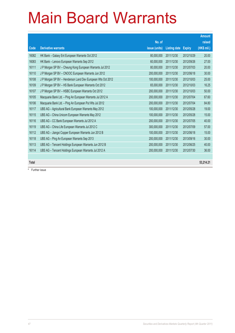|              |                                                             |               |                     |               | <b>Amount</b> |
|--------------|-------------------------------------------------------------|---------------|---------------------|---------------|---------------|
|              |                                                             | No. of        |                     |               | raised        |
| Code         | <b>Derivative warrants</b>                                  | issue (units) | <b>Listing date</b> | <b>Expiry</b> | (HK\$ mil.)   |
| 16082        | HK Bank - Galaxy Ent European Warrants Oct 2012             | 80,000,000    | 2011/12/30          | 2012/10/29    | 20.00         |
| 16083        | HK Bank - Lenovo European Warrants Sep 2012                 | 60,000,000    | 2011/12/30          | 2012/09/26    | 27.00         |
| 16111        | J P Morgan SP BV - Cheung Kong European Warrants Jul 2012   | 80,000,000    | 2011/12/30          | 2012/07/03    | 20.00         |
| 16110        | J P Morgan SP BV - CNOOC European Warrants Jun 2012         | 200,000,000   | 2011/12/30          | 2012/06/18    | 30.00         |
| 16108        | J P Morgan SP BV - Henderson Land Dev European Wts Oct 2012 | 100,000,000   | 2011/12/30          | 2012/10/03    | 25.00         |
| 16109        | J P Morgan SP BV - HS Bank European Warrants Oct 2012       | 65,000,000    | 2011/12/30          | 2012/10/03    | 16.25         |
| 16107        | J P Morgan SP BV - HSBC European Warrants Oct 2012          | 200,000,000   | 2011/12/30          | 2012/10/03    | 50.00         |
| 16105        | Macquarie Bank Ltd. - Ping An European Warrants Jul 2012 A  | 200,000,000   | 2011/12/30          | 2012/07/04    | 67.60         |
| 16106        | Macquarie Bank Ltd. - Ping An European Put Wts Jul 2012     | 200,000,000   | 2011/12/30          | 2012/07/04    | 84.80         |
| 16117        | UBS AG - Agricultural Bank European Warrants May 2012       | 100,000,000   | 2011/12/30          | 2012/05/28    | 19.00         |
| 16115        | UBS AG - China Unicom European Warrants May 2012            | 100,000,000   | 2011/12/30          | 2012/05/28    | 15.00         |
| 16116        | UBS AG - CC Bank European Warrants Jul 2012 A               | 200,000,000   | 2011/12/30          | 2012/07/05    | 40.00         |
| 16119        | UBS AG - China Life European Warrants Jul 2012 C            | 300,000,000   | 2011/12/30          | 2012/07/09    | 57.00         |
| 16112        | UBS AG - Jiangxi Copper European Warrants Jun 2012 B        | 100,000,000   | 2011/12/30          | 2012/06/18    | 15.00         |
| 16118        | UBS AG - Ping An European Warrants Sep 2013                 | 200,000,000   | 2011/12/30          | 2013/09/16    | 30.00         |
| 16113        | UBS AG - Tencent Holdings European Warrants Jun 2012 B      | 200,000,000   | 2011/12/30          | 2012/06/25    | 40.00         |
| 16114        | UBS AG - Tencent Holdings European Warrants Jul 2012 A      | 200,000,000   | 2011/12/30          | 2012/07/30    | 36.00         |
|              |                                                             |               |                     |               |               |
| <b>Total</b> |                                                             |               |                     |               | 53,214.21     |

# Further issue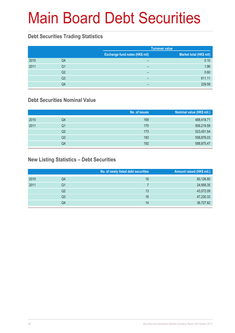# Main Board Debt Securities

#### **Debt Securities Trading Statistics**

|      |    |                                | <b>Turnover value</b>   |  |  |
|------|----|--------------------------------|-------------------------|--|--|
|      |    | Exchange fund notes (HK\$ mil) | Market total (HK\$ mil) |  |  |
| 2010 | Q4 | -                              | 0.10                    |  |  |
| 2011 | Q1 | $\overline{\phantom{0}}$       | 1.96                    |  |  |
|      | Q2 | -                              | 0.60                    |  |  |
|      | Q3 | -                              | 611.11                  |  |  |
|      | Q4 |                                | 229.59                  |  |  |

#### **Debt Securities Nominal Value**

|      |                | No. of issues | Nominal value (HK\$ mil.) |
|------|----------------|---------------|---------------------------|
| 2010 | Q4             | 169           | 488,418.71                |
| 2011 | Q1             | 170           | 506,219.59                |
|      | Q2             | 173           | 523,451.54                |
|      | Q <sub>3</sub> | 183           | 558,876.03                |
|      | Q4             | 192           | 588,875.47                |

### **New Listing Statistics – Debt Securities**

|      |                | No. of newly listed debt securities | Amount raised (HK\$ mil.) |
|------|----------------|-------------------------------------|---------------------------|
| 2010 | Q4             | 16                                  | 60,126.80                 |
| 2011 | Q1             |                                     | 24,958.35                 |
|      | Q2             | 13                                  | 43,572.09                 |
|      | Q <sub>3</sub> | 16                                  | 47,230.33                 |
|      | Q4             | 14                                  | 36,727.82                 |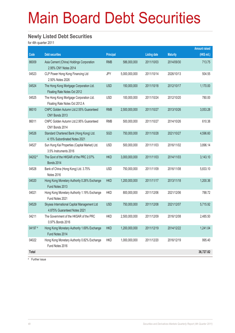# Main Board Debt Securities

#### **Newly Listed Debt Securities**

for 4th quarter 2011

|         |                                                                             |                  |               |                     |                 | <b>Amount raised</b> |
|---------|-----------------------------------------------------------------------------|------------------|---------------|---------------------|-----------------|----------------------|
| Code    | <b>Debt securities</b>                                                      | <b>Principal</b> |               | <b>Listing date</b> | <b>Maturity</b> | (HK\$ mil.)          |
| 86009   | Asia Cement (China) Holdings Corporation<br>2.95% CNY Notes 2014            | <b>RMB</b>       | 586,000,000   | 2011/10/03          | 2014/09/30      | 713.75               |
| 04523   | CLP Power Hong Kong Financing Ltd<br>2.50% Notes 2026                       | <b>JPY</b>       | 5,000,000,000 | 2011/10/14          | 2026/10/13      | 504.55               |
| 04524   | The Hong Kong Mortgage Corporation Ltd.<br>Floating Rate Notes Oct 2012     | <b>USD</b>       | 150,000,000   | 2011/10/18          | 2012/10/17      | 1,170.00             |
| 04525   | The Hong Kong Mortgage Corporation Ltd.<br>Floating Rate Notes Oct 2012 A   | <b>USD</b>       | 100,000,000   | 2011/10/24          | 2012/10/20      | 780.00               |
| 86010   | CNPC Golden Autumn Ltd.2.55% Guaranteed<br>CNY Bonds 2013                   | <b>RMB</b>       | 2,500,000,000 | 2011/10/27          | 2013/10/26      | 3,053.28             |
| 86011   | CNPC Golden Autumn Ltd.2.95% Guaranteed<br>CNY Bonds 2014                   | <b>RMB</b>       | 500,000,000   | 2011/10/27          | 2014/10/26      | 610.38               |
| 04526   | Standard Chartered Bank (Hong Kong) Ltd.<br>4.15% Subordinated Notes 2021   | SGD              | 750,000,000   | 2011/10/28          | 2021/10/27      | 4,596.60             |
| 04527   | Sun Hung Kai Properties (Capital Market) Ltd.<br>3.5% Instruments 2016      | <b>USD</b>       | 500,000,000   | 2011/11/03          | 2016/11/02      | 3,896.14             |
| 04202#  | The Govt of the HKSAR of the PRC 2.07%<br><b>Bonds 2014</b>                 | <b>HKD</b>       | 3,000,000,000 | 2011/11/03          | 2014/11/03      | 3,143.10             |
| 04528   | Bank of China (Hong Kong) Ltd. 3.75%<br>Notes 2016                          | <b>USD</b>       | 750,000,000   | 2011/11/09          | 2016/11/08      | 5,833.10             |
| 04020   | Hong Kong Monetary Authority 0.26% Exchange<br>Fund Notes 2013              | <b>HKD</b>       | 1,200,000,000 | 2011/11/17          | 2013/11/18      | 1,200.36             |
| 04021   | Hong Kong Monetary Authority 1.19% Exchange<br>Fund Notes 2021              | <b>HKD</b>       | 800,000,000   | 2011/12/06          | 2021/12/06      | 788.72               |
| 04529   | Skysea International Capital Management Ltd<br>4.875% Guaranteed Notes 2021 | <b>USD</b>       | 750,000,000   | 2011/12/08          | 2021/12/07      | 5,715.92             |
| 04211   | The Government of the HKSAR of the PRC<br>0.97% Bonds 2016                  | <b>HKD</b>       | 2,500,000,000 | 2011/12/09          | 2016/12/08      | 2,485.50             |
| 04197 # | Hong Kong Monetary Authority 1.69% Exchange<br>Fund Notes 2014              | <b>HKD</b>       | 1,200,000,000 | 2011/12/19          | 2014/12/22      | 1,241.04             |
| 04022   | Hong Kong Monetary Authority 0.82% Exchange<br>Fund Notes 2016              | <b>HKD</b>       | 1,000,000,000 | 2011/12/20          | 2016/12/19      | 995.40               |
| Total   |                                                                             |                  |               |                     |                 | 36,727.82            |

# Further issue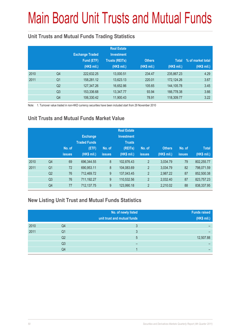# Main Board Unit Trusts and Mutual Funds

### **Unit Trusts and Mutual Funds Trading Statistics**

|      |                | <b>Exchange Traded</b><br>Fund (ETF)<br>(HK\$ mil.) | <b>Real Estate</b><br><b>Investment</b><br><b>Trusts (REITs)</b><br>(HK\$ mil.) | <b>Others</b><br>(HK\$ mil.) | <b>Total</b><br>(HK\$ mil.) | % of market total<br>(HK\$ mil.) |
|------|----------------|-----------------------------------------------------|---------------------------------------------------------------------------------|------------------------------|-----------------------------|----------------------------------|
| 2010 | Q4             | 222,632.25                                          | 13,000.51                                                                       | 234.47                       | 235,867.23                  | 4.29                             |
| 2011 | Q <sub>1</sub> | 158,281.12                                          | 13,623.13                                                                       | 220.01                       | 172,124.26                  | 3.67                             |
|      | Q <sub>2</sub> | 127,347.26                                          | 16,652.86                                                                       | 105.65                       | 144,105.78                  | 3.45                             |
|      | Q <sub>3</sub> | 153,336.68                                          | 13,347.77                                                                       | 93.94                        | 166,778.38                  | 3.66                             |
|      | Q4             | 106,330.42                                          | 11,900.43                                                                       | 78.91                        | 118,309.77                  | 3.22                             |

Note: 1. Turnover value traded in non-HKD currency securities have been included start from 29 November 2010

### **Unit Trusts and Mutual Funds Market Value**

|      |                | No. of<br><b>issues</b> | <b>Exchange</b><br><b>Traded Funds</b><br>(ETF)<br>(HK\$ mil.) | No. of<br><b>issues</b> | <b>Real Estate</b><br><b>Investment</b><br><b>Trusts</b><br>(REITs)<br>(HK\$ mil.) | No. of<br><b>issues</b> | <b>Others</b><br>(HK\$ mil.) | No. of<br><b>issues</b> | <b>Total</b><br>(HK\$ mil.) |
|------|----------------|-------------------------|----------------------------------------------------------------|-------------------------|------------------------------------------------------------------------------------|-------------------------|------------------------------|-------------------------|-----------------------------|
| 2010 | Q <sub>4</sub> | 69                      | 696,344.55                                                     | 8                       | 102,876.43                                                                         | $\overline{2}$          | 3.034.79                     | 79                      | 802,255.77                  |
| 2011 | Q <sub>1</sub> | 72                      | 690,953.11                                                     | 8                       | 104,083.69                                                                         | $\overline{2}$          | 3,034.79                     | 82                      | 798,071.59                  |
|      | Q <sub>2</sub> | 76                      | 712,469.72                                                     | 9                       | 137,043.45                                                                         | $\overline{2}$          | 2,987.22                     | 87                      | 852,500.38                  |
|      | Q <sub>3</sub> | 76                      | 711,192.27                                                     | 9                       | 110,532.56                                                                         | $\overline{2}$          | 2.032.40                     | 87                      | 823,757.23                  |
|      | Q4             | 77                      | 712,137.75                                                     | 9                       | 123,990.18                                                                         | $\overline{2}$          | 2,210.02                     | 88                      | 838,337.95                  |

#### **New Listing Unit Trust and Mutual Funds Statistics**

|      |                | No. of newly listed<br>unit trust and mutual funds | <b>Funds raised</b><br>(HK\$ mil.) |
|------|----------------|----------------------------------------------------|------------------------------------|
| 2010 | Q4             |                                                    |                                    |
| 2011 | Q1             |                                                    |                                    |
|      | Q2             | 5                                                  | 12,507.88                          |
|      | Q <sub>3</sub> |                                                    |                                    |
|      | Q4             |                                                    |                                    |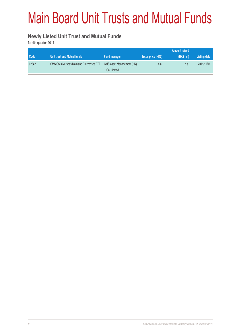# Main Board Unit Trusts and Mutual Funds

#### **Newly Listed Unit Trust and Mutual Funds**

for 4th quarter 2011

|       |                                                  |                                          |                           | <b>Amount raised</b> |              |
|-------|--------------------------------------------------|------------------------------------------|---------------------------|----------------------|--------------|
| Code  | Unit trust and Mutual funds                      | <b>Fund manager</b>                      | <b>Issue price (HK\$)</b> | (HK\$ mil)           | Listing date |
| 02842 | <b>CMS CSI Overseas Mainland Enterprises ETF</b> | CMS Asset Management (HK)<br>Co. Limited | n.a.                      | n.a.                 | 2011/11/01   |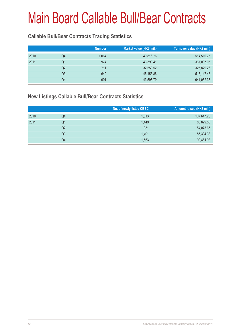### **Callable Bull/Bear Contracts Trading Statistics**

|    | <b>Number</b> | Market value (HK\$ mil.) | Turnover value (HK\$ mil.) |
|----|---------------|--------------------------|----------------------------|
| Q4 | 1,064         | 49,816.76                | 514,510.75                 |
| Q1 | 974           | 43,399.41                | 367,097.05                 |
| Q2 | 711           | 32,550.52                | 325,829.26                 |
| Q3 | 642           | 45, 153.85               | 518,147.45                 |
| Q4 | 901           | 43,598.79                | 641,062.38                 |
|    |               |                          |                            |

#### **New Listings Callable Bull/Bear Contracts Statistics**

|      |    | No. of newly listed CBBC | Amount raised (HK\$ mil.) |
|------|----|--------------------------|---------------------------|
| 2010 | Q4 | 1,813                    | 107,647.20                |
| 2011 | Q1 | 1,449                    | 80,829.55                 |
|      | Q2 | 931                      | 54,073.65                 |
|      | Q3 | 1.401                    | 85,334.38                 |
|      | Q4 | 1,553                    | 90,461.98                 |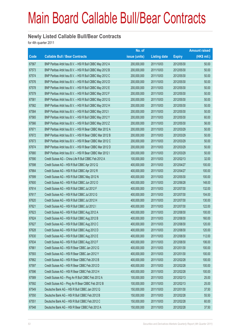#### **Newly Listed Callable Bull/Bear Contracts**

for 4th quarter 2011

|       |                                                          | No. of        |                     |               | <b>Amount raised</b> |
|-------|----------------------------------------------------------|---------------|---------------------|---------------|----------------------|
| Code  | <b>Callable Bull / Bear Contracts</b>                    | issue (units) | <b>Listing date</b> | <b>Expiry</b> | $(HK$$ mil.)         |
| 67567 | BNP Paribas Arbit Issu B.V. - HSI R Bull CBBC May 2012 A | 200,000,000   | 2011/10/03          | 2012/05/30    | 50.00                |
| 67573 | BNP Paribas Arbit Issu B.V. - HSI R Bull CBBC May 2012 B | 200,000,000   | 2011/10/03          | 2012/05/30    | 50.00                |
| 67574 | BNP Paribas Arbit Issu B.V. - HSI R Bull CBBC May 2012 C | 200,000,000   | 2011/10/03          | 2012/05/30    | 50.00                |
| 67576 | BNP Paribas Arbit Issu B.V. - HSI R Bull CBBC May 2012 D | 200,000,000   | 2011/10/03          | 2012/05/30    | 50.00                |
| 67578 | BNP Paribas Arbit Issu B.V. - HSI R Bull CBBC May 2012 E | 200,000,000   | 2011/10/03          | 2012/05/30    | 50.00                |
| 67579 | BNP Paribas Arbit Issu B.V. - HSI R Bull CBBC May 2012 F | 200,000,000   | 2011/10/03          | 2012/05/30    | 50.00                |
| 67581 | BNP Paribas Arbit Issu B.V. - HSI R Bull CBBC May 2012 G | 200,000,000   | 2011/10/03          | 2012/05/30    | 50.00                |
| 67582 | BNP Paribas Arbit Issu B.V. - HSI R Bull CBBC May 2012 H | 200,000,000   | 2011/10/03          | 2012/05/30    | 50.00                |
| 67584 | BNP Paribas Arbit Issu B.V. - HSI R Bull CBBC May 2012 I | 200,000,000   | 2011/10/03          | 2012/05/30    | 50.00                |
| 67565 | BNP Paribas Arbit Issu B.V. - HSI R Bull CBBC May 2012 Y | 200,000,000   | 2011/10/03          | 2012/05/30    | 60.00                |
| 67566 | BNP Paribas Arbit Issu B.V. - HSI R Bull CBBC May 2012 Z | 200,000,000   | 2011/10/03          | 2012/05/30    | 56.00                |
| 67671 | BNP Paribas Arbit Issu B.V. - HSI R Bear CBBC Mar 2012 A | 200,000,000   | 2011/10/03          | 2012/03/29    | 50.00                |
| 67672 | BNP Paribas Arbit Issu B.V. - HSI R Bear CBBC Mar 2012 B | 200,000,000   | 2011/10/03          | 2012/03/29    | 50.00                |
| 67673 | BNP Paribas Arbit Issu B.V. - HSI R Bear CBBC Mar 2012 C | 200,000,000   | 2011/10/03          | 2012/03/29    | 50.00                |
| 67674 | BNP Paribas Arbit Issu B.V. - HSI R Bear CBBC Mar 2012 D | 200,000,000   | 2011/10/03          | 2012/03/29    | 50.00                |
| 67680 | BNP Paribas Arbit Issu B.V. - HSI R Bear CBBC Mar 2012 I | 200,000,000   | 2011/10/03          | 2012/03/29    | 50.00                |
| 67590 | Credit Suisse AG - China Life R Bull CBBC Feb 2012 A     | 100,000,000   | 2011/10/03          | 2012/02/13    | 32.00                |
| 67598 | Credit Suisse AG - HSI R Bull CBBC Apr 2012 Q            | 400,000,000   | 2011/10/03          | 2012/04/27    | 100.00               |
| 67664 | Credit Suisse AG - HSI R Bull CBBC Apr 2012 R            | 400,000,000   | 2011/10/03          | 2012/04/27    | 100.00               |
| 67599 | Credit Suisse AG - HSI R Bull CBBC May 2012 N            | 400,000,000   | 2011/10/03          | 2012/05/30    | 100.00               |
| 67600 | Credit Suisse AG - HSI R Bull CBBC Jun 2012 O            | 400,000,000   | 2011/10/03          | 2012/06/28    | 148.00               |
| 67614 | Credit Suisse AG - HSI R Bull CBBC Jul 2012 F            | 400,000,000   | 2011/10/03          | 2012/07/30    | 132.00               |
| 67617 | Credit Suisse AG - HSI R Bull CBBC Jul 2012 G            | 400,000,000   | 2011/10/03          | 2012/07/30    | 104.00               |
| 67620 | Credit Suisse AG - HSI R Bull CBBC Jul 2012 H            | 400,000,000   | 2011/10/03          | 2012/07/30    | 130.00               |
| 67621 | Credit Suisse AG - HSI R Bull CBBC Jul 2012 I            | 400,000,000   | 2011/10/03          | 2012/07/30    | 122.00               |
| 67623 | Credit Suisse AG - HSI R Bull CBBC Aug 2012 A            | 400,000,000   | 2011/10/03          | 2012/08/30    | 100.00               |
| 67624 | Credit Suisse AG - HSI R Bull CBBC Aug 2012 B            | 400,000,000   | 2011/10/03          | 2012/08/30    | 160.00               |
| 67627 | Credit Suisse AG - HSI R Bull CBBC Aug 2012 C            | 400,000,000   | 2011/10/03          | 2012/08/30    | 120.00               |
| 67628 | Credit Suisse AG - HSI R Bull CBBC Aug 2012 D            | 400,000,000   | 2011/10/03          | 2012/08/30    | 120.00               |
| 67630 | Credit Suisse AG - HSI R Bull CBBC Aug 2012 E            | 400,000,000   | 2011/10/03          | 2012/08/30    | 112.00               |
| 67634 | Credit Suisse AG - HSI R Bull CBBC Aug 2012 F            | 400,000,000   | 2011/10/03          | 2012/08/30    | 106.00               |
| 67661 | Credit Suisse AG - HSI R Bear CBBC Jan 2012 G            | 400,000,000   | 2011/10/03          | 2012/01/30    | 100.00               |
| 67593 | Credit Suisse AG - HSI R Bear CBBC Jan 2012 Y            | 400,000,000   | 2011/10/03          | 2012/01/30    | 100.00               |
| 67662 | Credit Suisse AG - HSI R Bear CBBC Feb 2012 B            | 400,000,000   | 2011/10/03          | 2012/02/28    | 100.00               |
| 67597 | Credit Suisse AG - HSI R Bear CBBC Feb 2012 D            | 400,000,000   | 2011/10/03          | 2012/02/28    | 100.00               |
| 67596 | Credit Suisse AG - HSI R Bear CBBC Feb 2012 H            | 400,000,000   | 2011/10/03          | 2012/02/28    | 100.00               |
| 67589 | Credit Suisse AG - Ping An R Bull CBBC Feb 2012 A        | 100,000,000   | 2011/10/03          | 2012/02/13    | 25.00                |
| 67592 | Credit Suisse AG - Ping An R Bear CBBC Feb 2012 B        | 100,000,000   | 2011/10/03          | 2012/02/13    | 25.00                |
| 67549 | Deutsche Bank AG - HSI R Bull CBBC Jan 2012 Q            | 150,000,000   | 2011/10/03          | 2012/01/30    | 37.50                |
| 67550 | Deutsche Bank AG - HSI R Bull CBBC Feb 2012 B            | 150,000,000   | 2011/10/03          | 2012/02/28    | 55.50                |
| 67551 | Deutsche Bank AG - HSI R Bull CBBC Feb 2012 C            | 150,000,000   | 2011/10/03          | 2012/02/28    | 60.00                |
| 67548 | Deutsche Bank AG - HSI R Bear CBBC Feb 2012 A            | 150,000,000   | 2011/10/03          | 2012/02/28    | 37.50                |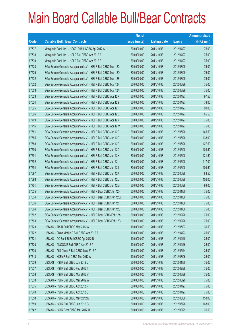|       |                                                                | No. of        |                     |               | <b>Amount raised</b> |
|-------|----------------------------------------------------------------|---------------|---------------------|---------------|----------------------|
| Code  | <b>Callable Bull / Bear Contracts</b>                          | issue (units) | <b>Listing date</b> | <b>Expiry</b> | (HK\$ mil.)          |
| 67537 | Macquarie Bank Ltd. - HSCEI R Bull CBBC Apr 2012 A             | 300,000,000   | 2011/10/03          | 2012/04/27    | 75.00                |
| 67538 | Macquarie Bank Ltd. - HSI R Bull CBBC Apr 2012 A               | 300,000,000   | 2011/10/03          | 2012/04/27    | 75.00                |
| 67539 | Macquarie Bank Ltd. - HSI R Bull CBBC Apr 2012 B               | 300,000,000   | 2011/10/03          | 2012/04/27    | 75.00                |
| 67528 | SGA Societe Generale Acceptance N.V. - HSI R Bull CBBC Mar 12C | 300,000,000   | 2011/10/03          | 2012/03/29    | 75.00                |
| 67529 | SGA Societe Generale Acceptance N.V. - HSI R Bull CBBC Mar 12D | 300,000,000   | 2011/10/03          | 2012/03/29    | 75.00                |
| 67532 | SGA Societe Generale Acceptance N.V. - HSI R Bull CBBC Mar 12E | 300,000,000   | 2011/10/03          | 2012/03/29    | 75.00                |
| 67552 | SGA Societe Generale Acceptance N.V. - HSI R Bull CBBC Mar 12F | 300,000,000   | 2011/10/03          | 2012/03/29    | 75.00                |
| 67553 | SGA Societe Generale Acceptance N.V. - HSI R Bull CBBC Mar 12N | 300,000,000   | 2011/10/03          | 2012/03/29    | 75.00                |
| 67523 | SGA Societe Generale Acceptance N.V. - HSI R Bull CBBC Apr 12R | 300,000,000   | 2011/10/03          | 2012/04/27    | 97.50                |
| 67524 | SGA Societe Generale Acceptance N.V. - HSI R Bull CBBC Apr 12S | 300,000,000   | 2011/10/03          | 2012/04/27    | 78.00                |
| 67525 | SGA Societe Generale Acceptance N.V. - HSI R Bull CBBC Apr 12T | 300,000,000   | 2011/10/03          | 2012/04/27    | 90.00                |
| 67526 | SGA Societe Generale Acceptance N.V. - HSI R Bull CBBC Apr 12U | 300,000,000   | 2011/10/03          | 2012/04/27    | 85.50                |
| 67709 | SGA Societe Generale Acceptance N.V. - HSI R Bull CBBC Apr 12V | 300,000,000   | 2011/10/03          | 2012/04/27    | 75.00                |
| 67716 | SGA Societe Generale Acceptance N.V. - HSI R Bull CBBC Apr 12W | 300,000,000   | 2011/10/03          | 2012/04/27    | 75.00                |
| 67681 | SGA Societe Generale Acceptance N.V. - HSI R Bull CBBC Jun 12D | 300,000,000   | 2011/10/03          | 2012/06/28    | 145.50               |
| 67685 | SGA Societe Generale Acceptance N.V. - HSI R Bull CBBC Jun 12E | 300,000,000   | 2011/10/03          | 2012/06/28    | 138.00               |
| 67688 | SGA Societe Generale Acceptance N.V. - HSI R Bull CBBC Jun 12F | 300,000,000   | 2011/10/03          | 2012/06/28    | 127.50               |
| 67690 | SGA Societe Generale Acceptance N.V. - HSI R Bull CBBC Jun 12G | 300,000,000   | 2011/10/03          | 2012/06/28    | 103.50               |
| 67691 | SGA Societe Generale Acceptance N.V. - HSI R Bull CBBC Jun 12H | 300,000,000   | 2011/10/03          | 2012/06/28    | 121.50               |
| 67692 | SGA Societe Generale Acceptance N.V. - HSI R Bull CBBC Jun 121 | 300,000,000   | 2011/10/03          | 2012/06/28    | 117.00               |
| 67694 | SGA Societe Generale Acceptance N.V. - HSI R Bull CBBC Jun 12J | 300,000,000   | 2011/10/03          | 2012/06/28    | 109.50               |
| 67697 | SGA Societe Generale Acceptance N.V. - HSI R Bull CBBC Jun 12K | 300,000,000   | 2011/10/03          | 2012/06/28    | 88.50                |
| 67698 | SGA Societe Generale Acceptance N.V. - HSI R Bull CBBC Jun 12L | 300,000,000   | 2011/10/03          | 2012/06/28    | 102.00               |
| 67701 | SGA Societe Generale Acceptance N.V. - HSI R Bull CBBC Jun 12M | 300,000,000   | 2011/10/03          | 2012/06/28    | 99.00                |
| 67535 | SGA Societe Generale Acceptance N.V. - HSI R Bear CBBC Jan 12H | 300,000,000   | 2011/10/03          | 2012/01/30    | 75.00                |
| 67534 | SGA Societe Generale Acceptance N.V. - HSI R Bear CBBC Jan 12Q | 300,000,000   | 2011/10/03          | 2012/01/30    | 75.00                |
| 67536 | SGA Societe Generale Acceptance N.V. - HSI R Bear CBBC Jan 12R | 300,000,000   | 2011/10/03          | 2012/01/30    | 75.00                |
| 67564 | SGA Societe Generale Acceptance N.V. - HSI R Bear CBBC Jan 12S | 300,000,000   | 2011/10/03          | 2012/01/30    | 75.00                |
| 67562 | SGA Societe Generale Acceptance N.V. - HSI R Bear CBBC Feb 12A | 300,000,000   | 2011/10/03          | 2012/02/28    | 75.00                |
| 67563 | SGA Societe Generale Acceptance N.V. - HSI R Bear CBBC Feb 12B | 300,000,000   | 2011/10/03          | 2012/02/28    | 75.00                |
| 67723 | UBS AG - AIA R Bull CBBC May 2012 A                            | 100,000,000   | 2011/10/03          | 2012/05/07    | 36.50                |
| 67722 | UBS AG - China Mobile R Bull CBBC Apr 2012 A                   | 100,000,000   | 2011/10/03          | 2012/04/23    | 25.00                |
| 67721 | UBS AG - CC Bank R Bull CBBC Apr 2012 B                        | 100,000,000   | 2011/10/03          | 2012/04/10    | 25.00                |
| 67720 | UBS AG - CNOOC R Bull CBBC Apr 2012 A                          | 100,000,000   | 2011/10/03          | 2012/04/16    | 25.00                |
| 67730 | UBS AG - A50 China R Bull CBBC May 2012 A                      | 100,000,000   | 2011/10/03          | 2012/05/14    | 25.00                |
| 67718 | UBS AG - HKEx R Bull CBBC Mar 2012 A                           | 100,000,000   | 2011/10/03          | 2012/03/26    | 25.00                |
| 67639 | UBS AG - HSI R Bull CBBC Jan 2012 L                            | 300,000,000   | 2011/10/03          | 2012/01/30    | 75.00                |
| 67637 | UBS AG - HSI R Bull CBBC Feb 2012 T                            | 300,000,000   | 2011/10/03          | 2012/02/28    | 75.00                |
| 67636 | UBS AG - HSI R Bull CBBC Mar 2012 V                            | 300,000,000   | 2011/10/03          | 2012/03/29    | 75.00                |
| 67638 | UBS AG - HSI R Bull CBBC Mar 2012 W                            | 300,000,000   | 2011/10/03          | 2012/03/29    | 75.00                |
| 67635 | UBS AG - HSI R Bull CBBC Apr 2012 R                            | 300,000,000   | 2011/10/03          | 2012/04/27    | 75.00                |
| 67640 | UBS AG - HSI R Bull CBBC Apr 2012 S                            | 300,000,000   | 2011/10/03          | 2012/04/27    | 75.00                |
| 67658 | UBS AG - HSI R Bull CBBC May 2012 M                            | 300,000,000   | 2011/10/03          | 2012/05/30    | 153.00               |
| 67659 | UBS AG - HSI R Bull CBBC Jun 2012 G                            | 300,000,000   | 2011/10/03          | 2012/06/28    | 168.00               |
| 67542 | UBS AG - HSI R Bear CBBC Mar 2012 U                            | 300,000,000   | 2011/10/03          | 2012/03/29    | 76.50                |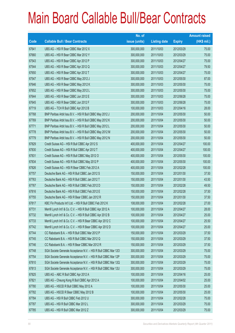|       |                                                                | No. of        |                     |               | <b>Amount raised</b> |
|-------|----------------------------------------------------------------|---------------|---------------------|---------------|----------------------|
| Code  | <b>Callable Bull / Bear Contracts</b>                          | issue (units) | <b>Listing date</b> | <b>Expiry</b> | $(HK$$ mil.)         |
| 67641 | UBS AG - HSI R Bear CBBC Mar 2012 X                            | 300,000,000   | 2011/10/03          | 2012/03/29    | 75.00                |
| 67660 | UBS AG - HSI R Bear CBBC Mar 2012 Y                            | 300,000,000   | 2011/10/03          | 2012/03/29    | 75.00                |
| 67543 | UBS AG - HSI R Bear CBBC Apr 2012 P                            | 300,000,000   | 2011/10/03          | 2012/04/27    | 75.00                |
| 67544 | UBS AG - HSI R Bear CBBC Apr 2012 Q                            | 300,000,000   | 2011/10/03          | 2012/04/27    | 79.50                |
| 67650 | UBS AG - HSI R Bear CBBC Apr 2012 T                            | 300,000,000   | 2011/10/03          | 2012/04/27    | 75.00                |
| 67547 | UBS AG - HSI R Bear CBBC May 2012 J                            | 300,000,000   | 2011/10/03          | 2012/05/30    | 87.00                |
| 67646 | UBS AG - HSI R Bear CBBC May 2012 K                            | 300,000,000   | 2011/10/03          | 2012/05/30    | 75.00                |
| 67652 | UBS AG - HSI R Bear CBBC May 2012 L                            | 300,000,000   | 2011/10/03          | 2012/05/30    | 75.00                |
| 67644 | UBS AG - HSI R Bear CBBC Jun 2012 E                            | 300,000,000   | 2011/10/03          | 2012/06/28    | 75.00                |
| 67645 | UBS AG - HSI R Bear CBBC Jun 2012 F                            | 300,000,000   | 2011/10/03          | 2012/06/28    | 75.00                |
| 67719 | UBS AG - TCH R Bull CBBC Apr 2012 B                            | 100,000,000   | 2011/10/03          | 2012/04/16    | 28.00                |
| 67768 | BNP Paribas Arbit Issu B.V. - HSI R Bull CBBC May 2012 J       | 200,000,000   | 2011/10/04          | 2012/05/30    | 50.00                |
| 67769 | BNP Paribas Arbit Issu B.V. - HSI R Bull CBBC May 2012 K       | 200,000,000   | 2011/10/04          | 2012/05/30    | 50.00                |
| 67771 | BNP Paribas Arbit Issu B.V. - HSI R Bull CBBC May 2012 L       | 200,000,000   | 2011/10/04          | 2012/05/30    | 50.00                |
| 67778 | BNP Paribas Arbit Issu B.V. - HSI R Bull CBBC May 2012 M       | 200,000,000   | 2011/10/04          | 2012/05/30    | 50.00                |
| 67779 | BNP Paribas Arbit Issu B.V. - HSI R Bull CBBC May 2012 N       | 200,000,000   | 2011/10/04          | 2012/05/30    | 50.00                |
| 67829 | Credit Suisse AG - HSI R Bull CBBC Apr 2012 S                  | 400,000,000   | 2011/10/04          | 2012/04/27    | 100.00               |
| 67830 | Credit Suisse AG - HSI R Bull CBBC Apr 2012 T                  | 400,000,000   | 2011/10/04          | 2012/04/27    | 100.00               |
| 67831 | Credit Suisse AG - HSI R Bull CBBC May 2012 O                  | 400,000,000   | 2011/10/04          | 2012/05/30    | 100.00               |
| 67834 | Credit Suisse AG - HSI R Bull CBBC May 2012 P                  | 400,000,000   | 2011/10/04          | 2012/05/30    | 100.00               |
| 67826 | Credit Suisse AG - HSI R Bear CBBC Feb 2012 A                  | 400,000,000   | 2011/10/04          | 2012/02/28    | 100.00               |
| 67757 | Deutsche Bank AG - HSI R Bull CBBC Jan 2012 S                  | 150,000,000   | 2011/10/04          | 2012/01/30    | 37.50                |
| 67763 | Deutsche Bank AG - HSI R Bull CBBC Jan 2012 T                  | 150,000,000   | 2011/10/04          | 2012/01/30    | 43.50                |
| 67767 | Deutsche Bank AG - HSI R Bull CBBC Feb 2012 D                  | 150,000,000   | 2011/10/04          | 2012/02/28    | 49.50                |
| 67816 | Deutsche Bank AG - HSI R Bull CBBC Feb 2012 E                  | 150,000,000   | 2011/10/04          | 2012/02/28    | 37.50                |
| 67755 | Deutsche Bank AG - HSI R Bear CBBC Jan 2012 R                  | 150,000,000   | 2011/10/04          | 2012/01/30    | 37.50                |
| 67817 | KBC Fin Products Int'l Ltd. - HSI R Bull CBBC Feb 2012 K       | 108,000,000   | 2011/10/04          | 2012/02/28    | 27.00                |
| 67731 | Merrill Lynch Int'l & Co. C.V. - HSI R Bull CBBC Apr 2012 A    | 100,000,000   | 2011/10/04          | 2012/04/27    | 28.00                |
| 67732 | Merrill Lynch Int'l & Co. C.V. - HSI R Bull CBBC Apr 2012 B    | 100,000,000   | 2011/10/04          | 2012/04/27    | 25.00                |
| 67733 | Merrill Lynch Int'l & Co. C.V. - HSI R Bear CBBC Apr 2012 C    | 100,000,000   | 2011/10/04          | 2012/04/27    | 25.50                |
| 67742 | Merrill Lynch Int'l & Co. C.V. - HSI R Bear CBBC Apr 2012 D    | 100,000,000   | 2011/10/04          | 2012/04/27    | 25.00                |
| 67744 | CC Rabobank B.A. - HSI R Bull CBBC Mar 2012 P                  | 150,000,000   | 2011/10/04          | 2012/03/29    | 37.50                |
| 67745 | CC Rabobank B.A. - HSI R Bull CBBC Mar 2012 Q                  | 150,000,000   | 2011/10/04          | 2012/03/29    | 37.50                |
| 67746 | CC Rabobank B.A. - HSI R Bear CBBC Mar 2012 R                  | 150,000,000   | 2011/10/04          | 2012/03/29    | 37.50                |
| 67748 | SGA Societe Generale Acceptance N.V. - HSI R Bull CBBC Mar 12O | 300,000,000   | 2011/10/04          | 2012/03/29    | 75.00                |
| 67754 | SGA Societe Generale Acceptance N.V. - HSI R Bull CBBC Mar 12P | 300,000,000   | 2011/10/04          | 2012/03/29    | 75.00                |
| 67810 | SGA Societe Generale Acceptance N.V. - HSI R Bull CBBC Mar 12Q | 300,000,000   | 2011/10/04          | 2012/03/29    | 75.00                |
| 67813 | SGA Societe Generale Acceptance N.V. - HSI R Bull CBBC Mar 12U | 300,000,000   | 2011/10/04          | 2012/03/29    | 75.00                |
| 67825 | UBS AG - ABC R Bull CBBC Apr 2012 A                            | 100,000,000   | 2011/10/04          | 2012/04/16    | 25.00                |
| 67821 | UBS AG - Cheung Kong R Bull CBBC Apr 2012 A                    | 100,000,000   | 2011/10/04          | 2012/04/02    | 25.00                |
| 67780 | UBS AG - HSCEI R Bull CBBC May 2012 A                          | 100,000,000   | 2011/10/04          | 2012/05/30    | 25.00                |
| 67782 | UBS AG - HSCEI R Bear CBBC May 2012 B                          | 100,000,000   | 2011/10/04          | 2012/05/30    | 25.00                |
| 67784 | UBS AG - HSI R Bull CBBC Feb 2012 U                            | 300,000,000   | 2011/10/04          | 2012/02/28    | 75.00                |
| 67787 | UBS AG - HSI R Bull CBBC Mar 2012 L                            | 300,000,000   | 2011/10/04          | 2012/03/29    | 75.00                |
| 67785 | UBS AG - HSI R Bull CBBC Mar 2012 Z                            | 300,000,000   | 2011/10/04          | 2012/03/29    | 75.00                |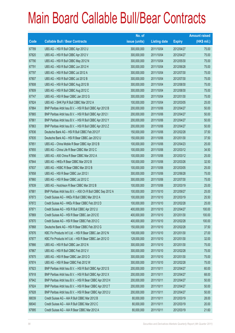|       |                                                             | No. of        |                     |               | <b>Amount raised</b> |
|-------|-------------------------------------------------------------|---------------|---------------------|---------------|----------------------|
| Code  | <b>Callable Bull / Bear Contracts</b>                       | issue (units) | <b>Listing date</b> | <b>Expiry</b> | $(HK$$ mil.)         |
| 67789 | UBS AG - HSI R Bull CBBC Apr 2012 U                         | 300,000,000   | 2011/10/04          | 2012/04/27    | 75.00                |
| 67820 | UBS AG - HSI R Bull CBBC Apr 2012 V                         | 300,000,000   | 2011/10/04          | 2012/04/27    | 75.00                |
| 67790 | UBS AG - HSI R Bull CBBC May 2012 N                         | 300,000,000   | 2011/10/04          | 2012/05/30    | 75.00                |
| 67791 | UBS AG - HSI R Bull CBBC Jun 2012 H                         | 300,000,000   | 2011/10/04          | 2012/06/28    | 75.00                |
| 67797 | UBS AG - HSI R Bull CBBC Jul 2012 A                         | 300,000,000   | 2011/10/04          | 2012/07/30    | 75.00                |
| 67807 | UBS AG - HSI R Bull CBBC Jul 2012 B                         | 300,000,000   | 2011/10/04          | 2012/07/30    | 75.00                |
| 67808 | UBS AG - HSI R Bull CBBC Aug 2012 B                         | 300,000,000   | 2011/10/04          | 2012/08/30    | 75.00                |
| 67809 | UBS AG - HSI R Bull CBBC Aug 2012 C                         | 300,000,000   | 2011/10/04          | 2012/08/30    | 75.00                |
| 67747 | UBS AG - HSI R Bear CBBC Jan 2012 G                         | 300,000,000   | 2011/10/04          | 2012/01/30    | 75.00                |
| 67824 | UBS AG - SHK Ppt R Bull CBBC Mar 2012 A                     | 100,000,000   | 2011/10/04          | 2012/03/05    | 25.00                |
| 67864 | BNP Paribas Arbit Issu B.V. - HSI R Bull CBBC Apr 2012 B    | 200,000,000   | 2011/10/06          | 2012/04/27    | 50.00                |
| 67865 | BNP Paribas Arbit Issu B.V. - HSI R Bull CBBC Apr 2012 I    | 200,000,000   | 2011/10/06          | 2012/04/27    | 50.00                |
| 67861 | BNP Paribas Arbit Issu B.V. - HSI R Bull CBBC Apr 2012 Y    | 200,000,000   | 2011/10/06          | 2012/04/27    | 50.00                |
| 67863 | BNP Paribas Arbit Issu B.V. - HSI R Bull CBBC Apr 2012 Z    | 200,000,000   | 2011/10/06          | 2012/04/27    | 50.00                |
| 67836 | Deutsche Bank AG - HSI R Bull CBBC Feb 2012 F               | 150,000,000   | 2011/10/06          | 2012/02/28    | 37.50                |
| 67835 | Deutsche Bank AG - HSI R Bear CBBC Jan 2012 U               | 150,000,000   | 2011/10/06          | 2012/01/30    | 37.50                |
| 67851 | UBS AG - China Mobile R Bear CBBC Apr 2012 B                | 100,000,000   | 2011/10/06          | 2012/04/23    | 25.00                |
| 67855 | UBS AG - China Life R Bear CBBC Mar 2012 C                  | 100,000,000   | 2011/10/06          | 2012/03/12    | 34.50                |
| 67856 | UBS AG - A50 China R Bear CBBC Mar 2012 A                   | 100,000,000   | 2011/10/06          | 2012/03/12    | 25.00                |
| 67844 | UBS AG - HKEx R Bear CBBC Mar 2012 B                        | 100,000,000   | 2011/10/06          | 2012/03/26    | 32.50                |
| 67837 | UBS AG - HSBC R Bear CBBC Mar 2012 B                        | 100,000,000   | 2011/10/06          | 2012/03/05    | 25.00                |
| 67858 | UBS AG - HSI R Bear CBBC Jun 2012 I                         | 300,000,000   | 2011/10/06          | 2012/06/28    | 75.00                |
| 67860 | UBS AG - HSI R Bear CBBC Jul 2012 C                         | 300,000,000   | 2011/10/06          | 2012/07/30    | 75.00                |
| 67839 | UBS AG - Hutchison R Bear CBBC Mar 2012 B                   | 100,000,000   | 2011/10/06          | 2012/03/19    | 25.00                |
| 67881 | BNP Paribas Arbit Issu B.V. - A50 Ch R Bull CBBC Sep 2012 A | 100,000,000   | 2011/10/10          | 2012/09/27    | 25.00                |
| 67873 | Credit Suisse AG - HKEx R Bull CBBC Mar 2012 A              | 100,000,000   | 2011/10/10          | 2012/03/19    | 25.50                |
| 67872 | Credit Suisse AG - HKEx R Bear CBBC Feb 2012 D              | 100,000,000   | 2011/10/10          | 2012/02/28    | 25.00                |
| 67871 | Credit Suisse AG - HSI R Bull CBBC Apr 2012 U               | 400,000,000   | 2011/10/10          | 2012/04/27    | 100.00               |
| 67869 | Credit Suisse AG - HSI R Bear CBBC Jan 2012 E               | 400,000,000   | 2011/10/10          | 2012/01/30    | 100.00               |
| 67870 | Credit Suisse AG - HSI R Bear CBBC Feb 2012 C               | 400,000,000   | 2011/10/10          | 2012/02/28    | 100.00               |
| 67868 | Deutsche Bank AG - HSI R Bear CBBC Feb 2012 G               | 150,000,000   | 2011/10/10          | 2012/02/28    | 37.50                |
| 67876 | KBC Fin Products Int'l Ltd. - HSI R Bear CBBC Jan 2012 N    | 108,000,000   | 2011/10/10          | 2012/01/30    | 27.00                |
| 67877 | KBC Fin Products Int'l Ltd. - HSI R Bear CBBC Jan 2012 O    | 128,000,000   | 2011/10/10          | 2012/01/30    | 32.00                |
| 67866 | UBS AG - HSI R Bull CBBC Jan 2012 N                         | 300,000,000   | 2011/10/10          | 2012/01/30    | 75.00                |
| 67867 | UBS AG - HSI R Bull CBBC Feb 2012 V                         | 300,000,000   | 2011/10/10          | 2012/02/28    | 75.00                |
| 67875 | UBS AG - HSI R Bear CBBC Jan 2012 O                         | 300,000,000   | 2011/10/10          | 2012/01/30    | 75.00                |
| 67874 | UBS AG - HSI R Bear CBBC Feb 2012 W                         | 300,000,000   | 2011/10/10          | 2012/02/28    | 75.00                |
| 67923 | BNP Paribas Arbit Issu B.V. - HSI R Bull CBBC Apr 2012 S    | 200,000,000   | 2011/10/11          | 2012/04/27    | 60.00                |
| 67918 | BNP Paribas Arbit Issu B.V. - HSI R Bull CBBC Apr 2012 X    | 200,000,000   | 2011/10/11          | 2012/04/27    | 68.00                |
| 67942 | BNP Paribas Arbit Issu B.V. - HSI R Bear CBBC Apr 2012 H    | 200,000,000   | 2011/10/11          | 2012/04/27    | 50.00                |
| 67924 | BNP Paribas Arbit Issu B.V. - HSI R Bear CBBC Apr 2012 T    | 200,000,000   | 2011/10/11          | 2012/04/27    | 50.00                |
| 67928 | BNP Paribas Arbit Issu B.V. - HSI R Bear CBBC Apr 2012 U    | 200,000,000   | 2011/10/11          | 2012/04/27    | 50.00                |
| 68039 | Credit Suisse AG - AIA R Bull CBBC Mar 2012 B               | 80,000,000    | 2011/10/11          | 2012/03/19    | 28.00                |
| 68040 | Credit Suisse AG - AIA R Bull CBBC Mar 2012 C               | 80,000,000    | 2011/10/11          | 2012/03/19    | 20.00                |
| 67995 | Credit Suisse AG - AIA R Bear CBBC Mar 2012 A               | 80,000,000    | 2011/10/11          | 2012/03/19    | 21.60                |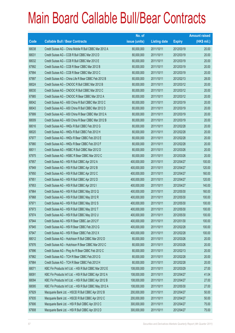|       |                                                          | No. of        |                     |               | <b>Amount raised</b> |
|-------|----------------------------------------------------------|---------------|---------------------|---------------|----------------------|
| Code  | <b>Callable Bull / Bear Contracts</b>                    | issue (units) | <b>Listing date</b> | <b>Expiry</b> | (HK\$ mil.)          |
| 68038 | Credit Suisse AG - China Mobile R Bull CBBC Mar 2012 A   | 80,000,000    | 2011/10/11          | 2012/03/19    | 20.00                |
| 68031 | Credit Suisse AG - CCB R Bull CBBC Mar 2012 D            | 80,000,000    | 2011/10/11          | 2012/03/19    | 20.00                |
| 68032 | Credit Suisse AG - CCB R Bull CBBC Mar 2012 E            | 80,000,000    | 2011/10/11          | 2012/03/19    | 20.00                |
| 67992 | Credit Suisse AG - CCB R Bear CBBC Mar 2012 B            | 80,000,000    | 2011/10/11          | 2012/03/19    | 20.00                |
| 67994 | Credit Suisse AG - CCB R Bear CBBC Mar 2012 C            | 80,000,000    | 2011/10/11          | 2012/03/19    | 20.00                |
| 67997 | Credit Suisse AG - China Life R Bear CBBC Feb 2012 B     | 80,000,000    | 2011/10/11          | 2012/02/13    | 28.00                |
| 68024 | Credit Suisse AG - CNOOC R Bull CBBC Mar 2012 B          | 80,000,000    | 2011/10/11          | 2012/03/12    | 20.00                |
| 68030 | Credit Suisse AG - CNOOC R Bull CBBC Mar 2012 C          | 80,000,000    | 2011/10/11          | 2012/03/12    | 20.00                |
| 67985 | Credit Suisse AG - CNOOC R Bear CBBC Mar 2012 A          | 80,000,000    | 2011/10/11          | 2012/03/12    | 20.00                |
| 68042 | Credit Suisse AG - A50 China R Bull CBBC Mar 2012 C      | 80,000,000    | 2011/10/11          | 2012/03/19    | 20.00                |
| 68043 | Credit Suisse AG - A50 China R Bull CBBC Mar 2012 D      | 80,000,000    | 2011/10/11          | 2012/03/19    | 20.00                |
| 67999 | Credit Suisse AG - A50 China R Bear CBBC Mar 2012 A      | 80,000,000    | 2011/10/11          | 2012/03/19    | 20.00                |
| 68009 | Credit Suisse AG - A50 China R Bear CBBC Mar 2012 B      | 80,000,000    | 2011/10/11          | 2012/03/19    | 20.00                |
| 68016 | Credit Suisse AG - HKEx R Bull CBBC Feb 2012 G           | 80,000,000    | 2011/10/11          | 2012/02/28    | 20.00                |
| 68020 | Credit Suisse AG - HKEx R Bull CBBC Feb 2012 H           | 80,000,000    | 2011/10/11          | 2012/02/28    | 20.00                |
| 67977 | Credit Suisse AG - HKEx R Bear CBBC Feb 2012 E           | 80,000,000    | 2011/10/11          | 2012/02/28    | 20.00                |
| 67980 | Credit Suisse AG - HKEx R Bear CBBC Feb 2012 F           | 80,000,000    | 2011/10/11          | 2012/02/28    | 20.00                |
| 68011 | Credit Suisse AG - HSBC R Bull CBBC Mar 2012 D           | 80,000,000    | 2011/10/11          | 2012/03/26    | 20.00                |
| 67975 | Credit Suisse AG - HSBC R Bear CBBC Mar 2012 C           | 80,000,000    | 2011/10/11          | 2012/03/26    | 20.00                |
| 67957 | Credit Suisse AG - HSI R Bull CBBC Apr 2012 A            | 400,000,000   | 2011/10/11          | 2012/04/27    | 100.00               |
| 67949 | Credit Suisse AG - HSI R Bull CBBC Apr 2012 B            | 400,000,000   | 2011/10/11          | 2012/04/27    | 120.00               |
| 67950 | Credit Suisse AG - HSI R Bull CBBC Apr 2012 C            | 400,000,000   | 2011/10/11          | 2012/04/27    | 160.00               |
| 67951 | Credit Suisse AG - HSI R Bull CBBC Apr 2012 D            | 400,000,000   | 2011/10/11          | 2012/04/27    | 120.00               |
| 67953 | Credit Suisse AG - HSI R Bull CBBC Apr 2012 I            | 400,000,000   | 2011/10/11          | 2012/04/27    | 140.00               |
| 67964 | Credit Suisse AG - HSI R Bull CBBC May 2012 Q            | 400,000,000   | 2011/10/11          | 2012/05/30    | 160.00               |
| 67968 | Credit Suisse AG - HSI R Bull CBBC May 2012 R            | 400,000,000   | 2011/10/11          | 2012/05/30    | 100.00               |
| 67971 | Credit Suisse AG - HSI R Bull CBBC May 2012 S            | 400,000,000   | 2011/10/11          | 2012/05/30    | 100.00               |
| 67973 | Credit Suisse AG - HSI R Bull CBBC May 2012 T            | 400,000,000   | 2011/10/11          | 2012/05/30    | 100.00               |
| 67974 | Credit Suisse AG - HSI R Bull CBBC May 2012 U            | 400,000,000   | 2011/10/11          | 2012/05/30    | 100.00               |
| 67944 | Credit Suisse AG - HSI R Bear CBBC Jan 2012 F            | 400,000,000   | 2011/10/11          | 2012/01/30    | 100.00               |
| 67945 | Credit Suisse AG - HSI R Bear CBBC Feb 2012 G            | 400,000,000   | 2011/10/11          | 2012/02/28    | 100.00               |
| 67947 | Credit Suisse AG - HSI R Bear CBBC Feb 2012 X            | 400,000,000   | 2011/10/11          | 2012/02/28    | 100.00               |
| 68012 | Credit Suisse AG - Hutchison R Bull CBBC Mar 2012 D      | 80,000,000    | 2011/10/11          | 2012/03/26    | 20.00                |
| 67976 | Credit Suisse AG - Hutchison R Bear CBBC Mar 2012 C      | 80,000,000    | 2011/10/11          | 2012/03/26    | 20.00                |
| 67996 | Credit Suisse AG - Ping An R Bear CBBC Feb 2012 C        | 80,000,000    | 2011/10/11          | 2012/02/13    | 20.00                |
| 67982 | Credit Suisse AG - TCH R Bear CBBC Feb 2012 G            | 80,000,000    | 2011/10/11          | 2012/02/28    | 20.00                |
| 67984 | Credit Suisse AG - TCH R Bear CBBC Feb 2012 H            | 80,000,000    | 2011/10/11          | 2012/02/28    | 20.00                |
| 68071 | KBC Fin Products Int'l Ltd. - HSI R Bull CBBC Mar 2012 E | 108,000,000   | 2011/10/11          | 2012/03/29    | 27.00                |
| 68091 | KBC Fin Products Int'l Ltd. - HSI R Bull CBBC Apr 2012 A | 108,000,000   | 2011/10/11          | 2012/04/27    | 41.04                |
| 68094 | KBC Fin Products Int'l Ltd. - HSI R Bull CBBC Apr 2012 B | 108,000,000   | 2011/10/11          | 2012/04/27    | 27.00                |
| 68095 | KBC Fin Products Int'l Ltd. - HSI R Bull CBBC May 2012 A | 108,000,000   | 2011/10/11          | 2012/05/30    | 27.00                |
| 67929 | Macquarie Bank Ltd. - HSCEI R Bull CBBC Apr 2012 B       | 200,000,000   | 2011/10/11          | 2012/04/27    | 50.00                |
| 67935 | Macquarie Bank Ltd. - HSCEI R Bull CBBC Apr 2012 C       | 200,000,000   | 2011/10/11          | 2012/04/27    | 50.00                |
| 67906 | Macquarie Bank Ltd. - HSI R Bull CBBC Apr 2012 C         | 300,000,000   | 2011/10/11          | 2012/04/27    | 75.00                |
| 67908 | Macquarie Bank Ltd. - HSI R Bull CBBC Apr 2012 D         | 300,000,000   | 2011/10/11          | 2012/04/27    | 75.00                |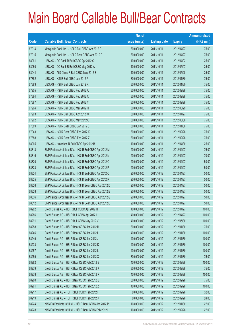|       |                                                          | No. of        |                     |               | <b>Amount raised</b> |
|-------|----------------------------------------------------------|---------------|---------------------|---------------|----------------------|
| Code  | <b>Callable Bull / Bear Contracts</b>                    | issue (units) | <b>Listing date</b> | <b>Expiry</b> | $(HK$$ mil.)         |
| 67914 | Macquarie Bank Ltd. - HSI R Bull CBBC Apr 2012 E         | 300,000,000   | 2011/10/11          | 2012/04/27    | 75.00                |
| 67915 | Macquarie Bank Ltd. - HSI R Bear CBBC Apr 2012 F         | 300,000,000   | 2011/10/11          | 2012/04/27    | 75.00                |
| 68061 | UBS AG - CC Bank R Bull CBBC Apr 2012 C                  | 100,000,000   | 2011/10/11          | 2012/04/02    | 25.00                |
| 68060 | UBS AG - CC Bank R Bull CBBC May 2012 A                  | 100,000,000   | 2011/10/11          | 2012/05/07    | 25.00                |
| 68044 | UBS AG - A50 China R Bull CBBC May 2012 B                | 100,000,000   | 2011/10/11          | 2012/05/28    | 25.00                |
| 67882 | UBS AG - HSI R Bull CBBC Jan 2012 P                      | 300,000,000   | 2011/10/11          | 2012/01/30    | 75.00                |
| 67883 | UBS AG - HSI R Bull CBBC Jan 2012 R                      | 300,000,000   | 2011/10/11          | 2012/01/30    | 75.00                |
| 67905 | UBS AG - HSI R Bull CBBC Feb 2012 A                      | 300,000,000   | 2011/10/11          | 2012/02/28    | 75.00                |
| 67884 | UBS AG - HSI R Bull CBBC Feb 2012 X                      | 300,000,000   | 2011/10/11          | 2012/02/28    | 75.00                |
| 67887 | UBS AG - HSI R Bull CBBC Feb 2012 Y                      | 300,000,000   | 2011/10/11          | 2012/02/28    | 75.00                |
| 67904 | UBS AG - HSI R Bull CBBC Mar 2012 H                      | 300,000,000   | 2011/10/11          | 2012/03/29    | 75.00                |
| 67903 | UBS AG - HSI R Bull CBBC Apr 2012 W                      | 300,000,000   | 2011/10/11          | 2012/04/27    | 75.00                |
| 67902 | UBS AG - HSI R Bull CBBC May 2012 O                      | 300,000,000   | 2011/10/11          | 2012/05/30    | 75.00                |
| 67889 | UBS AG - HSI R Bear CBBC Jan 2012 S                      | 300,000,000   | 2011/10/11          | 2012/01/30    | 75.00                |
| 67943 | UBS AG - HSI R Bear CBBC Feb 2012 K                      | 300,000,000   | 2011/10/11          | 2012/02/28    | 75.00                |
| 67888 | UBS AG - HSI R Bear CBBC Feb 2012 Z                      | 300,000,000   | 2011/10/11          | 2012/02/28    | 75.00                |
| 68065 | UBS AG - Hutchison R Bull CBBC Apr 2012 B                | 100,000,000   | 2011/10/11          | 2012/04/30    | 25.00                |
| 68313 | BNP Paribas Arbit Issu B.V. - HSI R Bull CBBC Apr 2012 M | 200,000,000   | 2011/10/12          | 2012/04/27    | 76.00                |
| 68316 | BNP Paribas Arbit Issu B.V. - HSI R Bull CBBC Apr 2012 N | 200,000,000   | 2011/10/12          | 2012/04/27    | 70.00                |
| 68320 | BNP Paribas Arbit Issu B.V. - HSI R Bull CBBC Apr 2012 O | 200,000,000   | 2011/10/12          | 2012/04/27    | 50.00                |
| 68323 | BNP Paribas Arbit Issu B.V. - HSI R Bull CBBC Apr 2012 P | 200,000,000   | 2011/10/12          | 2012/04/27    | 50.00                |
| 68324 | BNP Paribas Arbit Issu B.V. - HSI R Bull CBBC Apr 2012 Q | 200,000,000   | 2011/10/12          | 2012/04/27    | 50.00                |
| 68325 | BNP Paribas Arbit Issu B.V. - HSI R Bull CBBC Apr 2012 R | 200,000,000   | 2011/10/12          | 2012/04/27    | 50.00                |
| 68326 | BNP Paribas Arbit Issu B.V. - HSI R Bear CBBC Apr 2012 D | 200,000,000   | 2011/10/12          | 2012/04/27    | 50.00                |
| 68328 | BNP Paribas Arbit Issu B.V. - HSI R Bear CBBC Apr 2012 E | 200,000,000   | 2011/10/12          | 2012/04/27    | 50.00                |
| 68336 | BNP Paribas Arbit Issu B.V. - HSI R Bear CBBC Apr 2012 G | 200,000,000   | 2011/10/12          | 2012/04/27    | 50.00                |
| 68312 | BNP Paribas Arbit Issu B.V. - HSI R Bear CBBC Apr 2012 L | 200,000,000   | 2011/10/12          | 2012/04/27    | 50.00                |
| 68282 | Credit Suisse AG - HSI R Bull CBBC Apr 2012 H            | 400,000,000   | 2011/10/12          | 2012/04/27    | 100.00               |
| 68286 | Credit Suisse AG - HSI R Bull CBBC Apr 2012 L            | 400,000,000   | 2011/10/12          | 2012/04/27    | 100.00               |
| 68291 | Credit Suisse AG - HSI R Bull CBBC May 2012 V            | 400,000,000   | 2011/10/12          | 2012/05/30    | 100.00               |
| 68258 | Credit Suisse AG - HSI R Bear CBBC Jan 2012 H            | 300,000,000   | 2011/10/12          | 2012/01/30    | 75.00                |
| 68246 | Credit Suisse AG - HSI R Bear CBBC Jan 2012 I            | 400,000,000   | 2011/10/12          | 2012/01/30    | 100.00               |
| 68249 | Credit Suisse AG - HSI R Bear CBBC Jan 2012 J            | 400,000,000   | 2011/10/12          | 2012/01/30    | 100.00               |
| 68233 | Credit Suisse AG - HSI R Bear CBBC Jan 2012 K            | 400,000,000   | 2011/10/12          | 2012/01/30    | 100.00               |
| 68257 | Credit Suisse AG - HSI R Bear CBBC Jan 2012 L            | 400,000,000   | 2011/10/12          | 2012/01/30    | 100.00               |
| 68259 | Credit Suisse AG - HSI R Bear CBBC Jan 2012 X            | 300,000,000   | 2011/10/12          | 2012/01/30    | 75.00                |
| 68262 | Credit Suisse AG - HSI R Bear CBBC Feb 2012 E            | 400,000,000   | 2011/10/12          | 2012/02/28    | 100.00               |
| 68279 | Credit Suisse AG - HSI R Bear CBBC Feb 2012 K            | 300,000,000   | 2011/10/12          | 2012/02/28    | 75.00                |
| 68278 | Credit Suisse AG - HSI R Bear CBBC Feb 2012 R            | 400,000,000   | 2011/10/12          | 2012/02/28    | 100.00               |
| 68280 | Credit Suisse AG - HSI R Bear CBBC Feb 2012 S            | 300,000,000   | 2011/10/12          | 2012/02/28    | 75.00                |
| 68261 | Credit Suisse AG - HSI R Bear CBBC Feb 2012 Z            | 400,000,000   | 2011/10/12          | 2012/02/28    | 100.00               |
| 68217 | Credit Suisse AG - TCH R Bull CBBC Feb 2012 I            | 80,000,000    | 2011/10/12          | 2012/02/28    | 32.00                |
| 68219 | Credit Suisse AG - TCH R Bull CBBC Feb 2012 J            | 80,000,000    | 2011/10/12          | 2012/02/28    | 24.00                |
| 68224 | KBC Fin Products Int'l Ltd. - HSI R Bear CBBC Jan 2012 P | 108,000,000   | 2011/10/12          | 2012/01/30    | 27.00                |
| 68228 | KBC Fin Products Int'l Ltd. - HSI R Bear CBBC Feb 2012 L | 108,000,000   | 2011/10/12          | 2012/02/28    | 27.00                |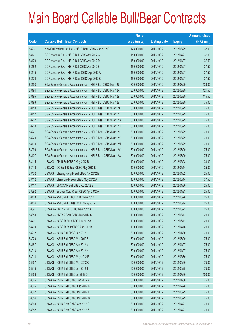|       |                                                                | No. of        |                     |               | <b>Amount raised</b> |
|-------|----------------------------------------------------------------|---------------|---------------------|---------------|----------------------|
| Code  | <b>Callable Bull / Bear Contracts</b>                          | issue (units) | <b>Listing date</b> | <b>Expiry</b> | (HK\$ mil.)          |
| 68231 | KBC Fin Products Int'l Ltd. - HSI R Bear CBBC Mar 2012 F       | 128,000,000   | 2011/10/12          | 2012/03/29    | 32.00                |
| 68177 | CC Rabobank B.A. - HSI R Bull CBBC Apr 2012 C                  | 150,000,000   | 2011/10/12          | 2012/04/27    | 37.50                |
| 68178 | CC Rabobank B.A. - HSI R Bull CBBC Apr 2012 D                  | 150,000,000   | 2011/10/12          | 2012/04/27    | 37.50                |
| 68182 | CC Rabobank B.A. - HSI R Bull CBBC Apr 2012 E                  | 150,000,000   | 2011/10/12          | 2012/04/27    | 37.50                |
| 68115 | CC Rabobank B.A. - HSI R Bear CBBC Apr 2012 A                  | 150,000,000   | 2011/10/12          | 2012/04/27    | 37.50                |
| 68170 | CC Rabobank B.A. - HSI R Bear CBBC Apr 2012 B                  | 150,000,000   | 2011/10/12          | 2012/04/27    | 37.50                |
| 68193 | SGA Societe Generale Acceptance N.V. - HSI R Bull CBBC Mar 12J | 300,000,000   | 2011/10/12          | 2012/03/29    | 129.00               |
| 68194 | SGA Societe Generale Acceptance N.V. - HSI R Bull CBBC Mar 12X | 300,000,000   | 2011/10/12          | 2012/03/29    | 121.50               |
| 68195 | SGA Societe Generale Acceptance N.V. - HSI R Bull CBBC Mar 12Y | 300,000,000   | 2011/10/12          | 2012/03/29    | 115.50               |
| 68196 | SGA Societe Generale Acceptance N.V. - HSI R Bull CBBC Mar 12Z | 300,000,000   | 2011/10/12          | 2012/03/29    | 75.00                |
| 68110 | SGA Societe Generale Acceptance N.V. - HSI R Bear CBBC Mar 12A | 300,000,000   | 2011/10/12          | 2012/03/29    | 75.00                |
| 68112 | SGA Societe Generale Acceptance N.V. - HSI R Bear CBBC Mar 12B | 300,000,000   | 2011/10/12          | 2012/03/29    | 75.00                |
| 68202 | SGA Societe Generale Acceptance N.V. - HSI R Bear CBBC Mar 12G | 300,000,000   | 2011/10/12          | 2012/03/29    | 75.00                |
| 68209 | SGA Societe Generale Acceptance N.V. - HSI R Bear CBBC Mar 12H | 300,000,000   | 2011/10/12          | 2012/03/29    | 75.00                |
| 68221 | SGA Societe Generale Acceptance N.V. - HSI R Bear CBBC Mar 121 | 300,000,000   | 2011/10/12          | 2012/03/29    | 75.00                |
| 68223 | SGA Societe Generale Acceptance N.V. - HSI R Bear CBBC Mar 12K | 300,000,000   | 2011/10/12          | 2012/03/29    | 75.00                |
| 68113 | SGA Societe Generale Acceptance N.V. - HSI R Bear CBBC Mar 12M | 300,000,000   | 2011/10/12          | 2012/03/29    | 75.00                |
| 68096 | SGA Societe Generale Acceptance N.V. - HSI R Bear CBBC Mar 12V | 300,000,000   | 2011/10/12          | 2012/03/29    | 75.00                |
| 68107 | SGA Societe Generale Acceptance N.V. - HSI R Bear CBBC Mar 12W | 300,000,000   | 2011/10/12          | 2012/03/29    | 75.00                |
| 68415 | UBS AG - AIA R Bull CBBC May 2012 B                            | 100,000,000   | 2011/10/12          | 2012/05/28    | 33.00                |
| 68416 | UBS AG - CC Bank R Bear CBBC May 2012 B                        | 100,000,000   | 2011/10/12          | 2012/05/14    | 25.00                |
| 68402 | UBS AG - Cheung Kong R Bull CBBC Apr 2012 B                    | 100,000,000   | 2011/10/12          | 2012/04/02    | 25.00                |
| 68412 | UBS AG - China Life R Bear CBBC May 2012 A                     | 100,000,000   | 2011/10/12          | 2012/05/14    | 37.50                |
| 68417 | UBS AG - CNOOC R Bull CBBC Apr 2012 B                          | 100,000,000   | 2011/10/12          | 2012/04/30    | 25.00                |
| 68392 | UBS AG - Sinopec Corp R Bull CBBC Apr 2012 A                   | 100,000,000   | 2011/10/12          | 2012/04/23    | 25.00                |
| 68408 | UBS AG - A50 China R Bull CBBC May 2012 D                      | 100,000,000   | 2011/10/12          | 2012/05/28    | 25.00                |
| 68404 | UBS AG - A50 China R Bear CBBC May 2012 C                      | 100,000,000   | 2011/10/12          | 2012/05/14    | 25.00                |
| 68391 | UBS AG - HKEx R Bull CBBC May 2012 A                           | 100,000,000   | 2011/10/12          | 2012/05/21    | 25.00                |
| 68389 | UBS AG - HKEx R Bear CBBC Mar 2012 C                           | 100,000,000   | 2011/10/12          | 2012/03/12    | 25.00                |
| 68401 | UBS AG - HSBC R Bull CBBC Jun 2012 A                           | 100,000,000   | 2011/10/12          | 2012/06/11    | 25.00                |
| 68400 | UBS AG - HSBC R Bear CBBC Apr 2012 B                           | 100,000,000   | 2011/10/12          | 2012/04/16    | 25.00                |
| 68212 | UBS AG - HSI R Bull CBBC Jan 2012 U                            | 300,000,000   | 2011/10/12          | 2012/01/30    | 75.00                |
| 68220 | UBS AG - HSI R Bull CBBC Mar 2012 F                            | 300,000,000   | 2011/10/12          | 2012/03/29    | 75.00                |
| 68187 | UBS AG - HSI R Bull CBBC Apr 2012 X                            | 300,000,000   | 2011/10/12          | 2012/04/27    | 75.00                |
| 68213 | UBS AG - HSI R Bull CBBC Apr 2012 Y                            | 300,000,000   | 2011/10/12          | 2012/04/27    | 75.00                |
| 68214 | UBS AG - HSI R Bull CBBC May 2012 P                            | 300,000,000   | 2011/10/12          | 2012/05/30    | 75.00                |
| 68367 | UBS AG - HSI R Bull CBBC May 2012 Q                            | 300,000,000   | 2011/10/12          | 2012/05/30    | 75.00                |
| 68215 | UBS AG - HSI R Bull CBBC Jun 2012 J                            | 300,000,000   | 2011/10/12          | 2012/06/28    | 75.00                |
| 68368 | UBS AG - HSI R Bull CBBC Jul 2012 D                            | 300,000,000   | 2011/10/12          | 2012/07/30    | 150.00               |
| 68365 | UBS AG - HSI R Bear CBBC Jan 2012 Y                            | 300,000,000   | 2011/10/12          | 2012/01/30    | 75.00                |
| 68366 | UBS AG - HSI R Bear CBBC Feb 2012 B                            | 300,000,000   | 2011/10/12          | 2012/02/28    | 75.00                |
| 68362 | UBS AG - HSI R Bear CBBC Mar 2012 E                            | 300,000,000   | 2011/10/12          | 2012/03/29    | 75.00                |
| 68354 | UBS AG - HSI R Bear CBBC Mar 2012 G                            | 300,000,000   | 2011/10/12          | 2012/03/29    | 75.00                |
| 68369 | UBS AG - HSI R Bear CBBC Apr 2012 C                            | 300,000,000   | 2011/10/12          | 2012/04/27    | 75.00                |
| 68352 | UBS AG - HSI R Bear CBBC Apr 2012 Z                            | 300,000,000   | 2011/10/12          | 2012/04/27    | 75.00                |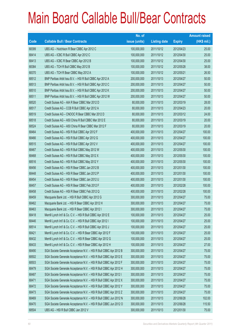|       |                                                                   | No. of        |                     |               | <b>Amount raised</b> |
|-------|-------------------------------------------------------------------|---------------|---------------------|---------------|----------------------|
| Code  | <b>Callable Bull / Bear Contracts</b>                             | issue (units) | <b>Listing date</b> | <b>Expiry</b> | $(HK$$ mil.)         |
| 68399 | UBS AG - Hutchison R Bear CBBC Apr 2012 C                         | 100,000,000   | 2011/10/12          | 2012/04/23    | 25.00                |
| 68414 | UBS AG - ICBC R Bull CBBC Apr 2012 C                              | 100,000,000   | 2011/10/12          | 2012/04/30    | 25.00                |
| 68413 | UBS AG - ICBC R Bear CBBC Apr 2012 B                              | 100,000,000   | 2011/10/12          | 2012/04/30    | 25.00                |
| 68384 | UBS AG - TCH R Bull CBBC May 2012 B                               | 100,000,000   | 2011/10/12          | 2012/05/28    | 38.00                |
| 68370 | UBS AG - TCH R Bear CBBC May 2012 A                               | 100,000,000   | 2011/10/12          | 2012/05/21    | 26.50                |
| 68512 | BNP Paribas Arbit Issu B.V. - HSI R Bull CBBC Apr 2012 A          | 200,000,000   | 2011/10/13          | 2012/04/27    | 50.00                |
| 68513 | BNP Paribas Arbit Issu B.V. - HSI R Bull CBBC Apr 2012 C          | 200,000,000   | 2011/10/13          | 2012/04/27    | 50.00                |
| 68510 | BNP Paribas Arbit Issu B.V. - HSI R Bull CBBC Apr 2012 K          | 200,000,000   | 2011/10/13          | 2012/04/27    | 50.00                |
| 68511 | BNP Paribas Arbit Issu B.V. - HSI R Bull CBBC Apr 2012 W          | 200,000,000   | 2011/10/13          | 2012/04/27    | 50.00                |
| 68520 | Credit Suisse AG - AIA R Bear CBBC Mar 2012 D                     | 80,000,000    | 2011/10/13          | 2012/03/19    | 28.00                |
| 68517 | Credit Suisse AG - CCB R Bull CBBC Apr 2012 A                     | 80,000,000    | 2011/10/13          | 2012/04/23    | 20.00                |
| 68519 | Credit Suisse AG - CNOOC R Bear CBBC Mar 2012 D                   | 80,000,000    | 2011/10/13          | 2012/03/12    | 24.00                |
| 68518 | Credit Suisse AG - A50 China R Bull CBBC Mar 2012 E               | 80,000,000    | 2011/10/13          | 2012/03/19    | 20.00                |
| 68524 | Credit Suisse AG - A50 China R Bear CBBC Mar 2012 F               | 80,000,000    | 2011/10/13          | 2012/03/19    | 20.00                |
| 68464 | Credit Suisse AG - HSI R Bull CBBC Apr 2012 F                     | 400,000,000   | 2011/10/13          | 2012/04/27    | 100.00               |
| 68466 | Credit Suisse AG - HSI R Bull CBBC Apr 2012 G                     | 400,000,000   | 2011/10/13          | 2012/04/27    | 100.00               |
| 68515 | Credit Suisse AG - HSI R Bull CBBC Apr 2012 V                     | 400,000,000   | 2011/10/13          | 2012/04/27    | 100.00               |
| 68467 | Credit Suisse AG - HSI R Bull CBBC May 2012 W                     | 400,000,000   | 2011/10/13          | 2012/05/30    | 100.00               |
| 68468 | Credit Suisse AG - HSI R Bull CBBC May 2012 X                     | 400,000,000   | 2011/10/13          | 2012/05/30    | 100.00               |
| 68516 | Credit Suisse AG - HSI R Bull CBBC May 2012 Y                     | 400,000,000   | 2011/10/13          | 2012/05/30    | 100.00               |
| 68456 | Credit Suisse AG - HSI R Bear CBBC Jan 2012 B                     | 400,000,000   | 2011/10/13          | 2012/01/30    | 100.00               |
| 68448 | Credit Suisse AG - HSI R Bear CBBC Jan 2012 P                     | 400,000,000   | 2011/10/13          | 2012/01/30    | 100.00               |
| 68454 | Credit Suisse AG - HSI R Bear CBBC Jan 2012 U                     | 400,000,000   | 2011/10/13          | 2012/01/30    | 100.00               |
| 68457 | Credit Suisse AG - HSI R Bear CBBC Feb 2012 F                     | 400,000,000   | 2011/10/13          | 2012/02/28    | 100.00               |
| 68458 | Credit Suisse AG - HSI R Bear CBBC Feb 2012 Q                     | 400,000,000   | 2011/10/13          | 2012/02/28    | 100.00               |
| 68459 | Macquarie Bank Ltd. - HSI R Bull CBBC Apr 2012 G                  | 300,000,000   | 2011/10/13          | 2012/04/27    | 75.00                |
| 68462 | Macquarie Bank Ltd. - HSI R Bear CBBC Apr 2012 H                  | 300,000,000   | 2011/10/13          | 2012/04/27    | 75.00                |
| 68463 | Macquarie Bank Ltd. - HSI R Bear CBBC Apr 2012 I                  | 300,000,000   | 2011/10/13          | 2012/04/27    | 75.00                |
| 68418 | Merrill Lynch Int'l & Co. C.V. - HSI R Bull CBBC Apr 2012 E       | 100,000,000   | 2011/10/13          | 2012/04/27    | 25.00                |
| 68446 | Merrill Lynch Int'l & Co. C.V. - HSI R Bull CBBC Apr 2012 I       | 100,000,000   | 2011/10/13          | 2012/04/27    | 25.00                |
| 68514 | Merrill Lynch Int'l & Co. C.V. - HSI R Bull CBBC Apr 2012 J       | 100,000,000   | 2011/10/13          | 2012/04/27    | 25.00                |
| 68421 | Merrill Lynch Int'l & Co. C.V. - HSI R Bear CBBC Apr 2012 F       | 100,000,000   | 2011/10/13          | 2012/04/27    | 25.00                |
| 68432 | Merrill Lynch Int'l & Co. C.V. - HSI R Bear CBBC Apr 2012 G       | 100,000,000   | 2011/10/13          | 2012/04/27    | 25.00                |
| 68433 | Merrill Lynch Int'l & Co. C.V. - HSI R Bear CBBC Apr 2012 H       | 100,000,000   | 2011/10/13          | 2012/04/27    | 27.00                |
| 68490 | SGA Societe Generale Acceptance N.V. - HSI R Bull CBBC Apr 2012 B | 300,000,000   | 2011/10/13          | 2012/04/27    | 75.00                |
| 68502 | SGA Societe Generale Acceptance N.V. - HSI R Bull CBBC Apr 2012 E | 300,000,000   | 2011/10/13          | 2012/04/27    | 75.00                |
| 68503 | SGA Societe Generale Acceptance N.V. - HSI R Bull CBBC Apr 2012 F | 300,000,000   | 2011/10/13          | 2012/04/27    | 75.00                |
| 68479 | SGA Societe Generale Acceptance N.V. - HSI R Bull CBBC Apr 2012 H | 300,000,000   | 2011/10/13          | 2012/04/27    | 75.00                |
| 68487 | SGA Societe Generale Acceptance N.V. - HSI R Bull CBBC Apr 2012 I | 300,000,000   | 2011/10/13          | 2012/04/27    | 75.00                |
| 68471 | SGA Societe Generale Acceptance N.V. - HSI R Bull CBBC Apr 2012 X | 300,000,000   | 2011/10/13          | 2012/04/27    | 75.00                |
| 68472 | SGA Societe Generale Acceptance N.V. - HSI R Bull CBBC Apr 2012 Y | 300,000,000   | 2011/10/13          | 2012/04/27    | 75.00                |
| 68473 | SGA Societe Generale Acceptance N.V. - HSI R Bull CBBC Apr 2012 Z | 300,000,000   | 2011/10/13          | 2012/04/27    | 75.00                |
| 68469 | SGA Societe Generale Acceptance N.V. - HSI R Bull CBBC Jun 2012 N | 300,000,000   | 2011/10/13          | 2012/06/28    | 102.00               |
| 68470 | SGA Societe Generale Acceptance N.V. - HSI R Bull CBBC Jun 2012 O | 300,000,000   | 2011/10/13          | 2012/06/28    | 115.50               |
| 68504 | UBS AG - HSI R Bull CBBC Jan 2012 V                               | 300,000,000   | 2011/10/13          | 2012/01/30    | 75.00                |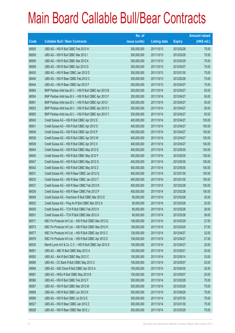|       |                                                             | No. of        |                     |               | <b>Amount raised</b> |
|-------|-------------------------------------------------------------|---------------|---------------------|---------------|----------------------|
| Code  | <b>Callable Bull / Bear Contracts</b>                       | issue (units) | <b>Listing date</b> | <b>Expiry</b> | (HK\$ mil.)          |
| 68505 | UBS AG - HSI R Bull CBBC Feb 2012 H                         | 300,000,000   | 2011/10/13          | 2012/02/28    | 75.00                |
| 68509 | UBS AG - HSI R Bull CBBC Mar 2012 I                         | 300,000,000   | 2011/10/13          | 2012/03/29    | 75.00                |
| 68506 | UBS AG - HSI R Bull CBBC Mar 2012 K                         | 300,000,000   | 2011/10/13          | 2012/03/29    | 75.00                |
| 68508 | UBS AG - HSI R Bull CBBC Apr 2012 G                         | 300,000,000   | 2011/10/13          | 2012/04/27    | 75.00                |
| 68435 | UBS AG - HSI R Bear CBBC Jan 2012 D                         | 300,000,000   | 2011/10/13          | 2012/01/30    | 75.00                |
| 68440 | UBS AG - HSI R Bear CBBC Feb 2012 C                         | 300,000,000   | 2011/10/13          | 2012/02/28    | 75.00                |
| 68444 | UBS AG - HSI R Bear CBBC Apr 2012 F                         | 300,000,000   | 2011/10/13          | 2012/04/27    | 75.00                |
| 68560 | BNP Paribas Arbit Issu B.V. - HSI R Bull CBBC Apr 2012 B    | 200,000,000   | 2011/10/14          | 2012/04/27    | 50.00                |
| 68554 | BNP Paribas Arbit Issu B.V. - HSI R Bull CBBC Apr 2012 F    | 200,000,000   | 2011/10/14          | 2012/04/27    | 50.00                |
| 68561 | BNP Paribas Arbit Issu B.V. - HSI R Bull CBBC Apr 2012 I    | 200,000,000   | 2011/10/14          | 2012/04/27    | 50.00                |
| 68553 | BNP Paribas Arbit Issu B.V. - HSI R Bull CBBC Apr 2012 V    | 200,000,000   | 2011/10/14          | 2012/04/27    | 50.00                |
| 68565 | BNP Paribas Arbit Issu B.V. - HSI R Bull CBBC Apr 2012 Y    | 200,000,000   | 2011/10/14          | 2012/04/27    | 50.00                |
| 68540 | Credit Suisse AG - HSI R Bull CBBC Apr 2012 E               | 400,000,000   | 2011/10/14          | 2012/04/27    | 100.00               |
| 68541 | Credit Suisse AG - HSI R Bull CBBC Apr 2012 O               | 400,000,000   | 2011/10/14          | 2012/04/27    | 100.00               |
| 68546 | Credit Suisse AG - HSI R Bull CBBC Apr 2012 P               | 400,000,000   | 2011/10/14          | 2012/04/27    | 100.00               |
| 68538 | Credit Suisse AG - HSI R Bull CBBC Apr 2012 W               | 400,000,000   | 2011/10/14          | 2012/04/27    | 100.00               |
| 68539 | Credit Suisse AG - HSI R Bull CBBC Apr 2012 X               | 400,000,000   | 2011/10/14          | 2012/04/27    | 100.00               |
| 68544 | Credit Suisse AG - HSI R Bull CBBC May 2012 E               | 400,000,000   | 2011/10/14          | 2012/05/30    | 100.00               |
| 68545 | Credit Suisse AG - HSI R Bull CBBC May 2012 F               | 400,000,000   | 2011/10/14          | 2012/05/30    | 100.00               |
| 68547 | Credit Suisse AG - HSI R Bull CBBC May 2012 G               | 400,000,000   | 2011/10/14          | 2012/05/30    | 100.00               |
| 68542 | Credit Suisse AG - HSI R Bull CBBC May 2012 Z               | 400,000,000   | 2011/10/14          | 2012/05/30    | 100.00               |
| 68531 | Credit Suisse AG - HSI R Bear CBBC Jan 2012 Q               | 400,000,000   | 2011/10/14          | 2012/01/30    | 100.00               |
| 68533 | Credit Suisse AG - HSI R Bear CBBC Jan 2012 T               | 400,000,000   | 2011/10/14          | 2012/01/30    | 100.00               |
| 68537 | Credit Suisse AG - HSI R Bear CBBC Feb 2012 N               | 400,000,000   | 2011/10/14          | 2012/02/28    | 100.00               |
| 68536 | Credit Suisse AG - HSI R Bear CBBC Feb 2012 P               | 400,000,000   | 2011/10/14          | 2012/02/28    | 100.00               |
| 68549 | Credit Suisse AG - Hutchison R Bull CBBC Mar 2012 E         | 80,000,000    | 2011/10/14          | 2012/03/26    | 20.00                |
| 68552 | Credit Suisse AG - Ping An R Bull CBBC Mar 2012 A           | 80,000,000    | 2011/10/14          | 2012/03/26    | 20.00                |
| 68550 | Credit Suisse AG - TCH R Bull CBBC Feb 2012 K               | 80,000,000    | 2011/10/14          | 2012/02/28    | 28.00                |
| 68551 | Credit Suisse AG - TCH R Bull CBBC Mar 2012 A               | 80,000,000    | 2011/10/14          | 2012/03/26    | 36.00                |
| 68571 | KBC Fin Products Int'l Ltd. - HSI R Bull CBBC Mar 2012 G    | 108,000,000   | 2011/10/14          | 2012/03/29    | 27.00                |
| 68573 | KBC Fin Products Int'l Ltd. - HSI R Bull CBBC Mar 2012 H    | 108,000,000   | 2011/10/14          | 2012/03/29    | 27.00                |
| 68577 | KBC Fin Products Int'l Ltd. - HSI R Bull CBBC Apr 2012 C    | 128,000,000   | 2011/10/14          | 2012/04/27    | 32.00                |
| 68578 | KBC Fin Products Int'l Ltd. - HSI R Bull CBBC Apr 2012 D    | 108,000,000   | 2011/10/14          | 2012/04/27    | 27.00                |
| 68530 | Merrill Lynch Int'l & Co. C.V. - HSI R Bull CBBC Apr 2012 K | 100,000,000   | 2011/10/14          | 2012/04/27    | 25.00                |
| 68591 | UBS AG - ABC R Bull CBBC May 2012 A                         | 100,000,000   | 2011/10/14          | 2012/05/21    | 25.00                |
| 68592 | UBS AG - AIA R Bull CBBC May 2012 C                         | 100,000,000   | 2011/10/14          | 2012/05/14    | 33.00                |
| 68589 | UBS AG - CC Bank R Bull CBBC May 2012 C                     | 100,000,000   | 2011/10/14          | 2012/05/07    | 25.00                |
| 68594 | UBS AG - A50 China R Bull CBBC Apr 2012 A                   | 100,000,000   | 2011/10/14          | 2012/04/30    | 25.00                |
| 68581 | UBS AG - HKEx R Bull CBBC May 2012 B                        | 100,000,000   | 2011/10/14          | 2012/05/07    | 25.00                |
| 68566 | UBS AG - HSI R Bull CBBC Feb 2012 F                         | 300,000,000   | 2011/10/14          | 2012/02/28    | 75.00                |
| 68567 | UBS AG - HSI R Bull CBBC Mar 2012 M                         | 300,000,000   | 2011/10/14          | 2012/03/29    | 75.00                |
| 68568 | UBS AG - HSI R Bull CBBC Jun 2012 K                         | 300,000,000   | 2011/10/14          | 2012/06/28    | 75.00                |
| 68569 | UBS AG - HSI R Bull CBBC Jul 2012 E                         | 300,000,000   | 2011/10/14          | 2012/07/30    | 75.00                |
| 68527 | UBS AG - HSI R Bear CBBC Jan 2012 Z                         | 300,000,000   | 2011/10/14          | 2012/01/30    | 75.00                |
| 68528 | UBS AG - HSI R Bear CBBC Mar 2012 J                         | 300,000,000   | 2011/10/14          | 2012/03/29    | 75.00                |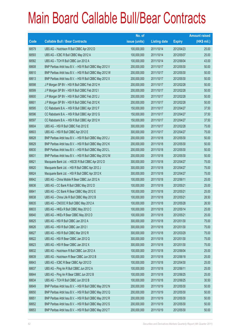|       |                                                          | No. of        |                     |               | <b>Amount raised</b> |
|-------|----------------------------------------------------------|---------------|---------------------|---------------|----------------------|
| Code  | <b>Callable Bull / Bear Contracts</b>                    | issue (units) | <b>Listing date</b> | <b>Expiry</b> | $(HK$$ mil.)         |
| 68579 | UBS AG - Hutchison R Bull CBBC Apr 2012 D                | 100,000,000   | 2011/10/14          | 2012/04/23    | 25.00                |
| 68593 | UBS AG - ICBC R Bull CBBC May 2012 A                     | 100,000,000   | 2011/10/14          | 2012/05/07    | 25.00                |
| 68582 | UBS AG - TCH R Bull CBBC Jun 2012 A                      | 100,000,000   | 2011/10/14          | 2012/06/04    | 43.00                |
| 68608 | BNP Paribas Arbit Issu B.V. - HSI R Bull CBBC May 2012 V | 200,000,000   | 2011/10/17          | 2012/05/30    | 50.00                |
| 68610 | BNP Paribas Arbit Issu B.V. - HSI R Bull CBBC May 2012 W | 200,000,000   | 2011/10/17          | 2012/05/30    | 50.00                |
| 68613 | BNP Paribas Arbit Issu B.V. - HSI R Bull CBBC May 2012 X | 200,000,000   | 2011/10/17          | 2012/05/30    | 50.00                |
| 68598 | J P Morgan SP BV - HSI R Bull CBBC Feb 2012 H            | 200,000,000   | 2011/10/17          | 2012/02/28    | 50.00                |
| 68599 | J P Morgan SP BV - HSI R Bull CBBC Feb 2012 I            | 200,000,000   | 2011/10/17          | 2012/02/28    | 50.00                |
| 68600 | J P Morgan SP BV - HSI R Bull CBBC Feb 2012 J            | 200,000,000   | 2011/10/17          | 2012/02/28    | 50.00                |
| 68601 | J P Morgan SP BV - HSI R Bull CBBC Feb 2012 K            | 200,000,000   | 2011/10/17          | 2012/02/28    | 50.00                |
| 68595 | CC Rabobank B.A. - HSI R Bull CBBC Apr 2012 F            | 150,000,000   | 2011/10/17          | 2012/04/27    | 37.50                |
| 68596 | CC Rabobank B.A. - HSI R Bull CBBC Apr 2012 G            | 150,000,000   | 2011/10/17          | 2012/04/27    | 37.50                |
| 68597 | CC Rabobank B.A. - HSI R Bull CBBC Apr 2012 H            | 150,000,000   | 2011/10/17          | 2012/04/27    | 37.50                |
| 68604 | UBS AG - HSI R Bull CBBC Feb 2012 E                      | 300,000,000   | 2011/10/17          | 2012/02/28    | 75.00                |
| 68603 | UBS AG - HSI R Bull CBBC Apr 2012 E                      | 300,000,000   | 2011/10/17          | 2012/04/27    | 75.00                |
| 68628 | BNP Paribas Arbit Issu B.V. - HSI R Bull CBBC May 2012 J | 200,000,000   | 2011/10/18          | 2012/05/30    | 50.00                |
| 68629 | BNP Paribas Arbit Issu B.V. - HSI R Bull CBBC May 2012 K | 200,000,000   | 2011/10/18          | 2012/05/30    | 50.00                |
| 68630 | BNP Paribas Arbit Issu B.V. - HSI R Bull CBBC May 2012 L | 200,000,000   | 2011/10/18          | 2012/05/30    | 50.00                |
| 68631 | BNP Paribas Arbit Issu B.V. - HSI R Bull CBBC May 2012 M | 200,000,000   | 2011/10/18          | 2012/05/30    | 50.00                |
| 68621 | Macquarie Bank Ltd. - HSCEI R Bull CBBC Apr 2012 D       | 300,000,000   | 2011/10/18          | 2012/04/27    | 75.00                |
| 68620 | Macquarie Bank Ltd. - HSI R Bull CBBC Apr 2012 J         | 300,000,000   | 2011/10/18          | 2012/04/27    | 75.00                |
| 68624 | Macquarie Bank Ltd. - HSI R Bull CBBC Apr 2012 K         | 300,000,000   | 2011/10/18          | 2012/04/27    | 75.00                |
| 68642 | UBS AG - China Mobile R Bear CBBC Jun 2012 A             | 100,000,000   | 2011/10/18          | 2012/06/11    | 25.00                |
| 68636 | UBS AG - CC Bank R Bull CBBC May 2012 D                  | 100,000,000   | 2011/10/18          | 2012/05/21    | 25.00                |
| 68641 | UBS AG - CC Bank R Bear CBBC May 2012 E                  | 100,000,000   | 2011/10/18          | 2012/05/21    | 25.00                |
| 68638 | UBS AG - China Life R Bull CBBC May 2012 B               | 100,000,000   | 2011/10/18          | 2012/05/21    | 28.50                |
| 68635 | UBS AG - CNOOC R Bull CBBC May 2012 A                    | 100,000,000   | 2011/10/18          | 2012/05/28    | 26.50                |
| 68633 | UBS AG - HKEx R Bull CBBC May 2012 C                     | 100,000,000   | 2011/10/18          | 2012/05/14    | 25.00                |
| 68640 | UBS AG - HKEx R Bear CBBC May 2012 D                     | 100,000,000   | 2011/10/18          | 2012/05/21    | 25.00                |
| 68625 | UBS AG - HSI R Bull CBBC Jan 2012 A                      | 300,000,000   | 2011/10/18          | 2012/01/30    | 75.00                |
| 68626 | UBS AG - HSI R Bull CBBC Jan 2012 I                      | 300,000,000   | 2011/10/18          | 2012/01/30    | 75.00                |
| 68627 | UBS AG - HSI R Bull CBBC Mar 2012 R                      | 300,000,000   | 2011/10/18          | 2012/03/29    | 75.00                |
| 68622 | UBS AG - HSI R Bear CBBC Jan 2012 Q                      | 300,000,000   | 2011/10/18          | 2012/01/30    | 75.00                |
| 68623 | UBS AG - HSI R Bear CBBC Jan 2012 X                      | 300,000,000   | 2011/10/18          | 2012/01/30    | 75.00                |
| 68632 | UBS AG - Hutchison R Bull CBBC Jun 2012 A                | 100,000,000   | 2011/10/18          | 2012/06/04    | 25.00                |
| 68639 | UBS AG - Hutchison R Bear CBBC Jun 2012 B                | 100,000,000   | 2011/10/18          | 2012/06/18    | 25.00                |
| 68643 | UBS AG - ICBC R Bear CBBC Apr 2012 D                     | 100,000,000   | 2011/10/18          | 2012/04/30    | 25.00                |
| 68637 | UBS AG - Ping An R Bull CBBC Jun 2012 A                  | 100,000,000   | 2011/10/18          | 2012/06/11    | 25.00                |
| 68644 | UBS AG - Ping An R Bear CBBC Jun 2012 B                  | 100,000,000   | 2011/10/18          | 2012/06/25    | 25.00                |
| 68634 | UBS AG - TCH R Bull CBBC Jun 2012 B                      | 100,000,000   | 2011/10/18          | 2012/06/25    | 30.50                |
| 68649 | BNP Paribas Arbit Issu B.V. - HSI R Bull CBBC May 2012 N | 200,000,000   | 2011/10/19          | 2012/05/30    | 50.00                |
| 68650 | BNP Paribas Arbit Issu B.V. - HSI R Bull CBBC May 2012 Q | 200,000,000   | 2011/10/19          | 2012/05/30    | 50.00                |
| 68651 | BNP Paribas Arbit Issu B.V. - HSI R Bull CBBC May 2012 R | 200,000,000   | 2011/10/19          | 2012/05/30    | 50.00                |
| 68652 | BNP Paribas Arbit Issu B.V. - HSI R Bull CBBC May 2012 S | 200,000,000   | 2011/10/19          | 2012/05/30    | 50.00                |
| 68653 | BNP Paribas Arbit Issu B.V. - HSI R Bull CBBC May 2012 T | 200,000,000   | 2011/10/19          | 2012/05/30    | 50.00                |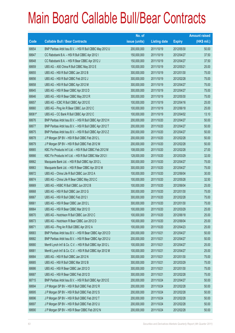|             |                                                             | No. of        |                     |               | <b>Amount raised</b> |
|-------------|-------------------------------------------------------------|---------------|---------------------|---------------|----------------------|
| <b>Code</b> | <b>Callable Bull / Bear Contracts</b>                       | issue (units) | <b>Listing date</b> | <b>Expiry</b> | $(HK$$ mil.)         |
| 68654       | BNP Paribas Arbit Issu B.V. - HSI R Bull CBBC May 2012 U    | 200,000,000   | 2011/10/19          | 2012/05/30    | 50.00                |
| 68647       | CC Rabobank B.A. - HSI R Bull CBBC Apr 2012 I               | 150,000,000   | 2011/10/19          | 2012/04/27    | 37.50                |
| 68648       | CC Rabobank B.A. - HSI R Bear CBBC Apr 2012 J               | 150,000,000   | 2011/10/19          | 2012/04/27    | 37.50                |
| 68659       | UBS AG - A50 China R Bull CBBC May 2012 E                   | 100,000,000   | 2011/10/19          | 2012/05/21    | 25.00                |
| 68655       | UBS AG - HSI R Bull CBBC Jan 2012 B                         | 300,000,000   | 2011/10/19          | 2012/01/30    | 75.00                |
| 68656       | UBS AG - HSI R Bull CBBC Feb 2012 J                         | 300,000,000   | 2011/10/19          | 2012/02/28    | 75.00                |
| 68658       | UBS AG - HSI R Bull CBBC Apr 2012 M                         | 300,000,000   | 2011/10/19          | 2012/04/27    | 75.00                |
| 68645       | UBS AG - HSI R Bear CBBC Apr 2012 D                         | 300,000,000   | 2011/10/19          | 2012/04/27    | 75.00                |
| 68646       | UBS AG - HSI R Bear CBBC May 2012 R                         | 300,000,000   | 2011/10/19          | 2012/05/30    | 75.00                |
| 68657       | UBS AG - ICBC R Bull CBBC Apr 2012 E                        | 100,000,000   | 2011/10/19          | 2012/04/16    | 25.00                |
| 68660       | UBS AG - Ping An R Bear CBBC Jun 2012 C                     | 100,000,000   | 2011/10/19          | 2012/06/18    | 25.00                |
| 68061#      | UBS AG - CC Bank R Bull CBBC Apr 2012 C                     | 100,000,000   | 2011/10/19          | 2012/04/02    | 13.10                |
| 68676       | BNP Paribas Arbit Issu B.V. - HSI R Bull CBBC Apr 2012 H    | 200,000,000   | 2011/10/20          | 2012/04/27    | 50.00                |
| 68677       | BNP Paribas Arbit Issu B.V. - HSI R Bull CBBC Apr 2012 T    | 200,000,000   | 2011/10/20          | 2012/04/27    | 50.00                |
| 68675       | BNP Paribas Arbit Issu B.V. - HSI R Bull CBBC Apr 2012 Z    | 200,000,000   | 2011/10/20          | 2012/04/27    | 50.00                |
| 68678       | J P Morgan SP BV - HSI R Bull CBBC Feb 2012 L               | 200,000,000   | 2011/10/20          | 2012/02/28    | 50.00                |
| 68679       | J P Morgan SP BV - HSI R Bull CBBC Feb 2012 M               | 200,000,000   | 2011/10/20          | 2012/02/28    | 50.00                |
| 68665       | KBC Fin Products Int'l Ltd. - HSI R Bull CBBC Feb 2012 M    | 108,000,000   | 2011/10/20          | 2012/02/28    | 27.00                |
| 68666       | KBC Fin Products Int'l Ltd. - HSI R Bull CBBC Mar 2012 I    | 128,000,000   | 2011/10/20          | 2012/03/29    | 32.00                |
| 68662       | Macquarie Bank Ltd. - HSI R Bull CBBC Apr 2012 L            | 300,000,000   | 2011/10/20          | 2012/04/27    | 75.00                |
| 68663       | Macquarie Bank Ltd. - HSI R Bear CBBC Apr 2012 M            | 300,000,000   | 2011/10/20          | 2012/04/27    | 75.00                |
| 68672       | UBS AG - China Life R Bull CBBC Jun 2012 A                  | 100,000,000   | 2011/10/20          | 2012/06/04    | 30.00                |
| 68674       | UBS AG - China Life R Bear CBBC May 2012 C                  | 100,000,000   | 2011/10/20          | 2012/05/28    | 32.50                |
| 68669       | UBS AG - HSBC R Bull CBBC Jun 2012 B                        | 100,000,000   | 2011/10/20          | 2012/06/04    | 25.00                |
| 68668       | UBS AG - HSI R Bull CBBC Jan 2012 G                         | 300,000,000   | 2011/10/20          | 2012/01/30    | 75.00                |
| 68667       | UBS AG - HSI R Bull CBBC Feb 2012 I                         | 300,000,000   | 2011/10/20          | 2012/02/28    | 75.00                |
| 68661       | UBS AG - HSI R Bear CBBC Jan 2012 L                         | 300,000,000   | 2011/10/20          | 2012/01/30    | 75.00                |
| 68664       | UBS AG - HSI R Bear CBBC Mar 2012 O                         | 100,000,000   | 2011/10/20          | 2012/03/29    | 25.00                |
| 68670       | UBS AG - Hutchison R Bull CBBC Jun 2012 C                   | 100,000,000   | 2011/10/20          | 2012/06/18    | 25.00                |
| 68673       | UBS AG - Hutchison R Bear CBBC Jun 2012 D                   | 100,000,000   | 2011/10/20          | 2012/06/04    | 25.00                |
| 68671       | UBS AG - Ping An R Bull CBBC Apr 2012 A                     | 100,000,000   | 2011/10/20          | 2012/04/23    | 25.00                |
| 68683       | BNP Paribas Arbit Issu B.V. - HSI R Bear CBBC Apr 2012 D    | 200,000,000   | 2011/10/21          | 2012/04/27    | 50.00                |
| 68682       | BNP Paribas Arbit Issu B.V. - HSI R Bear CBBC Apr 2012 U    | 200,000,000   | 2011/10/21          | 2012/04/27    | 50.00                |
| 68680       | Merrill Lynch Int'l & Co. C.V. - HSI R Bull CBBC Apr 2012 L | 100,000,000   | 2011/10/21          | 2012/04/27    | 25.00                |
| 68681       | Merrill Lynch Int'l & Co. C.V. - HSI R Bull CBBC Apr 2012 M | 100,000,000   | 2011/10/21          | 2012/04/27    | 25.00                |
| 68684       | UBS AG - HSI R Bull CBBC Jan 2012 N                         | 300,000,000   | 2011/10/21          | 2012/01/30    | 75.00                |
| 68685       | UBS AG - HSI R Bull CBBC Mar 2012 B                         | 300,000,000   | 2011/10/21          | 2012/03/29    | 75.00                |
| 68686       | UBS AG - HSI R Bear CBBC Jan 2012 O                         | 300,000,000   | 2011/10/21          | 2012/01/30    | 75.00                |
| 68687       | UBS AG - HSI R Bear CBBC Feb 2012 D                         | 300,000,000   | 2011/10/21          | 2012/02/28    | 75.00                |
| 68715       | BNP Paribas Arbit Issu B.V. - HSI R Bull CBBC Apr 2012 E    | 200,000,000   | 2011/10/24          | 2012/04/27    | 50.00                |
| 68694       | J P Morgan SP BV - HSI R Bull CBBC Feb 2012 R               | 200,000,000   | 2011/10/24          | 2012/02/28    | 50.00                |
| 68695       | J P Morgan SP BV - HSI R Bull CBBC Feb 2012 S               | 200,000,000   | 2011/10/24          | 2012/02/28    | 50.00                |
| 68696       | J P Morgan SP BV - HSI R Bull CBBC Feb 2012 T               | 200,000,000   | 2011/10/24          | 2012/02/28    | 50.00                |
| 68697       | J P Morgan SP BV - HSI R Bull CBBC Feb 2012 U               | 200,000,000   | 2011/10/24          | 2012/02/28    | 50.00                |
| 68690       | J P Morgan SP BV - HSI R Bear CBBC Feb 2012 N               | 200,000,000   | 2011/10/24          | 2012/02/28    | 50.00                |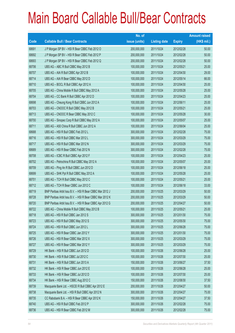|                          |                                                          | No. of        |                     |               | <b>Amount raised</b> |
|--------------------------|----------------------------------------------------------|---------------|---------------------|---------------|----------------------|
| $\overline{\text{Code}}$ | <b>Callable Bull / Bear Contracts</b>                    | issue (units) | <b>Listing date</b> | <b>Expiry</b> | (HK\$ mil.)          |
| 68691                    | J P Morgan SP BV - HSI R Bear CBBC Feb 2012 O            | 200,000,000   | 2011/10/24          | 2012/02/28    | 50.00                |
| 68692                    | J P Morgan SP BV - HSI R Bear CBBC Feb 2012 P            | 200,000,000   | 2011/10/24          | 2012/02/28    | 50.00                |
| 68693                    | J P Morgan SP BV - HSI R Bear CBBC Feb 2012 Q            | 200,000,000   | 2011/10/24          | 2012/02/28    | 50.00                |
| 68706                    | UBS AG - ABC R Bull CBBC May 2012 B                      | 100,000,000   | 2011/10/24          | 2012/05/21    | 25.00                |
| 68707                    | UBS AG - AIA R Bull CBBC Apr 2012 B                      | 100,000,000   | 2011/10/24          | 2012/04/30    | 29.00                |
| 68714                    | UBS AG - AIA R Bear CBBC May 2012 D                      | 100,000,000   | 2011/10/24          | 2012/05/14    | 66.00                |
| 68710                    | UBS AG - BOCL R Bull CBBC Apr 2012 A                     | 100,000,000   | 2011/10/24          | 2012/04/30    | 25.00                |
| 68705                    | UBS AG - China Mobile R Bull CBBC May 2012 A             | 100,000,000   | 2011/10/24          | 2012/05/28    | 25.00                |
| 68704                    | UBS AG - CC Bank R Bull CBBC Apr 2012 D                  | 100,000,000   | 2011/10/24          | 2012/04/23    | 25.00                |
| 68698                    | UBS AG - Cheung Kong R Bull CBBC Jun 2012 A              | 100,000,000   | 2011/10/24          | 2012/06/11    | 25.00                |
| 68703                    | UBS AG - CNOOC R Bull CBBC May 2012 B                    | 100,000,000   | 2011/10/24          | 2012/05/21    | 25.00                |
| 68713                    | UBS AG - CNOOC R Bear CBBC May 2012 C                    | 100,000,000   | 2011/10/24          | 2012/05/28    | 30.00                |
| 68700                    | UBS AG - Sinopec Corp R Bull CBBC May 2012 A             | 100,000,000   | 2011/10/24          | 2012/05/07    | 25.00                |
| 68711                    | UBS AG - A50 China R Bull CBBC Jun 2012 A                | 100,000,000   | 2011/10/24          | 2012/06/04    | 25.00                |
| 68688                    | UBS AG - HSI R Bull CBBC Feb 2012 L                      | 300,000,000   | 2011/10/24          | 2012/02/28    | 75.00                |
| 68716                    | UBS AG - HSI R Bull CBBC Mar 2012 L                      | 300,000,000   | 2011/10/24          | 2012/03/29    | 75.00                |
| 68717                    | UBS AG - HSI R Bull CBBC Mar 2012 N                      | 300,000,000   | 2011/10/24          | 2012/03/29    | 75.00                |
| 68689                    | UBS AG - HSI R Bear CBBC Feb 2012 N                      | 300,000,000   | 2011/10/24          | 2012/02/28    | 75.00                |
| 68708                    | UBS AG - ICBC R Bull CBBC Apr 2012 F                     | 100,000,000   | 2011/10/24          | 2012/04/23    | 25.00                |
| 68702                    | UBS AG - Petrochina R Bull CBBC May 2012 A               | 100,000,000   | 2011/10/24          | 2012/05/07    | 25.00                |
| 68709                    | UBS AG - Ping An R Bull CBBC Jun 2012 D                  | 100,000,000   | 2011/10/24          | 2012/06/18    | 25.00                |
| 68699                    | UBS AG - SHK Ppt R Bull CBBC May 2012 A                  | 100,000,000   | 2011/10/24          | 2012/05/28    | 25.00                |
| 68701                    | UBS AG - TCH R Bull CBBC May 2012 C                      | 100,000,000   | 2011/10/24          | 2012/05/21    | 25.00                |
| 68712                    | UBS AG - TCH R Bear CBBC Jun 2012 C                      | 100,000,000   | 2011/10/24          | 2012/06/18    | 33.00                |
| 68719                    | BNP Paribas Arbit Issu B.V. - HSI R Bear CBBC Mar 2012 J | 200,000,000   | 2011/10/25          | 2012/03/29    | 50.00                |
| 68728                    | BNP Paribas Arbit Issu B.V. - HSI R Bear CBBC Mar 2012 K | 200,000,000   | 2011/10/25          | 2012/03/29    | 50.00                |
| 68720                    | BNP Paribas Arbit Issu B.V. - HSI R Bear CBBC Apr 2012 G | 200,000,000   | 2011/10/25          | 2012/04/27    | 50.00                |
| 68722                    | UBS AG - China Mobile R Bull CBBC May 2012 B             | 100,000,000   | 2011/10/25          | 2012/05/21    | 25.00                |
| 68718                    | UBS AG - HSI R Bull CBBC Jan 2012 S                      | 300,000,000   | 2011/10/25          | 2012/01/30    | 75.00                |
| 68723                    | UBS AG - HSI R Bull CBBC May 2012 S                      | 300,000,000   | 2011/10/25          | 2012/05/30    | 75.00                |
| 68724                    | UBS AG - HSI R Bull CBBC Jun 2012 L                      | 300,000,000   | 2011/10/25          | 2012/06/28    | 75.00                |
| 68725                    | UBS AG - HSI R Bear CBBC Jan 2012 Y                      | 300,000,000   | 2011/10/25          | 2012/01/30    | 75.00                |
| 68726                    | UBS AG - HSI R Bear CBBC Mar 2012 X                      | 300,000,000   | 2011/10/25          | 2012/03/29    | 75.00                |
| 68727                    | UBS AG - HSI R Bear CBBC Mar 2012 Y                      | 300,000,000   | 2011/10/25          | 2012/03/29    | 75.00                |
| 68729                    | HK Bank - HSI R Bull CBBC Jun 2012 D                     | 100,000,000   | 2011/10/26          | 2012/06/28    | 25.00                |
| 68730                    | HK Bank - HSI R Bull CBBC Jul 2012 C                     | 100,000,000   | 2011/10/26          | 2012/07/30    | 25.00                |
| 68731                    | HK Bank - HSI R Bull CBBC Jun 2013 A                     | 150,000,000   | 2011/10/26          | 2013/06/27    | 37.50                |
| 68732                    | HK Bank - HSI R Bear CBBC Jun 2012 E                     | 100,000,000   | 2011/10/26          | 2012/06/28    | 25.00                |
| 68733                    | HK Bank - HSI R Bear CBBC Jul 2012 D                     | 100,000,000   | 2011/10/26          | 2012/07/30    | 25.00                |
| 68734                    | HK Bank - HSI R Bear CBBC Aug 2012 C                     | 150,000,000   | 2011/10/26          | 2012/08/30    | 37.50                |
| 68739                    | Macquarie Bank Ltd. - HSCEI R Bull CBBC Apr 2012 E       | 200,000,000   | 2011/10/26          | 2012/04/27    | 50.00                |
| 68738                    | Macquarie Bank Ltd. - HSI R Bull CBBC Apr 2012 N         | 300,000,000   | 2011/10/26          | 2012/04/27    | 75.00                |
| 68735                    | CC Rabobank B.A. - HSI R Bear CBBC Apr 2012 K            | 150,000,000   | 2011/10/26          | 2012/04/27    | 37.50                |
| 68740                    | UBS AG - HSI R Bull CBBC Feb 2012 P                      | 300,000,000   | 2011/10/26          | 2012/02/28    | 75.00                |
| 68736                    | UBS AG - HSI R Bear CBBC Feb 2012 M                      | 300,000,000   | 2011/10/26          | 2012/02/28    | 75.00                |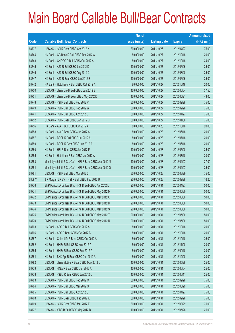|        |                                                             | No. of        |                     |               | <b>Amount raised</b> |
|--------|-------------------------------------------------------------|---------------|---------------------|---------------|----------------------|
| Code   | <b>Callable Bull / Bear Contracts</b>                       | issue (units) | <b>Listing date</b> | <b>Expiry</b> | $(HK$$ mil.)         |
| 68737  | UBS AG - HSI R Bear CBBC Apr 2012 K                         | 300,000,000   | 2011/10/26          | 2012/04/27    | 75.00                |
| 68744  | HK Bank - CC Bank R Bull CBBC Dec 2012 A                    | 80,000,000    | 2011/10/27          | 2012/12/18    | 20.00                |
| 68743  | HK Bank - CNOOC R Bull CBBC Oct 2012 A                      | 80,000,000    | 2011/10/27          | 2012/10/18    | 24.00                |
| 68745  | HK Bank - A50 R Bull CBBC Jun 2012 D                        | 100,000,000   | 2011/10/27          | 2012/06/26    | 25.00                |
| 68746  | HK Bank - A50 R Bull CBBC Aug 2012 C                        | 100,000,000   | 2011/10/27          | 2012/08/28    | 25.00                |
| 68747  | HK Bank - A50 R Bear CBBC Jun 2012 E                        | 100,000,000   | 2011/10/27          | 2012/06/26    | 25.00                |
| 68742  | HK Bank - Hutchison R Bull CBBC Oct 2012 A                  | 80,000,000    | 2011/10/27          | 2012/10/18    | 20.00                |
| 68750  | UBS AG - China Life R Bull CBBC Jun 2012 B                  | 100,000,000   | 2011/10/27          | 2012/06/04    | 37.50                |
| 68751  | UBS AG - China Life R Bear CBBC May 2012 D                  | 100,000,000   | 2011/10/27          | 2012/05/21    | 43.00                |
| 68748  | UBS AG - HSI R Bull CBBC Feb 2012 V                         | 300,000,000   | 2011/10/27          | 2012/02/28    | 75.00                |
| 68749  | UBS AG - HSI R Bull CBBC Feb 2012 W                         | 300,000,000   | 2011/10/27          | 2012/02/28    | 75.00                |
| 68741  | UBS AG - HSI R Bull CBBC Apr 2012 L                         | 300,000,000   | 2011/10/27          | 2012/04/27    | 75.00                |
| 68752  | UBS AG - HSI R Bear CBBC Jan 2012 D                         | 300,000,000   | 2011/10/27          | 2012/01/30    | 75.00                |
| 68756  | HK Bank - AIA R Bull CBBC Oct 2012 A                        | 80,000,000    | 2011/10/28          | 2012/10/18    | 20.00                |
| 68758  | HK Bank - AIA R Bear CBBC Jun 2012 A                        | 80,000,000    | 2011/10/28          | 2012/06/18    | 20.00                |
| 68757  | HK Bank - BOCL R Bull CBBC Jul 2012 A                       | 80,000,000    | 2011/10/28          | 2012/07/18    | 20.00                |
| 68759  | HK Bank - BOCL R Bear CBBC Jun 2012 A                       | 80,000,000    | 2011/10/28          | 2012/06/18    | 20.00                |
| 68760  | HK Bank - HSI R Bear CBBC Jun 2012 F                        | 100,000,000   | 2011/10/28          | 2012/06/28    | 25.00                |
| 68755  | HK Bank - Hutchison R Bull CBBC Jul 2012 A                  | 80,000,000    | 2011/10/28          | 2012/07/18    | 20.00                |
| 68753  | Merrill Lynch Int'l & Co. C.V. - HSI R Bear CBBC Apr 2012 N | 100,000,000   | 2011/10/28          | 2012/04/27    | 27.00                |
| 68754  | Merrill Lynch Int'l & Co. C.V. - HSI R Bear CBBC Apr 2012 O | 100,000,000   | 2011/10/28          | 2012/04/27    | 25.00                |
| 68761  | UBS AG - HSI R Bull CBBC Mar 2012 S                         | 300,000,000   | 2011/10/28          | 2012/03/29    | 75.00                |
| 68697# | J P Morgan SP BV - HSI R Bull CBBC Feb 2012 U               | 200,000,000   | 2011/10/28          | 2012/02/28    | 16.20                |
| 68776  | BNP Paribas Arbit Issu B.V. - HSI R Bull CBBC Apr 2012 L    | 200,000,000   | 2011/10/31          | 2012/04/27    | 50.00                |
| 68771  | BNP Paribas Arbit Issu B.V. - HSI R Bull CBBC May 2012 M    | 200,000,000   | 2011/10/31          | 2012/05/30    | 50.00                |
| 68772  | BNP Paribas Arbit Issu B.V. - HSI R Bull CBBC May 2012 Q    | 200,000,000   | 2011/10/31          | 2012/05/30    | 50.00                |
| 68773  | BNP Paribas Arbit Issu B.V. - HSI R Bull CBBC May 2012 R    | 200,000,000   | 2011/10/31          | 2012/05/30    | 50.00                |
| 68774  | BNP Paribas Arbit Issu B.V. - HSI R Bull CBBC May 2012 S    | 200,000,000   | 2011/10/31          | 2012/05/30    | 50.00                |
| 68775  | BNP Paribas Arbit Issu B.V. - HSI R Bull CBBC May 2012 T    | 200,000,000   | 2011/10/31          | 2012/05/30    | 50.00                |
| 68770  | BNP Paribas Arbit Issu B.V. - HSI R Bull CBBC May 2012 U    | 200,000,000   | 2011/10/31          | 2012/05/30    | 50.00                |
| 68763  | HK Bank - ABC R Bull CBBC Oct 2012 A                        | 80,000,000    | 2011/10/31          | 2012/10/18    | 20.00                |
| 68766  | HK Bank - ABC R Bear CBBC Oct 2012 B                        | 80,000,000    | 2011/10/31          | 2012/10/18    | 20.00                |
| 68767  | HK Bank - China Life R Bear CBBC Oct 2012 A                 | 80,000,000    | 2011/10/31          | 2012/10/18    | 36.00                |
| 68762  | HK Bank - HKEx R Bull CBBC Nov 2012 A                       | 80,000,000    | 2011/10/31          | 2012/11/28    | 20.00                |
| 68765  | HK Bank - HKEx R Bear CBBC Sep 2012 A                       | 80,000,000    | 2011/10/31          | 2012/09/18    | 20.00                |
| 68764  | HK Bank - SHK Ppt R Bear CBBC Dec 2012 A                    | 80,000,000    | 2011/10/31          | 2012/12/28    | 20.00                |
| 68782  | UBS AG - China Mobile R Bear CBBC May 2012 C                | 100,000,000   | 2011/10/31          | 2012/05/28    | 25.00                |
| 68779  | UBS AG - HKEx R Bear CBBC Jun 2012 A                        | 100,000,000   | 2011/10/31          | 2012/06/04    | 25.00                |
| 68778  | UBS AG - HSBC R Bear CBBC Jun 2012 C                        | 100,000,000   | 2011/10/31          | 2012/06/11    | 25.00                |
| 68783  | UBS AG - HSI R Bull CBBC Feb 2012 O                         | 300,000,000   | 2011/10/31          | 2012/02/28    | 75.00                |
| 68784  | UBS AG - HSI R Bull CBBC Mar 2012 G                         | 300,000,000   | 2011/10/31          | 2012/03/29    | 75.00                |
| 68785  | UBS AG - HSI R Bull CBBC Apr 2012 S                         | 300,000,000   | 2011/10/31          | 2012/04/27    | 75.00                |
| 68768  | UBS AG - HSI R Bear CBBC Feb 2012 K                         | 300,000,000   | 2011/10/31          | 2012/02/28    | 75.00                |
| 68769  | UBS AG - HSI R Bear CBBC Mar 2012 E                         | 300,000,000   | 2011/10/31          | 2012/03/29    | 75.00                |
| 68777  | UBS AG - ICBC R Bull CBBC May 2012 B                        | 100,000,000   | 2011/10/31          | 2012/05/28    | 25.00                |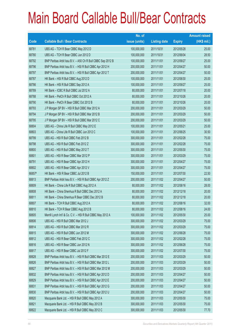|        |                                                             | No. of        |                     |               | <b>Amount raised</b> |
|--------|-------------------------------------------------------------|---------------|---------------------|---------------|----------------------|
| Code   | <b>Callable Bull / Bear Contracts</b>                       | issue (units) | <b>Listing date</b> | <b>Expiry</b> | (HK\$ mil.)          |
| 68781  | UBS AG - TCH R Bear CBBC May 2012 D                         | 100,000,000   | 2011/10/31          | 2012/05/28    | 25.00                |
| 68780  | UBS AG - TCH R Bear CBBC Jun 2012 D                         | 100,000,000   | 2011/10/31          | 2012/06/04    | 28.50                |
| 68792  | BNP Paribas Arbit Issu B.V. - A50 Ch R Bull CBBC Sep 2012 B | 100,000,000   | 2011/11/01          | 2012/09/27    | 25.00                |
| 68796  | BNP Paribas Arbit Issu B.V. - HSI R Bull CBBC Apr 2012 H    | 200,000,000   | 2011/11/01          | 2012/04/27    | 50.00                |
| 68797  | BNP Paribas Arbit Issu B.V. - HSI R Bull CBBC Apr 2012 T    | 200,000,000   | 2011/11/01          | 2012/04/27    | 50.00                |
| 68787  | HK Bank - HSI R Bull CBBC Aug 2012 D                        | 100,000,000   | 2011/11/01          | 2012/08/30    | 25.00                |
| 68786  | HK Bank - HSI R Bull CBBC Sep 2012 A                        | 100,000,000   | 2011/11/01          | 2012/09/27    | 25.00                |
| 68789  | HK Bank - ICBC R Bull CBBC Jul 2012 A                       | 80,000,000    | 2011/11/01          | 2012/07/18    | 20.00                |
| 68788  | HK Bank - PetCh R Bull CBBC Oct 2012 A                      | 80,000,000    | 2011/11/01          | 2012/10/26    | 20.00                |
| 68790  | HK Bank - PetCh R Bear CBBC Oct 2012 B                      | 80,000,000    | 2011/11/01          | 2012/10/26    | 20.00                |
| 68793  | J P Morgan SP BV - HSI R Bull CBBC Mar 2012 A               | 200,000,000   | 2011/11/01          | 2012/03/29    | 50.00                |
| 68794  | J P Morgan SP BV - HSI R Bull CBBC Mar 2012 B               | 200,000,000   | 2011/11/01          | 2012/03/29    | 50.00                |
| 68795  | J P Morgan SP BV - HSI R Bull CBBC Mar 2012 C               | 200,000,000   | 2011/11/01          | 2012/03/29    | 50.00                |
| 68804  | UBS AG - China Life R Bull CBBC May 2012 E                  | 100,000,000   | 2011/11/01          | 2012/05/21    | 25.00                |
| 68803  | UBS AG - China Life R Bull CBBC Jun 2012 C                  | 100,000,000   | 2011/11/01          | 2012/06/25    | 30.50                |
| 68799  | UBS AG - HSI R Bull CBBC Feb 2012 B                         | 300,000,000   | 2011/11/01          | 2012/02/28    | 75.00                |
| 68798  | UBS AG - HSI R Bull CBBC Feb 2012 Z                         | 300,000,000   | 2011/11/01          | 2012/02/28    | 75.00                |
| 68800  | UBS AG - HSI R Bull CBBC May 2012 T                         | 300,000,000   | 2011/11/01          | 2012/05/30    | 75.00                |
| 68801  | UBS AG - HSI R Bear CBBC Mar 2012 P                         | 300,000,000   | 2011/11/01          | 2012/03/29    | 75.00                |
| 68791  | UBS AG - HSI R Bear CBBC Apr 2012 H                         | 300,000,000   | 2011/11/01          | 2012/04/27    | 75.00                |
| 68802  | UBS AG - HSI R Bear CBBC Apr 2012 V                         | 300,000,000   | 2011/11/01          | 2012/04/27    | 75.00                |
| 66857# | HK Bank - HSI R Bear CBBC Jul 2012 B                        | 150,000,000   | 2011/11/01          | 2012/07/30    | 22.50                |
| 68813  | BNP Paribas Arbit Issu B.V. - HSI R Bull CBBC Apr 2012 Z    | 200,000,000   | 2011/11/02          | 2012/04/27    | 50.00                |
| 68809  | HK Bank - China Life R Bull CBBC Aug 2012 A                 | 80,000,000    | 2011/11/02          | 2012/08/16    | 28.00                |
| 68808  | HK Bank - China Shenhua R Bull CBBC Dec 2012 A              | 80,000,000    | 2011/11/02          | 2012/12/18    | 20.00                |
| 68811  | HK Bank - China Shenhua R Bear CBBC Dec 2012 B              | 80,000,000    | 2011/11/02          | 2012/12/18    | 20.00                |
| 68807  | HK Bank - TCH R Bull CBBC Aug 2012 A                        | 80,000,000    | 2011/11/02          | 2012/08/16    | 32.00                |
| 68810  | HK Bank - TCH R Bear CBBC Aug 2012 B                        | 80,000,000    | 2011/11/02          | 2012/08/16    | 24.00                |
| 68805  | Merrill Lynch Int'l & Co. C.V. - HSI R Bull CBBC May 2012 A | 100,000,000   | 2011/11/02          | 2012/05/30    | 25.00                |
| 68806  | UBS AG - HSI R Bull CBBC Mar 2012 J                         | 300,000,000   | 2011/11/02          | 2012/03/29    | 75.00                |
| 68814  | UBS AG - HSI R Bull CBBC Mar 2012 R                         | 300,000,000   | 2011/11/02          | 2012/03/29    | 75.00                |
| 68815  | UBS AG - HSI R Bull CBBC Jun 2012 M                         | 300,000,000   | 2011/11/02          | 2012/06/28    | 75.00                |
| 68812  | UBS AG - HSI R Bear CBBC Feb 2012 C                         | 300,000,000   | 2011/11/02          | 2012/02/28    | 75.00                |
| 68816  | UBS AG - HSI R Bear CBBC Jun 2012 N                         | 300,000,000   | 2011/11/02          | 2012/06/28    | 75.00                |
| 68817  | UBS AG - HSI R Bear CBBC Jul 2012 F                         | 300,000,000   | 2011/11/02          | 2012/07/30    | 75.00                |
| 68828  | BNP Paribas Arbit Issu B.V. - HSI R Bull CBBC Mar 2012 E    | 200,000,000   | 2011/11/03          | 2012/03/29    | 50.00                |
| 68826  | BNP Paribas Arbit Issu B.V. - HSI R Bull CBBC Mar 2012 L    | 200,000,000   | 2011/11/03          | 2012/03/29    | 50.00                |
| 68827  | BNP Paribas Arbit Issu B.V. - HSI R Bull CBBC Mar 2012 M    | 200,000,000   | 2011/11/03          | 2012/03/29    | 50.00                |
| 68832  | BNP Paribas Arbit Issu B.V. - HSI R Bull CBBC Apr 2012 D    | 200,000,000   | 2011/11/03          | 2012/04/27    | 50.00                |
| 68829  | BNP Paribas Arbit Issu B.V. - HSI R Bull CBBC Apr 2012 E    | 200,000,000   | 2011/11/03          | 2012/04/27    | 50.00                |
| 68831  | BNP Paribas Arbit Issu B.V. - HSI R Bull CBBC Apr 2012 G    | 200,000,000   | 2011/11/03          | 2012/04/27    | 50.00                |
| 68830  | BNP Paribas Arbit Issu B.V. - HSI R Bull CBBC Apr 2012 U    | 200,000,000   | 2011/11/03          | 2012/04/27    | 50.00                |
| 68820  | Macquarie Bank Ltd. - HSI R Bull CBBC May 2012 A            | 300,000,000   | 2011/11/03          | 2012/05/30    | 75.00                |
| 68821  | Macquarie Bank Ltd. - HSI R Bull CBBC May 2012 B            | 300,000,000   | 2011/11/03          | 2012/05/30    | 75.00                |
| 68822  | Macquarie Bank Ltd. - HSI R Bull CBBC May 2012 C            | 300,000,000   | 2011/11/03          | 2012/05/30    | 77.70                |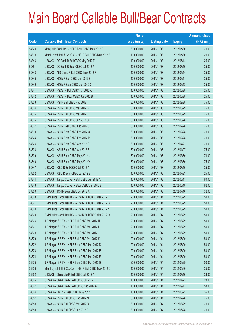|       |                                                             | No. of        |                     |               | <b>Amount raised</b> |
|-------|-------------------------------------------------------------|---------------|---------------------|---------------|----------------------|
| Code  | <b>Callable Bull / Bear Contracts</b>                       | issue (units) | <b>Listing date</b> | <b>Expiry</b> | $(HK$$ mil.)         |
| 68823 | Macquarie Bank Ltd. - HSI R Bear CBBC May 2012 D            | 300,000,000   | 2011/11/03          | 2012/05/30    | 75.00                |
| 68818 | Merrill Lynch Int'l & Co. C.V. - HSI R Bull CBBC May 2012 B | 100,000,000   | 2011/11/03          | 2012/05/30    | 25.00                |
| 68846 | UBS AG - CC Bank R Bull CBBC May 2012 F                     | 100,000,000   | 2011/11/03          | 2012/05/14    | 25.00                |
| 68851 | UBS AG - CC Bank R Bear CBBC Jul 2012 A                     | 100,000,000   | 2011/11/03          | 2012/07/16    | 25.00                |
| 68843 | UBS AG - A50 China R Bull CBBC May 2012 F                   | 100,000,000   | 2011/11/03          | 2012/05/14    | 25.00                |
| 68845 | UBS AG - HKEx R Bull CBBC Jun 2012 B                        | 100,000,000   | 2011/11/03          | 2012/06/11    | 25.00                |
| 68849 | UBS AG - HKEx R Bear CBBC Jun 2012 C                        | 100,000,000   | 2011/11/03          | 2012/06/18    | 35.00                |
| 68841 | UBS AG - HSCEI R Bull CBBC Jun 2012 A                       | 100,000,000   | 2011/11/03          | 2012/06/28    | 25.00                |
| 68842 | UBS AG - HSCEI R Bear CBBC Jun 2012 B                       | 100,000,000   | 2011/11/03          | 2012/06/28    | 25.00                |
| 68833 | UBS AG - HSI R Bull CBBC Feb 2012 I                         | 300,000,000   | 2011/11/03          | 2012/02/28    | 75.00                |
| 68834 | UBS AG - HSI R Bull CBBC Mar 2012 B                         | 300,000,000   | 2011/11/03          | 2012/03/29    | 75.00                |
| 68835 | UBS AG - HSI R Bull CBBC Mar 2012 L                         | 300,000,000   | 2011/11/03          | 2012/03/29    | 75.00                |
| 68836 | UBS AG - HSI R Bull CBBC Jun 2012 O                         | 300,000,000   | 2011/11/03          | 2012/06/28    | 75.00                |
| 68837 | UBS AG - HSI R Bear CBBC Feb 2012 J                         | 300,000,000   | 2011/11/03          | 2012/02/28    | 75.00                |
| 68819 | UBS AG - HSI R Bear CBBC Feb 2012 Q                         | 300,000,000   | 2011/11/03          | 2012/02/28    | 75.00                |
| 68824 | UBS AG - HSI R Bear CBBC Feb 2012 R                         | 300,000,000   | 2011/11/03          | 2012/02/28    | 75.00                |
| 68825 | UBS AG - HSI R Bear CBBC Apr 2012 C                         | 300,000,000   | 2011/11/03          | 2012/04/27    | 75.00                |
| 68838 | UBS AG - HSI R Bear CBBC Apr 2012 Z                         | 300,000,000   | 2011/11/03          | 2012/04/27    | 75.00                |
| 68839 | UBS AG - HSI R Bear CBBC May 2012 U                         | 300,000,000   | 2011/11/03          | 2012/05/30    | 78.00                |
| 68840 | UBS AG - HSI R Bear CBBC May 2012 V                         | 300,000,000   | 2011/11/03          | 2012/05/30    | 75.00                |
| 68847 | UBS AG - ICBC R Bull CBBC Jul 2012 A                        | 100,000,000   | 2011/11/03          | 2012/07/16    | 25.00                |
| 68852 | UBS AG - ICBC R Bear CBBC Jul 2012 B                        | 100,000,000   | 2011/11/03          | 2012/07/23    | 25.00                |
| 68844 | UBS AG - Jiangxi Copper R Bull CBBC Jun 2012 A              | 100,000,000   | 2011/11/03          | 2012/06/11    | 60.00                |
| 68848 | UBS AG - Jiangxi Copper R Bear CBBC Jun 2012 B              | 100,000,000   | 2011/11/03          | 2012/06/18    | 62.00                |
| 68850 | UBS AG - TCH R Bear CBBC Jul 2012 A                         | 100,000,000   | 2011/11/03          | 2012/07/16    | 32.00                |
| 68868 | BNP Paribas Arbit Issu B.V. - HSI R Bull CBBC Mar 2012 F    | 200,000,000   | 2011/11/04          | 2012/03/29    | 50.00                |
| 68871 | BNP Paribas Arbit Issu B.V. - HSI R Bull CBBC Mar 2012 G    | 200,000,000   | 2011/11/04          | 2012/03/29    | 50.00                |
| 68869 | BNP Paribas Arbit Issu B.V. - HSI R Bull CBBC Mar 2012 N    | 200,000,000   | 2011/11/04          | 2012/03/29    | 50.00                |
| 68870 | BNP Paribas Arbit Issu B.V. - HSI R Bull CBBC Mar 2012 O    | 200,000,000   | 2011/11/04          | 2012/03/29    | 50.00                |
| 68876 | J P Morgan SP BV - HSI R Bull CBBC Mar 2012 H               | 200,000,000   | 2011/11/04          | 2012/03/29    | 50.00                |
| 68877 | J P Morgan SP BV - HSI R Bull CBBC Mar 2012 I               | 200,000,000   | 2011/11/04          | 2012/03/29    | 50.00                |
| 68878 | J P Morgan SP BV - HSI R Bull CBBC Mar 2012 J               | 200,000,000   | 2011/11/04          | 2012/03/29    | 50.00                |
| 68879 | J P Morgan SP BV - HSI R Bull CBBC Mar 2012 K               | 200,000,000   | 2011/11/04          | 2012/03/29    | 50.00                |
| 68872 | J P Morgan SP BV - HSI R Bear CBBC Mar 2012 D               | 200,000,000   | 2011/11/04          | 2012/03/29    | 50.00                |
| 68873 | J P Morgan SP BV - HSI R Bear CBBC Mar 2012 E               | 200,000,000   | 2011/11/04          | 2012/03/29    | 50.00                |
| 68874 | J P Morgan SP BV - HSI R Bear CBBC Mar 2012 F               | 200,000,000   | 2011/11/04          | 2012/03/29    | 50.00                |
| 68875 | J P Morgan SP BV - HSI R Bear CBBC Mar 2012 G               | 200,000,000   | 2011/11/04          | 2012/03/29    | 50.00                |
| 68853 | Merrill Lynch Int'l & Co. C.V. - HSI R Bull CBBC May 2012 C | 100,000,000   | 2011/11/04          | 2012/05/30    | 25.00                |
| 68862 | UBS AG - China Life R Bull CBBC Jul 2012 A                  | 100,000,000   | 2011/11/04          | 2012/07/16    | 28.00                |
| 68866 | UBS AG - China Life R Bear CBBC Jul 2012 B                  | 100,000,000   | 2011/11/04          | 2012/07/23    | 28.00                |
| 68867 | UBS AG - China Life R Bear CBBC Sep 2012 A                  | 100,000,000   | 2011/11/04          | 2012/09/17    | 58.00                |
| 68864 | UBS AG - HKEx R Bear CBBC May 2012 E                        | 100,000,000   | 2011/11/04          | 2012/05/21    | 36.00                |
| 68857 | UBS AG - HSI R Bull CBBC Feb 2012 N                         | 300,000,000   | 2011/11/04          | 2012/02/28    | 75.00                |
| 68858 | UBS AG - HSI R Bull CBBC Mar 2012 O                         | 300,000,000   | 2011/11/04          | 2012/03/29    | 75.00                |
| 68859 | UBS AG - HSI R Bull CBBC Jun 2012 P                         | 300,000,000   | 2011/11/04          | 2012/06/28    | 75.00                |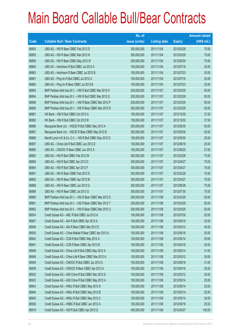|       |                                                             | No. of        |                     |               | <b>Amount raised</b> |
|-------|-------------------------------------------------------------|---------------|---------------------|---------------|----------------------|
| Code  | <b>Callable Bull / Bear Contracts</b>                       | issue (units) | <b>Listing date</b> | <b>Expiry</b> | $(HK$$ mil.)         |
| 68854 | UBS AG - HSI R Bear CBBC Feb 2012 D                         | 300,000,000   | 2011/11/04          | 2012/02/28    | 75.00                |
| 68855 | UBS AG - HSI R Bear CBBC Mar 2012 N                         | 300,000,000   | 2011/11/04          | 2012/03/29    | 75.00                |
| 68856 | UBS AG - HSI R Bear CBBC May 2012 W                         | 300,000,000   | 2011/11/04          | 2012/05/30    | 75.00                |
| 68860 | UBS AG - Hutchison R Bull CBBC Jul 2012 A                   | 100,000,000   | 2011/11/04          | 2012/07/16    | 25.00                |
| 68863 | UBS AG - Hutchison R Bear CBBC Jul 2012 B                   | 100,000,000   | 2011/11/04          | 2012/07/23    | 25.00                |
| 68861 | UBS AG - Ping An R Bull CBBC Jul 2012 A                     | 100,000,000   | 2011/11/04          | 2012/07/16    | 25.00                |
| 68865 | UBS AG - Ping An R Bear CBBC Jul 2012 B                     | 100,000,000   | 2011/11/04          | 2012/07/23    | 25.00                |
| 68893 | BNP Paribas Arbit Issu B.V. - HSI R Bull CBBC Mar 2012 H    | 200,000,000   | 2011/11/07          | 2012/03/29    | 50.00                |
| 68894 | BNP Paribas Arbit Issu B.V. - HSI R Bull CBBC Mar 2012 Q    | 200,000,000   | 2011/11/07          | 2012/03/29    | 50.00                |
| 68896 | BNP Paribas Arbit Issu B.V. - HSI R Bear CBBC Mar 2012 P    | 200,000,000   | 2011/11/07          | 2012/03/29    | 50.00                |
| 68895 | BNP Paribas Arbit Issu B.V. - HSI R Bear CBBC Mar 2012 R    | 200,000,000   | 2011/11/07          | 2012/03/29    | 50.00                |
| 68881 | HK Bank - HSI R Bull CBBC Oct 2012 A                        | 150,000,000   | 2011/11/07          | 2012/10/30    | 37.50                |
| 68882 | HK Bank - HSI R Bull CBBC Oct 2012 B                        | 150,000,000   | 2011/11/07          | 2012/10/30    | 37.50                |
| 68886 | Macquarie Bank Ltd. - HSCEI R Bull CBBC May 2012 A          | 200,000,000   | 2011/11/07          | 2012/05/30    | 50.00                |
| 68887 | Macquarie Bank Ltd. - HSCEI R Bear CBBC May 2012 B          | 200,000,000   | 2011/11/07          | 2012/05/30    | 50.00                |
| 68880 | Merrill Lynch Int'l & Co. C.V. - HSI R Bull CBBC May 2012 D | 100,000,000   | 2011/11/07          | 2012/05/30    | 25.00                |
| 68897 | UBS AG - China Life R Bull CBBC Jun 2012 D                  | 100,000,000   | 2011/11/07          | 2012/06/18    | 25.00                |
| 68890 | UBS AG - CNOOC R Bear CBBC Jun 2012 A                       | 100,000,000   | 2011/11/07          | 2012/06/25    | 27.00                |
| 68883 | UBS AG - HSI R Bull CBBC Feb 2012 M                         | 300,000,000   | 2011/11/07          | 2012/02/28    | 75.00                |
| 68885 | UBS AG - HSI R Bull CBBC Apr 2012 D                         | 300,000,000   | 2011/11/07          | 2012/04/27    | 75.00                |
| 68884 | UBS AG - HSI R Bull CBBC Apr 2012 F                         | 300,000,000   | 2011/11/07          | 2012/04/27    | 75.00                |
| 68891 | UBS AG - HSI R Bear CBBC Feb 2012 S                         | 300,000,000   | 2011/11/07          | 2012/02/28    | 75.00                |
| 68892 | UBS AG - HSI R Bear CBBC Apr 2012 M                         | 300,000,000   | 2011/11/07          | 2012/04/27    | 75.00                |
| 68888 | UBS AG - HSI R Bear CBBC Jun 2012 Q                         | 300,000,000   | 2011/11/07          | 2012/06/28    | 75.00                |
| 68889 | UBS AG - HSI R Bear CBBC Jul 2012 G                         | 300,000,000   | 2011/11/07          | 2012/07/30    | 75.00                |
| 68960 | BNP Paribas Arbit Issu B.V. - HSI R Bear CBBC Mar 2012 S    | 200,000,000   | 2011/11/08          | 2012/03/29    | 50.00                |
| 68961 | BNP Paribas Arbit Issu B.V. - HSI R Bear CBBC Mar 2012 T    | 200,000,000   | 2011/11/08          | 2012/03/29    | 50.00                |
| 68962 | BNP Paribas Arbit Issu B.V. - HSI R Bear CBBC Mar 2012 U    | 200,000,000   | 2011/11/08          | 2012/03/29    | 50.00                |
| 68934 | Credit Suisse AG - ABC R Bull CBBC Jul 2012 A               | 100,000,000   | 2011/11/08          | 2012/07/30    | 25.00                |
| 68947 | Credit Suisse AG - AIA R Bull CBBC Apr 2012 A               | 100,000,000   | 2011/11/08          | 2012/04/16    | 32.00                |
| 68946 | Credit Suisse AG - AIA R Bear CBBC Mar 2012 E               | 100,000,000   | 2011/11/08          | 2012/03/12    | 45.00                |
| 68935 | Credit Suisse AG - China Mobile R Bear CBBC Apr 2012 A      | 100,000,000   | 2011/11/08          | 2012/04/16    | 25.00                |
| 68942 | Credit Suisse AG - CCB R Bull CBBC May 2012 A               | 100,000,000   | 2011/11/08          | 2012/05/14    | 25.00                |
| 68941 | Credit Suisse AG - CCB R Bear CBBC Apr 2012 B               | 100,000,000   | 2011/11/08          | 2012/04/16    | 25.00                |
| 68949 | Credit Suisse AG - China Life R Bull CBBC May 2012 A        | 100,000,000   | 2011/11/08          | 2012/05/14    | 31.00                |
| 68948 | Credit Suisse AG - China Life R Bear CBBC Mar 2012 A        | 100,000,000   | 2011/11/08          | 2012/03/12    | 29.00                |
| 68940 | Credit Suisse AG - CNOOC R Bull CBBC Jun 2012 A             | 100,000,000   | 2011/11/08          | 2012/06/18    | 31.00                |
| 68939 | Credit Suisse AG - CNOOC R Bear CBBC Apr 2012 A             | 100,000,000   | 2011/11/08          | 2012/04/16    | 25.00                |
| 68932 | Credit Suisse AG - A50 China R Bull CBBC Mar 2012 G         | 100,000,000   | 2011/11/08          | 2012/03/12    | 25.00                |
| 68933 | Credit Suisse AG - A50 China R Bull CBBC May 2012 A         | 100,000,000   | 2011/11/08          | 2012/05/14    | 25.00                |
| 68943 | Credit Suisse AG - HKEx R Bull CBBC May 2012 A              | 100,000,000   | 2011/11/08          | 2012/05/14    | 25.00                |
| 68944 | Credit Suisse AG - HKEx R Bull CBBC May 2012 B              | 100,000,000   | 2011/11/08          | 2012/05/14    | 25.00                |
| 68945 | Credit Suisse AG - HKEx R Bull CBBC May 2012 C              | 100,000,000   | 2011/11/08          | 2012/05/14    | 30.00                |
| 68936 | Credit Suisse AG - HSBC R Bull CBBC Jun 2012 A              | 100,000,000   | 2011/11/08          | 2012/06/18    | 25.00                |
| 68918 | Credit Suisse AG - HSI R Bull CBBC Apr 2012 Q               | 400,000,000   | 2011/11/08          | 2012/04/27    | 100.00               |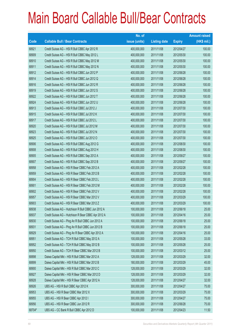|        |                                                     | No. of        |                     |               | <b>Amount raised</b> |
|--------|-----------------------------------------------------|---------------|---------------------|---------------|----------------------|
| Code   | <b>Callable Bull / Bear Contracts</b>               | issue (units) | <b>Listing date</b> | <b>Expiry</b> | $(HK$$ mil.)         |
| 68921  | Credit Suisse AG - HSI R Bull CBBC Apr 2012 R       | 400,000,000   | 2011/11/08          | 2012/04/27    | 100.00               |
| 68909  | Credit Suisse AG - HSI R Bull CBBC May 2012 L       | 400,000,000   | 2011/11/08          | 2012/05/30    | 100.00               |
| 68910  | Credit Suisse AG - HSI R Bull CBBC May 2012 M       | 400,000,000   | 2011/11/08          | 2012/05/30    | 100.00               |
| 68911  | Credit Suisse AG - HSI R Bull CBBC May 2012 N       | 400,000,000   | 2011/11/08          | 2012/05/30    | 100.00               |
| 68912  | Credit Suisse AG - HSI R Bull CBBC Jun 2012 P       | 400,000,000   | 2011/11/08          | 2012/06/28    | 100.00               |
| 68914  | Credit Suisse AG - HSI R Bull CBBC Jun 2012 Q       | 400,000,000   | 2011/11/08          | 2012/06/28    | 100.00               |
| 68916  | Credit Suisse AG - HSI R Bull CBBC Jun 2012 R       | 400,000,000   | 2011/11/08          | 2012/06/28    | 100.00               |
| 68919  | Credit Suisse AG - HSI R Bull CBBC Jun 2012 S       | 400,000,000   | 2011/11/08          | 2012/06/28    | 100.00               |
| 68922  | Credit Suisse AG - HSI R Bull CBBC Jun 2012 T       | 400,000,000   | 2011/11/08          | 2012/06/28    | 100.00               |
| 68924  | Credit Suisse AG - HSI R Bull CBBC Jun 2012 U       | 400,000,000   | 2011/11/08          | 2012/06/28    | 100.00               |
| 68913  | Credit Suisse AG - HSI R Bull CBBC Jul 2012 J       | 400,000,000   | 2011/11/08          | 2012/07/30    | 100.00               |
| 68915  | Credit Suisse AG - HSI R Bull CBBC Jul 2012 K       | 400,000,000   | 2011/11/08          | 2012/07/30    | 100.00               |
| 68917  | Credit Suisse AG - HSI R Bull CBBC Jul 2012 L       | 400,000,000   | 2011/11/08          | 2012/07/30    | 100.00               |
| 68920  | Credit Suisse AG - HSI R Bull CBBC Jul 2012 M       | 400,000,000   | 2011/11/08          | 2012/07/30    | 100.00               |
| 68923  | Credit Suisse AG - HSI R Bull CBBC Jul 2012 N       | 400,000,000   | 2011/11/08          | 2012/07/30    | 100.00               |
| 68925  | Credit Suisse AG - HSI R Bull CBBC Jul 2012 O       | 400,000,000   | 2011/11/08          | 2012/07/30    | 100.00               |
| 68906  | Credit Suisse AG - HSI R Bull CBBC Aug 2012 G       | 400,000,000   | 2011/11/08          | 2012/08/30    | 100.00               |
| 68908  | Credit Suisse AG - HSI R Bull CBBC Aug 2012 H       | 400,000,000   | 2011/11/08          | 2012/08/30    | 100.00               |
| 68905  | Credit Suisse AG - HSI R Bull CBBC Sep 2012 A       | 400,000,000   | 2011/11/08          | 2012/09/27    | 100.00               |
| 68907  | Credit Suisse AG - HSI R Bull CBBC Sep 2012 B       | 400,000,000   | 2011/11/08          | 2012/09/27    | 100.00               |
| 68958  | Credit Suisse AG - HSI R Bear CBBC Feb 2012 A       | 400,000,000   | 2011/11/08          | 2012/02/28    | 100.00               |
| 68959  | Credit Suisse AG - HSI R Bear CBBC Feb 2012 B       | 400,000,000   | 2011/11/08          | 2012/02/28    | 100.00               |
| 68904  | Credit Suisse AG - HSI R Bear CBBC Feb 2012 L       | 400,000,000   | 2011/11/08          | 2012/02/28    | 100.00               |
| 68901  | Credit Suisse AG - HSI R Bear CBBC Feb 2012 M       | 400,000,000   | 2011/11/08          | 2012/02/28    | 100.00               |
| 68902  | Credit Suisse AG - HSI R Bear CBBC Feb 2012 V       | 400,000,000   | 2011/11/08          | 2012/02/28    | 100.00               |
| 68957  | Credit Suisse AG - HSI R Bear CBBC Mar 2012 V       | 400,000,000   | 2011/11/08          | 2012/03/29    | 100.00               |
| 68903  | Credit Suisse AG - HSI R Bear CBBC Mar 2012 Z       | 400,000,000   | 2011/11/08          | 2012/03/29    | 100.00               |
| 68938  | Credit Suisse AG - Hutchison R Bull CBBC Jun 2012 A | 100,000,000   | 2011/11/08          | 2012/06/18    | 25.00                |
| 68937  | Credit Suisse AG - Hutchison R Bear CBBC Apr 2012 A | 100,000,000   | 2011/11/08          | 2012/04/16    | 25.00                |
| 68930  | Credit Suisse AG - Ping An R Bull CBBC Jun 2012 A   | 100,000,000   | 2011/11/08          | 2012/06/18    | 25.00                |
| 68931  | Credit Suisse AG - Ping An R Bull CBBC Jun 2012 B   | 100,000,000   | 2011/11/08          | 2012/06/18    | 25.00                |
| 68929  | Credit Suisse AG - Ping An R Bear CBBC Apr 2012 A   | 100,000,000   | 2011/11/08          | 2012/04/16    | 25.00                |
| 68951  | Credit Suisse AG - TCH R Bull CBBC May 2012 A       | 100,000,000   | 2011/11/08          | 2012/05/28    | 33.00                |
| 68952  | Credit Suisse AG - TCH R Bull CBBC May 2012 B       | 100,000,000   | 2011/11/08          | 2012/05/28    | 25.00                |
| 68950  | Credit Suisse AG - TCH R Bear CBBC Mar 2012 B       | 100,000,000   | 2011/11/08          | 2012/03/12    | 25.00                |
| 68898  | Daiwa Capital Mkt - HSI R Bull CBBC Mar 2012 A      | 128,000,000   | 2011/11/08          | 2012/03/29    | 32.00                |
| 68899  | Daiwa Capital Mkt - HSI R Bull CBBC Mar 2012 B      | 180,000,000   | 2011/11/08          | 2012/03/29    | 45.00                |
| 68900  | Daiwa Capital Mkt - HSI R Bull CBBC Mar 2012 C      | 128,000,000   | 2011/11/08          | 2012/03/29    | 32.00                |
| 68927  | Daiwa Capital Mkt - HSI R Bear CBBC Mar 2012 D      | 128,000,000   | 2011/11/08          | 2012/03/29    | 32.00                |
| 68928  | Daiwa Capital Mkt - HSI R Bear CBBC Apr 2012 A      | 128,000,000   | 2011/11/08          | 2012/04/27    | 32.00                |
| 68926  | UBS AG - HSI R Bull CBBC Apr 2012 K                 | 300,000,000   | 2011/11/08          | 2012/04/27    | 75.00                |
| 68953  | UBS AG - HSI R Bear CBBC Mar 2012 X                 | 300,000,000   | 2011/11/08          | 2012/03/29    | 75.00                |
| 68955  | UBS AG - HSI R Bear CBBC Apr 2012 I                 | 300,000,000   | 2011/11/08          | 2012/04/27    | 75.00                |
| 68956  | UBS AG - HSI R Bear CBBC Jun 2012 R                 | 300,000,000   | 2011/11/08          | 2012/06/28    | 75.00                |
| 68704# | UBS AG - CC Bank R Bull CBBC Apr 2012 D             | 100,000,000   | 2011/11/08          | 2012/04/23    | 11.50                |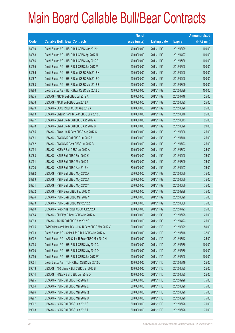|       |                                                          | No. of        |                     |               | <b>Amount raised</b> |
|-------|----------------------------------------------------------|---------------|---------------------|---------------|----------------------|
| Code  | <b>Callable Bull / Bear Contracts</b>                    | issue (units) | <b>Listing date</b> | <b>Expiry</b> | $(HK$$ mil.)         |
| 68990 | Credit Suisse AG - HSI R Bull CBBC Mar 2012 H            | 400,000,000   | 2011/11/09          | 2012/03/29    | 100.00               |
| 68988 | Credit Suisse AG - HSI R Bull CBBC Apr 2012 N            | 400,000,000   | 2011/11/09          | 2012/04/27    | 100.00               |
| 68986 | Credit Suisse AG - HSI R Bull CBBC May 2012 B            | 400,000,000   | 2011/11/09          | 2012/05/30    | 100.00               |
| 68989 | Credit Suisse AG - HSI R Bull CBBC Jun 2012 V            | 400,000,000   | 2011/11/09          | 2012/06/28    | 100.00               |
| 68965 | Credit Suisse AG - HSI R Bear CBBC Feb 2012 H            | 400,000,000   | 2011/11/09          | 2012/02/28    | 100.00               |
| 68967 | Credit Suisse AG - HSI R Bear CBBC Feb 2012 O            | 400,000,000   | 2011/11/09          | 2012/02/28    | 100.00               |
| 68963 | Credit Suisse AG - HSI R Bear CBBC Mar 2012 B            | 400,000,000   | 2011/11/09          | 2012/03/29    | 100.00               |
| 68966 | Credit Suisse AG - HSI R Bear CBBC Mar 2012 D            | 400,000,000   | 2011/11/09          | 2012/03/29    | 100.00               |
| 68975 | UBS AG - ABC R Bull CBBC Jul 2012 A                      | 100,000,000   | 2011/11/09          | 2012/07/16    | 25.00                |
| 68976 | UBS AG - AIA R Bull CBBC Jun 2012 A                      | 100,000,000   | 2011/11/09          | 2012/06/25    | 25.00                |
| 68979 | UBS AG - BOCL R Bull CBBC Aug 2012 A                     | 100,000,000   | 2011/11/09          | 2012/08/20    | 25.00                |
| 68983 | UBS AG - Cheung Kong R Bear CBBC Jun 2012 B              | 100,000,000   | 2011/11/09          | 2012/06/18    | 25.00                |
| 68977 | UBS AG - China Life R Bull CBBC Aug 2012 A               | 100,000,000   | 2011/11/09          | 2012/08/13    | 25.00                |
| 68978 | UBS AG - China Life R Bull CBBC Aug 2012 B               | 100,000,000   | 2011/11/09          | 2012/08/20    | 29.00                |
| 68985 | UBS AG - China Life R Bear CBBC Aug 2012 C               | 100,000,000   | 2011/11/09          | 2012/08/06    | 25.00                |
| 68981 | UBS AG - CNOOC R Bull CBBC Jul 2012 A                    | 100,000,000   | 2011/11/09          | 2012/07/16    | 25.00                |
| 68982 | UBS AG - CNOOC R Bear CBBC Jul 2012 B                    | 100,000,000   | 2011/11/09          | 2012/07/23    | 25.00                |
| 68994 | UBS AG - HKEx R Bull CBBC Jul 2012 A                     | 100,000,000   | 2011/11/09          | 2012/07/23    | 25.00                |
| 68968 | UBS AG - HSI R Bull CBBC Feb 2012 K                      | 300,000,000   | 2011/11/09          | 2012/02/28    | 75.00                |
| 68991 | UBS AG - HSI R Bull CBBC Mar 2012 T                      | 300,000,000   | 2011/11/09          | 2012/03/29    | 75.00                |
| 68970 | UBS AG - HSI R Bull CBBC Apr 2012 N                      | 300,000,000   | 2011/11/09          | 2012/04/27    | 75.00                |
| 68992 | UBS AG - HSI R Bull CBBC May 2012 A                      | 300,000,000   | 2011/11/09          | 2012/05/30    | 75.00                |
| 68969 | UBS AG - HSI R Bull CBBC May 2012 X                      | 300,000,000   | 2011/11/09          | 2012/05/30    | 75.00                |
| 68971 | UBS AG - HSI R Bull CBBC May 2012 Y                      | 300,000,000   | 2011/11/09          | 2012/05/30    | 75.00                |
| 68972 | UBS AG - HSI R Bear CBBC Feb 2012 C                      | 300,000,000   | 2011/11/09          | 2012/02/28    | 75.00                |
| 68974 | UBS AG - HSI R Bear CBBC Mar 2012 Y                      | 300,000,000   | 2011/11/09          | 2012/03/29    | 75.00                |
| 68973 | UBS AG - HSI R Bear CBBC May 2012 Z                      | 300,000,000   | 2011/11/09          | 2012/05/30    | 75.00                |
| 68980 | UBS AG - Petrochina R Bull CBBC Jul 2012 A               | 100,000,000   | 2011/11/09          | 2012/07/23    | 25.00                |
| 68984 | UBS AG - SHK Ppt R Bear CBBC Jun 2012 A                  | 100,000,000   | 2011/11/09          | 2012/06/25    | 25.00                |
| 68993 | UBS AG - TCH R Bull CBBC Apr 2012 C                      | 100,000,000   | 2011/11/09          | 2012/04/23    | 25.00                |
| 69005 | BNP Paribas Arbit Issu B.V. - HSI R Bear CBBC Mar 2012 V | 200,000,000   | 2011/11/10          | 2012/03/29    | 50.00                |
| 69003 | Credit Suisse AG - China Life R Bull CBBC Jun 2012 A     | 100,000,000   | 2011/11/10          | 2012/06/18    | 32.00                |
| 69002 | Credit Suisse AG - A50 China R Bear CBBC Mar 2012 H      | 100,000,000   | 2011/11/10          | 2012/03/12    | 25.00                |
| 68998 | Credit Suisse AG - HSI R Bull CBBC May 2012 C            | 400,000,000   | 2011/11/10          | 2012/05/30    | 100.00               |
| 69000 | Credit Suisse AG - HSI R Bull CBBC May 2012 D            | 400,000,000   | 2011/11/10          | 2012/05/30    | 100.00               |
| 68999 | Credit Suisse AG - HSI R Bull CBBC Jun 2012 W            | 400,000,000   | 2011/11/10          | 2012/06/28    | 100.00               |
| 69001 | Credit Suisse AG - TCH R Bear CBBC Mar 2012 C            | 100,000,000   | 2011/11/10          | 2012/03/19    | 25.00                |
| 69013 | UBS AG - A50 China R Bull CBBC Jun 2012 B                | 100,000,000   | 2011/11/10          | 2012/06/25    | 25.00                |
| 69014 | UBS AG - HKEx R Bull CBBC Jun 2012 D                     | 100,000,000   | 2011/11/10          | 2012/06/25    | 25.00                |
| 68995 | UBS AG - HSI R Bull CBBC Feb 2012 I                      | 300,000,000   | 2011/11/10          | 2012/02/28    | 75.00                |
| 69004 | UBS AG - HSI R Bull CBBC Mar 2012 E                      | 300,000,000   | 2011/11/10          | 2012/03/29    | 75.00                |
| 68996 | UBS AG - HSI R Bull CBBC Mar 2012 Q                      | 300,000,000   | 2011/11/10          | 2012/03/29    | 75.00                |
| 68997 | UBS AG - HSI R Bull CBBC Mar 2012 U                      | 300,000,000   | 2011/11/10          | 2012/03/29    | 75.00                |
| 69007 | UBS AG - HSI R Bull CBBC Jun 2012 S                      | 300,000,000   | 2011/11/10          | 2012/06/28    | 75.00                |
| 69008 | UBS AG - HSI R Bull CBBC Jun 2012 T                      | 300,000,000   | 2011/11/10          | 2012/06/28    | 75.00                |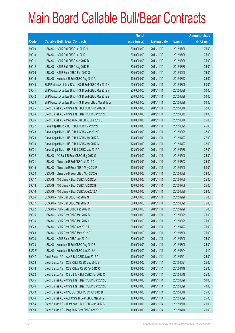|        |                                                          | No. of        |                     |               | <b>Amount raised</b> |
|--------|----------------------------------------------------------|---------------|---------------------|---------------|----------------------|
| Code   | <b>Callable Bull / Bear Contracts</b>                    | issue (units) | <b>Listing date</b> | <b>Expiry</b> | $(HK$$ mil.)         |
| 69009  | UBS AG - HSI R Bull CBBC Jul 2012 H                      | 300,000,000   | 2011/11/10          | 2012/07/30    | 75.00                |
| 69010  | UBS AG - HSI R Bull CBBC Jul 2012 I                      | 300,000,000   | 2011/11/10          | 2012/07/30    | 75.00                |
| 69011  | UBS AG - HSI R Bull CBBC Aug 2012 D                      | 300,000,000   | 2011/11/10          | 2012/08/30    | 75.00                |
| 69012  | UBS AG - HSI R Bull CBBC Aug 2012 E                      | 300,000,000   | 2011/11/10          | 2012/08/30    | 75.00                |
| 69006  | UBS AG - HSI R Bear CBBC Feb 2012 Q                      | 300,000,000   | 2011/11/10          | 2012/02/28    | 75.00                |
| 69015  | UBS AG - Hutchison R Bull CBBC Aug 2012 A                | 100,000,000   | 2011/11/10          | 2012/08/13    | 25.00                |
| 69040  | BNP Paribas Arbit Issu B.V. - HSI R Bull CBBC Mar 2012 X | 200,000,000   | 2011/11/11          | 2012/03/29    | 50.00                |
| 69041  | BNP Paribas Arbit Issu B.V. - HSI R Bull CBBC Mar 2012 Y | 200,000,000   | 2011/11/11          | 2012/03/29    | 50.00                |
| 69042  | BNP Paribas Arbit Issu B.V. - HSI R Bull CBBC Mar 2012 Z | 200,000,000   | 2011/11/11          | 2012/03/29    | 50.00                |
| 69039  | BNP Paribas Arbit Issu B.V. - HSI R Bear CBBC Mar 2012 W | 200,000,000   | 2011/11/11          | 2012/03/29    | 50.00                |
| 69025  | Credit Suisse AG - China Life R Bull CBBC Jun 2012 B     | 100,000,000   | 2011/11/11          | 2012/06/18    | 32.00                |
| 69024  | Credit Suisse AG - China Life R Bear CBBC Mar 2012 B     | 100,000,000   | 2011/11/11          | 2012/03/12    | 28.00                |
| 69026  | Credit Suisse AG - Ping An R Bull CBBC Jun 2012 C        | 100,000,000   | 2011/11/11          | 2012/06/18    | 25.00                |
| 69027  | Daiwa Capital Mkt - HSI R Bull CBBC Mar 2012 E           | 180,000,000   | 2011/11/11          | 2012/03/29    | 45.00                |
| 69028  | Daiwa Capital Mkt - HSI R Bull CBBC Mar 2012 F           | 128,000,000   | 2011/11/11          | 2012/03/29    | 32.00                |
| 69029  | Daiwa Capital Mkt - HSI R Bull CBBC Apr 2012 B           | 108,000,000   | 2011/11/11          | 2012/04/27    | 27.00                |
| 69030  | Daiwa Capital Mkt - HSI R Bull CBBC Apr 2012 C           | 128,000,000   | 2011/11/11          | 2012/04/27    | 32.00                |
| 69031  | Daiwa Capital Mkt - HSI R Bull CBBC May 2012 A           | 128,000,000   | 2011/11/11          | 2012/05/30    | 32.00                |
| 69032  | UBS AG - CC Bank R Bear CBBC May 2012 G                  | 100,000,000   | 2011/11/11          | 2012/05/28    | 25.00                |
| 69021  | UBS AG - China Life R Bull CBBC Jul 2012 C               | 100,000,000   | 2011/11/11          | 2012/07/23    | 25.00                |
| 69019  | UBS AG - China Life R Bear CBBC May 2012 F               | 100,000,000   | 2011/11/11          | 2012/05/28    | 58.00                |
| 69020  | UBS AG - China Life R Bear CBBC May 2012 G               | 100,000,000   | 2011/11/11          | 2012/05/28    | 38.00                |
| 69017  | UBS AG - A50 China R Bear CBBC Jul 2012 A                | 100,000,000   | 2011/11/11          | 2012/07/30    | 25.00                |
| 69018  | UBS AG - A50 China R Bear CBBC Jul 2012 B                | 100,000,000   | 2011/11/11          | 2012/07/09    | 25.00                |
| 69016  | UBS AG - A50 China R Bear CBBC Aug 2012 A                | 100,000,000   | 2011/11/11          | 2012/08/20    | 28.00                |
| 69034  | UBS AG - HSI R Bull CBBC Feb 2012 N                      | 300,000,000   | 2011/11/11          | 2012/02/28    | 75.00                |
| 69037  | UBS AG - HSI R Bull CBBC Mar 2012 O                      | 300,000,000   | 2011/11/11          | 2012/03/29    | 75.00                |
| 69022  | UBS AG - HSI R Bear CBBC Feb 2012 R                      | 300,000,000   | 2011/11/11          | 2012/02/28    | 75.00                |
| 69035  | UBS AG - HSI R Bear CBBC Mar 2012 B                      | 300,000,000   | 2011/11/11          | 2012/03/29    | 75.00                |
| 69036  | UBS AG - HSI R Bear CBBC Mar 2012 L                      | 300,000,000   | 2011/11/11          | 2012/03/29    | 75.00                |
| 69023  | UBS AG - HSI R Bear CBBC Apr 2012 T                      | 300,000,000   | 2011/11/11          | 2012/04/27    | 75.00                |
| 69043  | UBS AG - HSI R Bear CBBC May 2012 F                      | 300,000,000   | 2011/11/11          | 2012/05/30    | 75.00                |
| 69038  | UBS AG - HSI R Bear CBBC Jun 2012 U                      | 300,000,000   | 2011/11/11          | 2012/06/28    | 75.00                |
| 69033  | UBS AG - Hutchison R Bull CBBC Aug 2012 B                | 100,000,000   | 2011/11/11          | 2012/08/20    | 25.00                |
| 68632# | UBS AG - Hutchison R Bull CBBC Jun 2012 A                | 100,000,000   | 2011/11/11          | 2012/06/04    | 18.10                |
| 69047  | Credit Suisse AG - AIA R Bull CBBC May 2012 A            | 100,000,000   | 2011/11/14          | 2012/05/21    | 25.00                |
| 69053  | Credit Suisse AG - CCB R Bull CBBC May 2012 B            | 100,000,000   | 2011/11/14          | 2012/05/21    | 25.00                |
| 69048  | Credit Suisse AG - CCB R Bear CBBC Apr 2012 C            | 100,000,000   | 2011/11/14          | 2012/04/16    | 25.00                |
| 69052  | Credit Suisse AG - China Life R Bull CBBC Jun 2012 C     | 100,000,000   | 2011/11/14          | 2012/06/18    | 25.00                |
| 69045  | Credit Suisse AG - China Life R Bear CBBC Mar 2012 C     | 100,000,000   | 2011/11/14          | 2012/03/26    | 50.00                |
| 69046  | Credit Suisse AG - China Life R Bear CBBC Mar 2012 D     | 100,000,000   | 2011/11/14          | 2012/03/26    | 40.00                |
| 69049  | Credit Suisse AG - CNOOC R Bull CBBC Jun 2012 B          | 100,000,000   | 2011/11/14          | 2012/06/18    | 25.00                |
| 69044  | Credit Suisse AG - A50 China R Bear CBBC Mar 2012 I      | 100,000,000   | 2011/11/14          | 2012/03/26    | 25.00                |
| 69054  | Credit Suisse AG - Hutchison R Bull CBBC Jun 2012 B      | 100,000,000   | 2011/11/14          | 2012/06/18    | 25.00                |
| 69050  | Credit Suisse AG - Ping An R Bear CBBC Apr 2012 B        | 100,000,000   | 2011/11/14          | 2012/04/16    | 25.00                |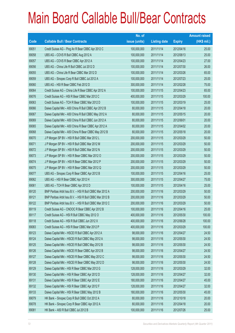|       |                                                          | No. of        |                     |               | <b>Amount raised</b> |
|-------|----------------------------------------------------------|---------------|---------------------|---------------|----------------------|
| Code  | <b>Callable Bull / Bear Contracts</b>                    | issue (units) | <b>Listing date</b> | <b>Expiry</b> | (HK\$ mil.)          |
| 69051 | Credit Suisse AG - Ping An R Bear CBBC Apr 2012 C        | 100,000,000   | 2011/11/14          | 2012/04/16    | 25.00                |
| 69058 | UBS AG - COVS R Bull CBBC Aug 2012 A                     | 100,000,000   | 2011/11/14          | 2012/08/13    | 25.00                |
| 69057 | UBS AG - COVS R Bear CBBC Apr 2012 A                     | 100,000,000   | 2011/11/14          | 2012/04/23    | 27.00                |
| 69056 | UBS AG - China Life R Bull CBBC Jul 2012 D               | 100,000,000   | 2011/11/14          | 2012/07/30    | 26.00                |
| 69055 | UBS AG - China Life R Bear CBBC Mar 2012 D               | 100,000,000   | 2011/11/14          | 2012/03/26    | 65.00                |
| 69059 | UBS AG - Sinopec Corp R Bull CBBC Jul 2012 A             | 100,000,000   | 2011/11/14          | 2012/07/23    | 25.00                |
| 69060 | UBS AG - HSI R Bear CBBC Feb 2012 D                      | 300,000,000   | 2011/11/14          | 2012/02/28    | 75.00                |
| 69064 | Credit Suisse AG - China Life R Bear CBBC Apr 2012 A     | 100,000,000   | 2011/11/15          | 2012/04/23    | 65.00                |
| 69076 | Credit Suisse AG - HSI R Bear CBBC Mar 2012 C            | 400,000,000   | 2011/11/15          | 2012/03/29    | 100.00               |
| 69063 | Credit Suisse AG - TCH R Bear CBBC Mar 2012 D            | 100,000,000   | 2011/11/15          | 2012/03/19    | 25.00                |
| 69066 | Daiwa Capital Mkt - A50 China R Bull CBBC Apr 2012 B     | 80,000,000    | 2011/11/15          | 2012/04/18    | 20.00                |
| 69067 | Daiwa Capital Mkt - A50 China R Bull CBBC May 2012 A     | 80,000,000    | 2011/11/15          | 2012/05/15    | 20.00                |
| 69069 | Daiwa Capital Mkt - A50 China R Bull CBBC Jun 2012 A     | 80,000,000    | 2011/11/15          | 2012/06/01    | 20.00                |
| 69065 | Daiwa Capital Mkt - A50 China R Bear CBBC Apr 2012 A     | 80,000,000    | 2011/11/15          | 2012/04/02    | 20.00                |
| 69068 | Daiwa Capital Mkt - A50 China R Bear CBBC May 2012 B     | 80,000,000    | 2011/11/15          | 2012/05/18    | 20.00                |
| 69070 | J P Morgan SP BV - HSI R Bull CBBC Mar 2012 L            | 200,000,000   | 2011/11/15          | 2012/03/29    | 50.00                |
| 69071 | J P Morgan SP BV - HSI R Bull CBBC Mar 2012 M            | 200,000,000   | 2011/11/15          | 2012/03/29    | 50.00                |
| 69072 | J P Morgan SP BV - HSI R Bull CBBC Mar 2012 N            | 200,000,000   | 2011/11/15          | 2012/03/29    | 50.00                |
| 69073 | J P Morgan SP BV - HSI R Bear CBBC Mar 2012 O            | 200,000,000   | 2011/11/15          | 2012/03/29    | 50.00                |
| 69074 | J P Morgan SP BV - HSI R Bear CBBC Mar 2012 P            | 200,000,000   | 2011/11/15          | 2012/03/29    | 50.00                |
| 69075 | J P Morgan SP BV - HSI R Bear CBBC Mar 2012 Q            | 200,000,000   | 2011/11/15          | 2012/03/29    | 50.00                |
| 69077 | UBS AG - Sinopec Corp R Bear CBBC Apr 2012 B             | 100,000,000   | 2011/11/15          | 2012/04/16    | 25.00                |
| 69062 | UBS AG - HSI R Bear CBBC Apr 2012 H                      | 300,000,000   | 2011/11/15          | 2012/04/27    | 75.00                |
| 69061 | UBS AG - TCH R Bear CBBC Apr 2012 D                      | 100,000,000   | 2011/11/15          | 2012/04/16    | 25.00                |
| 69120 | BNP Paribas Arbit Issu B.V. - HSI R Bull CBBC Mar 2012 A | 200,000,000   | 2011/11/16          | 2012/03/29    | 50.00                |
| 69121 | BNP Paribas Arbit Issu B.V. - HSI R Bull CBBC Mar 2012 B | 200,000,000   | 2011/11/16          | 2012/03/29    | 50.00                |
| 69122 | BNP Paribas Arbit Issu B.V. - HSI R Bull CBBC Mar 2012 C | 200,000,000   | 2011/11/16          | 2012/03/29    | 50.00                |
| 69119 | Credit Suisse AG - CNOOC R Bear CBBC Apr 2012 B          | 100,000,000   | 2011/11/16          | 2012/04/16    | 25.00                |
| 69117 | Credit Suisse AG - HSI R Bull CBBC May 2012 O            | 400,000,000   | 2011/11/16          | 2012/05/30    | 100.00               |
| 69118 | Credit Suisse AG - HSI R Bull CBBC Jun 2012 X            | 400,000,000   | 2011/11/16          | 2012/06/28    | 100.00               |
| 69083 | Credit Suisse AG - HSI R Bear CBBC Mar 2012 P            | 400,000,000   | 2011/11/16          | 2012/03/29    | 100.00               |
| 69123 | Daiwa Capital Mkt - HSCEI R Bull CBBC Apr 2012 A         | 98,000,000    | 2011/11/16          | 2012/04/27    | 24.50                |
| 69124 | Daiwa Capital Mkt - HSCEI R Bull CBBC May 2012 A         | 98,000,000    | 2011/11/16          | 2012/05/30    | 24.50                |
| 69125 | Daiwa Capital Mkt - HSCEI R Bull CBBC May 2012 B         | 98,000,000    | 2011/11/16          | 2012/05/30    | 24.50                |
| 69126 | Daiwa Capital Mkt - HSCEI R Bear CBBC Apr 2012 B         | 98,000,000    | 2011/11/16          | 2012/04/27    | 24.50                |
| 69127 | Daiwa Capital Mkt - HSCEI R Bear CBBC May 2012 C         | 98,000,000    | 2011/11/16          | 2012/05/30    | 24.50                |
| 69128 | Daiwa Capital Mkt - HSCEI R Bear CBBC May 2012 D         | 98,000,000    | 2011/11/16          | 2012/05/30    | 24.50                |
| 69129 | Daiwa Capital Mkt - HSI R Bear CBBC Mar 2012 G           | 128,000,000   | 2011/11/16          | 2012/03/29    | 32.00                |
| 69130 | Daiwa Capital Mkt - HSI R Bear CBBC Apr 2012 D           | 128,000,000   | 2011/11/16          | 2012/04/27    | 32.00                |
| 69131 | Daiwa Capital Mkt - HSI R Bear CBBC Apr 2012 E           | 180,000,000   | 2011/11/16          | 2012/04/27    | 45.00                |
| 69132 | Daiwa Capital Mkt - HSI R Bear CBBC Apr 2012 F           | 128,000,000   | 2011/11/16          | 2012/04/27    | 32.00                |
| 69133 | Daiwa Capital Mkt - HSI R Bear CBBC May 2012 B           | 180,000,000   | 2011/11/16          | 2012/05/30    | 45.00                |
| 69079 | HK Bank - Sinopec Corp R Bull CBBC Oct 2012 A            | 80,000,000    | 2011/11/16          | 2012/10/18    | 20.00                |
| 69078 | HK Bank - Sinopec Corp R Bear CBBC Apr 2012 A            | 80,000,000    | 2011/11/16          | 2012/04/18    | 20.00                |
| 69081 | HK Bank - A50 R Bull CBBC Jul 2012 B                     | 100,000,000   | 2011/11/16          | 2012/07/26    | 25.00                |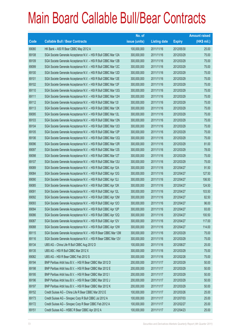|       |                                                                | No. of        |                     |               | <b>Amount raised</b> |
|-------|----------------------------------------------------------------|---------------|---------------------|---------------|----------------------|
| Code  | <b>Callable Bull / Bear Contracts</b>                          | issue (units) | <b>Listing date</b> | <b>Expiry</b> | (HK\$ mil.)          |
| 69080 | HK Bank - A50 R Bear CBBC May 2012 A                           | 100,000,000   | 2011/11/16          | 2012/05/30    | 25.00                |
| 69108 | SGA Societe Generale Acceptance N.V. - HSI R Bull CBBC Mar 12A | 300,000,000   | 2011/11/16          | 2012/03/29    | 75.00                |
| 69109 | SGA Societe Generale Acceptance N.V. - HSI R Bull CBBC Mar 12B | 300,000,000   | 2011/11/16          | 2012/03/29    | 75.00                |
| 69099 | SGA Societe Generale Acceptance N.V. - HSI R Bull CBBC Mar 12C | 300,000,000   | 2011/11/16          | 2012/03/29    | 75.00                |
| 69100 | SGA Societe Generale Acceptance N.V. - HSI R Bull CBBC Mar 12D | 300,000,000   | 2011/11/16          | 2012/03/29    | 75.00                |
| 69101 | SGA Societe Generale Acceptance N.V. - HSI R Bull CBBC Mar 12E | 300,000,000   | 2011/11/16          | 2012/03/29    | 75.00                |
| 69102 | SGA Societe Generale Acceptance N.V. - HSI R Bull CBBC Mar 12F | 300,000,000   | 2011/11/16          | 2012/03/29    | 75.00                |
| 69110 | SGA Societe Generale Acceptance N.V. - HSI R Bull CBBC Mar 12G | 300,000,000   | 2011/11/16          | 2012/03/29    | 75.00                |
| 69111 | SGA Societe Generale Acceptance N.V. - HSI R Bull CBBC Mar 12H | 300,000,000   | 2011/11/16          | 2012/03/29    | 75.00                |
| 69112 | SGA Societe Generale Acceptance N.V. - HSI R Bull CBBC Mar 121 | 300,000,000   | 2011/11/16          | 2012/03/29    | 75.00                |
| 69113 | SGA Societe Generale Acceptance N.V. - HSI R Bull CBBC Mar 12K | 300,000,000   | 2011/11/16          | 2012/03/29    | 75.00                |
| 69095 | SGA Societe Generale Acceptance N.V. - HSI R Bull CBBC Mar 12L | 300,000,000   | 2011/11/16          | 2012/03/29    | 75.00                |
| 69103 | SGA Societe Generale Acceptance N.V. - HSI R Bull CBBC Mar 12N | 300,000,000   | 2011/11/16          | 2012/03/29    | 75.00                |
| 69104 | SGA Societe Generale Acceptance N.V. - HSI R Bull CBBC Mar 12O | 300,000,000   | 2011/11/16          | 2012/03/29    | 75.00                |
| 69105 | SGA Societe Generale Acceptance N.V. - HSI R Bull CBBC Mar 12P | 300,000,000   | 2011/11/16          | 2012/03/29    | 75.00                |
| 69106 | SGA Societe Generale Acceptance N.V. - HSI R Bull CBBC Mar 12Q | 300,000,000   | 2011/11/16          | 2012/03/29    | 75.00                |
| 69096 | SGA Societe Generale Acceptance N.V. - HSI R Bull CBBC Mar 12R | 300,000,000   | 2011/11/16          | 2012/03/29    | 81.00                |
| 69097 | SGA Societe Generale Acceptance N.V. - HSI R Bull CBBC Mar 12S | 300,000,000   | 2011/11/16          | 2012/03/29    | 78.00                |
| 69098 | SGA Societe Generale Acceptance N.V. - HSI R Bull CBBC Mar 12T | 300,000,000   | 2011/11/16          | 2012/03/29    | 75.00                |
| 69107 | SGA Societe Generale Acceptance N.V. - HSI R Bull CBBC Mar 12U | 300,000,000   | 2011/11/16          | 2012/03/29    | 75.00                |
| 69089 | SGA Societe Generale Acceptance N.V. - HSI R Bull CBBC Apr 12A | 300,000,000   | 2011/11/16          | 2012/04/27    | 91.50                |
| 69084 | SGA Societe Generale Acceptance N.V. - HSI R Bull CBBC Apr 12G | 300,000,000   | 2011/11/16          | 2012/04/27    | 127.50               |
| 69090 | SGA Societe Generale Acceptance N.V. - HSI R Bull CBBC Apr 12J | 300,000,000   | 2011/11/16          | 2012/04/27    | 106.50               |
| 69085 | SGA Societe Generale Acceptance N.V. - HSI R Bull CBBC Apr 12K | 300,000,000   | 2011/11/16          | 2012/04/27    | 124.50               |
| 69091 | SGA Societe Generale Acceptance N.V. - HSI R Bull CBBC Apr 12L | 300,000,000   | 2011/11/16          | 2012/04/27    | 103.50               |
| 69092 | SGA Societe Generale Acceptance N.V. - HSI R Bull CBBC Apr 12M | 300,000,000   | 2011/11/16          | 2012/04/27    | 82.50                |
| 69093 | SGA Societe Generale Acceptance N.V. - HSI R Bull CBBC Apr 120 | 300,000,000   | 2011/11/16          | 2012/04/27    | 96.00                |
| 69094 | SGA Societe Generale Acceptance N.V. - HSI R Bull CBBC Apr 12P | 300,000,000   | 2011/11/16          | 2012/04/27    | 93.00                |
| 69086 | SGA Societe Generale Acceptance N.V. - HSI R Bull CBBC Apr 12Q | 300,000,000   | 2011/11/16          | 2012/04/27    | 100.50               |
| 69087 | SGA Societe Generale Acceptance N.V. - HSI R Bull CBBC Apr 12V | 300,000,000   | 2011/11/16          | 2012/04/27    | 117.00               |
| 69088 | SGA Societe Generale Acceptance N.V. - HSI R Bull CBBC Apr 12W | 300,000,000   | 2011/11/16          | 2012/04/27    | 114.00               |
| 69115 | SGA Societe Generale Acceptance N.V. - HSI R Bear CBBC Mar 12M | 300,000,000   | 2011/11/16          | 2012/03/29    | 75.00                |
| 69116 | SGA Societe Generale Acceptance N.V. - HSI R Bear CBBC Mar 12V | 300,000,000   | 2011/11/16          | 2012/03/29    | 75.00                |
| 69134 | UBS AG - China Life R Bull CBBC Aug 2012 D                     | 100,000,000   | 2011/11/16          | 2012/08/27    | 25.00                |
| 69135 | UBS AG - HSI R Bull CBBC Mar 2012 X                            | 300,000,000   | 2011/11/16          | 2012/03/29    | 75.00                |
| 69082 | UBS AG - HSI R Bear CBBC Feb 2012 S                            | 300,000,000   | 2011/11/16          | 2012/02/28    | 75.00                |
| 69194 | BNP Paribas Arbit Issu B.V. - HSI R Bear CBBC Mar 2012 D       | 200,000,000   | 2011/11/17          | 2012/03/29    | 50.00                |
| 69198 | BNP Paribas Arbit Issu B.V. - HSI R Bear CBBC Mar 2012 E       | 200,000,000   | 2011/11/17          | 2012/03/29    | 50.00                |
| 69195 | BNP Paribas Arbit Issu B.V. - HSI R Bear CBBC Mar 2012 I       | 200,000,000   | 2011/11/17          | 2012/03/29    | 50.00                |
| 69196 | BNP Paribas Arbit Issu B.V. - HSI R Bear CBBC Mar 2012 J       | 200,000,000   | 2011/11/17          | 2012/03/29    | 50.00                |
| 69197 | BNP Paribas Arbit Issu B.V. - HSI R Bear CBBC Mar 2012 K       | 200,000,000   | 2011/11/17          | 2012/03/29    | 50.00                |
| 69152 | Credit Suisse AG - China Life R Bear CBBC Mar 2012 E           | 100,000,000   | 2011/11/17          | 2012/03/26    | 25.00                |
| 69173 | Credit Suisse AG - Sinopec Corp R Bull CBBC Jul 2012 A         | 100,000,000   | 2011/11/17          | 2012/07/03    | 25.00                |
| 69172 | Credit Suisse AG - Sinopec Corp R Bear CBBC Feb 2012 A         | 100,000,000   | 2011/11/17          | 2012/02/27    | 25.00                |
| 69151 | Credit Suisse AG - HSBC R Bear CBBC Apr 2012 A                 | 100,000,000   | 2011/11/17          | 2012/04/23    | 25.00                |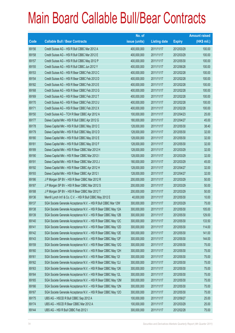|             |                                                                | No. of        |                     |               | <b>Amount raised</b> |
|-------------|----------------------------------------------------------------|---------------|---------------------|---------------|----------------------|
| <b>Code</b> | <b>Callable Bull / Bear Contracts</b>                          | issue (units) | <b>Listing date</b> | <b>Expiry</b> | (HK\$ mil.)          |
| 69156       | Credit Suisse AG - HSI R Bull CBBC Mar 2012 A                  | 400,000,000   | 2011/11/17          | 2012/03/29    | 100.00               |
| 69158       | Credit Suisse AG - HSI R Bull CBBC Mar 2012 E                  | 400,000,000   | 2011/11/17          | 2012/03/29    | 100.00               |
| 69157       | Credit Suisse AG - HSI R Bull CBBC May 2012 P                  | 400,000,000   | 2011/11/17          | 2012/05/30    | 100.00               |
| 69155       | Credit Suisse AG - HSI R Bull CBBC Jun 2012 Y                  | 400,000,000   | 2011/11/17          | 2012/06/28    | 100.00               |
| 69153       | Credit Suisse AG - HSI R Bear CBBC Feb 2012 C                  | 400,000,000   | 2011/11/17          | 2012/02/28    | 100.00               |
| 69154       | Credit Suisse AG - HSI R Bear CBBC Feb 2012 D                  | 400,000,000   | 2011/11/17          | 2012/02/28    | 100.00               |
| 69182       | Credit Suisse AG - HSI R Bear CBBC Feb 2012 E                  | 400,000,000   | 2011/11/17          | 2012/02/28    | 100.00               |
| 69168       | Credit Suisse AG - HSI R Bear CBBC Feb 2012 G                  | 400,000,000   | 2011/11/17          | 2012/02/28    | 100.00               |
| 69169       | Credit Suisse AG - HSI R Bear CBBC Feb 2012 T                  | 400,000,000   | 2011/11/17          | 2012/02/28    | 100.00               |
| 69170       | Credit Suisse AG - HSI R Bear CBBC Feb 2012 U                  | 400,000,000   | 2011/11/17          | 2012/02/28    | 100.00               |
| 69171       | Credit Suisse AG - HSI R Bear CBBC Feb 2012 X                  | 400,000,000   | 2011/11/17          | 2012/02/28    | 100.00               |
| 69150       | Credit Suisse AG - TCH R Bear CBBC Apr 2012 A                  | 100,000,000   | 2011/11/17          | 2012/04/23    | 25.00                |
| 69177       | Daiwa Capital Mkt - HSI R Bull CBBC Apr 2012 G                 | 180,000,000   | 2011/11/17          | 2012/04/27    | 45.00                |
| 69178       | Daiwa Capital Mkt - HSI R Bull CBBC May 2012 C                 | 128,000,000   | 2011/11/17          | 2012/05/30    | 38.40                |
| 69179       | Daiwa Capital Mkt - HSI R Bull CBBC May 2012 D                 | 128,000,000   | 2011/11/17          | 2012/05/30    | 32.00                |
| 69180       | Daiwa Capital Mkt - HSI R Bull CBBC May 2012 E                 | 128,000,000   | 2011/11/17          | 2012/05/30    | 32.00                |
| 69181       | Daiwa Capital Mkt - HSI R Bull CBBC May 2012 F                 | 128,000,000   | 2011/11/17          | 2012/05/30    | 32.00                |
| 69189       | Daiwa Capital Mkt - HSI R Bear CBBC Mar 2012 H                 | 128,000,000   | 2011/11/17          | 2012/03/29    | 32.00                |
| 69190       | Daiwa Capital Mkt - HSI R Bear CBBC Mar 2012 I                 | 128,000,000   | 2011/11/17          | 2012/03/29    | 32.00                |
| 69191       | Daiwa Capital Mkt - HSI R Bear CBBC Mar 2012 J                 | 180,000,000   | 2011/11/17          | 2012/03/29    | 45.00                |
| 69192       | Daiwa Capital Mkt - HSI R Bear CBBC Apr 2012 H                 | 128,000,000   | 2011/11/17          | 2012/04/27    | 32.00                |
| 69193       | Daiwa Capital Mkt - HSI R Bear CBBC Apr 2012 I                 | 128,000,000   | 2011/11/17          | 2012/04/27    | 32.00                |
| 69186       | J P Morgan SP BV - HSI R Bear CBBC Mar 2012 R                  | 200,000,000   | 2011/11/17          | 2012/03/29    | 50.00                |
| 69187       | J P Morgan SP BV - HSI R Bear CBBC Mar 2012 S                  | 200,000,000   | 2011/11/17          | 2012/03/29    | 50.00                |
| 69188       | J P Morgan SP BV - HSI R Bear CBBC Mar 2012 T                  | 200,000,000   | 2011/11/17          | 2012/03/29    | 50.00                |
| 69136       | Merrill Lynch Int'l & Co. C.V. - HSI R Bull CBBC May 2012 E    | 40,000,000    | 2011/11/17          | 2012/05/30    | 10.00                |
| 69137       | SGA Societe Generale Acceptance N.V. - HSI R Bull CBBC Mar 12W | 300,000,000   | 2011/11/17          | 2012/03/29    | 75.00                |
| 69138       | SGA Societe Generale Acceptance N.V. - HSI R Bear CBBC May 12A | 300,000,000   | 2011/11/17          | 2012/05/30    | 105.00               |
| 69139       | SGA Societe Generale Acceptance N.V. - HSI R Bear CBBC May 12B | 300,000,000   | 2011/11/17          | 2012/05/30    | 129.00               |
| 69140       | SGA Societe Generale Acceptance N.V. - HSI R Bear CBBC May 12C | 300,000,000   | 2011/11/17          | 2012/05/30    | 133.50               |
| 69141       | SGA Societe Generale Acceptance N.V. - HSI R Bear CBBC May 12D | 300,000,000   | 2011/11/17          | 2012/05/30    | 114.00               |
| 69142       | SGA Societe Generale Acceptance N.V. - HSI R Bear CBBC May 12E | 300,000,000   | 2011/11/17          | 2012/05/30    | 141.00               |
| 69143       | SGA Societe Generale Acceptance N.V. - HSI R Bear CBBC May 12F | 300,000,000   | 2011/11/17          | 2012/05/30    | 144.00               |
| 69159       | SGA Societe Generale Acceptance N.V. - HSI R Bear CBBC May 12G | 300,000,000   | 2011/11/17          | 2012/05/30    | 75.00                |
| 69160       | SGA Societe Generale Acceptance N.V. - HSI R Bear CBBC May 12H | 300,000,000   | 2011/11/17          | 2012/05/30    | 75.00                |
| 69161       | SGA Societe Generale Acceptance N.V. - HSI R Bear CBBC May 12I | 300,000,000   | 2011/11/17          | 2012/05/30    | 75.00                |
| 69162       | SGA Societe Generale Acceptance N.V. - HSI R Bear CBBC May 12J | 300,000,000   | 2011/11/17          | 2012/05/30    | 75.00                |
| 69163       | SGA Societe Generale Acceptance N.V. - HSI R Bear CBBC May 12K | 300,000,000   | 2011/11/17          | 2012/05/30    | 75.00                |
| 69164       | SGA Societe Generale Acceptance N.V. - HSI R Bear CBBC May 12L | 300,000,000   | 2011/11/17          | 2012/05/30    | 75.00                |
| 69165       | SGA Societe Generale Acceptance N.V. - HSI R Bear CBBC May 12M | 300,000,000   | 2011/11/17          | 2012/05/30    | 75.00                |
| 69166       | SGA Societe Generale Acceptance N.V. - HSI R Bear CBBC May 12N | 300,000,000   | 2011/11/17          | 2012/05/30    | 75.00                |
| 69167       | SGA Societe Generale Acceptance N.V. - HSI R Bear CBBC May 120 | 300,000,000   | 2011/11/17          | 2012/05/30    | 75.00                |
| 69175       | UBS AG - HSCEI R Bull CBBC Sep 2012 A                          | 100,000,000   | 2011/11/17          | 2012/09/27    | 25.00                |
| 69174       | UBS AG - HSCEI R Bear CBBC Mar 2012 A                          | 100,000,000   | 2011/11/17          | 2012/03/29    | 25.00                |
| 69144       | UBS AG - HSI R Bull CBBC Feb 2012 I                            | 300,000,000   | 2011/11/17          | 2012/02/28    | 75.00                |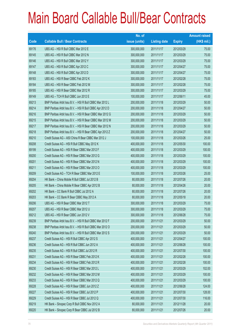|       |                                                          | No. of        |                     |               | <b>Amount raised</b> |
|-------|----------------------------------------------------------|---------------|---------------------|---------------|----------------------|
| Code  | <b>Callable Bull / Bear Contracts</b>                    | issue (units) | <b>Listing date</b> | <b>Expiry</b> | $(HK$$ mil.)         |
| 69176 | UBS AG - HSI R Bull CBBC Mar 2012 E                      | 300,000,000   | 2011/11/17          | 2012/03/29    | 75.00                |
| 69145 | UBS AG - HSI R Bull CBBC Mar 2012 N                      | 300,000,000   | 2011/11/17          | 2012/03/29    | 75.00                |
| 69146 | UBS AG - HSI R Bull CBBC Mar 2012 Y                      | 300,000,000   | 2011/11/17          | 2012/03/29    | 75.00                |
| 69147 | UBS AG - HSI R Bull CBBC Apr 2012 C                      | 300,000,000   | 2011/11/17          | 2012/04/27    | 75.00                |
| 69148 | UBS AG - HSI R Bull CBBC Apr 2012 D                      | 300,000,000   | 2011/11/17          | 2012/04/27    | 75.00                |
| 69183 | UBS AG - HSI R Bear CBBC Feb 2012 K                      | 300,000,000   | 2011/11/17          | 2012/02/28    | 75.00                |
| 69184 | UBS AG - HSI R Bear CBBC Feb 2012 M                      | 300,000,000   | 2011/11/17          | 2012/02/28    | 75.00                |
| 69185 | UBS AG - HSI R Bear CBBC Mar 2012 R                      | 300,000,000   | 2011/11/17          | 2012/03/29    | 75.00                |
| 69149 | UBS AG - TCH R Bull CBBC Jun 2012 E                      | 100,000,000   | 2011/11/17          | 2012/06/11    | 45.00                |
| 69213 | BNP Paribas Arbit Issu B.V. - HSI R Bull CBBC Mar 2012 L | 200,000,000   | 2011/11/18          | 2012/03/29    | 50.00                |
| 69214 | BNP Paribas Arbit Issu B.V. - HSI R Bull CBBC Apr 2012 D | 200,000,000   | 2011/11/18          | 2012/04/27    | 50.00                |
| 69216 | BNP Paribas Arbit Issu B.V. - HSI R Bear CBBC Mar 2012 G | 200,000,000   | 2011/11/18          | 2012/03/29    | 50.00                |
| 69215 | BNP Paribas Arbit Issu B.V. - HSI R Bear CBBC Mar 2012 M | 200,000,000   | 2011/11/18          | 2012/03/29    | 50.00                |
| 69217 | BNP Paribas Arbit Issu B.V. - HSI R Bear CBBC Mar 2012 N | 200,000,000   | 2011/11/18          | 2012/03/29    | 50.00                |
| 69218 | BNP Paribas Arbit Issu B.V. - HSI R Bear CBBC Apr 2012 Z | 200,000,000   | 2011/11/18          | 2012/04/27    | 50.00                |
| 69210 | Credit Suisse AG - A50 China R Bear CBBC Mar 2012 J      | 100,000,000   | 2011/11/18          | 2012/03/26    | 25.00                |
| 69208 | Credit Suisse AG - HSI R Bull CBBC May 2012 K            | 400,000,000   | 2011/11/18          | 2012/05/30    | 100.00               |
| 69199 | Credit Suisse AG - HSI R Bear CBBC Mar 2012 F            | 400,000,000   | 2011/11/18          | 2012/03/29    | 100.00               |
| 69200 | Credit Suisse AG - HSI R Bear CBBC Mar 2012 G            | 400,000,000   | 2011/11/18          | 2012/03/29    | 100.00               |
| 69201 | Credit Suisse AG - HSI R Bear CBBC Mar 2012 N            | 400,000,000   | 2011/11/18          | 2012/03/29    | 100.00               |
| 69211 | Credit Suisse AG - HSI R Bear CBBC Mar 2012 O            | 400,000,000   | 2011/11/18          | 2012/03/29    | 100.00               |
| 69209 | Credit Suisse AG - TCH R Bear CBBC Mar 2012 E            | 100,000,000   | 2011/11/18          | 2012/03/26    | 25.00                |
| 69204 | HK Bank - China Mobile R Bull CBBC Jul 2012 B            | 80,000,000    | 2011/11/18          | 2012/07/26    | 20.00                |
| 69205 | HK Bank - China Mobile R Bear CBBC Apr 2012 B            | 80,000,000    | 2011/11/18          | 2012/04/26    | 20.00                |
| 69202 | HK Bank - CC Bank R Bull CBBC Jul 2012 A                 | 80,000,000    | 2011/11/18          | 2012/07/26    | 20.00                |
| 69203 | HK Bank - CC Bank R Bear CBBC May 2012 A                 | 80,000,000    | 2011/11/18          | 2012/05/18    | 20.00                |
| 69206 | UBS AG - HSI R Bear CBBC Mar 2012 T                      | 300,000,000   | 2011/11/18          | 2012/03/29    | 75.00                |
| 69207 | UBS AG - HSI R Bear CBBC Mar 2012 U                      | 300,000,000   | 2011/11/18          | 2012/03/29    | 75.00                |
| 69212 | UBS AG - HSI R Bear CBBC Jun 2012 V                      | 300,000,000   | 2011/11/18          | 2012/06/28    | 75.00                |
| 69239 | BNP Paribas Arbit Issu B.V. - HSI R Bull CBBC Mar 2012 F | 200,000,000   | 2011/11/21          | 2012/03/29    | 50.00                |
| 69238 | BNP Paribas Arbit Issu B.V. - HSI R Bull CBBC Mar 2012 O | 200,000,000   | 2011/11/21          | 2012/03/29    | 50.00                |
| 69240 | BNP Paribas Arbit Issu B.V. - HSI R Bull CBBC Mar 2012 S | 200,000,000   | 2011/11/21          | 2012/03/29    | 50.00                |
| 69237 | Credit Suisse AG - HSI R Bull CBBC Apr 2012 S            | 400,000,000   | 2011/11/21          | 2012/04/27    | 100.00               |
| 69236 | Credit Suisse AG - HSI R Bull CBBC Jun 2012 A            | 400,000,000   | 2011/11/21          | 2012/06/28    | 100.00               |
| 69235 | Credit Suisse AG - HSI R Bull CBBC Jul 2012 R            | 400,000,000   | 2011/11/21          | 2012/07/30    | 100.00               |
| 69231 | Credit Suisse AG - HSI R Bear CBBC Feb 2012 K            | 400,000,000   | 2011/11/21          | 2012/02/28    | 100.00               |
| 69234 | Credit Suisse AG - HSI R Bear CBBC Feb 2012 R            | 400,000,000   | 2011/11/21          | 2012/02/28    | 100.00               |
| 69230 | Credit Suisse AG - HSI R Bear CBBC Mar 2012 L            | 400,000,000   | 2011/11/21          | 2012/03/29    | 102.00               |
| 69232 | Credit Suisse AG - HSI R Bear CBBC Mar 2012 M            | 400,000,000   | 2011/11/21          | 2012/03/29    | 100.00               |
| 69233 | Credit Suisse AG - HSI R Bear CBBC Mar 2012 Q            | 400,000,000   | 2011/11/21          | 2012/03/29    | 100.00               |
| 69228 | Credit Suisse AG - HSI R Bear CBBC Jun 2012 Z            | 400,000,000   | 2011/11/21          | 2012/06/28    | 124.00               |
| 69227 | Credit Suisse AG - HSI R Bear CBBC Jul 2012 P            | 400,000,000   | 2011/11/21          | 2012/07/30    | 128.00               |
| 69229 | Credit Suisse AG - HSI R Bear CBBC Jul 2012 Q            | 400,000,000   | 2011/11/21          | 2012/07/30    | 116.00               |
| 69219 | HK Bank - Sinopec Corp R Bull CBBC Nov 2012 A            | 80,000,000    | 2011/11/21          | 2012/11/28    | 20.00                |
| 69220 | HK Bank - Sinopec Corp R Bear CBBC Jul 2012 B            | 80,000,000    | 2011/11/21          | 2012/07/26    | 20.00                |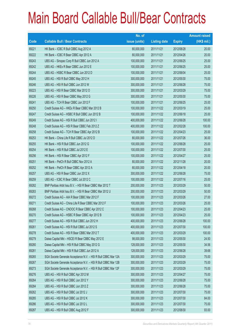|       |                                                                | No. of        |                     |               | <b>Amount raised</b> |
|-------|----------------------------------------------------------------|---------------|---------------------|---------------|----------------------|
| Code  | <b>Callable Bull / Bear Contracts</b>                          | issue (units) | <b>Listing date</b> | <b>Expiry</b> | $(HK$$ mil.)         |
| 69221 | HK Bank - ICBC R Bull CBBC Aug 2012 A                          | 80,000,000    | 2011/11/21          | 2012/08/28    | 20.00                |
| 69222 | HK Bank - ICBC R Bear CBBC Apr 2012 A                          | 80,000,000    | 2011/11/21          | 2012/04/26    | 20.00                |
| 69243 | UBS AG - Sinopec Corp R Bull CBBC Jun 2012 A                   | 100,000,000   | 2011/11/21          | 2012/06/25    | 25.00                |
| 69242 | UBS AG - HKEx R Bear CBBC Jun 2012 E                           | 100,000,000   | 2011/11/21          | 2012/06/25    | 25.00                |
| 69244 | UBS AG - HSBC R Bear CBBC Jun 2012 D                           | 100,000,000   | 2011/11/21          | 2012/06/04    | 25.00                |
| 69245 | UBS AG - HSI R Bull CBBC May 2012 H                            | 300,000,000   | 2011/11/21          | 2012/05/30    | 75.00                |
| 69246 | UBS AG - HSI R Bull CBBC Jun 2012 W                            | 300,000,000   | 2011/11/21          | 2012/06/28    | 75.00                |
| 69223 | UBS AG - HSI R Bear CBBC Mar 2012 O                            | 300,000,000   | 2011/11/21          | 2012/03/29    | 75.00                |
| 69226 | UBS AG - HSI R Bear CBBC May 2012 G                            | 300,000,000   | 2011/11/21          | 2012/05/30    | 75.00                |
| 69241 | UBS AG - TCH R Bear CBBC Jun 2012 F                            | 100,000,000   | 2011/11/21          | 2012/06/25    | 25.00                |
| 69250 | Credit Suisse AG - HKEx R Bear CBBC Mar 2012 B                 | 100,000,000   | 2011/11/22          | 2012/03/19    | 25.00                |
| 69247 | Credit Suisse AG - HSBC R Bull CBBC Jun 2012 B                 | 100,000,000   | 2011/11/22          | 2012/06/18    | 25.00                |
| 69249 | Credit Suisse AG - HSI R Bull CBBC Jun 2012 I                  | 400,000,000   | 2011/11/22          | 2012/06/28    | 100.00               |
| 69248 | Credit Suisse AG - HSI R Bear CBBC Feb 2012 Z                  | 400,000,000   | 2011/11/22          | 2012/02/28    | 100.00               |
| 69258 | Credit Suisse AG - TCH R Bear CBBC Apr 2012 B                  | 100,000,000   | 2011/11/22          | 2012/04/23    | 25.00                |
| 69253 | HK Bank - China Life R Bull CBBC Jul 2012 D                    | 80,000,000    | 2011/11/22          | 2012/07/26    | 36.00                |
| 69255 | HK Bank - HSI R Bull CBBC Jun 2012 G                           | 100,000,000   | 2011/11/22          | 2012/06/28    | 25.00                |
| 69254 | HK Bank - HSI R Bull CBBC Jul 2012 E                           | 100,000,000   | 2011/11/22          | 2012/07/30    | 25.00                |
| 69256 | HK Bank - HSI R Bear CBBC Apr 2012 F                           | 100,000,000   | 2011/11/22          | 2012/04/27    | 25.00                |
| 69251 | HK Bank - PetCh R Bull CBBC Nov 2012 A                         | 80,000,000    | 2011/11/22          | 2012/11/28    | 20.00                |
| 69252 | HK Bank - PetCh R Bear CBBC Apr 2012 A                         | 80,000,000    | 2011/11/22          | 2012/04/18    | 20.00                |
| 69257 | UBS AG - HSI R Bear CBBC Jun 2012 X                            | 300,000,000   | 2011/11/22          | 2012/06/28    | 75.00                |
| 69259 | UBS AG - ICBC R Bear CBBC Jul 2012 C                           | 100,000,000   | 2011/11/22          | 2012/07/16    | 25.00                |
| 69282 | BNP Paribas Arbit Issu B.V. - HSI R Bear CBBC Mar 2012 T       | 200,000,000   | 2011/11/23          | 2012/03/29    | 50.00                |
| 69283 | BNP Paribas Arbit Issu B.V. - HSI R Bear CBBC Mar 2012 U       | 200,000,000   | 2011/11/23          | 2012/03/29    | 50.00                |
| 69272 | Credit Suisse AG - AIA R Bear CBBC Mar 2012 F                  | 100,000,000   | 2011/11/23          | 2012/03/26    | 27.00                |
| 69271 | Credit Suisse AG - China Life R Bear CBBC Mar 2012 F           | 100,000,000   | 2011/11/23          | 2012/03/26    | 25.00                |
| 69268 | Credit Suisse AG - CNOOC R Bear CBBC Apr 2012 C                | 100,000,000   | 2011/11/23          | 2012/04/23    | 25.00                |
| 69270 | Credit Suisse AG - HSBC R Bear CBBC Apr 2012 B                 | 100,000,000   | 2011/11/23          | 2012/04/23    | 25.00                |
| 69277 | Credit Suisse AG - HSI R Bull CBBC Jun 2012 H                  | 400,000,000   | 2011/11/23          | 2012/06/28    | 100.00               |
| 69261 | Credit Suisse AG - HSI R Bull CBBC Jul 2012 S                  | 400,000,000   | 2011/11/23          | 2012/07/30    | 100.00               |
| 69278 | Credit Suisse AG - HSI R Bear CBBC Mar 2012 T                  | 400,000,000   | 2011/11/23          | 2012/03/29    | 100.00               |
| 69279 | Daiwa Capital Mkt - HSCEI R Bear CBBC May 2012 E               | 98,000,000    | 2011/11/23          | 2012/05/30    | 24.50                |
| 69280 | Daiwa Capital Mkt - HSI R Bull CBBC May 2012 G                 | 128,000,000   | 2011/11/23          | 2012/05/30    | 34.56                |
| 69281 | Daiwa Capital Mkt - HSI R Bull CBBC Jun 2012 A                 | 128,000,000   | 2011/11/23          | 2012/06/28    | 39.68                |
| 69265 | SGA Societe Generale Acceptance N.V. - HSI R Bull CBBC Mar 12A | 300,000,000   | 2011/11/23          | 2012/03/29    | 75.00                |
| 69267 | SGA Societe Generale Acceptance N.V. - HSI R Bull CBBC Mar 12B | 300,000,000   | 2011/11/23          | 2012/03/29    | 75.00                |
| 69273 | SGA Societe Generale Acceptance N.V. - HSI R Bull CBBC Mar 12F | 300,000,000   | 2011/11/23          | 2012/03/29    | 75.00                |
| 69276 | UBS AG - HSI R Bull CBBC Apr 2012 M                            | 300,000,000   | 2011/11/23          | 2012/04/27    | 75.00                |
| 69264 | UBS AG - HSI R Bull CBBC Jun 2012 Y                            | 300,000,000   | 2011/11/23          | 2012/06/28    | 75.00                |
| 69284 | UBS AG - HSI R Bull CBBC Jun 2012 Z                            | 300,000,000   | 2011/11/23          | 2012/06/28    | 75.00                |
| 69262 | UBS AG - HSI R Bull CBBC Jul 2012 J                            | 300,000,000   | 2011/11/23          | 2012/07/30    | 75.00                |
| 69285 | UBS AG - HSI R Bull CBBC Jul 2012 K                            | 300,000,000   | 2011/11/23          | 2012/07/30    | 84.00                |
| 69286 | UBS AG - HSI R Bull CBBC Jul 2012 L                            | 300,000,000   | 2011/11/23          | 2012/07/30    | 75.00                |
| 69287 | UBS AG - HSI R Bull CBBC Aug 2012 F                            | 300,000,000   | 2011/11/23          | 2012/08/30    | 93.00                |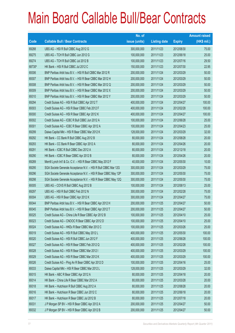|        |                                                                | No. of        |                     |               | <b>Amount raised</b> |
|--------|----------------------------------------------------------------|---------------|---------------------|---------------|----------------------|
| Code   | <b>Callable Bull / Bear Contracts</b>                          | issue (units) | <b>Listing date</b> | <b>Expiry</b> | $(HK$$ mil.)         |
| 69288  | UBS AG - HSI R Bull CBBC Aug 2012 G                            | 300,000,000   | 2011/11/23          | 2012/08/30    | 75.00                |
| 69275  | UBS AG - TCH R Bull CBBC Jun 2012 G                            | 100,000,000   | 2011/11/23          | 2012/06/18    | 25.00                |
| 69274  | UBS AG - TCH R Bull CBBC Jul 2012 B                            | 100,000,000   | 2011/11/23          | 2012/07/16    | 29.50                |
| 68730# | HK Bank - HSI R Bull CBBC Jul 2012 C                           | 150,000,000   | 2011/11/23          | 2012/07/30    | 22.95                |
| 69306  | BNP Paribas Arbit Issu B.V. - HSI R Bull CBBC Mar 2012 R       | 200,000,000   | 2011/11/24          | 2012/03/29    | 50.00                |
| 69307  | BNP Paribas Arbit Issu B.V. - HSI R Bear CBBC Mar 2012 H       | 200,000,000   | 2011/11/24          | 2012/03/29    | 50.00                |
| 69308  | BNP Paribas Arbit Issu B.V. - HSI R Bear CBBC Mar 2012 Q       | 200,000,000   | 2011/11/24          | 2012/03/29    | 50.00                |
| 69309  | BNP Paribas Arbit Issu B.V. - HSI R Bear CBBC Mar 2012 X       | 200,000,000   | 2011/11/24          | 2012/03/29    | 50.00                |
| 69310  | BNP Paribas Arbit Issu B.V. - HSI R Bear CBBC Mar 2012 Y       | 200,000,000   | 2011/11/24          | 2012/03/29    | 50.00                |
| 69294  | Credit Suisse AG - HSI R Bull CBBC Apr 2012 T                  | 400,000,000   | 2011/11/24          | 2012/04/27    | 100.00               |
| 69303  | Credit Suisse AG - HSI R Bear CBBC Feb 2012 F                  | 400,000,000   | 2011/11/24          | 2012/02/28    | 100.00               |
| 69300  | Credit Suisse AG - HSI R Bear CBBC Apr 2012 K                  | 400,000,000   | 2011/11/24          | 2012/04/27    | 100.00               |
| 69302  | Credit Suisse AG - ICBC R Bull CBBC Jun 2012 A                 | 100,000,000   | 2011/11/24          | 2012/06/28    | 25.00                |
| 69301  | Credit Suisse AG - ICBC R Bear CBBC Apr 2012 A                 | 100,000,000   | 2011/11/24          | 2012/04/23    | 25.00                |
| 69299  | Daiwa Capital Mkt - HSI R Bear CBBC Mar 2012 K                 | 128,000,000   | 2011/11/24          | 2012/03/29    | 32.00                |
| 69292  | HK Bank - CC Bank R Bull CBBC Aug 2012 B                       | 80,000,000    | 2011/11/24          | 2012/08/28    | 20.00                |
| 69293  | HK Bank - CC Bank R Bear CBBC Apr 2012 A                       | 80,000,000    | 2011/11/24          | 2012/04/26    | 20.00                |
| 69291  | HK Bank - ICBC R Bull CBBC Dec 2012 A                          | 80,000,000    | 2011/11/24          | 2012/12/18    | 20.00                |
| 69290  | HK Bank - ICBC R Bear CBBC Apr 2012 B                          | 80,000,000    | 2011/11/24          | 2012/04/26    | 20.00                |
| 69289  | Merrill Lynch Int'l & Co. C.V. - HSI R Bear CBBC May 2012 F    | 40,000,000    | 2011/11/24          | 2012/05/30    | 10.00                |
| 69295  | SGA Societe Generale Acceptance N.V. - HSI R Bull CBBC Mar 12G | 300,000,000   | 2011/11/24          | 2012/03/29    | 75.00                |
| 69296  | SGA Societe Generale Acceptance N.V. - HSI R Bear CBBC May 12P | 300,000,000   | 2011/11/24          | 2012/05/30    | 75.00                |
| 69298  | SGA Societe Generale Acceptance N.V. - HSI R Bear CBBC May 12Q | 300,000,000   | 2011/11/24          | 2012/05/30    | 75.00                |
| 69305  | UBS AG - COVS R Bull CBBC Aug 2012 B                           | 100,000,000   | 2011/11/24          | 2012/08/13    | 25.00                |
| 69297  | UBS AG - HSI R Bull CBBC Feb 2012 N                            | 300,000,000   | 2011/11/24          | 2012/02/28    | 75.00                |
| 69304  | UBS AG - HSI R Bear CBBC Apr 2012 K                            | 300,000,000   | 2011/11/24          | 2012/04/27    | 75.00                |
| 69344  | BNP Paribas Arbit Issu B.V. - HSI R Bear CBBC Apr 2012 H       | 200,000,000   | 2011/11/25          | 2012/04/27    | 50.00                |
| 69345  | BNP Paribas Arbit Issu B.V. - HSI R Bear CBBC Apr 2012 T       | 200,000,000   | 2011/11/25          | 2012/04/27    | 50.00                |
| 69325  | Credit Suisse AG - China Life R Bear CBBC Apr 2012 B           | 100,000,000   | 2011/11/25          | 2012/04/10    | 25.00                |
| 69323  | Credit Suisse AG - CNOOC R Bear CBBC Apr 2012 D                | 100,000,000   | 2011/11/25          | 2012/04/10    | 25.00                |
| 69324  | Credit Suisse AG - HKEx R Bear CBBC Mar 2012 C                 | 100,000,000   | 2011/11/25          | 2012/03/26    | 25.00                |
| 69319  | Credit Suisse AG - HSI R Bull CBBC May 2012 L                  | 400,000,000   | 2011/11/25          | 2012/05/30    | 100.00               |
| 69320  | Credit Suisse AG - HSI R Bull CBBC Jun 2012 F                  | 400,000,000   | 2011/11/25          | 2012/06/28    | 100.00               |
| 69327  | Credit Suisse AG - HSI R Bear CBBC Feb 2012 Q                  | 400,000,000   | 2011/11/25          | 2012/02/28    | 100.00               |
| 69328  | Credit Suisse AG - HSI R Bear CBBC Mar 2012 I                  | 400,000,000   | 2011/11/25          | 2012/03/29    | 100.00               |
| 69329  | Credit Suisse AG - HSI R Bear CBBC Mar 2012 K                  | 400,000,000   | 2011/11/25          | 2012/03/29    | 100.00               |
| 69326  | Credit Suisse AG - Ping An R Bear CBBC Apr 2012 D              | 100,000,000   | 2011/11/25          | 2012/04/16    | 25.00                |
| 69333  | Daiwa Capital Mkt - HSI R Bear CBBC Mar 2012 L                 | 128,000,000   | 2011/11/25          | 2012/03/29    | 32.00                |
| 69315  | HK Bank - ABC R Bear CBBC Apr 2012 A                           | 80,000,000    | 2011/11/25          | 2012/04/18    | 20.00                |
| 69314  | HK Bank - China Life R Bear CBBC Mar 2012 A                    | 80,000,000    | 2011/11/25          | 2012/03/28    | 20.00                |
| 69318  | HK Bank - Hutchison R Bull CBBC Aug 2012 A                     | 80,000,000    | 2011/11/25          | 2012/08/28    | 20.00                |
| 69316  | HK Bank - Hutchison R Bear CBBC Jun 2012 C                     | 80,000,000    | 2011/11/25          | 2012/06/18    | 20.00                |
| 69317  | HK Bank - Hutchison R Bear CBBC Jul 2012 B                     | 80,000,000    | 2011/11/25          | 2012/07/18    | 20.00                |
| 69331  | J P Morgan SP BV - HSI R Bear CBBC Apr 2012 A                  | 200,000,000   | 2011/11/25          | 2012/04/27    | 50.00                |
| 69332  | J P Morgan SP BV - HSI R Bear CBBC Apr 2012 B                  | 200,000,000   | 2011/11/25          | 2012/04/27    | 50.00                |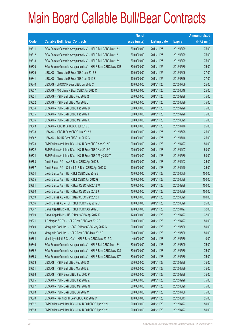|       |                                                                | No. of        |                     |               | <b>Amount raised</b> |
|-------|----------------------------------------------------------------|---------------|---------------------|---------------|----------------------|
| Code  | <b>Callable Bull / Bear Contracts</b>                          | issue (units) | <b>Listing date</b> | <b>Expiry</b> | (HK\$ mil.)          |
| 69311 | SGA Societe Generale Acceptance N.V. - HSI R Bull CBBC Mar 12H | 300,000,000   | 2011/11/25          | 2012/03/29    | 75.00                |
| 69312 | SGA Societe Generale Acceptance N.V. - HSI R Bull CBBC Mar 121 | 300,000,000   | 2011/11/25          | 2012/03/29    | 75.00                |
| 69313 | SGA Societe Generale Acceptance N.V. - HSI R Bull CBBC Mar 12K | 300,000,000   | 2011/11/25          | 2012/03/29    | 75.00                |
| 69330 | SGA Societe Generale Acceptance N.V. - HSI R Bear CBBC May 12R | 300,000,000   | 2011/11/25          | 2012/05/30    | 75.00                |
| 69339 | UBS AG - China Life R Bear CBBC Jun 2012 E                     | 100,000,000   | 2011/11/25          | 2012/06/25    | 27.00                |
| 69341 | UBS AG - China Life R Bear CBBC Jul 2012 E                     | 100,000,000   | 2011/11/25          | 2012/07/16    | 37.00                |
| 69340 | UBS AG - CNOOC R Bear CBBC Jul 2012 C                          | 100,000,000   | 2011/11/25          | 2012/07/09    | 25.00                |
| 69337 | UBS AG - A50 China R Bear CBBC Jun 2012 C                      | 100,000,000   | 2011/11/25          | 2012/06/18    | 25.00                |
| 69321 | UBS AG - HSI R Bull CBBC Feb 2012 Q                            | 300,000,000   | 2011/11/25          | 2012/02/28    | 75.00                |
| 69322 | UBS AG - HSI R Bull CBBC Mar 2012 J                            | 300,000,000   | 2011/11/25          | 2012/03/29    | 75.00                |
| 69334 | UBS AG - HSI R Bear CBBC Feb 2012 B                            | 300,000,000   | 2011/11/25          | 2012/02/28    | 75.00                |
| 69335 | UBS AG - HSI R Bear CBBC Feb 2012 I                            | 300,000,000   | 2011/11/25          | 2012/02/28    | 75.00                |
| 69336 | UBS AG - HSI R Bear CBBC Mar 2012 X                            | 300,000,000   | 2011/11/25          | 2012/03/29    | 75.00                |
| 69343 | UBS AG - ICBC R Bull CBBC Jul 2012 D                           | 100,000,000   | 2011/11/25          | 2012/07/16    | 25.00                |
| 69338 | UBS AG - ICBC R Bear CBBC Jun 2012 A                           | 100,000,000   | 2011/11/25          | 2012/06/25    | 25.00                |
| 69342 | UBS AG - TCH R Bear CBBC Jul 2012 C                            | 100,000,000   | 2011/11/25          | 2012/07/16    | 25.00                |
| 69373 | BNP Paribas Arbit Issu B.V. - HSI R Bear CBBC Apr 2012 D       | 200,000,000   | 2011/11/28          | 2012/04/27    | 50.00                |
| 69372 | BNP Paribas Arbit Issu B.V. - HSI R Bear CBBC Apr 2012 G       | 200,000,000   | 2011/11/28          | 2012/04/27    | 50.00                |
| 69374 | BNP Paribas Arbit Issu B.V. - HSI R Bear CBBC May 2012 T       | 200,000,000   | 2011/11/28          | 2012/05/30    | 50.00                |
| 69358 | Credit Suisse AG - AIA R Bear CBBC Apr 2012 B                  | 100,000,000   | 2011/11/28          | 2012/04/23    | 25.00                |
| 69357 | Credit Suisse AG - China Life R Bear CBBC Apr 2012 C           | 100,000,000   | 2011/11/28          | 2012/04/10    | 25.00                |
| 69354 | Credit Suisse AG - HSI R Bull CBBC May 2012 B                  | 400,000,000   | 2011/11/28          | 2012/05/30    | 100.00               |
| 69355 | Credit Suisse AG - HSI R Bull CBBC Jun 2012 G                  | 400,000,000   | 2011/11/28          | 2012/06/28    | 100.00               |
| 69361 | Credit Suisse AG - HSI R Bear CBBC Feb 2012 W                  | 400,000,000   | 2011/11/28          | 2012/02/28    | 100.00               |
| 69360 | Credit Suisse AG - HSI R Bear CBBC Mar 2012 J                  | 400,000,000   | 2011/11/28          | 2012/03/29    | 100.00               |
| 69359 | Credit Suisse AG - HSI R Bear CBBC Mar 2012 Y                  | 400,000,000   | 2011/11/28          | 2012/03/29    | 100.00               |
| 69356 | Credit Suisse AG - TCH R Bull CBBC May 2012 C                  | 100,000,000   | 2011/11/28          | 2012/05/28    | 25.00                |
| 69347 | Daiwa Capital Mkt - HSI R Bull CBBC Apr 2012 J                 | 128,000,000   | 2011/11/28          | 2012/04/27    | 32.00                |
| 69369 | Daiwa Capital Mkt - HSI R Bear CBBC Apr 2012 K                 | 128,000,000   | 2011/11/28          | 2012/04/27    | 32.00                |
| 69371 | J P Morgan SP BV - HSI R Bear CBBC Apr 2012 C                  | 200,000,000   | 2011/11/28          | 2012/04/27    | 50.00                |
| 69349 | Macquarie Bank Ltd. - HSCEI R Bear CBBC May 2012 C             | 200,000,000   | 2011/11/28          | 2012/05/30    | 50.00                |
| 69348 | Macquarie Bank Ltd. - HSI R Bear CBBC May 2012 E               | 200,000,000   | 2011/11/28          | 2012/05/30    | 50.00                |
| 69364 | Merrill Lynch Int'l & Co. C.V. - HSI R Bear CBBC May 2012 G    | 40,000,000    | 2011/11/28          | 2012/05/30    | 10.00                |
| 69346 | SGA Societe Generale Acceptance N.V. - HSI R Bull CBBC Mar 12N | 300,000,000   | 2011/11/28          | 2012/03/29    | 75.00                |
| 69362 | SGA Societe Generale Acceptance N.V. - HSI R Bear CBBC May 12S | 300,000,000   | 2011/11/28          | 2012/05/30    | 75.00                |
| 69363 | SGA Societe Generale Acceptance N.V. - HSI R Bear CBBC May 12T | 300,000,000   | 2011/11/28          | 2012/05/30    | 75.00                |
| 69353 | UBS AG - HSI R Bull CBBC Feb 2012 O                            | 300,000,000   | 2011/11/28          | 2012/02/28    | 75.00                |
| 69351 | UBS AG - HSI R Bull CBBC Mar 2012 E                            | 300,000,000   | 2011/11/28          | 2012/03/29    | 75.00                |
| 69366 | UBS AG - HSI R Bear CBBC Feb 2012 P                            | 300,000,000   | 2011/11/28          | 2012/02/28    | 75.00                |
| 69365 | UBS AG - HSI R Bear CBBC Feb 2012 Z                            | 300,000,000   | 2011/11/28          | 2012/02/28    | 75.00                |
| 69367 | UBS AG - HSI R Bear CBBC Mar 2012 N                            | 300,000,000   | 2011/11/28          | 2012/03/29    | 75.00                |
| 69368 | UBS AG - HSI R Bear CBBC Jul 2012 M                            | 300,000,000   | 2011/11/28          | 2012/07/30    | 75.00                |
| 69370 | UBS AG - Hutchison R Bear CBBC Aug 2012 C                      | 100,000,000   | 2011/11/28          | 2012/08/13    | 25.00                |
| 69397 | BNP Paribas Arbit Issu B.V. - HSI R Bull CBBC Apr 2012 L       | 200,000,000   | 2011/11/29          | 2012/04/27    | 50.00                |
| 69398 | BNP Paribas Arbit Issu B.V. - HSI R Bull CBBC Apr 2012 U       | 200,000,000   | 2011/11/29          | 2012/04/27    | 50.00                |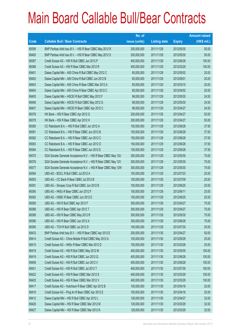|             |                                                                | No. of        |                     |               | <b>Amount raised</b> |
|-------------|----------------------------------------------------------------|---------------|---------------------|---------------|----------------------|
| <b>Code</b> | <b>Callable Bull / Bear Contracts</b>                          | issue (units) | <b>Listing date</b> | <b>Expiry</b> | $(HK$$ mil.)         |
| 69399       | BNP Paribas Arbit Issu B.V. - HSI R Bear CBBC May 2012 R       | 200,000,000   | 2011/11/29          | 2012/05/30    | 50.00                |
| 69400       | BNP Paribas Arbit Issu B.V. - HSI R Bear CBBC May 2012 S       | 200,000,000   | 2011/11/29          | 2012/05/30    | 50.00                |
| 69387       | Credit Suisse AG - HSI R Bull CBBC Jun 2012 P                  | 400,000,000   | 2011/11/29          | 2012/06/28    | 100.00               |
| 69386       | Credit Suisse AG - HSI R Bear CBBC Mar 2012 R                  | 400,000,000   | 2011/11/29          | 2012/03/29    | 100.00               |
| 69401       | Daiwa Capital Mkt - A50 China R Bull CBBC May 2012 C           | 80,000,000    | 2011/11/29          | 2012/05/02    | 20.00                |
| 69402       | Daiwa Capital Mkt - A50 China R Bull CBBC Jun 2012 B           | 80,000,000    | 2011/11/29          | 2012/06/01    | 20.00                |
| 69403       | Daiwa Capital Mkt - A50 China R Bear CBBC Mar 2012 A           | 80,000,000    | 2011/11/29          | 2012/03/15    | 20.00                |
| 69404       | Daiwa Capital Mkt - A50 China R Bear CBBC Apr 2012 C           | 80,000,000    | 2011/11/29          | 2012/04/02    | 20.00                |
| 69405       | Daiwa Capital Mkt - HSCEI R Bull CBBC May 2012 F               | 98,000,000    | 2011/11/29          | 2012/05/30    | 24.50                |
| 69406       | Daiwa Capital Mkt - HSCEI R Bull CBBC May 2012 G               | 98,000,000    | 2011/11/29          | 2012/05/30    | 24.50                |
| 69407       | Daiwa Capital Mkt - HSCEI R Bear CBBC Apr 2012 C               | 98,000,000    | 2011/11/29          | 2012/04/27    | 24.50                |
| 69378       | HK Bank - HSI R Bear CBBC Apr 2012 G                           | 200,000,000   | 2011/11/29          | 2012/04/27    | 50.00                |
| 69379       | HK Bank - HSI R Bear CBBC Apr 2012 H                           | 200,000,000   | 2011/11/29          | 2012/04/27    | 50.00                |
| 69380       | CC Rabobank B.A. - HSI R Bull CBBC Jun 2012 A                  | 150,000,000   | 2011/11/29          | 2012/06/28    | 37.50                |
| 69381       | CC Rabobank B.A. - HSI R Bear CBBC Jun 2012 B                  | 150,000,000   | 2011/11/29          | 2012/06/28    | 37.50                |
| 69382       | CC Rabobank B.A. - HSI R Bear CBBC Jun 2012 C                  | 150,000,000   | 2011/11/29          | 2012/06/28    | 37.50                |
| 69383       | CC Rabobank B.A. - HSI R Bear CBBC Jun 2012 D                  | 150,000,000   | 2011/11/29          | 2012/06/28    | 37.50                |
| 69384       | CC Rabobank B.A. - HSI R Bear CBBC Jun 2012 E                  | 150,000,000   | 2011/11/29          | 2012/06/28    | 37.50                |
| 69375       | SGA Societe Generale Acceptance N.V. - HSI R Bear CBBC May 12U | 300,000,000   | 2011/11/29          | 2012/05/30    | 75.00                |
| 69376       | SGA Societe Generale Acceptance N.V. - HSI R Bear CBBC May 12V | 300,000,000   | 2011/11/29          | 2012/05/30    | 75.00                |
| 69377       | SGA Societe Generale Acceptance N.V. - HSI R Bear CBBC May 12W | 300,000,000   | 2011/11/29          | 2012/05/30    | 75.00                |
| 69394       | UBS AG - BOCL R Bull CBBC Jul 2012 A                           | 100,000,000   | 2011/11/29          | 2012/07/23    | 25.00                |
| 69393       | UBS AG - CC Bank R Bear CBBC Jul 2012 B                        | 100,000,000   | 2011/11/29          | 2012/07/09    | 25.00                |
| 69391       | UBS AG - Sinopec Corp R Bull CBBC Jun 2012 B                   | 100,000,000   | 2011/11/29          | 2012/06/25    | 25.00                |
| 69390       | UBS AG - HKEx R Bear CBBC Jun 2012 F                           | 100,000,000   | 2011/11/29          | 2012/06/11    | 25.00                |
| 69392       | UBS AG - HSBC R Bear CBBC Jun 2012 E                           | 100,000,000   | 2011/11/29          | 2012/06/25    | 25.00                |
| 69385       | UBS AG - HSI R Bull CBBC Apr 2012 F                            | 300,000,000   | 2011/11/29          | 2012/04/27    | 75.00                |
| 69388       | UBS AG - HSI R Bear CBBC Apr 2012 T                            | 300,000,000   | 2011/11/29          | 2012/04/27    | 75.00                |
| 69389       | UBS AG - HSI R Bear CBBC May 2012 R                            | 300,000,000   | 2011/11/29          | 2012/05/30    | 75.00                |
| 69396       | UBS AG - HSI R Bear CBBC Jun 2012 A                            | 300,000,000   | 2011/11/29          | 2012/06/28    | 75.00                |
| 69395       | UBS AG - TCH R Bull CBBC Jul 2012 D                            | 100,000,000   | 2011/11/29          | 2012/07/30    | 25.00                |
| 69433       | BNP Paribas Arbit Issu B.V. - HSI R Bear CBBC Apr 2012 E       | 200,000,000   | 2011/11/30          | 2012/04/27    | 50.00                |
| 69414       | Credit Suisse AG - China Mobile R Bull CBBC May 2012 A         | 100,000,000   | 2011/11/30          | 2012/05/28    | 25.00                |
| 69415       | Credit Suisse AG - HKEx R Bear CBBC Mar 2012 D                 | 100,000,000   | 2011/11/30          | 2012/03/26    | 25.00                |
| 69418       | Credit Suisse AG - HSI R Bull CBBC May 2012 M                  | 400,000,000   | 2011/11/30          | 2012/05/30    | 100.00               |
| 69419       | Credit Suisse AG - HSI R Bull CBBC Jun 2012 Q                  | 400,000,000   | 2011/11/30          | 2012/06/28    | 100.00               |
| 69408       | Credit Suisse AG - HSI R Bull CBBC Jun 2012 V                  | 400,000,000   | 2011/11/30          | 2012/06/28    | 100.00               |
| 69421       | Credit Suisse AG - HSI R Bull CBBC Jul 2012 T                  | 400,000,000   | 2011/11/30          | 2012/07/30    | 100.00               |
| 69422       | Credit Suisse AG - HSI R Bear CBBC Mar 2012 S                  | 400,000,000   | 2011/11/30          | 2012/03/29    | 100.00               |
| 69425       | Credit Suisse AG - HSI R Bear CBBC Mar 2012 V                  | 400,000,000   | 2011/11/30          | 2012/03/29    | 100.00               |
| 69417       | Credit Suisse AG - Hutchison R Bear CBBC Apr 2012 B            | 100,000,000   | 2011/11/30          | 2012/04/16    | 25.00                |
| 69416       | Credit Suisse AG - Ping An R Bear CBBC Apr 2012 E              | 100,000,000   | 2011/11/30          | 2012/04/16    | 25.00                |
| 69412       | Daiwa Capital Mkt - HSI R Bull CBBC Apr 2012 L                 | 128,000,000   | 2011/11/30          | 2012/04/27    | 32.00                |
| 69426       | Daiwa Capital Mkt - HSI R Bear CBBC Mar 2012 M                 | 128,000,000   | 2011/11/30          | 2012/03/29    | 32.00                |
| 69427       | Daiwa Capital Mkt - HSI R Bear CBBC Mar 2012 N                 | 128,000,000   | 2011/11/30          | 2012/03/29    | 32.00                |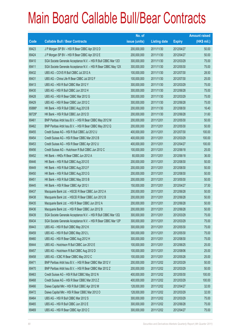|        |                                                                | No. of        |                     |               | <b>Amount raised</b> |
|--------|----------------------------------------------------------------|---------------|---------------------|---------------|----------------------|
| Code   | <b>Callable Bull / Bear Contracts</b>                          | issue (units) | <b>Listing date</b> | <b>Expiry</b> | $(HK$$ mil.)         |
| 69423  | J P Morgan SP BV - HSI R Bear CBBC Apr 2012 D                  | 200,000,000   | 2011/11/30          | 2012/04/27    | 50.00                |
| 69424  | J P Morgan SP BV - HSI R Bear CBBC Apr 2012 E                  | 200,000,000   | 2011/11/30          | 2012/04/27    | 50.00                |
| 69410  | SGA Societe Generale Acceptance N.V. - HSI R Bull CBBC Mar 12O | 300,000,000   | 2011/11/30          | 2012/03/29    | 75.00                |
| 69411  | SGA Societe Generale Acceptance N.V. - HSI R Bear CBBC May 12X | 300,000,000   | 2011/11/30          | 2012/05/30    | 75.00                |
| 69432  | UBS AG - COVS R Bull CBBC Jul 2012 A                           | 100,000,000   | 2011/11/30          | 2012/07/30    | 28.50                |
| 69431  | UBS AG - China Life R Bear CBBC Jul 2012 F                     | 100,000,000   | 2011/11/30          | 2012/07/30    | 25.00                |
| 69413  | UBS AG - HSI R Bull CBBC Mar 2012 Y                            | 300,000,000   | 2011/11/30          | 2012/03/29    | 75.00                |
| 69430  | UBS AG - HSI R Bull CBBC Jun 2012 H                            | 300,000,000   | 2011/11/30          | 2012/06/28    | 75.00                |
| 69428  | UBS AG - HSI R Bear CBBC Mar 2012 G                            | 300,000,000   | 2011/11/30          | 2012/03/29    | 75.00                |
| 69429  | UBS AG - HSI R Bear CBBC Jun 2012 C                            | 300,000,000   | 2011/11/30          | 2012/06/28    | 75.00                |
| 65886# | HK Bank - HSI R Bull CBBC Aug 2012 B                           | 200,000,000   | 2011/11/30          | 2012/08/30    | 16.40                |
| 68729# | HK Bank - HSI R Bull CBBC Jun 2012 D                           | 200,000,000   | 2011/11/30          | 2012/06/28    | 31.60                |
| 69461  | BNP Paribas Arbit Issu B.V. - HSI R Bear CBBC May 2012 M       | 200,000,000   | 2011/12/01          | 2012/05/30    | 50.00                |
| 69462  | BNP Paribas Arbit Issu B.V. - HSI R Bear CBBC May 2012 Q       | 200,000,000   | 2011/12/01          | 2012/05/30    | 50.00                |
| 69455  | Credit Suisse AG - HSI R Bull CBBC Jul 2012 U                  | 400,000,000   | 2011/12/01          | 2012/07/30    | 100.00               |
| 69454  | Credit Suisse AG - HSI R Bear CBBC Mar 2012 B                  | 400,000,000   | 2011/12/01          | 2012/03/29    | 100.00               |
| 69453  | Credit Suisse AG - HSI R Bear CBBC Apr 2012 U                  | 400,000,000   | 2011/12/01          | 2012/04/27    | 100.00               |
| 69456  | Credit Suisse AG - Hutchison R Bull CBBC Jun 2012 C            | 100,000,000   | 2011/12/01          | 2012/06/18    | 25.00                |
| 69452  | HK Bank - HKEx R Bear CBBC Jun 2012 A                          | 80,000,000    | 2011/12/01          | 2012/06/18    | 36.00                |
| 69446  | HK Bank - HSI R Bull CBBC Aug 2012 E                           | 200,000,000   | 2011/12/01          | 2012/08/30    | 50.00                |
| 69449  | HK Bank - HSI R Bull CBBC Aug 2012 F                           | 200,000,000   | 2011/12/01          | 2012/08/30    | 50.00                |
| 69450  | HK Bank - HSI R Bull CBBC Aug 2012 G                           | 200,000,000   | 2011/12/01          | 2012/08/30    | 50.00                |
| 69451  | HK Bank - HSI R Bull CBBC May 2013 B                           | 200,000,000   | 2011/12/01          | 2013/05/30    | 50.00                |
| 69445  | HK Bank - HSI R Bear CBBC Apr 2012 I                           | 150,000,000   | 2011/12/01          | 2012/04/27    | 37.50                |
| 69437  | Macquarie Bank Ltd. - HSCEI R Bear CBBC Jun 2012 A             | 200,000,000   | 2011/12/01          | 2012/06/28    | 50.00                |
| 69438  | Macquarie Bank Ltd. - HSCEI R Bear CBBC Jun 2012 B             | 200,000,000   | 2011/12/01          | 2012/06/28    | 50.00                |
| 69435  | Macquarie Bank Ltd. - HSI R Bear CBBC Jun 2012 A               | 200,000,000   | 2011/12/01          | 2012/06/28    | 50.00                |
| 69436  | Macquarie Bank Ltd. - HSI R Bear CBBC Jun 2012 B               | 200,000,000   | 2011/12/01          | 2012/06/28    | 50.00                |
| 69439  | SGA Societe Generale Acceptance N.V. - HSI R Bull CBBC Mar 12Q | 300,000,000   | 2011/12/01          | 2012/03/29    | 75.00                |
| 69434  | SGA Societe Generale Acceptance N.V. - HSI R Bear CBBC Mar 12P | 300,000,000   | 2011/12/01          | 2012/03/29    | 75.00                |
| 69443  | UBS AG - HSI R Bull CBBC May 2012 K                            | 300,000,000   | 2011/12/01          | 2012/05/30    | 75.00                |
| 69459  | UBS AG - HSI R Bull CBBC May 2012 L                            | 300,000,000   | 2011/12/01          | 2012/05/30    | 75.00                |
| 69460  | UBS AG - HSI R Bear CBBC Aug 2012 H                            | 300,000,000   | 2011/12/01          | 2012/08/30    | 75.00                |
| 69444  | UBS AG - Hutchison R Bull CBBC Jun 2012 E                      | 100,000,000   | 2011/12/01          | 2012/06/25    | 25.00                |
| 69457  | UBS AG - Hutchison R Bull CBBC Aug 2012 D                      | 100,000,000   | 2011/12/01          | 2012/08/06    | 25.00                |
| 69458  | UBS AG - ICBC R Bear CBBC May 2012 C                           | 100,000,000   | 2011/12/01          | 2012/05/28    | 25.00                |
| 69471  | BNP Paribas Arbit Issu B.V. - HSI R Bear CBBC Mar 2012 V       | 200,000,000   | 2011/12/02          | 2012/03/29    | 50.00                |
| 69470  | BNP Paribas Arbit Issu B.V. - HSI R Bear CBBC Mar 2012 Z       | 200,000,000   | 2011/12/02          | 2012/03/29    | 50.00                |
| 69463  | Credit Suisse AG - HSI R Bull CBBC May 2012 N                  | 400,000,000   | 2011/12/02          | 2012/05/30    | 100.00               |
| 69468  | Credit Suisse AG - HSI R Bear CBBC Mar 2012 Z                  | 400,000,000   | 2011/12/02          | 2012/03/29    | 100.00               |
| 69466  | Daiwa Capital Mkt - HSI R Bull CBBC Apr 2012 M                 | 128,000,000   | 2011/12/02          | 2012/04/27    | 32.00                |
| 69472  | Daiwa Capital Mkt - HSI R Bear CBBC Mar 2012 O                 | 128,000,000   | 2011/12/02          | 2012/03/29    | 32.00                |
| 69464  | UBS AG - HSI R Bull CBBC Mar 2012 S                            | 300,000,000   | 2011/12/02          | 2012/03/29    | 75.00                |
| 69465  | UBS AG - HSI R Bull CBBC Jun 2012 E                            | 300,000,000   | 2011/12/02          | 2012/06/28    | 75.00                |
| 69469  | UBS AG - HSI R Bear CBBC Apr 2012 C                            | 300,000,000   | 2011/12/02          | 2012/04/27    | 75.00                |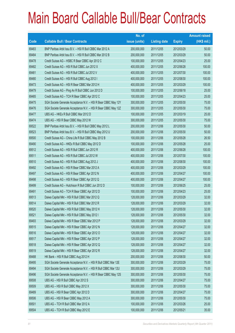|       |                                                                | No. of        |                     |               | <b>Amount raised</b> |
|-------|----------------------------------------------------------------|---------------|---------------------|---------------|----------------------|
| Code  | <b>Callable Bull / Bear Contracts</b>                          | issue (units) | <b>Listing date</b> | <b>Expiry</b> | $(HK$$ mil.)         |
| 69483 | BNP Paribas Arbit Issu B.V. - HSI R Bull CBBC Mar 2012 A       | 200,000,000   | 2011/12/05          | 2012/03/29    | 50.00                |
| 69484 | BNP Paribas Arbit Issu B.V. - HSI R Bull CBBC Mar 2012 B       | 200,000,000   | 2011/12/05          | 2012/03/29    | 50.00                |
| 69478 | Credit Suisse AG - HSBC R Bear CBBC Apr 2012 C                 | 100,000,000   | 2011/12/05          | 2012/04/23    | 25.00                |
| 69482 | Credit Suisse AG - HSI R Bull CBBC Jun 2012 X                  | 400,000,000   | 2011/12/05          | 2012/06/28    | 100.00               |
| 69481 | Credit Suisse AG - HSI R Bull CBBC Jul 2012 V                  | 400,000,000   | 2011/12/05          | 2012/07/30    | 100.00               |
| 69480 | Credit Suisse AG - HSI R Bull CBBC Aug 2012 I                  | 400,000,000   | 2011/12/05          | 2012/08/30    | 100.00               |
| 69473 | Credit Suisse AG - HSI R Bear CBBC Mar 2012 H                  | 400,000,000   | 2011/12/05          | 2012/03/29    | 100.00               |
| 69479 | Credit Suisse AG - Ping An R Bull CBBC Jun 2012 D              | 100,000,000   | 2011/12/05          | 2012/06/18    | 25.00                |
| 69485 | Credit Suisse AG - TCH R Bear CBBC Apr 2012 C                  | 100,000,000   | 2011/12/05          | 2012/04/23    | 25.00                |
| 69475 | SGA Societe Generale Acceptance N.V. - HSI R Bear CBBC May 12Y | 300,000,000   | 2011/12/05          | 2012/05/30    | 75.00                |
| 69476 | SGA Societe Generale Acceptance N.V. - HSI R Bear CBBC May 12Z | 300,000,000   | 2011/12/05          | 2012/05/30    | 75.00                |
| 69477 | UBS AG - HKEx R Bull CBBC Mar 2012 D                           | 100,000,000   | 2011/12/05          | 2012/03/19    | 25.00                |
| 69474 | UBS AG - HSI R Bear CBBC May 2012 W                            | 300,000,000   | 2011/12/05          | 2012/05/30    | 75.00                |
| 69522 | BNP Paribas Arbit Issu B.V. - HSI R Bull CBBC May 2012 L       | 200,000,000   | 2011/12/06          | 2012/05/30    | 50.00                |
| 69523 | BNP Paribas Arbit Issu B.V. - HSI R Bull CBBC May 2012 U       | 200,000,000   | 2011/12/06          | 2012/05/30    | 50.00                |
| 69500 | Credit Suisse AG - China Life R Bull CBBC May 2012 B           | 100,000,000   | 2011/12/06          | 2012/05/28    | 26.50                |
| 69490 | Credit Suisse AG - HKEx R Bull CBBC May 2012 D                 | 100,000,000   | 2011/12/06          | 2012/05/28    | 25.00                |
| 69512 | Credit Suisse AG - HSI R Bull CBBC Jun 2012 R                  | 400,000,000   | 2011/12/06          | 2012/06/28    | 100.00               |
| 69511 | Credit Suisse AG - HSI R Bull CBBC Jul 2012 W                  | 400,000,000   | 2011/12/06          | 2012/07/30    | 100.00               |
| 69510 | Credit Suisse AG - HSI R Bull CBBC Aug 2012 J                  | 400,000,000   | 2011/12/06          | 2012/08/30    | 100.00               |
| 69492 | Credit Suisse AG - HSI R Bear CBBC Mar 2012 A                  | 400,000,000   | 2011/12/06          | 2012/03/29    | 100.00               |
| 69497 | Credit Suisse AG - HSI R Bear CBBC Apr 2012 N                  | 400,000,000   | 2011/12/06          | 2012/04/27    | 100.00               |
| 69498 | Credit Suisse AG - HSI R Bear CBBC Apr 2012 Q                  | 400,000,000   | 2011/12/06          | 2012/04/27    | 100.00               |
| 69499 | Credit Suisse AG - Hutchison R Bull CBBC Jun 2012 D            | 100,000,000   | 2011/12/06          | 2012/06/25    | 25.00                |
| 69491 | Credit Suisse AG - TCH R Bear CBBC Apr 2012 D                  | 100,000,000   | 2011/12/06          | 2012/04/23    | 25.00                |
| 69513 | Daiwa Capital Mkt - HSI R Bull CBBC Mar 2012 Q                 | 128,000,000   | 2011/12/06          | 2012/03/29    | 32.00                |
| 69514 | Daiwa Capital Mkt - HSI R Bull CBBC Mar 2012 R                 | 128,000,000   | 2011/12/06          | 2012/03/29    | 32.00                |
| 69520 | Daiwa Capital Mkt - HSI R Bull CBBC May 2012 H                 | 128,000,000   | 2011/12/06          | 2012/05/30    | 32.00                |
| 69521 | Daiwa Capital Mkt - HSI R Bull CBBC May 2012 I                 | 128,000,000   | 2011/12/06          | 2012/05/30    | 32.00                |
| 69493 | Daiwa Capital Mkt - HSI R Bear CBBC Mar 2012 P                 | 128,000,000   | 2011/12/06          | 2012/03/29    | 32.00                |
| 69515 | Daiwa Capital Mkt - HSI R Bear CBBC Apr 2012 N                 | 128,000,000   | 2011/12/06          | 2012/04/27    | 32.00                |
| 69516 | Daiwa Capital Mkt - HSI R Bear CBBC Apr 2012 O                 | 128,000,000   | 2011/12/06          | 2012/04/27    | 32.00                |
| 69517 | Daiwa Capital Mkt - HSI R Bear CBBC Apr 2012 P                 | 128,000,000   | 2011/12/06          | 2012/04/27    | 32.00                |
| 69518 | Daiwa Capital Mkt - HSI R Bear CBBC Apr 2012 Q                 | 128,000,000   | 2011/12/06          | 2012/04/27    | 32.00                |
| 69519 | Daiwa Capital Mkt - HSI R Bear CBBC Apr 2012 R                 | 128,000,000   | 2011/12/06          | 2012/04/27    | 32.00                |
| 69488 | HK Bank - HSI R Bull CBBC Aug 2012 H                           | 200,000,000   | 2011/12/06          | 2012/08/30    | 50.00                |
| 69495 | SGA Societe Generale Acceptance N.V. - HSI R Bull CBBC Mar 12E | 300,000,000   | 2011/12/06          | 2012/03/29    | 75.00                |
| 69494 | SGA Societe Generale Acceptance N.V. - HSI R Bull CBBC Mar 12U | 300,000,000   | 2011/12/06          | 2012/03/29    | 75.00                |
| 69496 | SGA Societe Generale Acceptance N.V. - HSI R Bear CBBC May 12S | 300,000,000   | 2011/12/06          | 2012/05/30    | 75.00                |
| 69508 | UBS AG - HSI R Bull CBBC Apr 2012 S                            | 300,000,000   | 2011/12/06          | 2012/04/27    | 75.00                |
| 69509 | UBS AG - HSI R Bull CBBC May 2012 X                            | 300,000,000   | 2011/12/06          | 2012/05/30    | 75.00                |
| 69489 | UBS AG - HSI R Bear CBBC Apr 2012 D                            | 300,000,000   | 2011/12/06          | 2012/04/27    | 75.00                |
| 69506 | UBS AG - HSI R Bear CBBC May 2012 A                            | 300,000,000   | 2011/12/06          | 2012/05/30    | 75.00                |
| 69501 | UBS AG - TCH R Bull CBBC Mar 2012 A                            | 100,000,000   | 2011/12/06          | 2012/03/26    | 25.00                |
| 69504 | UBS AG - TCH R Bull CBBC May 2012 E                            | 100,000,000   | 2011/12/06          | 2012/05/21    | 35.00                |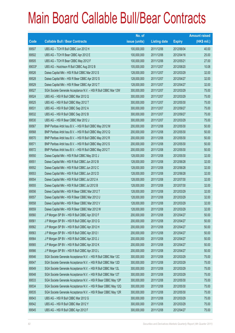|        |                                                                | No. of        |                     |               | <b>Amount raised</b> |
|--------|----------------------------------------------------------------|---------------|---------------------|---------------|----------------------|
| Code   | <b>Callable Bull / Bear Contracts</b>                          | issue (units) | <b>Listing date</b> | <b>Expiry</b> | (HK\$ mil.)          |
| 69507  | UBS AG - TCH R Bull CBBC Jun 2012 H                            | 100,000,000   | 2011/12/06          | 2012/06/04    | 40.00                |
| 69502  | UBS AG - TCH R Bear CBBC Apr 2012 E                            | 100,000,000   | 2011/12/06          | 2012/04/16    | 25.00                |
| 69505  | UBS AG - TCH R Bear CBBC May 2012 F                            | 100,000,000   | 2011/12/06          | 2012/05/21    | 27.00                |
| 69033# | UBS AG - Hutchison R Bull CBBC Aug 2012 B                      | 105,000,000   | 2011/12/07          | 2012/08/20    | 10.08                |
| 69526  | Daiwa Capital Mkt - HSI R Bull CBBC Mar 2012 S                 | 128,000,000   | 2011/12/07          | 2012/03/29    | 32.00                |
| 69528  | Daiwa Capital Mkt - HSI R Bear CBBC Apr 2012 S                 | 128,000,000   | 2011/12/07          | 2012/04/27    | 32.00                |
| 69529  | Daiwa Capital Mkt - HSI R Bear CBBC Apr 2012 T                 | 128,000,000   | 2011/12/07          | 2012/04/27    | 32.00                |
| 69527  | SGA Societe Generale Acceptance N.V. - HSI R Bull CBBC Mar 12W | 300,000,000   | 2011/12/07          | 2012/03/29    | 75.00                |
| 69524  | UBS AG - HSI R Bull CBBC Mar 2012 Q                            | 300,000,000   | 2011/12/07          | 2012/03/29    | 75.00                |
| 69525  | UBS AG - HSI R Bull CBBC May 2012 T                            | 300,000,000   | 2011/12/07          | 2012/05/30    | 75.00                |
| 69531  | UBS AG - HSI R Bull CBBC Sep 2012 A                            | 300,000,000   | 2011/12/07          | 2012/09/27    | 75.00                |
| 69532  | UBS AG - HSI R Bull CBBC Sep 2012 B                            | 300,000,000   | 2011/12/07          | 2012/09/27    | 75.00                |
| 69530  | UBS AG - HSI R Bear CBBC Mar 2012 J                            | 300,000,000   | 2011/12/07          | 2012/03/29    | 75.00                |
| 69567  | BNP Paribas Arbit Issu B.V. - HSI R Bull CBBC May 2012 M       | 200,000,000   | 2011/12/08          | 2012/05/30    | 50.00                |
| 69568  | BNP Paribas Arbit Issu B.V. - HSI R Bull CBBC May 2012 Q       | 200,000,000   | 2011/12/08          | 2012/05/30    | 50.00                |
| 69570  | BNP Paribas Arbit Issu B.V. - HSI R Bull CBBC May 2012 R       | 200,000,000   | 2011/12/08          | 2012/05/30    | 50.00                |
| 69571  | BNP Paribas Arbit Issu B.V. - HSI R Bull CBBC May 2012 S       | 200,000,000   | 2011/12/08          | 2012/05/30    | 50.00                |
| 69572  | BNP Paribas Arbit Issu B.V. - HSI R Bull CBBC May 2012 T       | 200,000,000   | 2011/12/08          | 2012/05/30    | 50.00                |
| 69550  | Daiwa Capital Mkt - HSI R Bull CBBC May 2012 J                 | 128,000,000   | 2011/12/08          | 2012/05/30    | 32.00                |
| 69551  | Daiwa Capital Mkt - HSI R Bull CBBC Jun 2012 B                 | 128,000,000   | 2011/12/08          | 2012/06/28    | 32.00                |
| 69552  | Daiwa Capital Mkt - HSI R Bull CBBC Jun 2012 C                 | 128,000,000   | 2011/12/08          | 2012/06/28    | 32.00                |
| 69553  | Daiwa Capital Mkt - HSI R Bull CBBC Jun 2012 D                 | 128,000,000   | 2011/12/08          | 2012/06/28    | 32.00                |
| 69554  | Daiwa Capital Mkt - HSI R Bull CBBC Jul 2012 A                 | 128,000,000   | 2011/12/08          | 2012/07/30    | 32.00                |
| 69555  | Daiwa Capital Mkt - HSI R Bull CBBC Jul 2012 B                 | 128,000,000   | 2011/12/08          | 2012/07/30    | 32.00                |
| 69556  | Daiwa Capital Mkt - HSI R Bear CBBC Mar 2012 T                 | 128,000,000   | 2011/12/08          | 2012/03/29    | 32.00                |
| 69557  | Daiwa Capital Mkt - HSI R Bear CBBC Mar 2012 U                 | 128,000,000   | 2011/12/08          | 2012/03/29    | 32.00                |
| 69558  | Daiwa Capital Mkt - HSI R Bear CBBC Mar 2012 V                 | 128,000,000   | 2011/12/08          | 2012/03/29    | 32.00                |
| 69559  | Daiwa Capital Mkt - HSI R Bear CBBC Mar 2012 W                 | 128,000,000   | 2011/12/08          | 2012/03/29    | 32.00                |
| 69560  | J P Morgan SP BV - HSI R Bull CBBC Apr 2012 F                  | 200,000,000   | 2011/12/08          | 2012/04/27    | 50.00                |
| 69561  | J P Morgan SP BV - HSI R Bull CBBC Apr 2012 G                  | 200,000,000   | 2011/12/08          | 2012/04/27    | 50.00                |
| 69562  | J P Morgan SP BV - HSI R Bull CBBC Apr 2012 H                  | 200,000,000   | 2011/12/08          | 2012/04/27    | 50.00                |
| 69563  | J P Morgan SP BV - HSI R Bull CBBC Apr 2012 I                  | 200,000,000   | 2011/12/08          | 2012/04/27    | 50.00                |
| 69564  | J P Morgan SP BV - HSI R Bull CBBC Apr 2012 J                  | 200,000,000   | 2011/12/08          | 2012/04/27    | 50.00                |
| 69565  | J P Morgan SP BV - HSI R Bull CBBC Apr 2012 K                  | 200,000,000   | 2011/12/08          | 2012/04/27    | 50.00                |
| 69566  | J P Morgan SP BV - HSI R Bull CBBC Apr 2012 L                  | 200,000,000   | 2011/12/08          | 2012/04/27    | 50.00                |
| 69546  | SGA Societe Generale Acceptance N.V. - HSI R Bull CBBC Mar 12C | 300,000,000   | 2011/12/08          | 2012/03/29    | 75.00                |
| 69547  | SGA Societe Generale Acceptance N.V. - HSI R Bull CBBC Mar 12D | 300,000,000   | 2011/12/08          | 2012/03/29    | 75.00                |
| 69549  | SGA Societe Generale Acceptance N.V. - HSI R Bull CBBC Mar 12L | 300,000,000   | 2011/12/08          | 2012/03/29    | 75.00                |
| 69548  | SGA Societe Generale Acceptance N.V. - HSI R Bull CBBC Mar 12T | 300,000,000   | 2011/12/08          | 2012/03/29    | 75.00                |
| 69533  | SGA Societe Generale Acceptance N.V. - HSI R Bear CBBC May 12P | 300,000,000   | 2011/12/08          | 2012/05/30    | 75.00                |
| 69534  | SGA Societe Generale Acceptance N.V. - HSI R Bear CBBC May 12Q | 300,000,000   | 2011/12/08          | 2012/05/30    | 75.00                |
| 69535  | SGA Societe Generale Acceptance N.V. - HSI R Bear CBBC May 12R | 300,000,000   | 2011/12/08          | 2012/05/30    | 75.00                |
| 69543  | UBS AG - HSI R Bull CBBC Mar 2012 G                            | 300,000,000   | 2011/12/08          | 2012/03/29    | 75.00                |
| 69542  | UBS AG - HSI R Bull CBBC Mar 2012 Y                            | 300,000,000   | 2011/12/08          | 2012/03/29    | 75.00                |
| 69545  | UBS AG - HSI R Bull CBBC Apr 2012 F                            | 300,000,000   | 2011/12/08          | 2012/04/27    | 75.00                |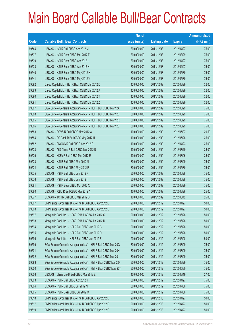|       |                                                                | No. of        |                     |               | <b>Amount raised</b> |
|-------|----------------------------------------------------------------|---------------|---------------------|---------------|----------------------|
| Code  | <b>Callable Bull / Bear Contracts</b>                          | issue (units) | <b>Listing date</b> | <b>Expiry</b> | $(HK$$ mil.)         |
| 69544 | UBS AG - HSI R Bull CBBC Apr 2012 M                            | 300,000,000   | 2011/12/08          | 2012/04/27    | 75.00                |
| 69537 | UBS AG - HSI R Bear CBBC Mar 2012 E                            | 300,000,000   | 2011/12/08          | 2012/03/29    | 75.00                |
| 69539 | UBS AG - HSI R Bear CBBC Apr 2012 L                            | 300,000,000   | 2011/12/08          | 2012/04/27    | 75.00                |
| 69538 | UBS AG - HSI R Bear CBBC Apr 2012 N                            | 300,000,000   | 2011/12/08          | 2012/04/27    | 75.00                |
| 69540 | UBS AG - HSI R Bear CBBC May 2012 H                            | 300,000,000   | 2011/12/08          | 2012/05/30    | 75.00                |
| 69541 | UBS AG - HSI R Bear CBBC May 2012 Y                            | 300,000,000   | 2011/12/08          | 2012/05/30    | 75.00                |
| 69592 | Daiwa Capital Mkt - HSI R Bear CBBC Mar 2012 D                 | 128,000,000   | 2011/12/09          | 2012/03/29    | 32.00                |
| 69589 | Daiwa Capital Mkt - HSI R Bear CBBC Mar 2012 X                 | 128,000,000   | 2011/12/09          | 2012/03/29    | 32.00                |
| 69590 | Daiwa Capital Mkt - HSI R Bear CBBC Mar 2012 Y                 | 128,000,000   | 2011/12/09          | 2012/03/29    | 32.00                |
| 69591 | Daiwa Capital Mkt - HSI R Bear CBBC Mar 2012 Z                 | 128,000,000   | 2011/12/09          | 2012/03/29    | 32.00                |
| 69587 | SGA Societe Generale Acceptance N.V. - HSI R Bull CBBC Mar 12A | 300,000,000   | 2011/12/09          | 2012/03/29    | 75.00                |
| 69588 | SGA Societe Generale Acceptance N.V. - HSI R Bull CBBC Mar 12B | 300,000,000   | 2011/12/09          | 2012/03/29    | 75.00                |
| 69585 | SGA Societe Generale Acceptance N.V. - HSI R Bull CBBC Mar 12R | 300,000,000   | 2011/12/09          | 2012/03/29    | 75.00                |
| 69586 | SGA Societe Generale Acceptance N.V. - HSI R Bull CBBC Mar 12S | 300,000,000   | 2011/12/09          | 2012/03/29    | 75.00                |
| 69583 | UBS AG - COVS R Bull CBBC May 2012 A                           | 100,000,000   | 2011/12/09          | 2012/05/07    | 29.50                |
| 69584 | UBS AG - CC Bank R Bull CBBC May 2012 H                        | 100,000,000   | 2011/12/09          | 2012/05/28    | 25.00                |
| 69582 | UBS AG - CNOOC R Bull CBBC Apr 2012 C                          | 100,000,000   | 2011/12/09          | 2012/04/23    | 25.00                |
| 69578 | UBS AG - A50 China R Bull CBBC Mar 2012 B                      | 100,000,000   | 2011/12/09          | 2012/03/19    | 25.00                |
| 69579 | UBS AG - HKEx R Bull CBBC Mar 2012 E                           | 100,000,000   | 2011/12/09          | 2012/03/26    | 25.00                |
| 69573 | UBS AG - HSI R Bull CBBC Mar 2012 N                            | 300,000,000   | 2011/12/09          | 2012/03/29    | 75.00                |
| 69574 | UBS AG - HSI R Bull CBBC May 2012 R                            | 300,000,000   | 2011/12/09          | 2012/05/30    | 75.00                |
| 69575 | UBS AG - HSI R Bull CBBC Jun 2012 F                            | 300,000,000   | 2011/12/09          | 2012/06/28    | 75.00                |
| 69576 | UBS AG - HSI R Bull CBBC Jun 2012 I                            | 300,000,000   | 2011/12/09          | 2012/06/28    | 75.00                |
| 69581 | UBS AG - HSI R Bear CBBC Mar 2012 X                            | 300,000,000   | 2011/12/09          | 2012/03/29    | 75.00                |
| 69580 | UBS AG - ICBC R Bull CBBC Mar 2012 A                           | 100,000,000   | 2011/12/09          | 2012/03/26    | 25.00                |
| 69577 | UBS AG - TCH R Bull CBBC Mar 2012 B                            | 100,000,000   | 2011/12/09          | 2012/03/12    | 25.00                |
| 69607 | BNP Paribas Arbit Issu B.V. - HSI R Bull CBBC Apr 2012 L       | 200,000,000   | 2011/12/12          | 2012/04/27    | 50.00                |
| 69608 | BNP Paribas Arbit Issu B.V. - HSI R Bull CBBC Apr 2012 U       | 200,000,000   | 2011/12/12          | 2012/04/27    | 50.00                |
| 69597 | Macquarie Bank Ltd. - HSCEI R Bull CBBC Jun 2012 C             | 200,000,000   | 2011/12/12          | 2012/06/28    | 50.00                |
| 69598 | Macquarie Bank Ltd. - HSCEI R Bull CBBC Jun 2012 D             | 200,000,000   | 2011/12/12          | 2012/06/28    | 50.00                |
| 69594 | Macquarie Bank Ltd. - HSI R Bull CBBC Jun 2012 C               | 200,000,000   | 2011/12/12          | 2012/06/28    | 50.00                |
| 69595 | Macquarie Bank Ltd. - HSI R Bull CBBC Jun 2012 D               | 200,000,000   | 2011/12/12          | 2012/06/28    | 50.00                |
| 69596 | Macquarie Bank Ltd. - HSI R Bull CBBC Jun 2012 E               | 200,000,000   | 2011/12/12          | 2012/06/28    | 50.00                |
| 69599 | SGA Societe Generale Acceptance N.V. - HSI R Bull CBBC Mar 20G | 300,000,000   | 2011/12/12          | 2012/03/29    | 75.00                |
| 69601 | SGA Societe Generale Acceptance N.V. - HSI R Bull CBBC Mar 20H | 300,000,000   | 2011/12/12          | 2012/03/29    | 75.00                |
| 69602 | SGA Societe Generale Acceptance N.V. - HSI R Bull CBBC Mar 201 | 300,000,000   | 2011/12/12          | 2012/03/29    | 75.00                |
| 69593 | SGA Societe Generale Acceptance N.V. - HSI R Bear CBBC Mar 20F | 300,000,000   | 2011/12/12          | 2012/03/29    | 75.00                |
| 69600 | SGA Societe Generale Acceptance N.V. - HSI R Bear CBBC May 20T | 300,000,000   | 2011/12/12          | 2012/05/30    | 75.00                |
| 69606 | UBS AG - China Life R Bull CBBC Mar 2012 E                     | 100,000,000   | 2011/12/12          | 2012/03/19    | 27.00                |
| 69603 | UBS AG - HSI R Bull CBBC Apr 2012 T                            | 300,000,000   | 2011/12/12          | 2012/04/27    | 75.00                |
| 69604 | UBS AG - HSI R Bull CBBC Jul 2012 N                            | 300,000,000   | 2011/12/12          | 2012/07/30    | 75.00                |
| 69605 | UBS AG - HSI R Bear CBBC Jul 2012 O                            | 300,000,000   | 2011/12/12          | 2012/07/30    | 75.00                |
| 69618 | BNP Paribas Arbit Issu B.V. - HSI R Bull CBBC Apr 2012 D       | 200,000,000   | 2011/12/13          | 2012/04/27    | 50.00                |
| 69617 | BNP Paribas Arbit Issu B.V. - HSI R Bull CBBC Apr 2012 E       | 200,000,000   | 2011/12/13          | 2012/04/27    | 50.00                |
| 69619 | BNP Paribas Arbit Issu B.V. - HSI R Bull CBBC Apr 2012 G       | 200,000,000   | 2011/12/13          | 2012/04/27    | 50.00                |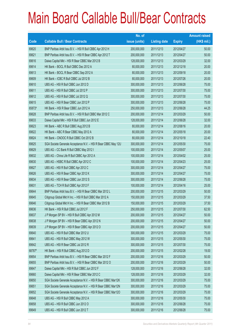|        |                                                                | No. of        |                     |               | <b>Amount raised</b> |
|--------|----------------------------------------------------------------|---------------|---------------------|---------------|----------------------|
| Code   | <b>Callable Bull / Bear Contracts</b>                          | issue (units) | <b>Listing date</b> | <b>Expiry</b> | $(HK$$ mil.)         |
| 69620  | BNP Paribas Arbit Issu B.V. - HSI R Bull CBBC Apr 2012 H       | 200,000,000   | 2011/12/13          | 2012/04/27    | 50.00                |
| 69621  | BNP Paribas Arbit Issu B.V. - HSI R Bear CBBC Apr 2012 T       | 200,000,000   | 2011/12/13          | 2012/04/27    | 50.00                |
| 69616  | Daiwa Capital Mkt - HSI R Bear CBBC Mar 2012 B                 | 128,000,000   | 2011/12/13          | 2012/03/29    | 32.00                |
| 69614  | HK Bank - BOCL R Bull CBBC Dec 2012 A                          | 80,000,000    | 2011/12/13          | 2012/12/18    | 20.00                |
| 69613  | HK Bank - BOCL R Bear CBBC Sep 2012 A                          | 80,000,000    | 2011/12/13          | 2012/09/18    | 20.00                |
| 69609  | HK Bank - ICBC R Bull CBBC Jul 2012 B                          | 80,000,000    | 2011/12/13          | 2012/07/26    | 20.00                |
| 69610  | UBS AG - HSI R Bull CBBC Jun 2012 D                            | 300,000,000   | 2011/12/13          | 2012/06/28    | 75.00                |
| 69611  | UBS AG - HSI R Bull CBBC Jul 2012 P                            | 300,000,000   | 2011/12/13          | 2012/07/30    | 75.00                |
| 69612  | UBS AG - HSI R Bull CBBC Jul 2012 Q                            | 300,000,000   | 2011/12/13          | 2012/07/30    | 75.00                |
| 69615  | UBS AG - HSI R Bear CBBC Jun 2012 P                            | 300,000,000   | 2011/12/13          | 2012/06/28    | 75.00                |
| 65872# | HK Bank - HSI R Bear CBBC Jun 2012 A                           | 250,000,000   | 2011/12/13          | 2012/06/28    | 44.25                |
| 69628  | BNP Paribas Arbit Issu B.V. - HSI R Bull CBBC Mar 2012 C       | 200,000,000   | 2011/12/14          | 2012/03/29    | 50.00                |
| 69633  | Daiwa Capital Mkt - HSI R Bull CBBC Jun 2012 E                 | 128,000,000   | 2011/12/14          | 2012/06/28    | 32.00                |
| 69623  | HK Bank - ABC R Bull CBBC Aug 2012 B                           | 80,000,000    | 2011/12/14          | 2012/08/16    | 20.00                |
| 69622  | HK Bank - ABC R Bear CBBC May 2012 A                           | 80,000,000    | 2011/12/14          | 2012/05/18    | 20.00                |
| 69624  | HK Bank - CNOOC R Bull CBBC Oct 2012 B                         | 80,000,000    | 2011/12/14          | 2012/10/18    | 22.40                |
| 69625  | SGA Societe Generale Acceptance N.V. - HSI R Bear CBBC May 12U | 300,000,000   | 2011/12/14          | 2012/05/30    | 75.00                |
| 69629  | UBS AG - CC Bank R Bull CBBC May 2012 I                        | 100,000,000   | 2011/12/14          | 2012/05/07    | 25.00                |
| 69632  | UBS AG - China Life R Bull CBBC Apr 2012 A                     | 100,000,000   | 2011/12/14          | 2012/04/02    | 25.00                |
| 69630  | UBS AG - HSBC R Bull CBBC Apr 2012 C                           | 100,000,000   | 2011/12/14          | 2012/04/23    | 25.00                |
| 69627  | UBS AG - HSI R Bull CBBC Apr 2012 C                            | 300,000,000   | 2011/12/14          | 2012/04/27    | 75.00                |
| 69626  | UBS AG - HSI R Bear CBBC Apr 2012 K                            | 300,000,000   | 2011/12/14          | 2012/04/27    | 75.00                |
| 69634  | UBS AG - HSI R Bear CBBC Jun 2012 S                            | 300,000,000   | 2011/12/14          | 2012/06/28    | 75.00                |
| 69631  | UBS AG - TCH R Bull CBBC Apr 2012 F                            | 100,000,000   | 2011/12/14          | 2012/04/16    | 25.00                |
| 69644  | BNP Paribas Arbit Issu B.V. - HSI R Bear CBBC Mar 2012 L       | 200,000,000   | 2011/12/15          | 2012/03/29    | 50.00                |
| 69645  | Citigroup Global Mkt H Inc. - HSI R Bull CBBC Mar 2012 A       | 150,000,000   | 2011/12/15          | 2012/03/29    | 37.50                |
| 69646  | Citigroup Global Mkt H Inc. - HSI R Bear CBBC Mar 2012 B       | 150,000,000   | 2011/12/15          | 2012/03/29    | 37.50                |
| 69636  | HK Bank - HSI R Bull CBBC Jul 2012 F                           | 250,000,000   | 2011/12/15          | 2012/07/30    | 62.50                |
| 69637  | J P Morgan SP BV - HSI R Bull CBBC Apr 2012 M                  | 200,000,000   | 2011/12/15          | 2012/04/27    | 50.00                |
| 69638  | J P Morgan SP BV - HSI R Bear CBBC Apr 2012 N                  | 200,000,000   | 2011/12/15          | 2012/04/27    | 50.00                |
| 69639  | J P Morgan SP BV - HSI R Bear CBBC Apr 2012 O                  | 200,000,000   | 2011/12/15          | 2012/04/27    | 50.00                |
| 69640  | UBS AG - HSI R Bull CBBC Mar 2012 U                            | 300,000,000   | 2011/12/15          | 2012/03/29    | 75.00                |
| 69641  | UBS AG - HSI R Bull CBBC May 2012 W                            | 300,000,000   | 2011/12/15          | 2012/05/30    | 75.00                |
| 69642  | UBS AG - HSI R Bear CBBC Jul 2012 R                            | 300,000,000   | 2011/12/15          | 2012/07/30    | 75.00                |
| 68787# | HK Bank - HSI R Bull CBBC Aug 2012 D                           | 200,000,000   | 2011/12/15          | 2012/02/28    | 19.00                |
| 69654  | BNP Paribas Arbit Issu B.V. - HSI R Bear CBBC Mar 2012 F       | 200,000,000   | 2011/12/16          | 2012/03/29    | 50.00                |
| 69655  | BNP Paribas Arbit Issu B.V. - HSI R Bear CBBC Mar 2012 O       | 200,000,000   | 2011/12/16          | 2012/03/29    | 50.00                |
| 69647  | Daiwa Capital Mkt - HSI R Bull CBBC Jun 2012 F                 | 128,000,000   | 2011/12/16          | 2012/06/28    | 32.00                |
| 69660  | Daiwa Capital Mkt - HSI R Bear CBBC Mar 2012 C                 | 128,000,000   | 2011/12/16          | 2012/03/29    | 32.00                |
| 69650  | SGA Societe Generale Acceptance N.V. - HSI R Bear CBBC Mar12K  | 300,000,000   | 2011/12/16          | 2012/03/29    | 75.00                |
| 69651  | SGA Societe Generale Acceptance N.V. - HSI R Bear CBBC Mar12N  | 300,000,000   | 2011/12/16          | 2012/03/29    | 75.00                |
| 69652  | SGA Societe Generale Acceptance N.V. - HSI R Bear CBBC Mar120  | 300,000,000   | 2011/12/16          | 2012/03/29    | 75.00                |
| 69648  | UBS AG - HSI R Bull CBBC May 2012 A                            | 300,000,000   | 2011/12/16          | 2012/05/30    | 75.00                |
| 69658  | UBS AG - HSI R Bull CBBC Jun 2012 O                            | 300,000,000   | 2011/12/16          | 2012/06/28    | 75.00                |
| 69649  | UBS AG - HSI R Bull CBBC Jun 2012 T                            | 300,000,000   | 2011/12/16          | 2012/06/28    | 75.00                |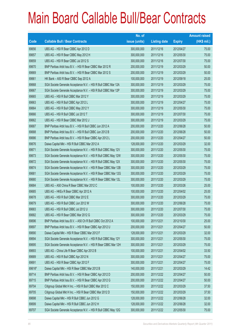|        |                                                                | No. of        |                     |               | <b>Amount raised</b> |
|--------|----------------------------------------------------------------|---------------|---------------------|---------------|----------------------|
| Code   | <b>Callable Bull / Bear Contracts</b>                          | issue (units) | <b>Listing date</b> | <b>Expiry</b> | (HK\$ mil.)          |
| 69656  | UBS AG - HSI R Bear CBBC Apr 2012 D                            | 300,000,000   | 2011/12/16          | 2012/04/27    | 75.00                |
| 69657  | UBS AG - HSI R Bear CBBC May 2012 H                            | 300,000,000   | 2011/12/16          | 2012/05/30    | 75.00                |
| 69659  | UBS AG - HSI R Bear CBBC Jul 2012 S                            | 300,000,000   | 2011/12/16          | 2012/07/30    | 75.00                |
| 69670  | BNP Paribas Arbit Issu B.V. - HSI R Bear CBBC Mar 2012 R       | 200,000,000   | 2011/12/19          | 2012/03/29    | 50.00                |
| 69669  | BNP Paribas Arbit Issu B.V. - HSI R Bear CBBC Mar 2012 S       | 200,000,000   | 2011/12/19          | 2012/03/29    | 50.00                |
| 69661  | HK Bank - A50 R Bear CBBC Sep 2012 A                           | 100,000,000   | 2011/12/19          | 2012/09/18    | 25.00                |
| 69668  | SGA Societe Generale Acceptance N.V. - HSI R Bull CBBC Mar 12A | 300,000,000   | 2011/12/19          | 2012/03/29    | 75.00                |
| 69667  | SGA Societe Generale Acceptance N.V. - HSI R Bull CBBC Mar 12P | 300,000,000   | 2011/12/19          | 2012/03/29    | 75.00                |
| 69665  | UBS AG - HSI R Bull CBBC Mar 2012 Y                            | 300,000,000   | 2011/12/19          | 2012/03/29    | 75.00                |
| 69663  | UBS AG - HSI R Bull CBBC Apr 2012 L                            | 300,000,000   | 2011/12/19          | 2012/04/27    | 75.00                |
| 69664  | UBS AG - HSI R Bull CBBC May 2012 Y                            | 300,000,000   | 2011/12/19          | 2012/05/30    | 75.00                |
| 69666  | UBS AG - HSI R Bull CBBC Jul 2012 T                            | 300,000,000   | 2011/12/19          | 2012/07/30    | 75.00                |
| 69662  | UBS AG - HSI R Bear CBBC Mar 2012 J                            | 300,000,000   | 2011/12/19          | 2012/03/29    | 75.00                |
| 69687  | BNP Paribas Arbit Issu B.V. - HSI R Bull CBBC Jun 2012 A       | 200,000,000   | 2011/12/20          | 2012/06/28    | 50.00                |
| 69688  | BNP Paribas Arbit Issu B.V. - HSI R Bull CBBC Jun 2012 B       | 200,000,000   | 2011/12/20          | 2012/06/28    | 50.00                |
| 69686  | BNP Paribas Arbit Issu B.V. - HSI R Bear CBBC Apr 2012 L       | 200,000,000   | 2011/12/20          | 2012/04/27    | 50.00                |
| 69676  | Daiwa Capital Mkt - HSI R Bull CBBC Mar 2012 A                 | 128,000,000   | 2011/12/20          | 2012/03/29    | 32.00                |
| 69671  | SGA Societe Generale Acceptance N.V. - HSI R Bull CBBC May 12V | 300,000,000   | 2011/12/20          | 2012/05/30    | 75.00                |
| 69673  | SGA Societe Generale Acceptance N.V. - HSI R Bull CBBC May 12W | 300,000,000   | 2011/12/20          | 2012/05/30    | 75.00                |
| 69672  | SGA Societe Generale Acceptance N.V. - HSI R Bull CBBC May 12X | 300,000,000   | 2011/12/20          | 2012/05/30    | 75.00                |
| 69674  | SGA Societe Generale Acceptance N.V. - HSI R Bear CBBC Mar 12B | 300,000,000   | 2011/12/20          | 2012/03/29    | 75.00                |
| 69681  | SGA Societe Generale Acceptance N.V. - HSI R Bear CBBC Mar 12G | 300,000,000   | 2011/12/20          | 2012/03/29    | 75.00                |
| 69680  | SGA Societe Generale Acceptance N.V. - HSI R Bear CBBC Mar 12L | 300,000,000   | 2011/12/20          | 2012/03/29    | 75.00                |
| 69684  | UBS AG - A50 China R Bear CBBC Mar 2012 C                      | 100,000,000   | 2011/12/20          | 2012/03/26    | 25.00                |
| 69685  | UBS AG - HKEx R Bear CBBC Apr 2012 A                           | 100,000,000   | 2011/12/20          | 2012/04/02    | 25.00                |
| 69678  | UBS AG - HSI R Bull CBBC Mar 2012 E                            | 300,000,000   | 2011/12/20          | 2012/03/29    | 75.00                |
| 69679  | UBS AG - HSI R Bull CBBC Jun 2012 W                            | 300,000,000   | 2011/12/20          | 2012/06/28    | 75.00                |
| 69683  | UBS AG - HSI R Bull CBBC Jul 2012 U                            | 300,000,000   | 2011/12/20          | 2012/07/30    | 75.00                |
| 69682  | UBS AG - HSI R Bear CBBC Mar 2012 G                            | 300,000,000   | 2011/12/20          | 2012/03/29    | 75.00                |
| 69696  | BNP Paribas Arbit Issu B.V. - A50 Ch R Bull CBBC Oct 2012 A    | 100,000,000   | 2011/12/21          | 2012/10/30    | 25.00                |
| 69697  | BNP Paribas Arbit Issu B.V. - HSI R Bear CBBC Apr 2012 U       | 200,000,000   | 2011/12/21          | 2012/04/27    | 50.00                |
| 69690  | Daiwa Capital Mkt - HSI R Bear CBBC Mar 2012 F                 | 128,000,000   | 2011/12/21          | 2012/03/29    | 32.00                |
| 69694  | SGA Societe Generale Acceptance N.V. - HSI R Bull CBBC May 12Y | 300,000,000   | 2011/12/21          | 2012/05/30    | 75.00                |
| 69695  | SGA Societe Generale Acceptance N.V. - HSI R Bear CBBC Mar 12H | 300,000,000   | 2011/12/21          | 2012/03/29    | 75.00                |
| 69693  | UBS AG - China Life R Bear CBBC Apr 2012 B                     | 100,000,000   | 2011/12/21          | 2012/04/02    | 33.50                |
| 69689  | UBS AG - HSI R Bull CBBC Apr 2012 N                            | 300,000,000   | 2011/12/21          | 2012/04/27    | 75.00                |
| 69691  | UBS AG - HSI R Bear CBBC Apr 2012 F                            | 300,000,000   | 2011/12/21          | 2012/04/27    | 75.00                |
| 69616# | Daiwa Capital Mkt - HSI R Bear CBBC Mar 2012 B                 | 140,000,000   | 2011/12/21          | 2012/03/29    | 14.42                |
| 69714  | BNP Paribas Arbit Issu B.V. - HSI R Bear CBBC Apr 2012 D       | 200,000,000   | 2011/12/22          | 2012/04/27    | 50.00                |
| 69715  | BNP Paribas Arbit Issu B.V. - HSI R Bear CBBC Apr 2012 G       | 200,000,000   | 2011/12/22          | 2012/04/27    | 50.00                |
| 69704  | Citigroup Global Mkt H Inc. - HSI R Bull CBBC Mar 2012 C       | 150,000,000   | 2011/12/22          | 2012/03/29    | 37.50                |
| 69705  | Citigroup Global Mkt H Inc. - HSI R Bear CBBC Mar 2012 D       | 150,000,000   | 2011/12/22          | 2012/03/29    | 37.50                |
| 69698  | Daiwa Capital Mkt - HSI R Bull CBBC Jun 2012 G                 | 128,000,000   | 2011/12/22          | 2012/06/28    | 32.00                |
| 69699  | Daiwa Capital Mkt - HSI R Bull CBBC Jun 2012 H                 | 128,000,000   | 2011/12/22          | 2012/06/28    | 32.00                |
| 69707  | SGA Societe Generale Acceptance N.V. - HSI R Bull CBBC May 12G | 300,000,000   | 2011/12/22          | 2012/05/30    | 75.00                |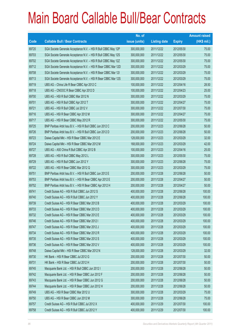|       |                                                                | No. of        |                     |               | <b>Amount raised</b> |
|-------|----------------------------------------------------------------|---------------|---------------------|---------------|----------------------|
| Code  | <b>Callable Bull / Bear Contracts</b>                          | issue (units) | <b>Listing date</b> | <b>Expiry</b> | $(HK$$ mil.)         |
| 69720 | SGA Societe Generale Acceptance N.V. - HSI R Bull CBBC May 12P | 300,000,000   | 2011/12/22          | 2012/05/30    | 75.00                |
| 69703 | SGA Societe Generale Acceptance N.V. - HSI R Bull CBBC May 12S | 300,000,000   | 2011/12/22          | 2012/05/30    | 75.00                |
| 69702 | SGA Societe Generale Acceptance N.V. - HSI R Bull CBBC May 12Z | 300,000,000   | 2011/12/22          | 2012/05/30    | 75.00                |
| 69712 | SGA Societe Generale Acceptance N.V. - HSI R Bear CBBC Mar 12D | 300,000,000   | 2011/12/22          | 2012/03/29    | 75.00                |
| 69708 | SGA Societe Generale Acceptance N.V. - HSI R Bear CBBC Mar 121 | 300,000,000   | 2011/12/22          | 2012/03/29    | 75.00                |
| 69713 | SGA Societe Generale Acceptance N.V. - HSI R Bear CBBC Mar 12S | 300,000,000   | 2011/12/22          | 2012/03/29    | 75.00                |
| 69719 | UBS AG - China Life R Bear CBBC Apr 2012 C                     | 100,000,000   | 2011/12/22          | 2012/04/16    | 28.50                |
| 69718 | UBS AG - CNOOC R Bear CBBC Apr 2012 D                          | 100,000,000   | 2011/12/22          | 2012/04/23    | 25.00                |
| 69700 | UBS AG - HSI R Bull CBBC Mar 2012 N                            | 300,000,000   | 2011/12/22          | 2012/03/29    | 75.00                |
| 69701 | UBS AG - HSI R Bull CBBC Apr 2012 T                            | 300,000,000   | 2011/12/22          | 2012/04/27    | 75.00                |
| 69721 | UBS AG - HSI R Bull CBBC Jul 2012 V                            | 300,000,000   | 2011/12/22          | 2012/07/30    | 75.00                |
| 69716 | UBS AG - HSI R Bear CBBC Apr 2012 M                            | 300,000,000   | 2011/12/22          | 2012/04/27    | 75.00                |
| 69717 | UBS AG - HSI R Bear CBBC May 2012 R                            | 300,000,000   | 2011/12/22          | 2012/05/30    | 75.00                |
| 69725 | BNP Paribas Arbit Issu B.V. - HSI R Bull CBBC Jun 2012 C       | 200,000,000   | 2011/12/23          | 2012/06/28    | 50.00                |
| 69726 | BNP Paribas Arbit Issu B.V. - HSI R Bull CBBC Jun 2012 D       | 200,000,000   | 2011/12/23          | 2012/06/28    | 50.00                |
| 69723 | Daiwa Capital Mkt - HSI R Bear CBBC Mar 2012 E                 | 128,000,000   | 2011/12/23          | 2012/03/29    | 32.00                |
| 69724 | Daiwa Capital Mkt - HSI R Bear CBBC Mar 2012 M                 | 168,000,000   | 2011/12/23          | 2012/03/29    | 42.00                |
| 69727 | UBS AG - A50 China R Bull CBBC Apr 2012 B                      | 100,000,000   | 2011/12/23          | 2012/04/16    | 25.00                |
| 69728 | UBS AG - HSI R Bull CBBC May 2012 L                            | 300,000,000   | 2011/12/23          | 2012/05/30    | 75.00                |
| 69729 | UBS AG - HSI R Bull CBBC Jun 2012 Y                            | 300,000,000   | 2011/12/23          | 2012/06/28    | 75.00                |
| 69722 | UBS AG - HSI R Bear CBBC Mar 2012 Q                            | 300,000,000   | 2011/12/23          | 2012/03/29    | 75.00                |
| 69751 | BNP Paribas Arbit Issu B.V. - HSI R Bull CBBC Jun 2012 E       | 200,000,000   | 2011/12/28          | 2012/06/28    | 50.00                |
| 69753 | BNP Paribas Arbit Issu B.V. - HSI R Bear CBBC Apr 2012 E       | 200,000,000   | 2011/12/28          | 2012/04/27    | 50.00                |
| 69752 | BNP Paribas Arbit Issu B.V. - HSI R Bear CBBC Apr 2012 H       | 200,000,000   | 2011/12/28          | 2012/04/27    | 50.00                |
| 69741 | Credit Suisse AG - HSI R Bull CBBC Jun 2012 S                  | 400,000,000   | 2011/12/28          | 2012/06/28    | 100.00               |
| 69740 | Credit Suisse AG - HSI R Bull CBBC Jun 2012 Y                  | 400,000,000   | 2011/12/28          | 2012/06/28    | 100.00               |
| 69739 | Credit Suisse AG - HSI R Bear CBBC Mar 2012 B                  | 400,000,000   | 2011/12/28          | 2012/03/29    | 100.00               |
| 69733 | Credit Suisse AG - HSI R Bear CBBC Mar 2012 D                  | 400,000,000   | 2011/12/28          | 2012/03/29    | 100.00               |
| 69732 | Credit Suisse AG - HSI R Bear CBBC Mar 2012 E                  | 400,000,000   | 2011/12/28          | 2012/03/29    | 100.00               |
| 69746 | Credit Suisse AG - HSI R Bear CBBC Mar 2012 I                  | 400,000,000   | 2011/12/28          | 2012/03/29    | 100.00               |
| 69747 | Credit Suisse AG - HSI R Bear CBBC Mar 2012 J                  | 400,000,000   | 2011/12/28          | 2012/03/29    | 100.00               |
| 69734 | Credit Suisse AG - HSI R Bear CBBC Mar 2012 R                  | 400,000,000   | 2011/12/28          | 2012/03/29    | 100.00               |
| 69735 | Credit Suisse AG - HSI R Bear CBBC Mar 2012 S                  | 400,000,000   | 2011/12/28          | 2012/03/29    | 100.00               |
| 69736 | Credit Suisse AG - HSI R Bear CBBC Mar 2012 V                  | 400,000,000   | 2011/12/28          | 2012/03/29    | 100.00               |
| 69748 | Daiwa Capital Mkt - HSI R Bear CBBC Mar 2012 N                 | 128,000,000   | 2011/12/28          | 2012/03/29    | 32.00                |
| 69730 | HK Bank - HSI R Bear CBBC Jul 2012 G                           | 200,000,000   | 2011/12/28          | 2012/07/30    | 50.00                |
| 69731 | HK Bank - HSI R Bear CBBC Jul 2012 H                           | 200,000,000   | 2011/12/28          | 2012/07/30    | 50.00                |
| 69745 | Macquarie Bank Ltd. - HSI R Bull CBBC Jun 2012 I               | 200,000,000   | 2011/12/28          | 2012/06/28    | 50.00                |
| 69742 | Macquarie Bank Ltd. - HSI R Bear CBBC Jun 2012 F               | 200,000,000   | 2011/12/28          | 2012/06/28    | 50.00                |
| 69743 | Macquarie Bank Ltd. - HSI R Bear CBBC Jun 2012 G               | 200,000,000   | 2011/12/28          | 2012/06/28    | 50.00                |
| 69744 | Macquarie Bank Ltd. - HSI R Bear CBBC Jun 2012 H               | 200,000,000   | 2011/12/28          | 2012/06/28    | 50.00                |
| 69749 | UBS AG - HSI R Bear CBBC Mar 2012 U                            | 300,000,000   | 2011/12/28          | 2012/03/29    | 75.00                |
| 69750 | UBS AG - HSI R Bear CBBC Jun 2012 M                            | 300,000,000   | 2011/12/28          | 2012/06/28    | 75.00                |
| 69757 | Credit Suisse AG - HSI R Bull CBBC Jul 2012 X                  | 400,000,000   | 2011/12/29          | 2012/07/30    | 100.00               |
| 69758 | Credit Suisse AG - HSI R Bull CBBC Jul 2012 Y                  | 400,000,000   | 2011/12/29          | 2012/07/30    | 100.00               |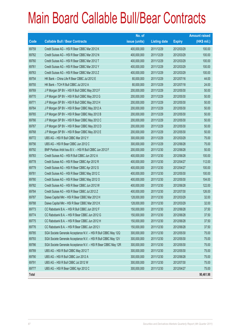|             |                                                                | No. of        |                     |               | <b>Amount raised</b> |
|-------------|----------------------------------------------------------------|---------------|---------------------|---------------|----------------------|
| <b>Code</b> | <b>Callable Bull / Bear Contracts</b>                          | issue (units) | <b>Listing date</b> | <b>Expiry</b> | $(HK$$ mil.)         |
| 69759       | Credit Suisse AG - HSI R Bear CBBC Mar 2012 K                  | 400,000,000   | 2011/12/29          | 2012/03/29    | 100.00               |
| 69762       | Credit Suisse AG - HSI R Bear CBBC Mar 2012 N                  | 400,000,000   | 2011/12/29          | 2012/03/29    | 100.00               |
| 69760       | Credit Suisse AG - HSI R Bear CBBC Mar 2012 T                  | 400,000,000   | 2011/12/29          | 2012/03/29    | 100.00               |
| 69761       | Credit Suisse AG - HSI R Bear CBBC Mar 2012 Y                  | 400,000,000   | 2011/12/29          | 2012/03/29    | 100.00               |
| 69763       | Credit Suisse AG - HSI R Bear CBBC Mar 2012 Z                  | 400,000,000   | 2011/12/29          | 2012/03/29    | 100.00               |
| 69754       | HK Bank - China Life R Bear CBBC Jul 2012 E                    | 80,000,000    | 2011/12/29          | 2012/07/16    | 44.00                |
| 69755       | HK Bank - TCH R Bull CBBC Jul 2012 A                           | 80,000,000    | 2011/12/29          | 2012/07/18    | 24.00                |
| 69769       | J P Morgan SP BV - HSI R Bull CBBC May 2012 F                  | 200,000,000   | 2011/12/29          | 2012/05/30    | 50.00                |
| 69770       | J P Morgan SP BV - HSI R Bull CBBC May 2012 G                  | 200,000,000   | 2011/12/29          | 2012/05/30    | 50.00                |
| 69771       | J P Morgan SP BV - HSI R Bull CBBC May 2012 H                  | 200,000,000   | 2011/12/29          | 2012/05/30    | 50.00                |
| 69764       | J P Morgan SP BV - HSI R Bear CBBC May 2012 A                  | 200,000,000   | 2011/12/29          | 2012/05/30    | 50.00                |
| 69765       | J P Morgan SP BV - HSI R Bear CBBC May 2012 B                  | 200,000,000   | 2011/12/29          | 2012/05/30    | 50.00                |
| 69766       | J P Morgan SP BV - HSI R Bear CBBC May 2012 C                  | 200,000,000   | 2011/12/29          | 2012/05/30    | 50.00                |
| 69767       | J P Morgan SP BV - HSI R Bear CBBC May 2012 D                  | 200,000,000   | 2011/12/29          | 2012/05/30    | 50.00                |
| 69768       | J P Morgan SP BV - HSI R Bear CBBC May 2012 E                  | 200,000,000   | 2011/12/29          | 2012/05/30    | 50.00                |
| 69772       | UBS AG - HSI R Bull CBBC Mar 2012 Y                            | 300,000,000   | 2011/12/29          | 2012/03/29    | 75.00                |
| 69756       | UBS AG - HSI R Bear CBBC Jun 2012 C                            | 300,000,000   | 2011/12/29          | 2012/06/28    | 75.00                |
| 69792       | BNP Paribas Arbit Issu B.V. - HSI R Bull CBBC Jun 2012 F       | 200,000,000   | 2011/12/30          | 2012/06/28    | 50.00                |
| 69783       | Credit Suisse AG - HSI R Bull CBBC Jun 2012 A                  | 400,000,000   | 2011/12/30          | 2012/06/28    | 100.00               |
| 69778       | Credit Suisse AG - HSI R Bear CBBC Apr 2012 R                  | 400,000,000   | 2011/12/30          | 2012/04/27    | 112.00               |
| 69779       | Credit Suisse AG - HSI R Bear CBBC Apr 2012 S                  | 400,000,000   | 2011/12/30          | 2012/04/27    | 100.00               |
| 69781       | Credit Suisse AG - HSI R Bear CBBC May 2012 C                  | 400,000,000   | 2011/12/30          | 2012/05/30    | 100.00               |
| 69780       | Credit Suisse AG - HSI R Bear CBBC May 2012 O                  | 400,000,000   | 2011/12/30          | 2012/05/30    | 104.00               |
| 69782       | Credit Suisse AG - HSI R Bear CBBC Jun 2012 W                  | 400,000,000   | 2011/12/30          | 2012/06/28    | 122.00               |
| 69784       | Credit Suisse AG - HSI R Bear CBBC Jul 2012 Z                  | 400,000,000   | 2011/12/30          | 2012/07/30    | 126.00               |
| 69787       | Daiwa Capital Mkt - HSI R Bear CBBC Mar 2012 H                 | 128,000,000   | 2011/12/30          | 2012/03/29    | 32.00                |
| 69788       | Daiwa Capital Mkt - HSI R Bear CBBC Mar 2012 K                 | 128,000,000   | 2011/12/30          | 2012/03/29    | 32.00                |
| 69773       | CC Rabobank B.A. - HSI R Bull CBBC Jun 2012 F                  | 150,000,000   | 2011/12/30          | 2012/06/28    | 37.50                |
| 69774       | CC Rabobank B.A. - HSI R Bear CBBC Jun 2012 G                  | 150,000,000   | 2011/12/30          | 2012/06/28    | 37.50                |
| 69775       | CC Rabobank B.A. - HSI R Bear CBBC Jun 2012 H                  | 150,000,000   | 2011/12/30          | 2012/06/28    | 37.50                |
| 69776       | CC Rabobank B.A. - HSI R Bear CBBC Jun 2012 I                  | 150,000,000   | 2011/12/30          | 2012/06/28    | 37.50                |
| 69785       | SGA Societe Generale Acceptance N.V. - HSI R Bull CBBC May 12Q | 300,000,000   | 2011/12/30          | 2012/05/30    | 75.00                |
| 69793       | SGA Societe Generale Acceptance N.V. - HSI R Bull CBBC May 12V | 300,000,000   | 2011/12/30          | 2012/05/30    | 75.00                |
| 69786       | SGA Societe Generale Acceptance N.V. - HSI R Bear CBBC May 12R | 300,000,000   | 2011/12/30          | 2012/05/30    | 75.00                |
| 69789       | UBS AG - HSI R Bull CBBC May 2012 T                            | 300,000,000   | 2011/12/30          | 2012/05/30    | 75.00                |
| 69790       | UBS AG - HSI R Bull CBBC Jun 2012 A                            | 300,000,000   | 2011/12/30          | 2012/06/28    | 75.00                |
| 69791       | UBS AG - HSI R Bull CBBC Jul 2012 W                            | 300,000,000   | 2011/12/30          | 2012/07/30    | 75.00                |
| 69777       | UBS AG - HSI R Bear CBBC Apr 2012 C                            | 300,000,000   | 2011/12/30          | 2012/04/27    | 75.00                |
| Total       |                                                                |               |                     |               | 90,461.98            |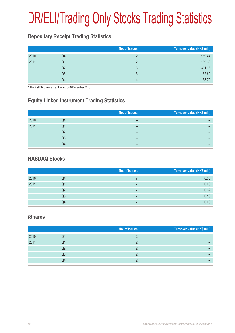## DR/ELI/Trading Only Stocks Trading Statistics

### **Depositary Receipt Trading Statistics**

|      |       | No. of issues | Turnover value (HK\$ mil.) |
|------|-------|---------------|----------------------------|
| 2010 | $Q4*$ |               | 119.44                     |
| 2011 | Q1    |               | 139.30                     |
|      | Q2    |               | 331.18                     |
|      | Q3    | ર             | 62.60                      |
|      | Q4    |               | 38.72                      |

\* The first DR commenced trading on 8 December 2010

### **Equity Linked Instrument Trading Statistics**

|      |    | No. of issues | Turnover value (HK\$ mil.) |
|------|----|---------------|----------------------------|
| 2010 | Q4 |               |                            |
| 2011 | Q1 |               |                            |
|      | Q2 |               |                            |
|      | Q3 | –             |                            |
|      | Q4 |               |                            |

#### **NASDAQ Stocks**

|      |    | No. of issues | Turnover value (HK\$ mil.) |
|------|----|---------------|----------------------------|
| 2010 | Q4 |               | 0.30                       |
| 2011 | Q1 |               | 0.06                       |
|      | Q2 |               | 0.32                       |
|      | Q3 |               | 0.13                       |
|      | Q4 |               | 0.00                       |

#### **iShares**

|      |    | No. of issues | Turnover value (HK\$ mil.) |
|------|----|---------------|----------------------------|
| 2010 | Q4 |               |                            |
| 2011 | Q1 |               |                            |
|      | Q2 |               |                            |
|      | Q3 |               |                            |
|      | Q4 |               |                            |
|      |    |               |                            |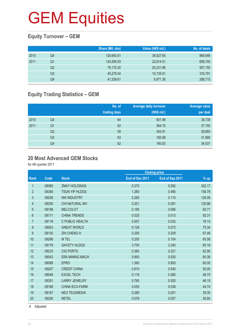### **Equity Turnover – GEM**

|      |    | Share (Mil. shs) | Value (HK\$ mil.) | No. of deals |
|------|----|------------------|-------------------|--------------|
| 2010 | Q4 | 120,693.51       | 38,527.65         | 969,546      |
| 2011 | Q1 | 124,595.93       | 22,614.51         | 608,740      |
|      | Q2 | 79,170.20        | 20,231.96         | 507,155      |
|      | Q3 | 40,276.54        | 10.135.61         | 316,791      |
|      | Q4 | 41,259.61        | 9,971.36          | 288,715      |

### **Equity Trading Statistics – GEM**

|      |                | No. of<br>trading days | <b>Average daily turnover</b><br>(HK\$ mil.) | Average value<br>per deal |
|------|----------------|------------------------|----------------------------------------------|---------------------------|
| 2010 | Q4             | 64                     | 601.99                                       | 39,738                    |
| 2011 | Q <sub>1</sub> | 62                     | 364.75                                       | 37,150                    |
|      | Q <sub>2</sub> | 59                     | 342.91                                       | 39,893                    |
|      | Q3             | 63                     | 160.88                                       | 31,995                    |
|      | Q4             | 62                     | 160.83                                       | 34,537                    |

#### **20 Most Advanced GEM Stocks**

for 4th quarter 2011

| Code  | <b>Stock</b>           | End of Dec 2011 | End of Sep 2011 | % up                 |
|-------|------------------------|-----------------|-----------------|----------------------|
| 08085 | <b>ZMAY HOLDINGS</b>   | 0.370           | 0.092           | 302.17               |
| 08356 | <b>TSUN YIP HLDGS</b>  | 1.260           | 0.485           | 159.79               |
| 08258 | <b>NW INDUSTRY</b>     | 0.260           | 0.115           | 126.09               |
| 08250 | CHI NATURAL INV        | 0.201           | 0.091           | 120.88               |
| 08198 | <b>MELCOLOT</b>        | 0.185           | 0.096           | 92.71                |
| 08171 | <b>CHINA TRENDS</b>    | 0.025           | 0.013           | 92.31                |
| 08116 | C PUBLIC HEALTH        | 0.057           | 0.032           | 78.13                |
| 08003 | <b>GREAT WORLD</b>     | 0.128           | 0.073           | 75.34                |
| 08130 | <b>ZHI CHENG H</b>     | 0.350           | 0.209           | 67.46                |
| 08266 | M TEL                  | 0.255           | 0.154           | 65.58                |
| 08179 | <b>GAYETY HLDGS</b>    | 3.700           | 2.240           | 65.18                |
| 08233 | <b>CIG PORTS</b>       | 0.360           | 0.221           | 62.90                |
| 08043 | <b>ERA MINING MACH</b> | 0.850           | 0.530           | 60.38                |
| 08086 | <b>EPRO</b>            | 1.360           | 0.850           | 60.00                |
| 08207 | <b>CREDIT CHINA</b>    | 0.810           | 0.540           | 50.00                |
| 08048 | <b>EXCEL TECH</b>      | 0.119           | 0.080           | 48.75                |
| 08351 | <b>LARRY JEWELRY</b>   | 0.760           | 0.520           | 46.15                |
| 08166 | <b>CHINA ECO-FARM</b>  | 0.055           | 0.038           | 44.74                |
| 08167 | <b>NEO TELEMEDIA</b>   | 0.280           | 0.201           | 39.30                |
| 08256 | <b>NETEL</b>           | 0.078           | 0.057           | 36.84                |
|       |                        |                 |                 | <b>Closing price</b> |

A Adjusted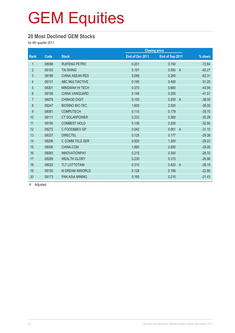#### **20 Most Declined GEM Stocks**

for 4th quarter 2011

| Code  | <b>Stock</b>           | End of Dec 2011 | End of Sep 2011         | $%$ down             |
|-------|------------------------|-----------------|-------------------------|----------------------|
| 08096 | <b>RUIFENG PETRO</b>   | 0.201           | 0.740                   | $-72.84$             |
| 08103 | <b>TAI SHING</b>       | 0.191           | 0.550<br>$\overline{A}$ | $-65.27$             |
| 08186 | <b>CHINA ASEAN RES</b> | 0.098           | 0.260                   | $-62.31$             |
| 08131 | ABC MULTIACTIVE        | 0.195           | 0.400                   | $-51.25$             |
| 08301 | <b>MINGWAH HI TECH</b> | 0.370           | 0.660                   | $-43.94$             |
| 08156 | <b>CHINA VANGUARD</b>  | 0.149           | 0.255                   | $-41.57$             |
| 08078 | <b>CHINA3D DIGIT</b>   | 0.155           | 0.250<br>$\overline{A}$ | $-38.00$             |
| 08247 | <b>BIOSINO BIO-TEC</b> | 1.600           | 2.500                   | $-36.00$             |
| 08081 | <b>COMPUTECH</b>       | 0.115           | 0.179                   | $-35.75$             |
| 08111 | <b>CT SOLARPOWER</b>   | 0.233           | 0.360                   | $-35.28$             |
| 08190 | <b>COMBEST HOLD</b>    | 0.136           | 0.200                   | $-32.00$             |
| 08272 | C FOOD&BEV GP          | 0.042           | 0.061<br>$\overline{A}$ | $-31.15$             |
| 08337 | <b>DIRECTEL</b>        | 0.125           | 0.177                   | $-29.38$             |
| 08206 | C COMM TELE SER        | 0.920           | 1.300                   | $-29.23$             |
| 08006 | CHINA.COM              | 1.880           | 2.650                   | $-29.06$             |
| 08083 | <b>INNOVATIONPAY</b>   | 0.215           | 0.300                   | $-28.33$             |
| 08269 | <b>WEALTH GLORY</b>    | 0.230           | 0.315                   | $-26.98$             |
| 08022 | <b>TLT LOTTOTAIN</b>   | 0.310           | 0.420<br>$\overline{A}$ | $-26.19$             |
| 08100 | <b>M DREAM INWORLD</b> | 0.128           | 0.166                   | $-22.89$             |
| 08173 | <b>PAN ASIA MINING</b> | 0.165           | 0.210                   | $-21.43$             |
|       |                        |                 |                         | <b>Closing price</b> |

A Adjusted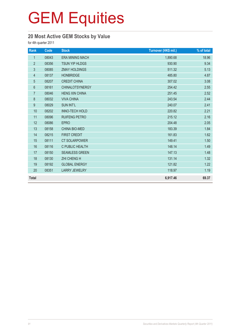### **20 Most Active GEM Stocks by Value**

for 4th quarter 2011

| Rank             | Code  | <b>Stock</b>           | Turnover (HK\$ mil.) | % of total |
|------------------|-------|------------------------|----------------------|------------|
| $\mathbf{1}$     | 08043 | <b>ERA MINING MACH</b> | 1,890.68             | 18.96      |
| $\overline{2}$   | 08356 | TSUN YIP HLDGS         | 930.90               | 9.34       |
| $\mathfrak{Z}$   | 08085 | <b>ZMAY HOLDINGS</b>   | 511.32               | 5.13       |
| $\overline{4}$   | 08137 | <b>HONBRIDGE</b>       | 485.80               | 4.87       |
| $\overline{5}$   | 08207 | <b>CREDIT CHINA</b>    | 307.02               | 3.08       |
| $6\phantom{a}$   | 08161 | <b>CHINALOTSYNERGY</b> | 254.42               | 2.55       |
| $\overline{7}$   | 08046 | <b>HENG XIN CHINA</b>  | 251.45               | 2.52       |
| $\bf 8$          | 08032 | <b>VIVA CHINA</b>      | 243.54               | 2.44       |
| $\boldsymbol{9}$ | 08029 | <b>SUN INT'L</b>       | 240.07               | 2.41       |
| 10               | 08202 | <b>INNO-TECH HOLD</b>  | 220.82               | 2.21       |
| 11               | 08096 | <b>RUIFENG PETRO</b>   | 215.12               | 2.16       |
| 12               | 08086 | <b>EPRO</b>            | 204.48               | 2.05       |
| 13               | 08158 | <b>CHINA BIO-MED</b>   | 183.39               | 1.84       |
| 14               | 08215 | <b>FIRST CREDIT</b>    | 161.83               | 1.62       |
| 15               | 08111 | <b>CT SOLARPOWER</b>   | 149.41               | 1.50       |
| 16               | 08116 | C PUBLIC HEALTH        | 148.14               | 1.49       |
| 17               | 08150 | <b>SEAMLESS GREEN</b>  | 147.13               | 1.48       |
| 18               | 08130 | <b>ZHI CHENG H</b>     | 131.14               | 1.32       |
| 19               | 08192 | <b>GLOBAL ENERGY</b>   | 121.82               | 1.22       |
| 20               | 08351 | <b>LARRY JEWELRY</b>   | 118.97               | 1.19       |
| <b>Total</b>     |       |                        | 6,917.46             | 69.37      |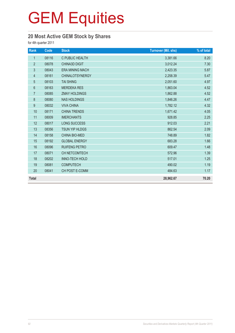### **20 Most Active GEM Stock by Shares**

for 4th quarter 2011

| Rank           | Code  | <b>Stock</b>           | <b>Turnover (Mil. shs)</b> | % of total |
|----------------|-------|------------------------|----------------------------|------------|
| $\mathbf{1}$   | 08116 | C PUBLIC HEALTH        | 3,381.66                   | 8.20       |
| $\overline{2}$ | 08078 | <b>CHINA3D DIGIT</b>   | 3,012.24                   | 7.30       |
| $\mathfrak{Z}$ | 08043 | <b>ERA MINING MACH</b> | 2,423.35                   | 5.87       |
| $\overline{4}$ | 08161 | <b>CHINALOTSYNERGY</b> | 2,258.39                   | 5.47       |
| $\overline{5}$ | 08103 | <b>TAI SHING</b>       | 2,051.60                   | 4.97       |
| $6\phantom{a}$ | 08163 | <b>MERDEKA RES</b>     | 1,863.04                   | 4.52       |
| $\overline{7}$ | 08085 | <b>ZMAY HOLDINGS</b>   | 1,862.88                   | 4.52       |
| 8              | 08080 | <b>NAS HOLDINGS</b>    | 1,846.26                   | 4.47       |
| 9              | 08032 | <b>VIVA CHINA</b>      | 1,782.12                   | 4.32       |
| 10             | 08171 | <b>CHINA TRENDS</b>    | 1,671.42                   | 4.05       |
| 11             | 08009 | <b>IMERCHANTS</b>      | 928.85                     | 2.25       |
| 12             | 08017 | LONG SUCCESS           | 912.03                     | 2.21       |
| 13             | 08356 | <b>TSUN YIP HLDGS</b>  | 862.54                     | 2.09       |
| 14             | 08158 | CHINA BIO-MED          | 748.89                     | 1.82       |
| 15             | 08192 | <b>GLOBAL ENERGY</b>   | 683.28                     | 1.66       |
| 16             | 08096 | <b>RUIFENG PETRO</b>   | 609.47                     | 1.48       |
| 17             | 08071 | CH NETCOMTECH          | 572.96                     | 1.39       |
| 18             | 08202 | <b>INNO-TECH HOLD</b>  | 517.01                     | 1.25       |
| 19             | 08081 | <b>COMPUTECH</b>       | 490.02                     | 1.19       |
| 20             | 08041 | CH POST E-COMM         | 484.63                     | 1.17       |
| <b>Total</b>   |       |                        | 28,962.67                  | 70.20      |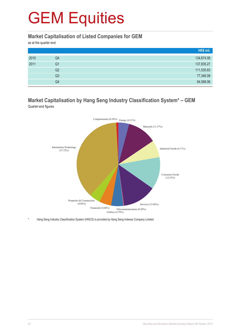#### **Market Capitalisation of Listed Companies for GEM**

as at the quarter end

|      |    | HK\$ mil.  |
|------|----|------------|
| 2010 | Q4 | 134,674.08 |
| 2011 | Q1 | 137,835.27 |
|      | Q2 | 111,535.83 |
|      | Q3 | 77,346.08  |
|      | Q4 | 84,589.06  |

#### **Market Capitalisation by Hang Seng Industry Classification System\* – GEM** Quarter-end figures



Hang Seng Industry Classification System (HSICS) is provided by Hang Seng Indexes Company Limited.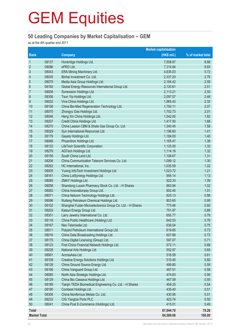#### **50 Leading Companies by Market Capitalisation – GEM**

as at the 4th quarter end 2011

|                     |       |                                                           | <b>Market capitalisation</b> |                   |
|---------------------|-------|-----------------------------------------------------------|------------------------------|-------------------|
| Rank                |       | <b>Company</b>                                            | (HK\$ mil.)                  | % of market total |
| $\mathbf{1}$        | 08137 | Honbridge Holdings Ltd.                                   | 7,508.87                     | 8.88              |
| $\overline{2}$      | 08086 | ePRO Ltd.                                                 | 7,314.84                     | 8.65              |
| $\mathfrak{Z}$      | 08043 | ERA Mining Machinery Ltd.                                 | 4,835.03                     | 5.72              |
| $\overline{4}$      | 08035 | Binhai Investment Co. Ltd.                                | 2,337.20                     | 2.76              |
| $\overline{5}$      | 08075 | Media Asia Group Holdings Ltd.                            | 2,194.42                     | 2.59              |
| $6\phantom{1}6$     | 08192 | Global Energy Resources International Group Ltd.          | 2,120.61                     | 2.51              |
| $\overline{7}$      | 08008 | Sunevision Holdings Ltd.                                  | 2,113.21                     | 2.50              |
| 8                   | 08356 | Tsun Yip Holdings Ltd.                                    | 2,097.57                     | 2.48              |
| $\boldsymbol{9}$    | 08032 | Viva China Holdings Ltd.                                  | 1,965.43                     | 2.32              |
| 10                  | 08158 | China Bio-Med Regeneration Technology Ltd.                | 1,750.11                     | 2.07              |
| 11                  | 08070 | Zhongyu Gas Holdings Ltd.                                 | 1,702.73                     | 2.01              |
| 12                  | 08046 | Heng Xin China Holdings Ltd.                              | 1,542.00                     | 1.82              |
| 13                  | 08207 | Credit China Holdings Ltd.                                | 1,417.50                     | 1.68              |
| 14                  | 08270 | China Leason CBM & Shale Gas Group Co. Ltd.               | 1,340.45                     | 1.58              |
| 15                  | 08029 | Sun International Resources Ltd.                          | 1,196.60                     | 1.41              |
| 16                  | 08179 | Gayety Holdings Ltd.                                      | 1,184.00                     | 1.40              |
| 17                  | 08066 | Phoenitron Holdings Ltd.                                  | 1,165.47                     | 1.38              |
| 18                  | 08122 | LifeTech Scientific Corporation                           | 1,125.00                     | 1.33              |
| 19                  | 08279 | AGTech Holdings Ltd.                                      | 1,114.19                     | 1.32              |
| 20                  | 08155 | South China Land Ltd.                                     | 1,106.67                     | 1.31              |
| 21                  | 08206 | China Communication Telecom Services Co. Ltd.             | 1,099.12                     | 1.30              |
| 22                  | 08292 | HC International, Inc.                                    | 1,035.59                     | 1.22              |
| 23                  | 08005 | Yuxing InfoTech Investment Holdings Ltd.                  | 1,023.72                     | 1.21              |
| 24                  | 08161 | China LotSynergy Holdings Ltd.                            | 956.14                       | 1.13              |
| 25                  | 08085 | ZMAY Holdings Ltd.                                        | 922.33                       | 1.09              |
| 26                  | 08058 | Shandong Luoxin Pharmacy Stock Co. Ltd. - H Shares        | 863.94                       | 1.02              |
| 27                  | 08083 | China Innovationpay Group Ltd.                            | 852.40                       | 1.01              |
| 28                  | 08071 | China Netcom Technology Holdings Ltd.                     | 825.13                       | 0.98              |
| 29                  | 08096 | Ruifeng Petroleum Chemical Holdings Ltd.                  | 803.65                       | 0.95              |
| 30                  | 08102 | Shanghai Fudan Microelectronics Group Co. Ltd. - H Shares | 775.46                       | 0.92              |
| 31                  | 08203 | Kaisun Energy Group Ltd.                                  | 751.97                       | 0.89              |
| 32                  | 08351 | Larry Jewelry International Co. Ltd.                      | 655.77                       | 0.78              |
| 33                  | 08116 | China Public Healthcare (Holding) Ltd.                    | 642.53                       | 0.76              |
| 34                  | 08167 | Neo Telemedia Ltd.                                        | 636.04                       | 0.75              |
| 35                  | 08011 | Polyard Petroleum International Group Ltd.                | 619.65                       | 0.73              |
| 36                  | 08016 | China Data Broadcasting Holdings Ltd.                     | 607.88                       | 0.72              |
| 37                  | 08175 | China Digital Licensing (Group) Ltd.                      | 597.07                       | 0.71              |
| 38                  | 08123 | First China Financial Network Holdings Ltd.               | 572.11                       | 0.68              |
| 39                  | 08228 | National Arts Holdings Ltd.                               | 552.87                       | 0.65              |
| 40                  | 08061 | AcrossAsia Ltd.                                           | 516.59                       | 0.61              |
| 41                  | 08109 | Creative Energy Solutions Holdings Ltd.                   | 510.40                       | 0.60              |
| 42                  | 08128 | China Ground Source Energy Ltd.                           | 499.80                       | 0.59              |
| 43                  | 08156 | China Vanguard Group Ltd.                                 | 487.51                       | 0.58              |
| 44                  | 08080 | North Asia Strategic Holdings Ltd.                        | 474.63                       | 0.56              |
| 45                  | 08129 | China Bio Cassava Holdings Ltd.                           | 467.59                       | 0.55              |
| 46                  | 08189 | Tianjin TEDA Biomedical Engineering Co. Ltd. - H Shares   | 458.25                       | 0.54              |
| 47                  | 08190 | Combest Holdings Ltd.                                     | 435.40                       | 0.51              |
| 48                  | 08306 | China Nonferrous Metals Co. Ltd.                          | 430.56                       | 0.51              |
| 49                  | 08233 | CIG Yangtze Ports PLC                                     | 423.74                       | 0.50              |
| 50                  | 08041 | China Post E-Commerce (Holdings) Ltd.                     | 415.01                       | 0.49              |
| <b>Total</b>        |       |                                                           | 67,044.78                    | 79.26             |
| <b>Market Total</b> |       |                                                           | 84,589.06                    | 100.00            |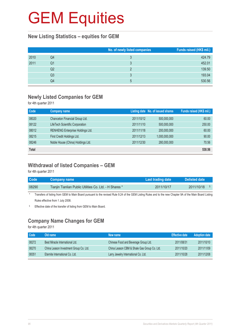#### **New Listing Statistics – equities for GEM**

|      |    | No. of newly listed companies | Funds raised (HK\$ mil.) |
|------|----|-------------------------------|--------------------------|
| 2010 | Q4 |                               | 424.79                   |
| 2011 | Q1 |                               | 452.01                   |
|      | Q2 |                               | 139.50                   |
|      | Q3 |                               | 193.04                   |
|      | Q4 | 5                             | 530.56                   |

#### **Newly Listed Companies for GEM**

for 4th quarter 2011

| Code         | <b>Company name</b>               |            | Listing date No. of issued shares | Funds raised (HK\$ mil.) |
|--------------|-----------------------------------|------------|-----------------------------------|--------------------------|
| 08020        | Chanceton Financial Group Ltd.    | 2011/10/12 | 500,000,000                       | 60.00                    |
| 08122        | LifeTech Scientific Corporation   | 2011/11/10 | 500,000,000                       | 250.00                   |
| 08012        | RENHENG Enterprise Holdings Ltd.  | 2011/11/18 | 200,000,000                       | 60.00                    |
| 08215        | First Credit Holdings Ltd.        | 2011/12/13 | 1,000,000,000                     | 90.00                    |
| 08246        | Noble House (China) Holdings Ltd. | 2011/12/30 | 280,000,000                       | 70.56                    |
| <b>Total</b> |                                   |            |                                   | 530.56                   |

#### **Withdrawal of listed Companies – GEM**

for 4th quarter 2011

| <b>Code</b> | <b>Company name</b>                                     | Last trading date | Delisted date    |  |
|-------------|---------------------------------------------------------|-------------------|------------------|--|
| 08290       | Tianjin Tianlian Public Utilities Co. Ltd. - H Shares * | 2011/10/17        | 2011/10/18<br>S. |  |

\* Transfers of listing from GEM to Main Board pursuant to the revised Rule 9.24 of the GEM Listing Rules and to the new Chapter 9A of the Main Board Listing Rules effective from 1 July 2008.

§ Effective date of the transfer of listing from GEM to Main Board.

### **Company Name Changes for GEM**

for 4th quarter 2011

| Code  | Old name                               | New name                                    | <b>Effective date</b> | <b>Adoption date</b> |
|-------|----------------------------------------|---------------------------------------------|-----------------------|----------------------|
| 08272 | Best Miracle International Ltd.        | Chinese Food and Beverage Group Ltd.        | 2011/08/31            | 2011/10/10           |
| 08270 | China Leason Investment Group Co. Ltd. | China Leason CBM & Shale Gas Group Co. Ltd. | 2011/10/20            | 2011/11/09           |
| 08351 | Eternite International Co. Ltd.        | Larry Jewelry International Co. Ltd.        | 2011/10/28            | 2011/12/08           |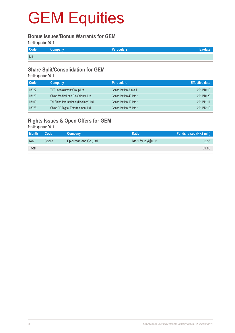#### **Bonus Issues/Bonus Warrants for GEM**

for 4th quarter 2011

| Code       | Company | <b>Particulars</b> |  |
|------------|---------|--------------------|--|
| <b>NIL</b> |         |                    |  |

### **Share Split/Consolidation for GEM**

for 4th quarter 2011

| Code  | Company                                 | <b>Particulars</b>      | <b>Effective date</b> |
|-------|-----------------------------------------|-------------------------|-----------------------|
| 08022 | TLT Lottotainment Group Ltd.            | Consolidation 5 into 1  | 2011/10/19            |
| 08120 | China Medical and Bio Science Ltd.      | Consolidation 40 into 1 | 2011/10/20            |
| 08103 | Tai Shing International (Holdings) Ltd. | Consolidation 10 into 1 | 2011/11/11            |
| 08078 | China 3D Digital Entertainment Ltd.     | Consolidation 25 into 1 | 2011/12/19            |

### **Rights Issues & Open Offers for GEM**

for 4th quarter 2011

| <b>Month</b> | Code  | <b>Company</b>          | <b>Ratio</b>        | Funds raised (HK\$ mil.) |
|--------------|-------|-------------------------|---------------------|--------------------------|
| <b>Nov</b>   | 08213 | Epicurean and Co., Ltd. | Rts 1 for 2 @\$0.06 | 32.86                    |
| <b>Total</b> |       |                         |                     | 32.86                    |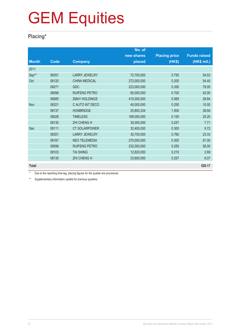### **Placing\***

|              |       |                      | No. of      |                      |                     |
|--------------|-------|----------------------|-------------|----------------------|---------------------|
|              |       |                      | new shares  | <b>Placing price</b> | <b>Funds raised</b> |
| <b>Month</b> | Code  | <b>Company</b>       | placed      | (HK\$)               | (HK\$ mil.)         |
| 2011         |       |                      |             |                      |                     |
| Sep**        | 08351 | <b>LARRY JEWELRY</b> | 72,700,000  | 0.750                | 54.53               |
| Oct          | 08120 | <b>CHINA MEDICAL</b> | 272,000,000 | 0.200                | 54.40               |
|              | 08271 | <b>GDC</b>           | 223,000,000 | 0.350                | 78.05               |
|              | 08096 | <b>RUIFENG PETRO</b> | 60,000,000  | 0.700                | 42.00               |
|              | 08085 | <b>ZMAY HOLDINGS</b> | 415,000,000 | 0.069                | 28.64               |
| Nov          | 08321 | C AUTO INT DECO      | 40,000,000  | 0.250                | 10.00               |
|              | 08137 | <b>HONBRIDGE</b>     | 25,893,334  | 1.500                | 38.84               |
|              | 08028 | <b>TIMELESS</b>      | 168,000,000 | 0.150                | 25.20               |
|              | 08130 | <b>ZHI CHENG H</b>   | 30,000,000  | 0.257                | 7.71                |
| <b>Dec</b>   | 08111 | <b>CT SOLARPOWER</b> | 32,400,000  | 0.300                | 9.72                |
|              | 08351 | <b>LARRY JEWELRY</b> | 30,700,000  | 0.760                | 23.33               |
|              | 08167 | <b>NEO TELEMEDIA</b> | 270,000,000 | 0.300                | 81.00               |
|              | 08096 | <b>RUIFENG PETRO</b> | 232,000,000 | 0.250                | 58.00               |
|              | 08103 | <b>TAI SHING</b>     | 12,820,000  | 0.210                | 2.69                |
|              | 08130 | <b>ZHI CHENG H</b>   | 23,600,000  | 0.257                | 6.07                |
| <b>Total</b> |       |                      |             |                      | 520.17              |

\* Due to the reporting time-lag, placing figures for the quarter are provisional.

\*\* Supplementary information update for previous quarters.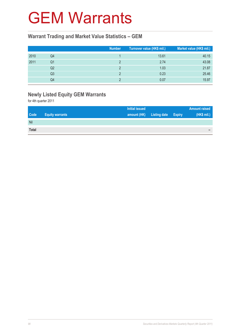### GEM Warrants

#### **Warrant Trading and Market Value Statistics – GEM**

|      |    | <b>Number</b> | Turnover value (HK\$ mil.) | Market value (HK\$ mil.) |
|------|----|---------------|----------------------------|--------------------------|
| 2010 | Q4 |               | 13.61                      | 40.15                    |
| 2011 | Q1 |               | 2.74                       | 43.08                    |
|      | Q2 |               | 1.03                       | 21.87                    |
|      | Q3 |               | 0.23                       | 25.46                    |
|      | Q4 |               | 0.07                       | 15.97                    |

### **Newly Listed Equity GEM Warrants**

for 4th quarter 2011

| <b>Initial issued</b>                                |                     |               | <b>Amount raised</b> |
|------------------------------------------------------|---------------------|---------------|----------------------|
| <b>Code</b><br>amount (HK)<br><b>Equity warrants</b> | <b>Listing date</b> | <b>Expiry</b> | (HK\$ mil.)          |
| Nil                                                  |                     |               |                      |
| <b>Total</b>                                         |                     |               | $\sim$               |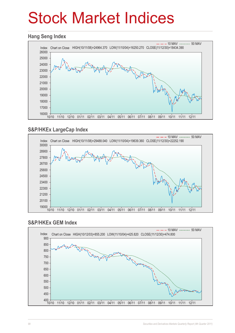## Stock Market Indices

#### **Hang Seng Index**



### **S&P/HKEx LargeCap Index**



#### **S&P/HKEx GEM Index**

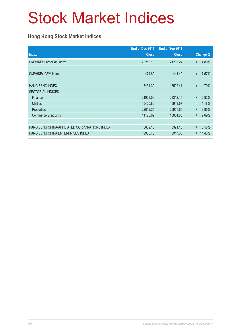## Stock Market Indices

### **Hong Kong Stock Market Indices**

|                                               | End of Dec 2011 | End of Sep 2011 |                          |          |
|-----------------------------------------------|-----------------|-----------------|--------------------------|----------|
| <b>Index</b>                                  | <b>Close</b>    | <b>Close</b>    |                          | Change % |
| S&P/HKEx LargeCap Index                       | 22252.19        | 21233.24        | $+$                      | 4.80%    |
|                                               |                 |                 |                          |          |
| S&P/HKEx GEM Index                            | 474.80          | 441.40          | $\ddot{}$                | 7.57%    |
|                                               |                 |                 |                          |          |
| <b>HANG SENG INDEX</b>                        | 18434.39        | 17592.41        | $+$                      | 4.79%    |
| <b>SECTORIAL INDICES</b>                      |                 |                 |                          |          |
| Finance                                       | 24903.00        | 23312.15        | $+$                      | 6.82%    |
| <b>Utilities</b>                              | 45400.86        | 45943.67        | $\overline{\phantom{0}}$ | 1.18%    |
| Properties                                    | 22812.24        | 20957.65        | $+$                      | 8.85%    |
| Commerce & Industry                           | 11126.69        | 10834.86        | $\ddot{}$                | 2.69%    |
|                                               |                 |                 |                          |          |
| HANG SENG CHINA-AFFILIATED CORPORATIONS INDEX | 3682.18         | 3391.13         | $^{+}$                   | 8.58%    |
| HANG SENG CHINA ENTERPRISES INDEX             | 9936.48         | 8917.36         | $+$                      | 11.43%   |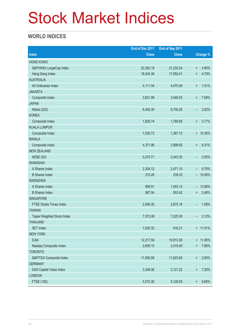## Stock Market Indices

### **WORLD INDICES**

|                                 | End of Dec 2011 | End of Sep 2011 |                                    |
|---------------------------------|-----------------|-----------------|------------------------------------|
| <b>Index</b>                    | <b>Close</b>    | <b>Close</b>    | Change %                           |
| <b>HONG KONG</b>                |                 |                 |                                    |
| S&P/HKEx LargeCap Index         | 22,252.19       | 21,233.24       | 4.80%<br>$\ddot{}$                 |
| Hang Seng Index                 | 18,434.39       | 17,592.41       | 4.79%<br>$\ddot{}$                 |
| <b>AUSTRALIA</b>                |                 |                 |                                    |
| All Ordinaries Index            | 4,111.04        | 4,070.09        | 1.01%<br>$\boldsymbol{+}$          |
| <b>JAKARTA</b>                  |                 |                 |                                    |
| Composite Index                 | 3,821.99        | 3,549.03        | 7.69%<br>$\ddot{}$                 |
| <b>JAPAN</b>                    |                 |                 |                                    |
| Nikkei (225)                    | 8,455.35        | 8,700.29        | 2.82%<br>-                         |
| <b>KOREA</b>                    |                 |                 |                                    |
| Composite Index                 | 1,825.74        | 1,769.65        | 3.17%<br>$\ddot{}$                 |
| <b>KUALA LUMPUR</b>             |                 |                 |                                    |
| Composite Index                 | 1,530.73        | 1,387.13        | + 10.35%                           |
| <b>MANILA</b>                   |                 |                 |                                    |
| Composite Index                 | 4,371.96        | 3,999.65        | 9.31%<br>$\ddot{}$                 |
| <b>NEW ZEALAND</b>              |                 |                 |                                    |
| <b>NZSE (50)</b>                | 3,274.71        | 3,343.35        | 2.05%<br>-                         |
| <b>SHANGHAI</b>                 |                 |                 |                                    |
| A Shares Index                  | 2,304.12        | 2,471.10        | 6.76%<br>-                         |
| <b>B</b> Shares Index           | 215.26          | 239.33          | 10.06%<br>$\overline{\phantom{0}}$ |
| <b>SHENZHEN</b>                 |                 |                 |                                    |
| A Shares Index                  | 906.91          | 1,053.14        | 13.88%<br>$\overline{\phantom{a}}$ |
| <b>B</b> Shares Index           | 567.04          | 553.42          | 2.46%<br>$\ddot{}$                 |
| <b>SINGAPORE</b>                |                 |                 |                                    |
| <b>FTSE Straits Times Index</b> | 2,646.35        | 2,675.16        | 1.08%<br>-                         |
| <b>TAIWAN</b>                   |                 |                 |                                    |
| Taipei Weighted Stock Index     | 7,072.08        | 7,225.38        | 2.12%<br>-                         |
| <b>THAILAND</b>                 |                 |                 |                                    |
| <b>SET Index</b>                | 1,025.32        | 916.21          | + 11.91%                           |
| <b>NEW YORK</b>                 |                 |                 |                                    |
| <b>DJIA</b>                     | 12,217.56       | 10,913.38       | + 11.95%                           |
| Nasdaq Composite Index          | 2,605.15        | 2,415.40        | 7.86%<br>$\ddot{}$                 |
| <b>TORONTO</b>                  |                 |                 |                                    |
| S&P/TSX Composite Index         | 11,955.09       | 11,623.84       | 2.85%<br>$\boldsymbol{+}$          |
| <b>GERMANY</b>                  |                 |                 |                                    |
| DAX Capital Value Index         | 3,346.06        | 3,121.22        | 7.20%<br>$\ddot{}$                 |
| <b>LONDON</b>                   |                 |                 |                                    |
| FTSE (100)                      | 5,572.30        | 5,128.50        | 8.65%<br>$^{\rm +}$                |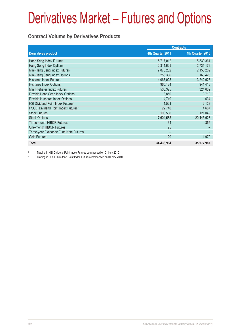### **Contract Volume by Derivatives Products**

|                                                 | <b>Contracts</b> |                  |
|-------------------------------------------------|------------------|------------------|
| <b>Derivatives product</b>                      | 4th Quarter 2011 | 4th Quarter 2010 |
| Hang Seng Index Futures                         | 5,717,012        | 5,839,361        |
| Hang Seng Index Options                         | 2,311,629        | 2,731,179        |
| Mini-Hang Seng Index Futures                    | 2,873,202        | 2,150,209        |
| Mini-Hang Seng Index Options                    | 256,356          | 168,425          |
| H-shares Index Futures                          | 4,067,025        | 3,242,625        |
| H-shares Index Options                          | 965,184          | 941,418          |
| Mini H-shares Index Futures                     | 500,325          | 324,632          |
| Flexible Hang Seng Index Options                | 3,850            | 3,710            |
| Flexible H-shares Index Options                 | 14,740           | 634              |
| HSI Dividend Point Index Futures <sup>1</sup>   | 1,521            | 2,123            |
| HSCEI Dividend Point Index Futures <sup>2</sup> | 22,740           | 4,667            |
| <b>Stock Futures</b>                            | 100,586          | 121,049          |
| <b>Stock Options</b>                            | 17,604,585       | 20,445,628       |
| Three-month HIBOR Futures                       | 64               | 355              |
| One-month HIBOR Futures                         | 25               |                  |
| Three-year Exchange Fund Note Futures           |                  |                  |
| <b>Gold Futures</b>                             | 120              | 1,972            |
| <b>Total</b>                                    | 34,438,964       | 35,977,987       |

1 Trading in HSI Dividend Point Index Futures commenced on 01 Nov 2010

2 Trading in HSCEI Dividend Point Index Futures commenced on 01 Nov 2010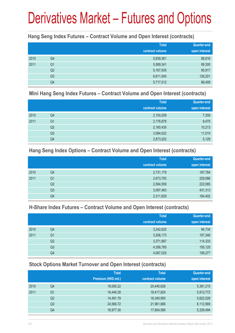#### **Hang Seng Index Futures – Contract Volume and Open Interest (contracts)**

|      |                | <b>Total</b><br>contract volume | <b>Quarter-end</b><br>open interest |
|------|----------------|---------------------------------|-------------------------------------|
| 2010 | Q4             | 5,839,361                       | 88,816                              |
| 2011 | Q <sub>1</sub> | 5,589,341                       | 89,300                              |
|      | Q <sub>2</sub> | 5,167,935                       | 95,917                              |
|      | Q <sub>3</sub> | 6,611,545                       | 128,201                             |
|      | Q4             | 5,717,012                       | 86,409                              |

#### **Mini Hang Seng Index Futures – Contract Volume and Open Interest (contracts)**

|      |                | <b>Total</b><br>contract volume | <b>Quarter-end</b><br>open interest |
|------|----------------|---------------------------------|-------------------------------------|
| 2010 | Q4             | 2,150,209                       | 7,359                               |
| 2011 | Q <sub>1</sub> | 2,176,878                       | 8,475                               |
|      | Q <sub>2</sub> | 2,160,435                       | 10,213                              |
|      | Q <sub>3</sub> | 3,084,022                       | 11,015                              |
|      | Q4             | 2,873,202                       | 5,129                               |

#### **Hang Seng Index Options – Contract Volume and Open Interest (contracts)**

|      |                | <b>Total</b>    | <b>Quarter-end</b> |
|------|----------------|-----------------|--------------------|
|      |                | contract volume | open interest      |
| 2010 | Q4             | 2,731,179       | 187,784            |
| 2011 | Q <sub>1</sub> | 2,673,755       | 229,086            |
|      | Q <sub>2</sub> | 2,584,559       | 222,085            |
|      | Q <sub>3</sub> | 3,097,483       | 431,313            |
|      | Q4             | 2,311,629       | 184,402            |

### **H-Share Index Futures – Contract Volume and Open Interest (contracts)**

|      |                | <b>Total</b>    | <b>Quarter-end</b> |
|------|----------------|-----------------|--------------------|
|      |                | contract volume | open interest      |
| 2010 | Q4             | 3,242,625       | 94,734             |
| 2011 | Q1             | 3,206,173       | 107,348            |
|      | Q <sub>2</sub> | 3,371,887       | 114,333            |
|      | Q3             | 4,358,785       | 155,125            |
|      | Q4             | 4,067,025       | 106,277            |

### **Stock Options Market Turnover and Open Interest (contracts)**

|    | <b>Total</b>        | <b>Total</b>    | Quarter-end   |
|----|---------------------|-----------------|---------------|
|    | Premium (HK\$ mil.) | contract volume | open interest |
| Q4 | 18,050.22           | 20,445,628      | 5,381,215     |
| Q1 | 16,446.28           | 18,417,824      | 5,912,772     |
| Q2 | 14,491.79           | 16,340,993      | 5,622,028     |
| Q3 | 24,566.72           | 21,961,666      | 8,112,569     |
| Q4 | 16,977.30           | 17,604,585      | 5,329,494     |
|    |                     |                 |               |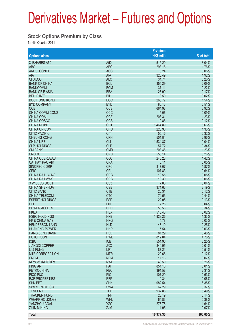#### **Stock Options Premium by Class**

for 4th Quarter 2011

|                             |                          | <b>Premium</b>  |                |
|-----------------------------|--------------------------|-----------------|----------------|
| <b>Options class</b>        |                          | $(HK$$ mil.)    | % of total     |
| X ISHARES A50               | A <sub>50</sub>          | 515.29          | 3.04%          |
| <b>ABC</b>                  | <b>ABC</b>               | 298.18          | 1.76%          |
| <b>ANHUI CONCH</b>          | <b>ACC</b>               | 8.24            | 0.05%          |
| <b>AIA</b>                  | <b>AIA</b>               | 325.49          | 1.92%          |
| <b>CHALCO</b>               | <b>ALC</b>               | 34.74           | 0.20%          |
| <b>BANK OF CHINA</b>        | <b>BCL</b>               | 355.29          | 2.09%          |
| <b>BANKCOMM</b>             | <b>BCM</b>               | 37.11           | 0.22%          |
| <b>BANK OF E ASIA</b>       | <b>BEA</b>               | 28.99           | 0.17%          |
| <b>BELLE INT'L</b>          | <b>BIH</b>               | 3.50            | 0.02%          |
| <b>BOC HONG KONG</b>        | <b>BOC</b>               | 260.77          | 1.54%          |
| <b>BYD COMPANY</b>          | <b>BYD</b>               | 86.13           | 0.51%          |
| <b>CCB</b>                  | <b>CCB</b>               | 664.98          | 3.92%          |
| <b>CHINA COMM CONS</b>      | CCC                      | 15.06           | 0.09%          |
| <b>CHINA COAL</b>           | <b>CCE</b>               | 208.31          | 1.23%          |
| <b>CHINA COSCO</b>          | <b>CCS</b>               | 19.86           | 0.12%          |
| <b>CHINA MOBILE</b>         | <b>CHT</b>               | 1,464.89        | 8.63%          |
| <b>CHINA UNICOM</b>         | <b>CHU</b>               | 225.96          | 1.33%          |
| <b>CITIC PACIFIC</b>        | <b>CIT</b>               | 55.16           | 0.32%          |
| <b>CHEUNG KONG</b>          | <b>CKH</b>               | 501.84          | 2.96%          |
| <b>CHINA LIFE</b>           | <b>CLI</b>               | 1,534.87        | 9.04%          |
| <b>CLP HOLDINGS</b>         | <b>CLP</b>               | 57.72           | 0.34%          |
| <b>CM BANK</b>              | <b>CMB</b>               | 208.46          | 1.23%          |
| <b>CNOOC</b>                | <b>CNC</b>               | 553.14          | 3.26%          |
| <b>CHINA OVERSEAS</b>       | COL                      | 240.28          | 1.42%          |
| <b>CATHAY PAC AIR</b>       | <b>CPA</b>               | 8.11            | 0.05%          |
| SINOPEC CORP<br><b>CPIC</b> | <b>CPC</b><br><b>CPI</b> | 317.07          | 1.87%          |
| <b>CHINA RAIL CONS</b>      | <b>CRC</b>               | 107.83<br>13.55 | 0.64%<br>0.08% |
| <b>CHINA RAILWAY</b>        | <b>CRG</b>               | 10.39           | 0.06%          |
| X WISECSI300ETF             | CS <sub>3</sub>          | 7.06            | 0.04%          |
| <b>CHINA SHENHUA</b>        | <b>CSE</b>               | 371.63          | 2.19%          |
| <b>CITIC BANK</b>           | <b>CTB</b>               | 20.31           | 0.12%          |
| <b>CHINA TELECOM</b>        | <b>CTC</b>               | 74.53           | 0.44%          |
| <b>ESPRIT HOLDINGS</b>      | <b>ESP</b>               | 22.05           | 0.13%          |
| <b>FIH</b>                  | <b>FIH</b>               | 7.25            | 0.04%          |
| <b>POWER ASSETS</b>         | <b>HEH</b>               | 58.53           | 0.34%          |
| <b>HKEX</b>                 | <b>HEX</b>               | 513.48          | 3.02%          |
| <b>HSBC HOLDINGS</b>        | <b>HKB</b>               | 1,923.26        | 11.33%         |
| <b>HK &amp; CHINA GAS</b>   | <b>HKG</b>               | 4.78            | 0.03%          |
| <b>HENDERSON LAND</b>       | <b>HLD</b>               | 43.10           | 0.25%          |
| <b>HUANENG POWER</b>        | <b>HNP</b>               | 5.54            | 0.03%          |
| <b>HANG SENG BANK</b>       | <b>HSB</b>               | 81.29           | 0.48%          |
| <b>HUTCHISON</b>            | <b>HWL</b>               | 812.04          | 4.78%          |
| <b>ICBC</b>                 | <b>ICB</b>               | 551.96          | 3.25%          |
| <b>JIANGXI COPPER</b>       | <b>JXC</b>               | 340.95          | 2.01%          |
| LI & FUNG                   | <b>LIF</b>               | 87.21           | 0.51%          |
| <b>MTR CORPORATION</b>      | <b>MTR</b>               | 20.66           | 0.12%          |
| <b>CNBM</b>                 | <b>NBM</b>               | 11.13           | 0.07%          |
| <b>NEW WORLD DEV</b>        | <b>NWD</b>               | 43.59           | 0.26%          |
| <b>PING AN</b>              | PAI                      | 851.10          | 5.01%          |
| <b>PETROCHINA</b>           | <b>PEC</b>               | 391.58          | 2.31%          |
| PICC P&C                    | <b>PIC</b>               | 107.29          | 0.63%          |
| <b>R&amp;F PROPERTIES</b>   | <b>RFP</b>               | 9.34            | 0.06%          |
| SHK PPT                     | <b>SHK</b>               | 1,082.54        | 6.38%          |
| <b>SWIRE PACIFIC A</b>      | <b>SWA</b>               | 62.29           | 0.37%          |
| <b>TENCENT</b>              | <b>TCH</b>               | 932.85          | 5.49%          |
| <b>TRACKER FUND</b>         | <b>TRF</b>               | 23.19           | 0.14%          |
| <b>WHARF HOLDINGS</b>       | <b>WHL</b>               | 64.83           | 0.38%          |
| YANZHOU COAL                | YZC                      | 278.78          | 1.64%          |
| <b>ZIJIN MINING</b>         | ZJM                      | 11.95           | 0.07%          |
| <b>Total</b>                |                          | 16,977.30       | 100.00%        |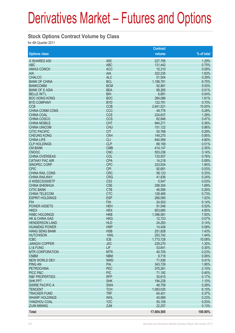#### **Stock Options Contract Volume by Class**

for 4th Quarter 2011

| volume<br>% of total<br><b>Options class</b><br>X ISHARES A50<br>A <sub>50</sub><br>227,795<br>1.29%<br><b>ABC</b><br><b>ABC</b><br>0.75%<br>131,442<br><b>ANHUI CONCH</b><br>0.09%<br><b>ACC</b><br>15,310<br><b>AIA</b><br>1.83%<br><b>AIA</b><br>322,235<br><b>CHALCO</b><br><b>ALC</b><br>0.29%<br>51,504<br><b>BCL</b><br>6.75%<br><b>BANK OF CHINA</b><br>1,188,781<br><b>BCM</b><br>0.53%<br><b>BANKCOMM</b><br>92,881<br>0.51%<br><b>BEA</b><br><b>BANK OF E ASIA</b><br>89,265<br><b>BIH</b><br>0.04%<br><b>BELLE INT'L</b><br>6,891<br>1.61%<br><b>BOC</b><br><b>BOC HONG KONG</b><br>284,086<br><b>BYD</b><br>0.70%<br><b>BYD COMPANY</b><br>122,791<br><b>CCB</b><br><b>CCB</b><br>15.00%<br>2,641,521<br><b>CHINA COMM CONS</b><br>CCC<br>0.28%<br>49,776<br><b>CCE</b><br>1.28%<br><b>CHINA COAL</b><br>224,637<br>CCS<br>0.47%<br><b>CHINA COSCO</b><br>82,846<br><b>CHT</b><br>5.36%<br><b>CHINA MOBILE</b><br>944,271<br><b>CHU</b><br>0.86%<br><b>CHINA UNICOM</b><br>151,122<br><b>CIT</b><br>0.29%<br><b>CITIC PACIFIC</b><br>50,768<br><b>CKH</b><br>0.85%<br><b>CHEUNG KONG</b><br>149,270<br><b>CLI</b><br>4.80%<br><b>CHINA LIFE</b><br>844,569<br><b>CLP</b><br><b>CLP HOLDINGS</b><br>0.51%<br>89,169<br><b>CMB</b><br>2.35%<br><b>CM BANK</b><br>414,147<br><b>CNC</b><br><b>CNOOC</b><br>3.14%<br>553,236<br><b>CHINA OVERSEAS</b><br>COL<br>0.76%<br>133,937<br><b>CATHAY PAC AIR</b><br><b>CPA</b><br>0.08%<br>14,218<br><b>CPC</b><br>1.84%<br><b>SINOPEC CORP</b><br>323,934<br><b>CPIC</b><br><b>CPI</b><br>0.53%<br>92,691<br><b>CRC</b><br>0.33%<br><b>CHINA RAIL CONS</b><br>58,123<br><b>CHINA RAILWAY</b><br><b>CRG</b><br>0.24%<br>41,836<br>CS <sub>3</sub><br>0.03%<br>X WISECSI300ETF<br>5,547<br><b>CSE</b><br>1.69%<br><b>CHINA SHENHUA</b><br>298,304<br><b>CTB</b><br>0.26%<br><b>CITIC BANK</b><br>46,595<br><b>CTC</b><br>0.73%<br><b>CHINA TELECOM</b><br>128,485<br><b>ESP</b><br>1.52%<br><b>ESPRIT HOLDINGS</b><br>268,085<br><b>FIH</b><br>0.14%<br><b>FIH</b><br>24,553<br><b>POWER ASSETS</b><br><b>HEH</b><br>0.52%<br>91,546<br><b>HKEX</b><br><b>HEX</b><br>4.85%<br>853,680<br><b>HSBC HOLDINGS</b><br>7.93%<br><b>HKB</b><br>1,396,581<br><b>HKG</b><br>0.07%<br><b>HK &amp; CHINA GAS</b><br>12,723<br><b>HENDERSON LAND</b><br><b>HLD</b><br>24,283<br>0.14%<br>0.08%<br><b>HUANENG POWER</b><br><b>HNP</b><br>14,408<br><b>HSB</b><br>251,828<br>1.43%<br><b>HANG SENG BANK</b><br>1.44%<br><b>HUTCHISON</b><br><b>HWL</b><br>253,742<br>10.08%<br><b>ICBC</b><br><b>ICB</b><br>1,773,728<br><b>JIANGXI COPPER</b><br><b>JXC</b><br>1.30%<br>229,270<br><b>LIF</b><br>0.30%<br>LI & FUNG<br>53,641<br>0.23%<br><b>MTR</b><br><b>MTR CORPORATION</b><br>40,705<br><b>CNBM</b><br><b>NBM</b><br>9,718<br>0.06%<br><b>NEW WORLD DEV</b><br><b>NWD</b><br>0.41%<br>71,936<br>1.95%<br><b>PING AN</b><br>PAI<br>343,729<br>PEC<br>2.10%<br>370,261<br><b>PETROCHINA</b><br>PICC P&C<br><b>PIC</b><br>71,192<br>0.40%<br><b>RFP</b><br>0.17%<br><b>R&amp;F PROPERTIES</b><br>30,615<br><b>SHK</b><br>194,228<br>1.10%<br><b>SHK PPT</b><br>0.28%<br><b>SWIRE PACIFIC A</b><br><b>SWA</b><br>48,759<br><b>TCH</b><br>1,083,035<br>6.15%<br><b>TENCENT</b><br><b>TRF</b><br>0.37%<br><b>TRACKER FUND</b><br>64,421<br>0.23%<br><b>WHL</b><br>40,569<br><b>WHARF HOLDINGS</b><br><b>YZC</b><br>0.53%<br>YANZHOU COAL<br>93,109<br><b>ZJM</b><br>22,257<br>0.13%<br><b>ZIJIN MINING</b><br><b>Total</b><br>17,604,585<br>100.00% |  | <b>Contract</b> |  |
|---------------------------------------------------------------------------------------------------------------------------------------------------------------------------------------------------------------------------------------------------------------------------------------------------------------------------------------------------------------------------------------------------------------------------------------------------------------------------------------------------------------------------------------------------------------------------------------------------------------------------------------------------------------------------------------------------------------------------------------------------------------------------------------------------------------------------------------------------------------------------------------------------------------------------------------------------------------------------------------------------------------------------------------------------------------------------------------------------------------------------------------------------------------------------------------------------------------------------------------------------------------------------------------------------------------------------------------------------------------------------------------------------------------------------------------------------------------------------------------------------------------------------------------------------------------------------------------------------------------------------------------------------------------------------------------------------------------------------------------------------------------------------------------------------------------------------------------------------------------------------------------------------------------------------------------------------------------------------------------------------------------------------------------------------------------------------------------------------------------------------------------------------------------------------------------------------------------------------------------------------------------------------------------------------------------------------------------------------------------------------------------------------------------------------------------------------------------------------------------------------------------------------------------------------------------------------------------------------------------------------------------------------------------------------------------------------------------------------------------------------------------------------------------------------------------------------------------------------------------------------------------------------------------------------------------------------------------------------------------------------------------------------------------------------------------------------------------------------------------------------------------------------------------------------------------------------------------------------------------------------------------------------------------------------------------------------------------------------------------------------------------------------------------------------------------------------------------------------------------|--|-----------------|--|
|                                                                                                                                                                                                                                                                                                                                                                                                                                                                                                                                                                                                                                                                                                                                                                                                                                                                                                                                                                                                                                                                                                                                                                                                                                                                                                                                                                                                                                                                                                                                                                                                                                                                                                                                                                                                                                                                                                                                                                                                                                                                                                                                                                                                                                                                                                                                                                                                                                                                                                                                                                                                                                                                                                                                                                                                                                                                                                                                                                                                                                                                                                                                                                                                                                                                                                                                                                                                                                                                                       |  |                 |  |
|                                                                                                                                                                                                                                                                                                                                                                                                                                                                                                                                                                                                                                                                                                                                                                                                                                                                                                                                                                                                                                                                                                                                                                                                                                                                                                                                                                                                                                                                                                                                                                                                                                                                                                                                                                                                                                                                                                                                                                                                                                                                                                                                                                                                                                                                                                                                                                                                                                                                                                                                                                                                                                                                                                                                                                                                                                                                                                                                                                                                                                                                                                                                                                                                                                                                                                                                                                                                                                                                                       |  |                 |  |
|                                                                                                                                                                                                                                                                                                                                                                                                                                                                                                                                                                                                                                                                                                                                                                                                                                                                                                                                                                                                                                                                                                                                                                                                                                                                                                                                                                                                                                                                                                                                                                                                                                                                                                                                                                                                                                                                                                                                                                                                                                                                                                                                                                                                                                                                                                                                                                                                                                                                                                                                                                                                                                                                                                                                                                                                                                                                                                                                                                                                                                                                                                                                                                                                                                                                                                                                                                                                                                                                                       |  |                 |  |
|                                                                                                                                                                                                                                                                                                                                                                                                                                                                                                                                                                                                                                                                                                                                                                                                                                                                                                                                                                                                                                                                                                                                                                                                                                                                                                                                                                                                                                                                                                                                                                                                                                                                                                                                                                                                                                                                                                                                                                                                                                                                                                                                                                                                                                                                                                                                                                                                                                                                                                                                                                                                                                                                                                                                                                                                                                                                                                                                                                                                                                                                                                                                                                                                                                                                                                                                                                                                                                                                                       |  |                 |  |
|                                                                                                                                                                                                                                                                                                                                                                                                                                                                                                                                                                                                                                                                                                                                                                                                                                                                                                                                                                                                                                                                                                                                                                                                                                                                                                                                                                                                                                                                                                                                                                                                                                                                                                                                                                                                                                                                                                                                                                                                                                                                                                                                                                                                                                                                                                                                                                                                                                                                                                                                                                                                                                                                                                                                                                                                                                                                                                                                                                                                                                                                                                                                                                                                                                                                                                                                                                                                                                                                                       |  |                 |  |
|                                                                                                                                                                                                                                                                                                                                                                                                                                                                                                                                                                                                                                                                                                                                                                                                                                                                                                                                                                                                                                                                                                                                                                                                                                                                                                                                                                                                                                                                                                                                                                                                                                                                                                                                                                                                                                                                                                                                                                                                                                                                                                                                                                                                                                                                                                                                                                                                                                                                                                                                                                                                                                                                                                                                                                                                                                                                                                                                                                                                                                                                                                                                                                                                                                                                                                                                                                                                                                                                                       |  |                 |  |
|                                                                                                                                                                                                                                                                                                                                                                                                                                                                                                                                                                                                                                                                                                                                                                                                                                                                                                                                                                                                                                                                                                                                                                                                                                                                                                                                                                                                                                                                                                                                                                                                                                                                                                                                                                                                                                                                                                                                                                                                                                                                                                                                                                                                                                                                                                                                                                                                                                                                                                                                                                                                                                                                                                                                                                                                                                                                                                                                                                                                                                                                                                                                                                                                                                                                                                                                                                                                                                                                                       |  |                 |  |
|                                                                                                                                                                                                                                                                                                                                                                                                                                                                                                                                                                                                                                                                                                                                                                                                                                                                                                                                                                                                                                                                                                                                                                                                                                                                                                                                                                                                                                                                                                                                                                                                                                                                                                                                                                                                                                                                                                                                                                                                                                                                                                                                                                                                                                                                                                                                                                                                                                                                                                                                                                                                                                                                                                                                                                                                                                                                                                                                                                                                                                                                                                                                                                                                                                                                                                                                                                                                                                                                                       |  |                 |  |
|                                                                                                                                                                                                                                                                                                                                                                                                                                                                                                                                                                                                                                                                                                                                                                                                                                                                                                                                                                                                                                                                                                                                                                                                                                                                                                                                                                                                                                                                                                                                                                                                                                                                                                                                                                                                                                                                                                                                                                                                                                                                                                                                                                                                                                                                                                                                                                                                                                                                                                                                                                                                                                                                                                                                                                                                                                                                                                                                                                                                                                                                                                                                                                                                                                                                                                                                                                                                                                                                                       |  |                 |  |
|                                                                                                                                                                                                                                                                                                                                                                                                                                                                                                                                                                                                                                                                                                                                                                                                                                                                                                                                                                                                                                                                                                                                                                                                                                                                                                                                                                                                                                                                                                                                                                                                                                                                                                                                                                                                                                                                                                                                                                                                                                                                                                                                                                                                                                                                                                                                                                                                                                                                                                                                                                                                                                                                                                                                                                                                                                                                                                                                                                                                                                                                                                                                                                                                                                                                                                                                                                                                                                                                                       |  |                 |  |
|                                                                                                                                                                                                                                                                                                                                                                                                                                                                                                                                                                                                                                                                                                                                                                                                                                                                                                                                                                                                                                                                                                                                                                                                                                                                                                                                                                                                                                                                                                                                                                                                                                                                                                                                                                                                                                                                                                                                                                                                                                                                                                                                                                                                                                                                                                                                                                                                                                                                                                                                                                                                                                                                                                                                                                                                                                                                                                                                                                                                                                                                                                                                                                                                                                                                                                                                                                                                                                                                                       |  |                 |  |
|                                                                                                                                                                                                                                                                                                                                                                                                                                                                                                                                                                                                                                                                                                                                                                                                                                                                                                                                                                                                                                                                                                                                                                                                                                                                                                                                                                                                                                                                                                                                                                                                                                                                                                                                                                                                                                                                                                                                                                                                                                                                                                                                                                                                                                                                                                                                                                                                                                                                                                                                                                                                                                                                                                                                                                                                                                                                                                                                                                                                                                                                                                                                                                                                                                                                                                                                                                                                                                                                                       |  |                 |  |
|                                                                                                                                                                                                                                                                                                                                                                                                                                                                                                                                                                                                                                                                                                                                                                                                                                                                                                                                                                                                                                                                                                                                                                                                                                                                                                                                                                                                                                                                                                                                                                                                                                                                                                                                                                                                                                                                                                                                                                                                                                                                                                                                                                                                                                                                                                                                                                                                                                                                                                                                                                                                                                                                                                                                                                                                                                                                                                                                                                                                                                                                                                                                                                                                                                                                                                                                                                                                                                                                                       |  |                 |  |
|                                                                                                                                                                                                                                                                                                                                                                                                                                                                                                                                                                                                                                                                                                                                                                                                                                                                                                                                                                                                                                                                                                                                                                                                                                                                                                                                                                                                                                                                                                                                                                                                                                                                                                                                                                                                                                                                                                                                                                                                                                                                                                                                                                                                                                                                                                                                                                                                                                                                                                                                                                                                                                                                                                                                                                                                                                                                                                                                                                                                                                                                                                                                                                                                                                                                                                                                                                                                                                                                                       |  |                 |  |
|                                                                                                                                                                                                                                                                                                                                                                                                                                                                                                                                                                                                                                                                                                                                                                                                                                                                                                                                                                                                                                                                                                                                                                                                                                                                                                                                                                                                                                                                                                                                                                                                                                                                                                                                                                                                                                                                                                                                                                                                                                                                                                                                                                                                                                                                                                                                                                                                                                                                                                                                                                                                                                                                                                                                                                                                                                                                                                                                                                                                                                                                                                                                                                                                                                                                                                                                                                                                                                                                                       |  |                 |  |
|                                                                                                                                                                                                                                                                                                                                                                                                                                                                                                                                                                                                                                                                                                                                                                                                                                                                                                                                                                                                                                                                                                                                                                                                                                                                                                                                                                                                                                                                                                                                                                                                                                                                                                                                                                                                                                                                                                                                                                                                                                                                                                                                                                                                                                                                                                                                                                                                                                                                                                                                                                                                                                                                                                                                                                                                                                                                                                                                                                                                                                                                                                                                                                                                                                                                                                                                                                                                                                                                                       |  |                 |  |
|                                                                                                                                                                                                                                                                                                                                                                                                                                                                                                                                                                                                                                                                                                                                                                                                                                                                                                                                                                                                                                                                                                                                                                                                                                                                                                                                                                                                                                                                                                                                                                                                                                                                                                                                                                                                                                                                                                                                                                                                                                                                                                                                                                                                                                                                                                                                                                                                                                                                                                                                                                                                                                                                                                                                                                                                                                                                                                                                                                                                                                                                                                                                                                                                                                                                                                                                                                                                                                                                                       |  |                 |  |
|                                                                                                                                                                                                                                                                                                                                                                                                                                                                                                                                                                                                                                                                                                                                                                                                                                                                                                                                                                                                                                                                                                                                                                                                                                                                                                                                                                                                                                                                                                                                                                                                                                                                                                                                                                                                                                                                                                                                                                                                                                                                                                                                                                                                                                                                                                                                                                                                                                                                                                                                                                                                                                                                                                                                                                                                                                                                                                                                                                                                                                                                                                                                                                                                                                                                                                                                                                                                                                                                                       |  |                 |  |
|                                                                                                                                                                                                                                                                                                                                                                                                                                                                                                                                                                                                                                                                                                                                                                                                                                                                                                                                                                                                                                                                                                                                                                                                                                                                                                                                                                                                                                                                                                                                                                                                                                                                                                                                                                                                                                                                                                                                                                                                                                                                                                                                                                                                                                                                                                                                                                                                                                                                                                                                                                                                                                                                                                                                                                                                                                                                                                                                                                                                                                                                                                                                                                                                                                                                                                                                                                                                                                                                                       |  |                 |  |
|                                                                                                                                                                                                                                                                                                                                                                                                                                                                                                                                                                                                                                                                                                                                                                                                                                                                                                                                                                                                                                                                                                                                                                                                                                                                                                                                                                                                                                                                                                                                                                                                                                                                                                                                                                                                                                                                                                                                                                                                                                                                                                                                                                                                                                                                                                                                                                                                                                                                                                                                                                                                                                                                                                                                                                                                                                                                                                                                                                                                                                                                                                                                                                                                                                                                                                                                                                                                                                                                                       |  |                 |  |
|                                                                                                                                                                                                                                                                                                                                                                                                                                                                                                                                                                                                                                                                                                                                                                                                                                                                                                                                                                                                                                                                                                                                                                                                                                                                                                                                                                                                                                                                                                                                                                                                                                                                                                                                                                                                                                                                                                                                                                                                                                                                                                                                                                                                                                                                                                                                                                                                                                                                                                                                                                                                                                                                                                                                                                                                                                                                                                                                                                                                                                                                                                                                                                                                                                                                                                                                                                                                                                                                                       |  |                 |  |
|                                                                                                                                                                                                                                                                                                                                                                                                                                                                                                                                                                                                                                                                                                                                                                                                                                                                                                                                                                                                                                                                                                                                                                                                                                                                                                                                                                                                                                                                                                                                                                                                                                                                                                                                                                                                                                                                                                                                                                                                                                                                                                                                                                                                                                                                                                                                                                                                                                                                                                                                                                                                                                                                                                                                                                                                                                                                                                                                                                                                                                                                                                                                                                                                                                                                                                                                                                                                                                                                                       |  |                 |  |
|                                                                                                                                                                                                                                                                                                                                                                                                                                                                                                                                                                                                                                                                                                                                                                                                                                                                                                                                                                                                                                                                                                                                                                                                                                                                                                                                                                                                                                                                                                                                                                                                                                                                                                                                                                                                                                                                                                                                                                                                                                                                                                                                                                                                                                                                                                                                                                                                                                                                                                                                                                                                                                                                                                                                                                                                                                                                                                                                                                                                                                                                                                                                                                                                                                                                                                                                                                                                                                                                                       |  |                 |  |
|                                                                                                                                                                                                                                                                                                                                                                                                                                                                                                                                                                                                                                                                                                                                                                                                                                                                                                                                                                                                                                                                                                                                                                                                                                                                                                                                                                                                                                                                                                                                                                                                                                                                                                                                                                                                                                                                                                                                                                                                                                                                                                                                                                                                                                                                                                                                                                                                                                                                                                                                                                                                                                                                                                                                                                                                                                                                                                                                                                                                                                                                                                                                                                                                                                                                                                                                                                                                                                                                                       |  |                 |  |
|                                                                                                                                                                                                                                                                                                                                                                                                                                                                                                                                                                                                                                                                                                                                                                                                                                                                                                                                                                                                                                                                                                                                                                                                                                                                                                                                                                                                                                                                                                                                                                                                                                                                                                                                                                                                                                                                                                                                                                                                                                                                                                                                                                                                                                                                                                                                                                                                                                                                                                                                                                                                                                                                                                                                                                                                                                                                                                                                                                                                                                                                                                                                                                                                                                                                                                                                                                                                                                                                                       |  |                 |  |
|                                                                                                                                                                                                                                                                                                                                                                                                                                                                                                                                                                                                                                                                                                                                                                                                                                                                                                                                                                                                                                                                                                                                                                                                                                                                                                                                                                                                                                                                                                                                                                                                                                                                                                                                                                                                                                                                                                                                                                                                                                                                                                                                                                                                                                                                                                                                                                                                                                                                                                                                                                                                                                                                                                                                                                                                                                                                                                                                                                                                                                                                                                                                                                                                                                                                                                                                                                                                                                                                                       |  |                 |  |
|                                                                                                                                                                                                                                                                                                                                                                                                                                                                                                                                                                                                                                                                                                                                                                                                                                                                                                                                                                                                                                                                                                                                                                                                                                                                                                                                                                                                                                                                                                                                                                                                                                                                                                                                                                                                                                                                                                                                                                                                                                                                                                                                                                                                                                                                                                                                                                                                                                                                                                                                                                                                                                                                                                                                                                                                                                                                                                                                                                                                                                                                                                                                                                                                                                                                                                                                                                                                                                                                                       |  |                 |  |
|                                                                                                                                                                                                                                                                                                                                                                                                                                                                                                                                                                                                                                                                                                                                                                                                                                                                                                                                                                                                                                                                                                                                                                                                                                                                                                                                                                                                                                                                                                                                                                                                                                                                                                                                                                                                                                                                                                                                                                                                                                                                                                                                                                                                                                                                                                                                                                                                                                                                                                                                                                                                                                                                                                                                                                                                                                                                                                                                                                                                                                                                                                                                                                                                                                                                                                                                                                                                                                                                                       |  |                 |  |
|                                                                                                                                                                                                                                                                                                                                                                                                                                                                                                                                                                                                                                                                                                                                                                                                                                                                                                                                                                                                                                                                                                                                                                                                                                                                                                                                                                                                                                                                                                                                                                                                                                                                                                                                                                                                                                                                                                                                                                                                                                                                                                                                                                                                                                                                                                                                                                                                                                                                                                                                                                                                                                                                                                                                                                                                                                                                                                                                                                                                                                                                                                                                                                                                                                                                                                                                                                                                                                                                                       |  |                 |  |
|                                                                                                                                                                                                                                                                                                                                                                                                                                                                                                                                                                                                                                                                                                                                                                                                                                                                                                                                                                                                                                                                                                                                                                                                                                                                                                                                                                                                                                                                                                                                                                                                                                                                                                                                                                                                                                                                                                                                                                                                                                                                                                                                                                                                                                                                                                                                                                                                                                                                                                                                                                                                                                                                                                                                                                                                                                                                                                                                                                                                                                                                                                                                                                                                                                                                                                                                                                                                                                                                                       |  |                 |  |
|                                                                                                                                                                                                                                                                                                                                                                                                                                                                                                                                                                                                                                                                                                                                                                                                                                                                                                                                                                                                                                                                                                                                                                                                                                                                                                                                                                                                                                                                                                                                                                                                                                                                                                                                                                                                                                                                                                                                                                                                                                                                                                                                                                                                                                                                                                                                                                                                                                                                                                                                                                                                                                                                                                                                                                                                                                                                                                                                                                                                                                                                                                                                                                                                                                                                                                                                                                                                                                                                                       |  |                 |  |
|                                                                                                                                                                                                                                                                                                                                                                                                                                                                                                                                                                                                                                                                                                                                                                                                                                                                                                                                                                                                                                                                                                                                                                                                                                                                                                                                                                                                                                                                                                                                                                                                                                                                                                                                                                                                                                                                                                                                                                                                                                                                                                                                                                                                                                                                                                                                                                                                                                                                                                                                                                                                                                                                                                                                                                                                                                                                                                                                                                                                                                                                                                                                                                                                                                                                                                                                                                                                                                                                                       |  |                 |  |
|                                                                                                                                                                                                                                                                                                                                                                                                                                                                                                                                                                                                                                                                                                                                                                                                                                                                                                                                                                                                                                                                                                                                                                                                                                                                                                                                                                                                                                                                                                                                                                                                                                                                                                                                                                                                                                                                                                                                                                                                                                                                                                                                                                                                                                                                                                                                                                                                                                                                                                                                                                                                                                                                                                                                                                                                                                                                                                                                                                                                                                                                                                                                                                                                                                                                                                                                                                                                                                                                                       |  |                 |  |
|                                                                                                                                                                                                                                                                                                                                                                                                                                                                                                                                                                                                                                                                                                                                                                                                                                                                                                                                                                                                                                                                                                                                                                                                                                                                                                                                                                                                                                                                                                                                                                                                                                                                                                                                                                                                                                                                                                                                                                                                                                                                                                                                                                                                                                                                                                                                                                                                                                                                                                                                                                                                                                                                                                                                                                                                                                                                                                                                                                                                                                                                                                                                                                                                                                                                                                                                                                                                                                                                                       |  |                 |  |
|                                                                                                                                                                                                                                                                                                                                                                                                                                                                                                                                                                                                                                                                                                                                                                                                                                                                                                                                                                                                                                                                                                                                                                                                                                                                                                                                                                                                                                                                                                                                                                                                                                                                                                                                                                                                                                                                                                                                                                                                                                                                                                                                                                                                                                                                                                                                                                                                                                                                                                                                                                                                                                                                                                                                                                                                                                                                                                                                                                                                                                                                                                                                                                                                                                                                                                                                                                                                                                                                                       |  |                 |  |
|                                                                                                                                                                                                                                                                                                                                                                                                                                                                                                                                                                                                                                                                                                                                                                                                                                                                                                                                                                                                                                                                                                                                                                                                                                                                                                                                                                                                                                                                                                                                                                                                                                                                                                                                                                                                                                                                                                                                                                                                                                                                                                                                                                                                                                                                                                                                                                                                                                                                                                                                                                                                                                                                                                                                                                                                                                                                                                                                                                                                                                                                                                                                                                                                                                                                                                                                                                                                                                                                                       |  |                 |  |
|                                                                                                                                                                                                                                                                                                                                                                                                                                                                                                                                                                                                                                                                                                                                                                                                                                                                                                                                                                                                                                                                                                                                                                                                                                                                                                                                                                                                                                                                                                                                                                                                                                                                                                                                                                                                                                                                                                                                                                                                                                                                                                                                                                                                                                                                                                                                                                                                                                                                                                                                                                                                                                                                                                                                                                                                                                                                                                                                                                                                                                                                                                                                                                                                                                                                                                                                                                                                                                                                                       |  |                 |  |
|                                                                                                                                                                                                                                                                                                                                                                                                                                                                                                                                                                                                                                                                                                                                                                                                                                                                                                                                                                                                                                                                                                                                                                                                                                                                                                                                                                                                                                                                                                                                                                                                                                                                                                                                                                                                                                                                                                                                                                                                                                                                                                                                                                                                                                                                                                                                                                                                                                                                                                                                                                                                                                                                                                                                                                                                                                                                                                                                                                                                                                                                                                                                                                                                                                                                                                                                                                                                                                                                                       |  |                 |  |
|                                                                                                                                                                                                                                                                                                                                                                                                                                                                                                                                                                                                                                                                                                                                                                                                                                                                                                                                                                                                                                                                                                                                                                                                                                                                                                                                                                                                                                                                                                                                                                                                                                                                                                                                                                                                                                                                                                                                                                                                                                                                                                                                                                                                                                                                                                                                                                                                                                                                                                                                                                                                                                                                                                                                                                                                                                                                                                                                                                                                                                                                                                                                                                                                                                                                                                                                                                                                                                                                                       |  |                 |  |
|                                                                                                                                                                                                                                                                                                                                                                                                                                                                                                                                                                                                                                                                                                                                                                                                                                                                                                                                                                                                                                                                                                                                                                                                                                                                                                                                                                                                                                                                                                                                                                                                                                                                                                                                                                                                                                                                                                                                                                                                                                                                                                                                                                                                                                                                                                                                                                                                                                                                                                                                                                                                                                                                                                                                                                                                                                                                                                                                                                                                                                                                                                                                                                                                                                                                                                                                                                                                                                                                                       |  |                 |  |
|                                                                                                                                                                                                                                                                                                                                                                                                                                                                                                                                                                                                                                                                                                                                                                                                                                                                                                                                                                                                                                                                                                                                                                                                                                                                                                                                                                                                                                                                                                                                                                                                                                                                                                                                                                                                                                                                                                                                                                                                                                                                                                                                                                                                                                                                                                                                                                                                                                                                                                                                                                                                                                                                                                                                                                                                                                                                                                                                                                                                                                                                                                                                                                                                                                                                                                                                                                                                                                                                                       |  |                 |  |
|                                                                                                                                                                                                                                                                                                                                                                                                                                                                                                                                                                                                                                                                                                                                                                                                                                                                                                                                                                                                                                                                                                                                                                                                                                                                                                                                                                                                                                                                                                                                                                                                                                                                                                                                                                                                                                                                                                                                                                                                                                                                                                                                                                                                                                                                                                                                                                                                                                                                                                                                                                                                                                                                                                                                                                                                                                                                                                                                                                                                                                                                                                                                                                                                                                                                                                                                                                                                                                                                                       |  |                 |  |
|                                                                                                                                                                                                                                                                                                                                                                                                                                                                                                                                                                                                                                                                                                                                                                                                                                                                                                                                                                                                                                                                                                                                                                                                                                                                                                                                                                                                                                                                                                                                                                                                                                                                                                                                                                                                                                                                                                                                                                                                                                                                                                                                                                                                                                                                                                                                                                                                                                                                                                                                                                                                                                                                                                                                                                                                                                                                                                                                                                                                                                                                                                                                                                                                                                                                                                                                                                                                                                                                                       |  |                 |  |
|                                                                                                                                                                                                                                                                                                                                                                                                                                                                                                                                                                                                                                                                                                                                                                                                                                                                                                                                                                                                                                                                                                                                                                                                                                                                                                                                                                                                                                                                                                                                                                                                                                                                                                                                                                                                                                                                                                                                                                                                                                                                                                                                                                                                                                                                                                                                                                                                                                                                                                                                                                                                                                                                                                                                                                                                                                                                                                                                                                                                                                                                                                                                                                                                                                                                                                                                                                                                                                                                                       |  |                 |  |
|                                                                                                                                                                                                                                                                                                                                                                                                                                                                                                                                                                                                                                                                                                                                                                                                                                                                                                                                                                                                                                                                                                                                                                                                                                                                                                                                                                                                                                                                                                                                                                                                                                                                                                                                                                                                                                                                                                                                                                                                                                                                                                                                                                                                                                                                                                                                                                                                                                                                                                                                                                                                                                                                                                                                                                                                                                                                                                                                                                                                                                                                                                                                                                                                                                                                                                                                                                                                                                                                                       |  |                 |  |
|                                                                                                                                                                                                                                                                                                                                                                                                                                                                                                                                                                                                                                                                                                                                                                                                                                                                                                                                                                                                                                                                                                                                                                                                                                                                                                                                                                                                                                                                                                                                                                                                                                                                                                                                                                                                                                                                                                                                                                                                                                                                                                                                                                                                                                                                                                                                                                                                                                                                                                                                                                                                                                                                                                                                                                                                                                                                                                                                                                                                                                                                                                                                                                                                                                                                                                                                                                                                                                                                                       |  |                 |  |
|                                                                                                                                                                                                                                                                                                                                                                                                                                                                                                                                                                                                                                                                                                                                                                                                                                                                                                                                                                                                                                                                                                                                                                                                                                                                                                                                                                                                                                                                                                                                                                                                                                                                                                                                                                                                                                                                                                                                                                                                                                                                                                                                                                                                                                                                                                                                                                                                                                                                                                                                                                                                                                                                                                                                                                                                                                                                                                                                                                                                                                                                                                                                                                                                                                                                                                                                                                                                                                                                                       |  |                 |  |
|                                                                                                                                                                                                                                                                                                                                                                                                                                                                                                                                                                                                                                                                                                                                                                                                                                                                                                                                                                                                                                                                                                                                                                                                                                                                                                                                                                                                                                                                                                                                                                                                                                                                                                                                                                                                                                                                                                                                                                                                                                                                                                                                                                                                                                                                                                                                                                                                                                                                                                                                                                                                                                                                                                                                                                                                                                                                                                                                                                                                                                                                                                                                                                                                                                                                                                                                                                                                                                                                                       |  |                 |  |
|                                                                                                                                                                                                                                                                                                                                                                                                                                                                                                                                                                                                                                                                                                                                                                                                                                                                                                                                                                                                                                                                                                                                                                                                                                                                                                                                                                                                                                                                                                                                                                                                                                                                                                                                                                                                                                                                                                                                                                                                                                                                                                                                                                                                                                                                                                                                                                                                                                                                                                                                                                                                                                                                                                                                                                                                                                                                                                                                                                                                                                                                                                                                                                                                                                                                                                                                                                                                                                                                                       |  |                 |  |
|                                                                                                                                                                                                                                                                                                                                                                                                                                                                                                                                                                                                                                                                                                                                                                                                                                                                                                                                                                                                                                                                                                                                                                                                                                                                                                                                                                                                                                                                                                                                                                                                                                                                                                                                                                                                                                                                                                                                                                                                                                                                                                                                                                                                                                                                                                                                                                                                                                                                                                                                                                                                                                                                                                                                                                                                                                                                                                                                                                                                                                                                                                                                                                                                                                                                                                                                                                                                                                                                                       |  |                 |  |
|                                                                                                                                                                                                                                                                                                                                                                                                                                                                                                                                                                                                                                                                                                                                                                                                                                                                                                                                                                                                                                                                                                                                                                                                                                                                                                                                                                                                                                                                                                                                                                                                                                                                                                                                                                                                                                                                                                                                                                                                                                                                                                                                                                                                                                                                                                                                                                                                                                                                                                                                                                                                                                                                                                                                                                                                                                                                                                                                                                                                                                                                                                                                                                                                                                                                                                                                                                                                                                                                                       |  |                 |  |
|                                                                                                                                                                                                                                                                                                                                                                                                                                                                                                                                                                                                                                                                                                                                                                                                                                                                                                                                                                                                                                                                                                                                                                                                                                                                                                                                                                                                                                                                                                                                                                                                                                                                                                                                                                                                                                                                                                                                                                                                                                                                                                                                                                                                                                                                                                                                                                                                                                                                                                                                                                                                                                                                                                                                                                                                                                                                                                                                                                                                                                                                                                                                                                                                                                                                                                                                                                                                                                                                                       |  |                 |  |
|                                                                                                                                                                                                                                                                                                                                                                                                                                                                                                                                                                                                                                                                                                                                                                                                                                                                                                                                                                                                                                                                                                                                                                                                                                                                                                                                                                                                                                                                                                                                                                                                                                                                                                                                                                                                                                                                                                                                                                                                                                                                                                                                                                                                                                                                                                                                                                                                                                                                                                                                                                                                                                                                                                                                                                                                                                                                                                                                                                                                                                                                                                                                                                                                                                                                                                                                                                                                                                                                                       |  |                 |  |
|                                                                                                                                                                                                                                                                                                                                                                                                                                                                                                                                                                                                                                                                                                                                                                                                                                                                                                                                                                                                                                                                                                                                                                                                                                                                                                                                                                                                                                                                                                                                                                                                                                                                                                                                                                                                                                                                                                                                                                                                                                                                                                                                                                                                                                                                                                                                                                                                                                                                                                                                                                                                                                                                                                                                                                                                                                                                                                                                                                                                                                                                                                                                                                                                                                                                                                                                                                                                                                                                                       |  |                 |  |
|                                                                                                                                                                                                                                                                                                                                                                                                                                                                                                                                                                                                                                                                                                                                                                                                                                                                                                                                                                                                                                                                                                                                                                                                                                                                                                                                                                                                                                                                                                                                                                                                                                                                                                                                                                                                                                                                                                                                                                                                                                                                                                                                                                                                                                                                                                                                                                                                                                                                                                                                                                                                                                                                                                                                                                                                                                                                                                                                                                                                                                                                                                                                                                                                                                                                                                                                                                                                                                                                                       |  |                 |  |
|                                                                                                                                                                                                                                                                                                                                                                                                                                                                                                                                                                                                                                                                                                                                                                                                                                                                                                                                                                                                                                                                                                                                                                                                                                                                                                                                                                                                                                                                                                                                                                                                                                                                                                                                                                                                                                                                                                                                                                                                                                                                                                                                                                                                                                                                                                                                                                                                                                                                                                                                                                                                                                                                                                                                                                                                                                                                                                                                                                                                                                                                                                                                                                                                                                                                                                                                                                                                                                                                                       |  |                 |  |
|                                                                                                                                                                                                                                                                                                                                                                                                                                                                                                                                                                                                                                                                                                                                                                                                                                                                                                                                                                                                                                                                                                                                                                                                                                                                                                                                                                                                                                                                                                                                                                                                                                                                                                                                                                                                                                                                                                                                                                                                                                                                                                                                                                                                                                                                                                                                                                                                                                                                                                                                                                                                                                                                                                                                                                                                                                                                                                                                                                                                                                                                                                                                                                                                                                                                                                                                                                                                                                                                                       |  |                 |  |
|                                                                                                                                                                                                                                                                                                                                                                                                                                                                                                                                                                                                                                                                                                                                                                                                                                                                                                                                                                                                                                                                                                                                                                                                                                                                                                                                                                                                                                                                                                                                                                                                                                                                                                                                                                                                                                                                                                                                                                                                                                                                                                                                                                                                                                                                                                                                                                                                                                                                                                                                                                                                                                                                                                                                                                                                                                                                                                                                                                                                                                                                                                                                                                                                                                                                                                                                                                                                                                                                                       |  |                 |  |
|                                                                                                                                                                                                                                                                                                                                                                                                                                                                                                                                                                                                                                                                                                                                                                                                                                                                                                                                                                                                                                                                                                                                                                                                                                                                                                                                                                                                                                                                                                                                                                                                                                                                                                                                                                                                                                                                                                                                                                                                                                                                                                                                                                                                                                                                                                                                                                                                                                                                                                                                                                                                                                                                                                                                                                                                                                                                                                                                                                                                                                                                                                                                                                                                                                                                                                                                                                                                                                                                                       |  |                 |  |
|                                                                                                                                                                                                                                                                                                                                                                                                                                                                                                                                                                                                                                                                                                                                                                                                                                                                                                                                                                                                                                                                                                                                                                                                                                                                                                                                                                                                                                                                                                                                                                                                                                                                                                                                                                                                                                                                                                                                                                                                                                                                                                                                                                                                                                                                                                                                                                                                                                                                                                                                                                                                                                                                                                                                                                                                                                                                                                                                                                                                                                                                                                                                                                                                                                                                                                                                                                                                                                                                                       |  |                 |  |
|                                                                                                                                                                                                                                                                                                                                                                                                                                                                                                                                                                                                                                                                                                                                                                                                                                                                                                                                                                                                                                                                                                                                                                                                                                                                                                                                                                                                                                                                                                                                                                                                                                                                                                                                                                                                                                                                                                                                                                                                                                                                                                                                                                                                                                                                                                                                                                                                                                                                                                                                                                                                                                                                                                                                                                                                                                                                                                                                                                                                                                                                                                                                                                                                                                                                                                                                                                                                                                                                                       |  |                 |  |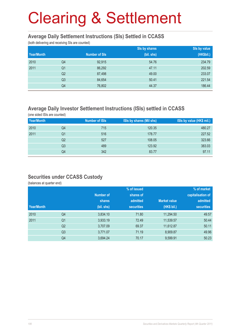# Clearing & Settlement

#### **Average Daily Settlement Instructions (SIs) Settled in CCASS**

(both delivering and receiving SIs are counted)

|            |                |                      | Sis by shares | Sis by value |
|------------|----------------|----------------------|---------------|--------------|
| Year/Month |                | <b>Number of SIs</b> | (bil. shs)    | (HK\$bil.)   |
| 2010       | Q4             | 92,915               | 54.76         | 234.79       |
| 2011       | Q <sub>1</sub> | 86,292               | 47.11         | 202.59       |
|            | Q <sub>2</sub> | 87,498               | 49.00         | 233.07       |
|            | Q <sub>3</sub> | 84,654               | 50.41         | 221.54       |
|            | Q4             | 76,802               | 44.37         | 186.44       |

### **Average Daily Investor Settlement Instructions (ISIs) settled in CCASS**

(one sided ISIs are counted)

| Year/Month |    | <b>Number of ISIs</b> | ISIs by shares (Mil shs) | ISIs by value (HK\$ mil.) |
|------------|----|-----------------------|--------------------------|---------------------------|
| 2010       | Q4 | 715                   | 120.35                   | 480.27                    |
| 2011       | Q1 | 516                   | 178.77                   | 227.52                    |
|            | Q2 | 527                   | 108.05                   | 323.66                    |
|            | Q3 | 489                   | 123.92                   | 383.03                    |
|            | Q4 | 342                   | 83.77                    | 97.11                     |

#### **Securities under CCASS Custody**

(balances at quarter end)

|            |                |            | % of issued       |                     | % of market       |
|------------|----------------|------------|-------------------|---------------------|-------------------|
|            |                | Number of  | shares of         |                     | capitalisation of |
|            |                | shares     | admitted          | <b>Market value</b> | admitted          |
| Year/Month |                | (bil. shs) | <b>securities</b> | (HK\$ bil.)         | <b>securities</b> |
| 2010       | Q4             | 3,834.10   | 71.80             | 11,294.50           | 49.57             |
| 2011       | Q <sub>1</sub> | 3,933.19   | 72.49             | 11,539.57           | 50.44             |
|            | Q <sub>2</sub> | 3,707.09   | 69.37             | 11,612.87           | 50.11             |
|            | Q <sub>3</sub> | 3,771.07   | 71.19             | 8,909.87            | 49.96             |
|            | Q4             | 3,694.24   | 70.17             | 9,599.91            | 50.23             |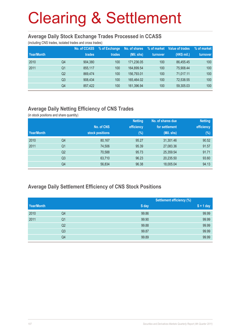# Clearing & Settlement

#### **Average Daily Stock Exchange Trades Processed in CCASS**

(including CNS trades, isolated trades and cross trades)

| Year/Month |                | No. of CCASS<br>trades | % of Exchange<br>trades | No. of shares<br>(Mil. shs) | % of market<br>turnover | Value of trades<br>(HK\$ mil.) | % of market<br>turnover |
|------------|----------------|------------------------|-------------------------|-----------------------------|-------------------------|--------------------------------|-------------------------|
| 2010       | Q4             | 904.380                | 100                     | 171.236.05                  | 100                     | 86.455.45                      | 100                     |
| 2011       | Q <sub>1</sub> | 855.117                | 100                     | 164.899.54                  | 100                     | 75.908.44                      | 100                     |
|            | Q <sub>2</sub> | 869.474                | 100                     | 156.793.01                  | 100                     | 71.017.11                      | 100                     |
|            | Q <sub>3</sub> | 908.434                | 100                     | 165.464.02                  | 100                     | 72,538.55                      | 100                     |
|            | Q4             | 857,422                | 100                     | 161,396.94                  | 100                     | 59,305.03                      | 100                     |

### **Average Daily Netting Efficiency of CNS Trades**

(in stock positions and share quantity)

|            |                |                 | <b>Netting</b> | No. of shares due | <b>Netting</b> |
|------------|----------------|-----------------|----------------|-------------------|----------------|
|            |                | No. of CNS      | efficiency     | for settlement    | efficiency     |
| Year/Month |                | stock positions | $(\%)$         | (Mil. shs)        | $(\%)$         |
| 2010       | Q4             | 80,167          | 95.27          | 31,301.46         | 90.52          |
| 2011       | Q <sub>1</sub> | 74,506          | 95.39          | 27,083.36         | 91.57          |
|            | Q <sub>2</sub> | 70,588          | 95.73          | 25,359.54         | 91.71          |
|            | Q <sub>3</sub> | 63,710          | 96.23          | 20,235.50         | 93.60          |
|            | Q4             | 56,834          | 96.38          | 18,005.04         | 94.13          |

### **Average Daily Settlement Efficiency of CNS Stock Positions**

| Year/Month |                |       | <b>Settlement efficiency (%)</b> |  |  |
|------------|----------------|-------|----------------------------------|--|--|
|            |                | S day | $S + 1$ day                      |  |  |
| 2010       | Q4             | 99.86 | 99.99                            |  |  |
| 2011       | Q <sub>1</sub> | 99.90 | 99.99                            |  |  |
|            | Q <sub>2</sub> | 99.88 | 99.99                            |  |  |
|            | Q <sub>3</sub> | 99.87 | 99.99                            |  |  |
|            | Q4             | 99.89 | 99.99                            |  |  |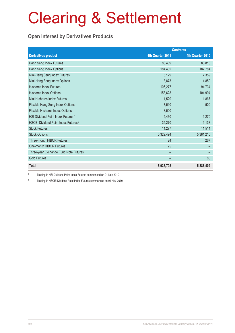# Clearing & Settlement

### **Open Interest by Derivatives Products**

|                                                 | <b>Contracts</b> |                  |
|-------------------------------------------------|------------------|------------------|
| <b>Derivatives product</b>                      | 4th Quarter 2011 | 4th Quarter 2010 |
| Hang Seng Index Futures                         | 86,409           | 88,816           |
| Hang Seng Index Options                         | 184,402          | 187,784          |
| Mini-Hang Seng Index Futures                    | 5,129            | 7,359            |
| Mini-Hang Seng Index Options                    | 3,873            | 4,859            |
| H-shares Index Futures                          | 106,277          | 94,734           |
| H-shares Index Options                          | 158,628          | 104,994          |
| Mini H-shares Index Futures                     | 1,520            | 1,867            |
| Flexible Hang Seng Index Options                | 7,510            | 500              |
| Flexible H-shares Index Options                 | 3,500            |                  |
| HSI Dividend Point Index Futures <sup>1</sup>   | 4,460            | 1,270            |
| HSCEI Dividend Point Index Futures <sup>2</sup> | 34,270           | 1,138            |
| <b>Stock Futures</b>                            | 11,277           | 11,514           |
| <b>Stock Options</b>                            | 5,329,494        | 5,381,215        |
| Three-month HIBOR Futures                       | 24               | 267              |
| One-month HIBOR Futures                         | 25               |                  |
| Three-year Exchange Fund Note Futures           |                  |                  |
| <b>Gold Futures</b>                             |                  | 85               |
| <b>Total</b>                                    | 5,936,798        | 5,886,402        |

1 Trading in HSI Dividend Point Index Futures commenced on 01 Nov 2010

2 Trading in HSCEI Dividend Point Index Futures commenced on 01 Nov 2010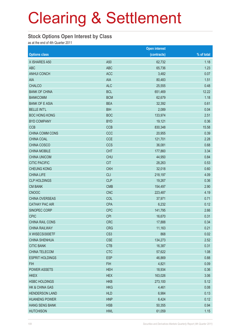# Clearing & Settlement

#### **Stock Options Open Interest by Class**

as at the end of 4th Quarter 2011

|                        |                 | <b>Open interest</b> |            |
|------------------------|-----------------|----------------------|------------|
| <b>Options class</b>   |                 | (contracts)          | % of total |
| X ISHARES A50          | A50             | 62,732               | 1.18       |
| <b>ABC</b>             | <b>ABC</b>      | 65,736               | 1.23       |
| <b>ANHUI CONCH</b>     | <b>ACC</b>      | 3,482                | 0.07       |
| AIA                    | <b>AIA</b>      | 80,483               | 1.51       |
| <b>CHALCO</b>          | <b>ALC</b>      | 25,555               | 0.48       |
| <b>BANK OF CHINA</b>   | <b>BCL</b>      | 651,469              | 12.22      |
| <b>BANKCOMM</b>        | <b>BCM</b>      | 62,679               | 1.18       |
| <b>BANK OF E ASIA</b>  | <b>BEA</b>      | 32,392               | 0.61       |
| <b>BELLE INT'L</b>     | <b>BIH</b>      | 2,089                | 0.04       |
| <b>BOC HONG KONG</b>   | <b>BOC</b>      | 133,974              | 2.51       |
| <b>BYD COMPANY</b>     | <b>BYD</b>      | 19,121               | 0.36       |
| <b>CCB</b>             | <b>CCB</b>      | 830,348              | 15.58      |
| CHINA COMM CONS        | CCC             | 20,955               | 0.39       |
| CHINA COAL             | <b>CCE</b>      | 121,701              | 2.28       |
| CHINA COSCO            | <b>CCS</b>      | 36,081               | 0.68       |
| <b>CHINA MOBILE</b>    | <b>CHT</b>      | 177,860              | 3.34       |
| <b>CHINA UNICOM</b>    | <b>CHU</b>      | 44,950               | 0.84       |
| <b>CITIC PACIFIC</b>   | <b>CIT</b>      | 28,263               | 0.53       |
| <b>CHEUNG KONG</b>     | <b>CKH</b>      | 32,018               | 0.60       |
| <b>CHINA LIFE</b>      | <b>CLI</b>      | 218,197              | 4.09       |
| <b>CLP HOLDINGS</b>    | <b>CLP</b>      | 19,267               | 0.36       |
| <b>CM BANK</b>         | <b>CMB</b>      | 154,497              | 2.90       |
| <b>CNOOC</b>           | <b>CNC</b>      | 223,487              | 4.19       |
| CHINA OVERSEAS         | COL             | 37,971               | 0.71       |
| <b>CATHAY PAC AIR</b>  | <b>CPA</b>      | 6,232                | 0.12       |
| SINOPEC CORP           | <b>CPC</b>      | 141,795              | 2.66       |
| <b>CPIC</b>            | <b>CPI</b>      | 16,670               | 0.31       |
| CHINA RAIL CONS        | <b>CRC</b>      | 17,888               | 0.34       |
| <b>CHINA RAILWAY</b>   | <b>CRG</b>      | 11,163               | 0.21       |
| X WISECSI300ETF        | CS <sub>3</sub> | 868                  | 0.02       |
| <b>CHINA SHENHUA</b>   | <b>CSE</b>      | 134,273              | 2.52       |
| <b>CITIC BANK</b>      | <b>CTB</b>      | 16,387               | 0.31       |
| CHINA TELECOM          | <b>CTC</b>      | 57,622               | 1.08       |
| <b>ESPRIT HOLDINGS</b> | <b>ESP</b>      | 46,869               | 0.88       |
| <b>FIH</b>             | <b>FIH</b>      | 4,821                | 0.09       |
| <b>POWER ASSETS</b>    | <b>HEH</b>      | 18,934               | 0.36       |
| <b>HKEX</b>            | <b>HEX</b>      | 163,026              | 3.06       |
| <b>HSBC HOLDINGS</b>   | <b>HKB</b>      | 273,100              | 5.12       |
| HK & CHINA GAS         | <b>HKG</b>      | 4,461                | 0.08       |
| <b>HENDERSON LAND</b>  | <b>HLD</b>      | 6,984                | 0.13       |
| <b>HUANENG POWER</b>   | <b>HNP</b>      | 6,424                | 0.12       |
| <b>HANG SENG BANK</b>  | <b>HSB</b>      | 50,355               | 0.94       |
| <b>HUTCHISON</b>       | <b>HWL</b>      | 61,059               | 1.15       |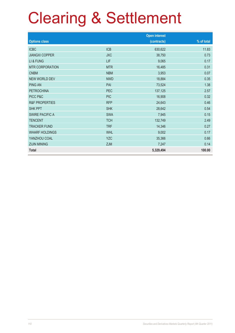# Clearing & Settlement

|                           |            | <b>Open interest</b> |            |
|---------------------------|------------|----------------------|------------|
| <b>Options class</b>      |            | (contracts)          | % of total |
| <b>ICBC</b>               | <b>ICB</b> | 630,622              | 11.83      |
| <b>JIANGXI COPPER</b>     | <b>JXC</b> | 38,750               | 0.73       |
| LI & FUNG                 | LIF        | 9,065                | 0.17       |
| <b>MTR CORPORATION</b>    | <b>MTR</b> | 16,485               | 0.31       |
| <b>CNBM</b>               | <b>NBM</b> | 3,953                | 0.07       |
| <b>NEW WORLD DEV</b>      | <b>NWD</b> | 18,884               | 0.35       |
| <b>PING AN</b>            | PAI        | 73,524               | 1.38       |
| <b>PETROCHINA</b>         | <b>PEC</b> | 137,125              | 2.57       |
| PICC P&C                  | <b>PIC</b> | 16,908               | 0.32       |
| <b>R&amp;F PROPERTIES</b> | <b>RFP</b> | 24,643               | 0.46       |
| <b>SHK PPT</b>            | <b>SHK</b> | 28,642               | 0.54       |
| <b>SWIRE PACIFIC A</b>    | <b>SWA</b> | 7,945                | 0.15       |
| <b>TENCENT</b>            | <b>TCH</b> | 132,749              | 2.49       |
| <b>TRACKER FUND</b>       | <b>TRF</b> | 14,346               | 0.27       |
| <b>WHARF HOLDINGS</b>     | <b>WHL</b> | 9,002                | 0.17       |
| YANZHOU COAL              | <b>YZC</b> | 35,366               | 0.66       |
| <b>ZIJIN MINING</b>       | <b>ZJM</b> | 7,247                | 0.14       |
| <b>Total</b>              |            | 5,329,494            | 100.00     |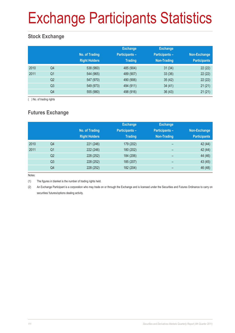# Exchange Participants Statistics

### **Stock Exchange**

|      |                | No. of Trading<br><b>Right Holders</b> | <b>Exchange</b><br><b>Participants -</b><br><b>Trading</b> | <b>Exchange</b><br><b>Participants -</b><br>Non-Trading | Non-Exchange<br><b>Participants</b> |
|------|----------------|----------------------------------------|------------------------------------------------------------|---------------------------------------------------------|-------------------------------------|
| 2010 | Q4             | 538 (960)                              | 485 (904)                                                  | 31(34)                                                  | 22(22)                              |
| 2011 | Q <sub>1</sub> | 544 (965)                              | 489 (907)                                                  | 33(36)                                                  | 22(22)                              |
|      | Q <sub>2</sub> | 547 (970)                              | 490 (906)                                                  | 35(42)                                                  | 22(22)                              |
|      | Q <sub>3</sub> | 549 (973)                              | 494 (911)                                                  | 34(41)                                                  | 21(21)                              |
|      | Q4             | 555 (980)                              | 498 (916)                                                  | 36(43)                                                  | 21(21)                              |

( ) No. of trading rights

### **Futures Exchange**

|      |                | No. of Trading<br><b>Right Holders</b> | <b>Exchange</b><br><b>Participants -</b><br><b>Trading</b> | <b>Exchange</b><br><b>Participants -</b><br><b>Non-Trading</b> | Non-Exchange<br><b>Participants</b> |
|------|----------------|----------------------------------------|------------------------------------------------------------|----------------------------------------------------------------|-------------------------------------|
| 2010 | Q4             | 221 (246)                              | 179 (202)                                                  | $\overline{\phantom{0}}$                                       | 42 (44)                             |
| 2011 | Q <sub>1</sub> | 222 (246)                              | 180 (202)                                                  | -                                                              | 42 (44)                             |
|      | Q <sub>2</sub> | 228 (252)                              | 184 (206)                                                  | $\qquad \qquad$                                                | 44 (46)                             |
|      | Q3             | 228 (252)                              | 185 (207)                                                  | $\overline{\phantom{0}}$                                       | 43(45)                              |
|      | Q4             | 228 (252)                              | 182 (204)                                                  |                                                                | 46 (48)                             |

Notes:

(1) The figures in blanket is the number of trading rights held.

(2) An Exchange Participant is a corporation who may trade on or through the Exchange and is licensed under the Securities and Futures Ordinance to carry on securities/ futures/options dealing activity.